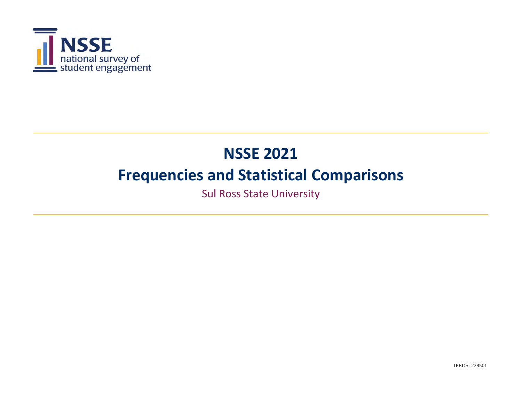

Sul Ross State University

IPEDS: 228501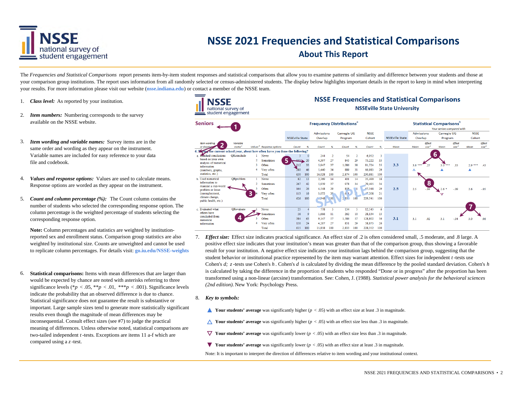

#### **About This Report**

The *Frequencies and Statistical Comparisons* report presents item-by-item student responses and statistical comparisons that allow you to examine patterns of similarity and difference between your students and those at your comparison group institutions. The report uses information from all randomly selected or census-administered students. The display below highlights important details in the report to keep in mind when interpreting your results. For more information please visit our website (**nsse.indiana.edu**) or contact a member of the NSSE team.

**NSSE** 

- 1. *Class level:* As reported by your institution.
- 2.*Item numbers:* Numbering corresponds to the survey available on the NSSE website.
- 3. *Item wording and variable names:* Survey items are in the same order and wording as they appear on the instrument. Variable names are included for easy reference to your data file and codebook.
- 4. *Values and response options:* Values are used to calculate means. Response options are worded as they appear on the instrument.
- 5. *Count and column percentage (%):* The Count column contains the number of students who selected the corresponding response option. The column percentage is the weighted percentage of students selecting the corresponding response option.

**Note:** Column percentages and statistics are weighted by institutionreported sex and enrollment status. Comparison group statistics are also weighted by institutional size. Counts are unweighted and cannot be used to replicate column percentages. For details visit: **go.iu.edu/NSSE-weights**

6. **Statistical comparisons:** Items with mean differences that are larger than would be expected by chance are noted with asterisks referring to three significance levels (\**p* < .05, \*\**p* < .01, \*\*\**p* < .001). Significance levels indicate the probability that an observed difference is due to chance. Statistical significance does not guarantee the result is substantive or important. Large sample sizes tend to generate more statistically significant results even though the magnitude of mean differences may be inconsequential. Consult effect sizes (see #7) to judge the practical meaning of differences. Unless otherwise noted, statistical comparisons are two-tailed independent *<sup>t</sup>* -tests. Exceptions are items 11 a-f which are compared using a *z*-test.



**NSSE Frequencies and Statistical Comparisons** 

- 7. *Effect size:* Effect size indicates practical significance. An effect size of .2 is often considered small, .5 moderate, and .8 large. A positive effect size indicates that your institution's mean was greater than that of the comparison group, thus showing a favorable result for your institution. A negative effect size indicates your institution lags behind the comparison group, suggesting that the student behavior or institutional practice represented by the item may warrant attention. Effect sizes for independent *<sup>t</sup>* -tests use Cohen's *d; <sup>z</sup>*-tests use Cohen's *h* . Cohen's *d* is calculated by dividing the mean difference by the pooled standard deviation. Cohen's *h*  is calculated by taking the difference in the proportion of students who responded "Done or in progress" after the proportion has been transformed using a non-linear (arcsine) transformation. See: Cohen, J. (1988). *Statistical power analysis for the behavioral sciences (2nd edition).* New York: Psychology Press.
- 8. *Key to symbols:* 
	- **▲ Your students' average** was significantly higher (*p* < .05) with an effect size at least .3 in magnitude.
	- $\triangle$  **Your students' average** was significantly higher ( $p < .05$ ) with an effect size less than .3 in magnitude.
	- **V** Your students' average was significantly lower  $(p < .05)$  with an effect size less than .3 in magnitude.
	- **▼ Your students' average** was significantly lower (*p* < .05) with an effect size at least .3 in magnitude.
	- Note: It is important to interpret the direction of differences relative to item wording and your institutional context.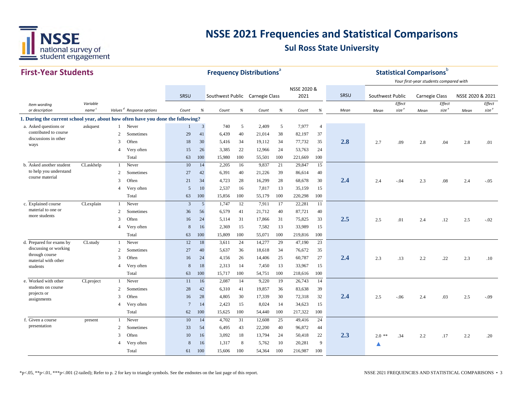

#### **First‐Year StudentsSRSU** *Item wording or description Variablenamec Values <sup>d</sup> Response options Count % Count % Count % Count % Mean Effect size <sup>e</sup> Effect size <sup>e</sup> Effect size <sup>e</sup>* **1. During the current school year, about how often have you done the following?** a.Asked questions or Asked questions or askquest 1 Never 1 1 3 740 5 2,409 5 7,977 4 2 Sometimes 29 41 6,439 40 21,014 38 82,197 37 3 Often <sup>18</sup> <sup>30</sup> 5,416 <sup>34</sup> 19,112 <sup>34</sup> 77,732 <sup>35</sup> **2.88** 2.7 .09 2.8 .04 2.8 .01 4 Very often 15 26 3,385 22 12,966 24 53,763 24 Total 63 100 15,980 100 55,501 100 221,669 100 b. Asked another student CLaskhelp 1 Never 10 14 2,205 16 9,837 21 29,847 15 2 Sometimes 27 42 6,391 40 21,226 39 86,614 40 <sup>3</sup> Often <sup>21</sup> <sup>34</sup> 4,723 <sup>28</sup> 16,299 <sup>28</sup> 68,678 <sup>30</sup> **2.4** 2.4 -.04 2.3 .08 2.4 -.05 4 Very often 5 10 2,537 16 7,817 13 35,159 15 Total 63 100 15,856 100 55,179 100 220,298 100 c. Explained course CLexplain 1 Never 3 5 1,747 12 7,911 17 22,281 11 2 Sometimes 36 56 6,579 41 21,712 40 87,721 40 <sup>3</sup> Often <sup>16</sup> <sup>24</sup> 5,114 <sup>31</sup> 17,866 <sup>31</sup> 75,825 <sup>33</sup> **2.55** 2.5 .01 2.4 .12 2.5 -.02 4 Very often 8 16 2,369 15 7,582 13 33,989 15 Total 63 100 15,809 100 55,071 100 219,816 100 d. Prepared for exams by CLstudy 1 Never 12 18 3,611 24 14,277 29 47,190 23 2 Sometimes 27 40 5,637 36 18,618 34 76,672 35 <sup>3</sup> Often <sup>16</sup> <sup>24</sup> 4,156 <sup>26</sup> 14,406 <sup>25</sup> 60,787 <sup>27</sup> **2.4** 2.3 .13 2.2 .22 2.3 .10 4 Very often 8 18 2,313 14 7,450 13 33,967 15 Total 63 100 15,717 100 54,751 100 218,616 100 e. Worked with other CLproject 1 Never 11 16 2,087 14 9,220 19 26,743 14 2 Sometimes 28 42 6,310 41 19,857 36 83,638 39 <sup>3</sup> Often <sup>16</sup> <sup>28</sup> 4,805 <sup>30</sup> 17,339 <sup>30</sup> 72,318 <sup>32</sup> **2.4** 2.5 -.06 2.4 .03 2.5 -.09 4 Very often 7 14 2,423 15 8,024 14 34,623 15 Total 62 100 15,625 100 54,440 100 217,322 100 f. Given a course **1** Never 1 2,608 25 49,416 24 2 Sometimes 33 54 6,495 43 22,200 40 96,872 44 <sup>3</sup> Often <sup>10</sup> <sup>16</sup> 3,092 <sup>18</sup> 13,794 <sup>24</sup> 50,418 <sup>22</sup> **2.3** $\mathbf{3}$  2.0 \*\* .34 2.2 .17 2.2 .20 <sup>4</sup> Very often <sup>8</sup> <sup>16</sup> 1,317 <sup>8</sup> 5,762 <sup>10</sup> 20,281 <sup>9</sup> **▲**Total 61 100 15,606 100 54,364 100 216,987 100 f. Given a course presentation to help you understand course material students on course projects or assignments discussing or working through course material with other studentsmaterial to one or more students *Mean Mean Mean* contributed to course discussions in other ways SRSU Southwest Public Carnegie Class NSSE 2020 &2021 SRSU Southwest Public Carnegie Class NSSE 2020 & 2021 **Frequency Distributions**<sup>a</sup> **Statistical Comparisons**b *Your first‐year students compared with*

\*p<.05, \*\*p<.01, \*\*\*p<.001 (2-tailed); Refer to p. 2 for key to triangle symbols. See the endnotes on the last page of this report. NSSE 2021 FREQUENCIES AND STATISTICAL COMPARISONS • 3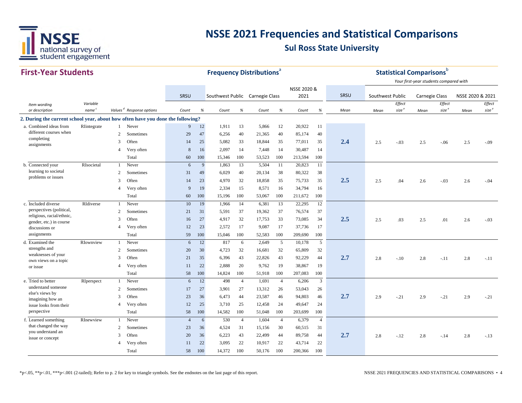

| <b>First-Year Students</b>                                                      |                               |                |                                      |                |        | <b>Frequency Distributions</b> <sup>®</sup> |                |        |                |             |                |      |                  |                                        | <b>Statistical Comparisons</b> b |                             |                  |                             |
|---------------------------------------------------------------------------------|-------------------------------|----------------|--------------------------------------|----------------|--------|---------------------------------------------|----------------|--------|----------------|-------------|----------------|------|------------------|----------------------------------------|----------------------------------|-----------------------------|------------------|-----------------------------|
|                                                                                 |                               |                |                                      |                |        |                                             |                |        |                |             |                |      |                  | Your first-year students compared with |                                  |                             |                  |                             |
|                                                                                 |                               |                |                                      |                |        |                                             |                |        |                | NSSE 2020 & |                | SRSU |                  |                                        |                                  |                             |                  |                             |
|                                                                                 |                               |                |                                      | SRSU           |        | Southwest Public Carnegie Class             |                |        |                | 2021        |                |      | Southwest Public |                                        | <b>Carnegie Class</b>            |                             | NSSE 2020 & 2021 |                             |
| Item wording<br>or description                                                  | Variable<br>name <sup>c</sup> |                | Values <sup>d</sup> Response options | Count          | %      | Count                                       | %              | Count  | $\%$           | Count       | %              | Mean | Mean             | Effect<br>size <sup>e</sup>            | Mean                             | Effect<br>size <sup>e</sup> | Mean             | Effect<br>size <sup>e</sup> |
| 2. During the current school year, about how often have you done the following? |                               |                |                                      |                |        |                                             |                |        |                |             |                |      |                  |                                        |                                  |                             |                  |                             |
| a. Combined ideas from                                                          | RIintegrate                   | $\mathbf{1}$   | Never                                | 9              | 12     | 1.911                                       | 13             | 5,866  | 12             | 20,922      | 11             |      |                  |                                        |                                  |                             |                  |                             |
| different courses when                                                          |                               | 2              | Sometimes                            | 29             | 47     | 6,256                                       | 40             | 21,365 | 40             | 85,174      | 40             |      |                  |                                        |                                  |                             |                  |                             |
| completing                                                                      |                               | 3              | Often                                | 14             | 25     | 5,082                                       | 33             | 18,844 | 35             | 77,011      | 35             | 2.4  | 2.5              | $-.03$                                 | 2.5                              | $-.06$                      | 2.5              | $-.09$                      |
| assignments                                                                     |                               | $\overline{4}$ | Very often                           | 8              | 16     | 2,097                                       | 14             | 7,448  | 14             | 30,487      | 14             |      |                  |                                        |                                  |                             |                  |                             |
|                                                                                 |                               |                | Total                                | 60             | 100    | 15,346                                      | 100            | 53,523 | 100            | 213,594     | 100            |      |                  |                                        |                                  |                             |                  |                             |
| b. Connected your                                                               | RIsocietal                    | $\mathbf{1}$   | Never                                | 6              | 9      | 1,863                                       | 13             | 5,504  | 11             | 20,823      | 11             |      |                  |                                        |                                  |                             |                  |                             |
| learning to societal                                                            |                               | 2              | Sometimes                            | 31             | 49     | 6,029                                       | 40             | 20,134 | 38             | 80,322      | 38             |      |                  |                                        |                                  |                             |                  |                             |
| problems or issues                                                              |                               | 3              | Often                                | 14             | 23     | 4,970                                       | 32             | 18,858 | 35             | 75,733      | 35             | 2.5  | 2.5              | .04                                    | 2.6                              | $-.03$                      | 2.6              | $-.04$                      |
|                                                                                 |                               | $\overline{4}$ | Very often                           | 9              | 19     | 2,334                                       | 15             | 8,571  | 16             | 34,794      | 16             |      |                  |                                        |                                  |                             |                  |                             |
|                                                                                 |                               |                | Total                                | 60             | 100    | 15,196                                      | 100            | 53,067 | 100            | 211,672     | 100            |      |                  |                                        |                                  |                             |                  |                             |
| c. Included diverse                                                             | RIdiverse                     | -1             | Never                                | 10             | 19     | 1,966                                       | 14             | 6,381  | 13             | 22,295      | 12             |      |                  |                                        |                                  |                             |                  |                             |
| perspectives (political,                                                        |                               | 2              | Sometimes                            | 21             | 31     | 5,591                                       | 37             | 19,362 | 37             | 76,574      | 37             |      |                  |                                        |                                  |                             |                  |                             |
| religious, racial/ethnic,                                                       |                               | 3              | Often                                | 16             | 27     | 4,917                                       | 32             | 17,753 | 33             | 73,085      | 34             | 2.5  | 2.5              | .03                                    | 2.5                              | .01                         | 2.6              | $-.03$                      |
| gender, etc.) in course<br>discussions or                                       |                               | $\overline{4}$ | Very often                           | 12             | 23     | 2,572                                       | 17             | 9,087  | 17             | 37,736      | 17             |      |                  |                                        |                                  |                             |                  |                             |
| assignments                                                                     |                               |                | Total                                | 59             | 100    | 15,046                                      | 100            | 52,583 | 100            | 209,690     | 100            |      |                  |                                        |                                  |                             |                  |                             |
| d. Examined the                                                                 | RIownview                     |                | Never                                | 6              | 12     | 817                                         | 6              | 2,649  | 5              | 10,178      | 5              |      |                  |                                        |                                  |                             |                  |                             |
| strengths and                                                                   |                               | 2              | Sometimes                            | 20             | 30     | 4,723                                       | 32             | 16,681 | 32             | 65,809      | 32             |      |                  |                                        |                                  |                             |                  |                             |
| weaknesses of your<br>own views on a topic                                      |                               | 3              | Often                                | 21             | 35     | 6.396                                       | 43             | 22,826 | 43             | 92,229      | 44             | 2.7  | 2.8              | $-.10$                                 | 2.8                              | $-.11$                      | 2.8              | $-.11$                      |
| or issue                                                                        |                               | $\overline{4}$ | Very often                           | 11             | 22     | 2.888                                       | 20             | 9,762  | 19             | 38,867      | 19             |      |                  |                                        |                                  |                             |                  |                             |
|                                                                                 |                               |                | Total                                | 58             | 100    | 14,824                                      | 100            | 51,918 | 100            | 207,083     | 100            |      |                  |                                        |                                  |                             |                  |                             |
| e. Tried to better                                                              | RIperspect                    | $\mathbf{1}$   | Never                                | 6              | $12\,$ | 498                                         | $\overline{4}$ | 1,691  | $\overline{4}$ | 6,206       | $\mathbf{3}$   |      |                  |                                        |                                  |                             |                  |                             |
| understand someone                                                              |                               | 2              | Sometimes                            | 17             | 27     | 3,901                                       | 27             | 13,312 | 26             | 53,043      | 26             |      |                  |                                        |                                  |                             |                  |                             |
| else's views by<br>imagining how an                                             |                               | 3              | Often                                | 23             | 36     | 6,473                                       | 44             | 23,587 | 46             | 94,803      | 46             | 2.7  | 2.9              | $-.21$                                 | 2.9                              | $-.21$                      | 2.9              | $-.21$                      |
| issue looks from their                                                          |                               | $\overline{4}$ | Very often                           | 12             | 25     | 3,710                                       | 25             | 12,458 | 24             | 49,647      | 24             |      |                  |                                        |                                  |                             |                  |                             |
| perspective                                                                     |                               |                | Total                                | 58             | 100    | 14,582                                      | 100            | 51,048 | 100            | 203,699     | 100            |      |                  |                                        |                                  |                             |                  |                             |
| f. Learned something                                                            | RInewview                     | $\mathbf{1}$   | Never                                | $\overline{4}$ | 6      | 530                                         | $\overline{4}$ | 1,604  | $\overline{4}$ | 6,379       | $\overline{4}$ |      |                  |                                        |                                  |                             |                  |                             |
| that changed the way                                                            |                               | $\overline{2}$ | Sometimes                            | 23             | 36     | 4,524                                       | 31             | 15,156 | 30             | 60,515      | 31             |      |                  |                                        |                                  |                             |                  |                             |
| you understand an<br>issue or concept                                           |                               | 3              | Often                                | 20             | 36     | 6,223                                       | 43             | 22,499 | 44             | 89,758      | 44             | 2.7  | 2.8              | $-.12$                                 | 2.8                              | $-.14$                      | 2.8              | $-.13$                      |
|                                                                                 |                               | $\overline{4}$ | Very often                           | 11             | 22     | 3,095                                       | 22             | 10,917 | 22             | 43,714      | 22             |      |                  |                                        |                                  |                             |                  |                             |
|                                                                                 |                               |                | Total                                | 58             | 100    | 14,372                                      | 100            | 50,176 | 100            | 200,366     | 100            |      |                  |                                        |                                  |                             |                  |                             |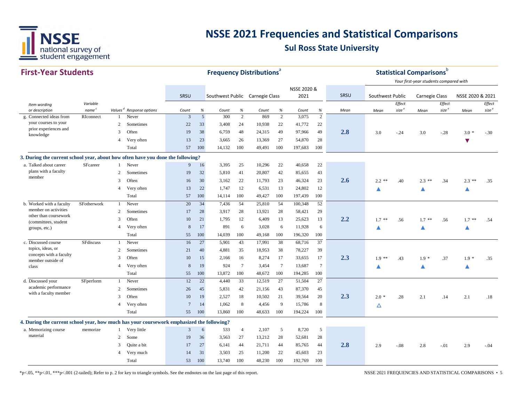

| <b>First-Year Students</b>                                                                |                                |                |                                               |                 |                        |                                 |                 | <b>Frequency Distributions<sup>®</sup></b> |                     |                |                     |      |                  |                   | <b>Statistical Comparisons</b> $b$     |                   |                      |                   |
|-------------------------------------------------------------------------------------------|--------------------------------|----------------|-----------------------------------------------|-----------------|------------------------|---------------------------------|-----------------|--------------------------------------------|---------------------|----------------|---------------------|------|------------------|-------------------|----------------------------------------|-------------------|----------------------|-------------------|
|                                                                                           |                                |                |                                               |                 |                        |                                 |                 |                                            |                     |                |                     |      |                  |                   | Your first-year students compared with |                   |                      |                   |
|                                                                                           |                                |                |                                               |                 |                        |                                 |                 |                                            |                     | NSSE 2020 &    |                     |      |                  |                   |                                        |                   |                      |                   |
|                                                                                           |                                |                |                                               | SRSU            |                        | Southwest Public Carnegie Class |                 |                                            |                     | 2021           |                     | SRSU | Southwest Public |                   | <b>Carnegie Class</b>                  |                   | NSSE 2020 & 2021     |                   |
| Item wording                                                                              | Variable                       |                |                                               |                 |                        |                                 |                 |                                            |                     |                |                     |      |                  | Effect            |                                        | Effect            |                      | Effect            |
| or description<br>g. Connected ideas from                                                 | name <sup>c</sup><br>RIconnect |                | Values <sup>d</sup> Response options<br>Never | Count<br>3      | $\%$<br>$\overline{5}$ | Count<br>300                    | $\%$<br>2       | Count<br>869                               | %<br>$\overline{2}$ | Count<br>3,075 | %<br>$\overline{2}$ | Mean | Mean             | size <sup>e</sup> | Mean                                   | size <sup>e</sup> | Mean                 | size <sup>e</sup> |
| your courses to your                                                                      |                                | 2              | Sometimes                                     | 22              | 33                     | 3,408                           | 24              | 10,938                                     | 22                  | 41,772         | 22                  |      |                  |                   |                                        |                   |                      |                   |
| prior experiences and                                                                     |                                | 3              | Often                                         | 19              | 38                     | 6,759                           | 48              | 24,315                                     | 49                  | 97,966         | 49                  | 2.8  | 3.0              | $-.24$            | 3.0                                    | $-.28$            | $3.0*$               | $-.30$            |
| knowledge                                                                                 |                                | $\overline{4}$ | Very often                                    | 13              | 23                     | 3,665                           | 26              | 13,369                                     | 27                  | 54,870         | 28                  |      |                  |                   |                                        |                   |                      |                   |
|                                                                                           |                                |                | Total                                         | 57              | 100                    | 14,132                          | 100             | 49,491                                     | 100                 | 197,683        | 100                 |      |                  |                   |                                        |                   | $\blacktriangledown$ |                   |
|                                                                                           |                                |                |                                               |                 |                        |                                 |                 |                                            |                     |                |                     |      |                  |                   |                                        |                   |                      |                   |
| 3. During the current school year, about how often have you done the following?           |                                |                |                                               |                 |                        |                                 |                 |                                            |                     |                |                     |      |                  |                   |                                        |                   |                      |                   |
| a. Talked about career<br>plans with a faculty                                            | SFcareer                       |                | Never                                         | 9               | 16                     | 3,395                           | 25              | 10,296                                     | 22                  | 40,658         | 22                  |      |                  |                   |                                        |                   |                      |                   |
| member                                                                                    |                                | 2              | Sometimes                                     | 19              | 32                     | 5,810                           | 41              | 20,807                                     | 42                  | 85,655         | 43                  |      |                  |                   |                                        |                   |                      |                   |
|                                                                                           |                                | 3              | Often                                         | 16              | 30                     | 3,162                           | 22              | 11,793                                     | 23                  | 46,324         | 23                  | 2.6  | $2.2$ **         | .40               | $2.3$ **                               | .34               | $2.3$ **             | .35               |
|                                                                                           |                                | $\overline{4}$ | Very often                                    | 13              | 22                     | 1.747                           | 12              | 6,531                                      | 13                  | 24,802         | 12                  |      |                  |                   | ▲                                      |                   | ▲                    |                   |
|                                                                                           |                                |                | Total                                         | 57              | 100                    | 14.114                          | 100             | 49,427                                     | 100                 | 197,439        | 100                 |      |                  |                   |                                        |                   |                      |                   |
| b. Worked with a faculty<br>member on activities                                          | SFotherwork                    | $\mathbf{1}$   | Never                                         | 20              | 34                     | 7,436                           | 54              | 25,810                                     | 54                  | 100,348        | 52                  |      |                  |                   |                                        |                   |                      |                   |
| other than coursework                                                                     |                                | 2              | Sometimes                                     | 17              | 28                     | 3,917                           | 28              | 13,921                                     | 28                  | 58,421         | 29                  |      |                  |                   |                                        |                   |                      |                   |
| (committees, student                                                                      |                                | 3              | Often                                         | 10              | 21                     | 1,795                           | 12              | 6,409                                      | 13                  | 25,623         | 13                  | 2.2  | $1.7$ **         | .56               | $1.7$ **                               | .56               | $1.7$ **             | .54               |
| groups, etc.)                                                                             |                                | $\overline{4}$ | Very often                                    | 8               | 17                     | 891                             | 6               | 3,028                                      | 6                   | 11,928         | 6                   |      | ▲                |                   | Δ                                      |                   | ▲                    |                   |
|                                                                                           |                                |                | Total                                         | 55              | 100                    | 14,039                          | 100             | 49,168                                     | 100                 | 196,320        | 100                 |      |                  |                   |                                        |                   |                      |                   |
| c. Discussed course<br>topics, ideas, or                                                  | SFdiscuss                      |                | Never                                         | 16              | 27                     | 5,901                           | 43              | 17,991                                     | 38                  | 68,716         | 37                  |      |                  |                   |                                        |                   |                      |                   |
| concepts with a faculty                                                                   |                                | 2              | Sometimes                                     | 21              | 40                     | 4,881                           | 35              | 18,953                                     | 38                  | 78,227         | 39                  |      |                  |                   |                                        |                   |                      |                   |
| member outside of                                                                         |                                | 3              | Often                                         | 10              | 15                     | 2,166                           | 16              | 8,274                                      | 17                  | 33,655         | 17                  | 2.3  | $1.9**$          | .43               | $1.9 *$                                | .37               | $1.9*$               | .35               |
| class                                                                                     |                                | $\overline{4}$ | Very often                                    | 8               | 19                     | 924                             | $7\phantom{.0}$ | 3,454                                      | $\tau$              | 13,687         | $7\phantom{.0}$     |      |                  |                   | ▲                                      |                   | ▲                    |                   |
|                                                                                           |                                |                | Total                                         | 55              | 100                    | 13,872                          | 100             | 48,672                                     | 100                 | 194,285        | 100                 |      |                  |                   |                                        |                   |                      |                   |
| d. Discussed your                                                                         | SFperform                      |                | Never                                         | 12              | 22                     | 4,440                           | 33              | 12,519                                     | 27                  | 51,504         | 27                  |      |                  |                   |                                        |                   |                      |                   |
| academic performance<br>with a faculty member                                             |                                | 2              | Sometimes                                     | 26              | 45                     | 5,831                           | 42              | 21,156                                     | 43                  | 87,370         | 45                  |      |                  |                   |                                        |                   |                      |                   |
|                                                                                           |                                | 3              | Often                                         | 10              | 19                     | 2,527                           | 18              | 10,502                                     | 21                  | 39,564         | 20                  | 2.3  | $2.0*$           | .28               | 2.1                                    | .14               | 2.1                  | .18               |
|                                                                                           |                                | $\overline{4}$ | Very often                                    | $7\phantom{.0}$ | 14                     | 1,062                           | 8               | 4,456                                      | 9                   | 15,786         | 8                   |      | △                |                   |                                        |                   |                      |                   |
|                                                                                           |                                |                | Total                                         | 55              | 100                    | 13,860                          | 100             | 48,633                                     | 100                 | 194,224        | 100                 |      |                  |                   |                                        |                   |                      |                   |
| 4. During the current school year, how much has your coursework emphasized the following? |                                |                |                                               |                 |                        |                                 |                 |                                            |                     |                |                     |      |                  |                   |                                        |                   |                      |                   |
| a. Memorizing course                                                                      | memorize                       |                | Very little                                   | $\mathfrak{Z}$  | 6                      | 533                             | $\overline{4}$  | 2,107                                      | $\mathfrak{S}$      | 8,720          | $\overline{5}$      |      |                  |                   |                                        |                   |                      |                   |
| material                                                                                  |                                | 2              | Some                                          | 19              | 36                     | 3,563                           | 27              | 13,212                                     | 28                  | 52,681         | 28                  |      |                  |                   |                                        |                   |                      |                   |
|                                                                                           |                                | 3              | Quite a bit                                   | 17              | 27                     | 6,141                           | 44              | 21,711                                     | 44                  | 85,765         | 44                  | 2.8  | 2.9              | $-.08$            | 2.8                                    | $-.01$            | 2.9                  | $-.04$            |
|                                                                                           |                                | $\overline{4}$ | Very much                                     | 14              | 31                     | 3,503                           | 25              | 11,200                                     | 22                  | 45,603         | 23                  |      |                  |                   |                                        |                   |                      |                   |
|                                                                                           |                                |                | Total                                         | 53              | 100                    | 13,740                          | 100             | 48,230                                     | 100                 | 192,769        | 100                 |      |                  |                   |                                        |                   |                      |                   |

\*p<.05, \*\*p<.01, \*\*\*p<.001 (2-tailed); Refer to p. 2 for key to triangle symbols. See the endnotes on the last page of this report. NSSE 2021 FREQUENCIES AND STATISTICAL COMPARISONS • 5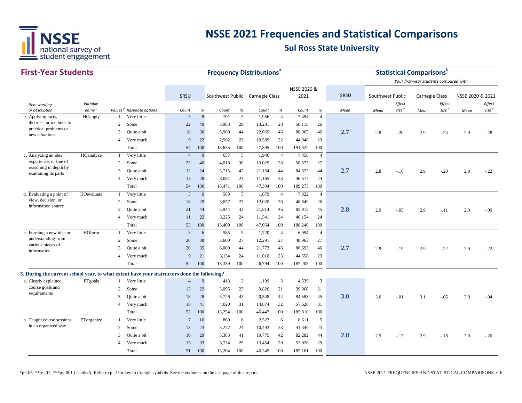

| <b>First-Year Students</b>                                                                  |                   |                |                                      |                 |              |                                 |                         | <b>Frequency Distributions</b> <sup>ª</sup> |                     |                |                        |      |                  |                   | <b>Statistical Comparisons</b> b       |                   |                  |                   |
|---------------------------------------------------------------------------------------------|-------------------|----------------|--------------------------------------|-----------------|--------------|---------------------------------|-------------------------|---------------------------------------------|---------------------|----------------|------------------------|------|------------------|-------------------|----------------------------------------|-------------------|------------------|-------------------|
|                                                                                             |                   |                |                                      |                 |              |                                 |                         |                                             |                     |                |                        |      |                  |                   | Your first-year students compared with |                   |                  |                   |
|                                                                                             |                   |                |                                      |                 |              |                                 |                         |                                             |                     | NSSE 2020 &    |                        |      |                  |                   |                                        |                   |                  |                   |
|                                                                                             |                   |                |                                      | SRSU            |              | Southwest Public Carnegie Class |                         |                                             |                     | 2021           |                        | SRSU | Southwest Public |                   | <b>Carnegie Class</b>                  |                   | NSSE 2020 & 2021 |                   |
| Item wording                                                                                | Variable          |                |                                      |                 |              |                                 |                         |                                             |                     |                |                        |      |                  | Effect            |                                        | Effect            |                  | Effect            |
| or description                                                                              | name <sup>c</sup> |                | Values <sup>d</sup> Response options | Count<br>5      | %<br>$\,8\,$ | Count<br>701                    | $\%$<br>5               | Count<br>1,956                              | %<br>$\overline{4}$ | Count<br>7,494 | $\%$<br>$\overline{4}$ | Mean | Mean             | size <sup>e</sup> | Mean                                   | size <sup>e</sup> | Mean             | size <sup>e</sup> |
| b. Applying facts,<br>theories, or methods to                                               | HOapply           | -1             | Very little                          |                 |              |                                 |                         |                                             |                     |                |                        |      |                  |                   |                                        |                   |                  |                   |
| practical problems or                                                                       |                   | 2              | Some                                 | 22              | 40           | 3,983                           | 29                      | 13,281                                      | 28                  | 50,115         | 26                     |      |                  |                   |                                        |                   |                  |                   |
| new situations                                                                              |                   | 3              | Quite a bit                          | 18              | 30           | 5,989                           | 44                      | 22,069                                      | 46                  | 88,965         | 46                     | 2.7  | 2.8              | $-.20$            | 2.9                                    | $-.24$            | 2.9              | $-.28$            |
|                                                                                             |                   | $\overline{4}$ | Very much                            | 9               | 22           | 2,962                           | 22                      | 10,589                                      | 22                  | 44,948         | 23                     |      |                  |                   |                                        |                   |                  |                   |
|                                                                                             |                   |                | Total                                | 54              | 100          | 13,635                          | 100                     | 47,895                                      | 100                 | 191,522        | 100                    |      |                  |                   |                                        |                   |                  |                   |
| c. Analyzing an idea,                                                                       | HOanalyze         | $\mathbf{1}$   | Very little                          | $\overline{4}$  | 9            | 657                             | 5                       | 1,946                                       | $\overline{4}$      | 7,458          | $\overline{4}$         |      |                  |                   |                                        |                   |                  |                   |
| experience, or line of<br>reasoning in depth by                                             |                   | 2              | Some                                 | 25              | 40           | 4,018                           | 30                      | 13,029                                      | 28                  | 50,675         | 27                     |      |                  |                   |                                        |                   |                  |                   |
| examining its parts                                                                         |                   | 3              | Quite a bit                          | 12              | 24           | 5,715                           | 42                      | 21,164                                      | 44                  | 84,623         | 44                     | 2.7  | 2.8              | $-.16$            | 2.9                                    | $-.20$            | 2.9              | $-.22$            |
|                                                                                             |                   | $\overline{4}$ | Very much                            | 13              | 28           | 3.081                           | 23                      | 11,165                                      | 23                  | 46,517         | 24                     |      |                  |                   |                                        |                   |                  |                   |
|                                                                                             |                   |                | Total                                | 54              | 100          | 13,471                          | 100                     | 47,304                                      | 100                 | 189,273        | 100                    |      |                  |                   |                                        |                   |                  |                   |
| d. Evaluating a point of                                                                    | HOevaluate        | -1             | Very little                          | 3               | 6            | 583                             | 5                       | 1,679                                       | $\overline{4}$      | 7,322          | $\overline{4}$         |      |                  |                   |                                        |                   |                  |                   |
| view, decision, or<br>information source                                                    |                   | 2              | Some                                 | 18              | 29           | 3,657                           | 27                      | 12,020                                      | 26                  | 48,849         | 26                     |      |                  |                   |                                        |                   |                  |                   |
|                                                                                             |                   | 3              | Quite a bit                          | 21              | 44           | 5,944                           | 43                      | 21,814                                      | 46                  | 85,915         | 45                     | 2.8  | 2.9              | $-.05$            | 2.9                                    | $-.11$            | 2.9              | $-.09$            |
|                                                                                             |                   | $\overline{4}$ | Very much                            | 11              | 22           | 3,225                           | 24                      | 11,541                                      | 24                  | 46,154         | 24                     |      |                  |                   |                                        |                   |                  |                   |
|                                                                                             |                   |                | Total                                | 53              | 100          | 13,409                          | 100                     | 47,054                                      | 100                 | 188,240        | 100                    |      |                  |                   |                                        |                   |                  |                   |
| e. Forming a new idea or                                                                    | HOform            | $\mathbf{1}$   | Very little                          | 3               | 6            | 585                             | 5                       | 1,720                                       | $\overline{4}$      | 6,994          | $\overline{4}$         |      |                  |                   |                                        |                   |                  |                   |
| understanding from                                                                          |                   | 2              | Some                                 | 20              | 38           | 3,600                           | 27                      | 12,291                                      | 27                  | 48,963         | 27                     |      |                  |                   |                                        |                   |                  |                   |
| various pieces of<br>information                                                            |                   | 3              | Quite a bit                          | 20              | 35           | 6,000                           | 44                      | 21,773                                      | 46                  | 86,693         | 46                     | 2.7  | 2.9              | $-.19$            | 2.9                                    | $-.22$            | 2.9              | $-.22$            |
|                                                                                             |                   | $\overline{4}$ | Very much                            | 9               | 21           | 3.154                           | 24                      | 11.010                                      | 23                  | 44,558         | 23                     |      |                  |                   |                                        |                   |                  |                   |
|                                                                                             |                   |                | Total                                | 52              | 100          | 13,339                          | 100                     | 46,794                                      | 100                 | 187,208        | 100                    |      |                  |                   |                                        |                   |                  |                   |
| 5. During the current school year, to what extent have your instructors done the following? |                   |                |                                      |                 |              |                                 |                         |                                             |                     |                |                        |      |                  |                   |                                        |                   |                  |                   |
| a. Clearly explained                                                                        | ETgoals           | -1             | Very little                          | $\overline{4}$  | 9            | 413                             | $\overline{\mathbf{3}}$ | 1,199                                       | 3                   | 4,539          | $\mathfrak{Z}$         |      |                  |                   |                                        |                   |                  |                   |
| course goals and                                                                            |                   | 2              | Some                                 | 13              | 22           | 3,095                           | 23                      | 9,826                                       | 21                  | 39,068         | 21                     |      |                  |                   |                                        |                   |                  |                   |
| requirements                                                                                |                   | 3              | Quite a bit                          | 18              | 28           | 5,726                           | 43                      | 20,548                                      | 44                  | 84,583         | 45                     | 3.0  | 3.0              | $-.01$            | 3.1                                    | $-.05$            | 3.0              | $-.04$            |
|                                                                                             |                   | $\overline{4}$ | Very much                            | 18              | 41           | 4,020                           | 31                      | 14,874                                      | 32                  | 57,620         | 31                     |      |                  |                   |                                        |                   |                  |                   |
|                                                                                             |                   |                | Total                                | 53              | 100          | 13,254                          | 100                     | 46,447                                      | 100                 | 185,810        | 100                    |      |                  |                   |                                        |                   |                  |                   |
| b. Taught course sessions                                                                   | ETorganize        | 1              | Very little                          | $7\phantom{.0}$ | 16           | 860                             | 6                       | 2,527                                       | 6                   | 8,611          | 5                      |      |                  |                   |                                        |                   |                  |                   |
| in an organized way                                                                         |                   | 2              | Some                                 | 13              | 23           | 3,227                           | 24                      | 10,493                                      | 23                  | 41,340         | 23                     |      |                  |                   |                                        |                   |                  |                   |
|                                                                                             |                   | 3              | Quite a bit                          | 16              | 29           | 5,383                           | 41                      | 19,775                                      | 42                  | 82,282         | 44                     | 2.8  | 2.9              | $-.15$            | 2.9                                    | $-.18$            | 3.0              | $-.20$            |
|                                                                                             |                   | $\overline{4}$ | Very much                            | 15              | 33           | 3,734                           | 29                      | 13,454                                      | 29                  | 52,928         | 29                     |      |                  |                   |                                        |                   |                  |                   |
|                                                                                             |                   |                | Total                                | 51              | 100          | 13,204                          | 100                     | 46,249                                      | 100                 | 185,161        | 100                    |      |                  |                   |                                        |                   |                  |                   |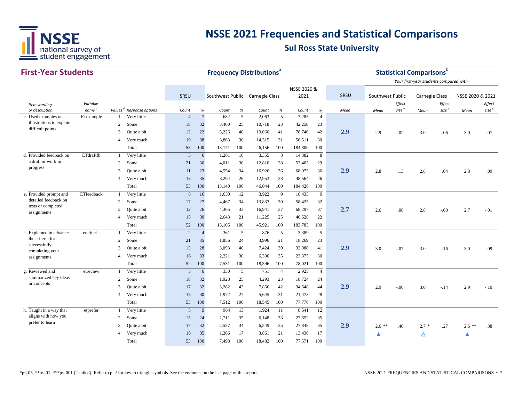

| <b>First-Year Students</b>                      |                   |                |                                      |                 |                      | <b>Frequency Distributions</b> <sup>a</sup> |           |        |                |                |                        |      |                  |                   | <b>Statistical Comparisons</b> b       |                   |                  |                   |
|-------------------------------------------------|-------------------|----------------|--------------------------------------|-----------------|----------------------|---------------------------------------------|-----------|--------|----------------|----------------|------------------------|------|------------------|-------------------|----------------------------------------|-------------------|------------------|-------------------|
|                                                 |                   |                |                                      |                 |                      |                                             |           |        |                |                |                        |      |                  |                   | Your first-year students compared with |                   |                  |                   |
|                                                 |                   |                |                                      |                 |                      |                                             |           |        |                | NSSE 2020 &    |                        |      |                  |                   |                                        |                   |                  |                   |
|                                                 |                   |                |                                      | SRSU            |                      | Southwest Public Carnegie Class             |           |        |                | 2021           |                        | SRSU | Southwest Public |                   | <b>Carnegie Class</b>                  |                   | NSSE 2020 & 2021 |                   |
| Item wording                                    | Variable          |                |                                      |                 |                      |                                             |           |        |                |                |                        |      |                  | Effect            |                                        | Effect            |                  | <b>Effect</b>     |
| or description                                  | name <sup>c</sup> |                | Values <sup>d</sup> Response options | Count           | %<br>$7\phantom{.0}$ | Count<br>682                                | $\%$<br>5 | Count  | %              | Count<br>7,285 | $\%$<br>$\overline{4}$ | Mean | Mean             | size <sup>e</sup> | Mean                                   | size <sup>e</sup> | Mean             | size <sup>e</sup> |
| c. Used examples or<br>illustrations to explain | ETexample         |                | Very little                          | $\overline{4}$  |                      |                                             |           | 2,063  | 5              |                |                        |      |                  |                   |                                        |                   |                  |                   |
| difficult points                                |                   | 2              | Some                                 | 18              | 32                   | 3,400                                       | 25        | 10,718 | 23             | 42,258         | 23                     |      |                  |                   |                                        |                   |                  |                   |
|                                                 |                   | 3              | Quite a bit                          | 12              | 22                   | 5,226                                       | 40        | 19,060 | 41             | 78,746         | 42                     | 2.9  | 2.9              | $-.02$            | 3.0                                    | $-.06$            | 3.0              | $-.07$            |
|                                                 |                   | $\overline{4}$ | Very much                            | 19              | 38                   | 3,863                                       | 30        | 14,315 | 31             | 56,511         | 30                     |      |                  |                   |                                        |                   |                  |                   |
|                                                 |                   |                | Total                                | 53              | 100                  | 13,171                                      | 100       | 46,156 | 100            | 184,800        | 100                    |      |                  |                   |                                        |                   |                  |                   |
| d. Provided feedback on                         | ETdraftfb         | $\mathbf{1}$   | Very little                          | 3               | 6                    | 1,281                                       | 10        | 3,355  | 8              | 14,382         | $\,8\,$                |      |                  |                   |                                        |                   |                  |                   |
| a draft or work in                              |                   | 2              | Some                                 | 21              | 36                   | 4,011                                       | 30        | 12,810 | 28             | 53,405         | 29                     |      |                  |                   |                                        |                   |                  |                   |
| progress                                        |                   | 3              | Quite a bit                          | 11              | 23                   | 4,554                                       | 34        | 16,926 | 36             | 68,075         | 36                     | 2.9  | 2.8              | .13               | 2.8                                    | .04               | 2.8              | .09               |
|                                                 |                   | $\overline{A}$ | Very much                            | 18              | 35                   | 3,294                                       | 26        | 12,953 | 28             | 48,564         | 26                     |      |                  |                   |                                        |                   |                  |                   |
|                                                 |                   |                | Total                                | 53              | 100                  | 13,140                                      | 100       | 46,044 | 100            | 184,426        | 100                    |      |                  |                   |                                        |                   |                  |                   |
| e. Provided prompt and                          | ETfeedback        | $\mathbf{1}$   | Very little                          | 8               | 16                   | 1,630                                       | 12        | 3,922  | 9              | 16,433         | 9                      |      |                  |                   |                                        |                   |                  |                   |
| detailed feedback on                            |                   | 2              | Some                                 | 17              | 27                   | 4,467                                       | 34        | 13,833 | 30             | 58,425         | 32                     |      |                  |                   |                                        |                   |                  |                   |
| tests or completed<br>assignments               |                   | $\mathbf{3}$   | Quite a bit                          | 12              | 26                   | 4,365                                       | 33        | 16,941 | 37             | 68,297         | 37                     | 2.7  | 2.6              | .08               | 2.8                                    | $-.08$            | 2.7              | $-.01$            |
|                                                 |                   | $\overline{A}$ | Very much                            | 15              | 30                   | 2,643                                       | 21        | 11,225 | 25             | 40,628         | $22\,$                 |      |                  |                   |                                        |                   |                  |                   |
|                                                 |                   |                | Total                                | 52              | 100                  | 13,105                                      | 100       | 45,921 | 100            | 183,783        | 100                    |      |                  |                   |                                        |                   |                  |                   |
| f. Explained in advance                         | etcriteria        | $\mathbf{1}$   | Very little                          | 2               | $\overline{4}$       | 361                                         | 5         | 876    | 5              | 3,389          | 5                      |      |                  |                   |                                        |                   |                  |                   |
| the criteria for                                |                   | 2              | Some                                 | 21              | 35                   | 1,856                                       | 24        | 3,996  | 21             | 18,269         | 23                     |      |                  |                   |                                        |                   |                  |                   |
| successfully                                    |                   | $\mathcal{R}$  | Quite a bit                          | 13              | 28                   | 3,093                                       | 40        | 7,424  | 39             | 32,988         | 41                     | 2.9  | 3.0              | $-.07$            | 3.0                                    | $-.16$            | 3.0              | $-.09$            |
| completing your<br>assignments                  |                   | $\overline{A}$ | Very much                            | 16              | 33                   | 2,221                                       | 30        | 6,300  | 35             | 23,375         | 30                     |      |                  |                   |                                        |                   |                  |                   |
|                                                 |                   |                | Total                                | 52              | 100                  | 7,531                                       | 100       | 18,596 | 100            | 78,021         | 100                    |      |                  |                   |                                        |                   |                  |                   |
| g. Reviewed and                                 | etreview          | -1             | Very little                          | $\overline{3}$  | 6                    | 330                                         | 5         | 751    | $\overline{4}$ | 2,925          | $\overline{4}$         |      |                  |                   |                                        |                   |                  |                   |
| summarized key ideas                            |                   | 2              | Some                                 | 18              | 32                   | 1,928                                       | 25        | 4,293  | 23             | 18,724         | 24                     |      |                  |                   |                                        |                   |                  |                   |
| or concepts                                     |                   | $\mathbf{3}$   | Quite a bit                          | 17              | 32                   | 3,282                                       | 43        | 7,856  | 42             | 34,648         | 44                     | 2.9  | 2.9              | $-.06$            | 3.0                                    | $-.14$            | 2.9              | $-.10$            |
|                                                 |                   | $\overline{4}$ | Very much                            | 15              | 30                   | 1,972                                       | 27        | 5,645  | 31             | 21,473         | 28                     |      |                  |                   |                                        |                   |                  |                   |
|                                                 |                   |                | Total                                | 53              | 100                  | 7,512                                       | 100       | 18,545 | 100            | 77,770         | 100                    |      |                  |                   |                                        |                   |                  |                   |
|                                                 |                   |                |                                      |                 | 9                    |                                             |           |        |                |                |                        |      |                  |                   |                                        |                   |                  |                   |
| h. Taught in a way that<br>aligns with how you  | etprefer          | $\mathbf{1}$   | Very little                          | $5\overline{)}$ |                      | 964                                         | 13        | 1,924  | 11             | 8,641          | 12                     |      |                  |                   |                                        |                   |                  |                   |
| prefer to learn                                 |                   | 2              | Some                                 | 15              | 24                   | 2,711                                       | 35        | 6,148  | 33             | 27,652         | 35                     |      |                  |                   |                                        |                   |                  |                   |
|                                                 |                   | 3              | Quite a bit                          | 17              | 32                   | 2,557                                       | 34        | 6,549  | 35             | 27,848         | 35                     | 2.9  | $2.6$ **         | .40               | $2.7*$                                 | .27               | $2.6$ **         | .38               |
|                                                 |                   |                | Very much                            | 16              | 35                   | 1,266                                       | 17        | 3,861  | 21             | 13,430         | 17                     |      |                  |                   | Δ                                      |                   |                  |                   |
|                                                 |                   |                | Total                                | 53              | 100                  | 7,498                                       | 100       | 18,482 | 100            | 77,571         | 100                    |      |                  |                   |                                        |                   |                  |                   |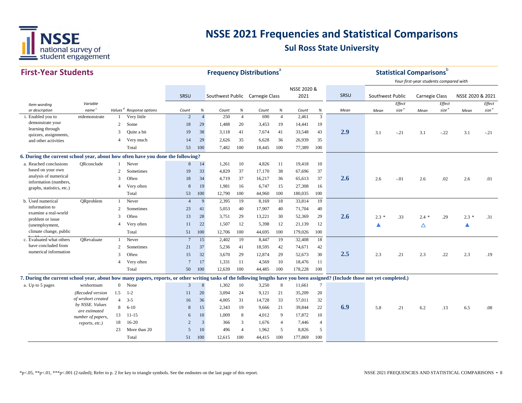

| <b>First-Year Students</b>                                                                                                                                                    |                                  |                |                                      |                 |                              | <b>Frequency Distributions</b> <sup>a</sup> |                |        |                |                     |                |      |                  |                                    | <b>Statistical Comparisons</b> <sup>b</sup>                     |                             |                  |                   |
|-------------------------------------------------------------------------------------------------------------------------------------------------------------------------------|----------------------------------|----------------|--------------------------------------|-----------------|------------------------------|---------------------------------------------|----------------|--------|----------------|---------------------|----------------|------|------------------|------------------------------------|-----------------------------------------------------------------|-----------------------------|------------------|-------------------|
|                                                                                                                                                                               |                                  |                |                                      | SRSU            |                              | Southwest Public Carnegie Class             |                |        |                | NSSE 2020 &<br>2021 |                | SRSU | Southwest Public |                                    | Your first-year students compared with<br><b>Carnegie Class</b> |                             | NSSE 2020 & 2021 |                   |
|                                                                                                                                                                               |                                  |                |                                      |                 |                              |                                             |                |        |                |                     |                |      |                  |                                    |                                                                 |                             |                  | Effect            |
| Item wording<br>or description                                                                                                                                                | Variable<br>name <sup>c</sup>    |                | Values <sup>d</sup> Response options | Count           | $% \mathcal{B}_{\mathrm{d}}$ | Count                                       | $\%$           | Count  | $\%$           | Count               | %              | Mean | Mean             | <b>Effect</b><br>size <sup>e</sup> | Mean                                                            | Effect<br>size <sup>e</sup> | Mean             | size <sup>e</sup> |
| i. Enabled you to                                                                                                                                                             | etdemonstrate                    |                | Very little                          | $\overline{2}$  | $\overline{A}$               | 250                                         | $\overline{4}$ | 690    | $\overline{4}$ | 2,461               | 3              |      |                  |                                    |                                                                 |                             |                  |                   |
| demonstrate your                                                                                                                                                              |                                  | 2              | Some                                 | 18              | 29                           | 1,488                                       | 20             | 3,453  | 19             | 14,441              | 19             |      |                  |                                    |                                                                 |                             |                  |                   |
| learning through<br>quizzes, assignments,                                                                                                                                     |                                  | 3              | Quite a bit                          | 19              | 38                           | 3,118                                       | 41             | 7,674  | 41             | 33,548              | 43             | 2.9  | 3.1              | $-.21$                             | 3.1                                                             | $-0.22$                     | 3.1              | $-.21$            |
| and other activities                                                                                                                                                          |                                  | $\overline{4}$ | Very much                            | 14              | 29                           | 2,626                                       | 35             | 6,628  | 36             | 26,939              | 35             |      |                  |                                    |                                                                 |                             |                  |                   |
|                                                                                                                                                                               |                                  |                | Total                                | 53              | 100                          | 7,482                                       | 100            | 18,445 | 100            | 77,389              | 100            |      |                  |                                    |                                                                 |                             |                  |                   |
| 6. During the current school year, about how often have you done the following?                                                                                               |                                  |                |                                      |                 |                              |                                             |                |        |                |                     |                |      |                  |                                    |                                                                 |                             |                  |                   |
| a. Reached conclusions                                                                                                                                                        | QRconclude                       |                | Never                                | 8               | 14                           | 1,261                                       | 10             | 4,826  | 11             | 19,418              | 10             |      |                  |                                    |                                                                 |                             |                  |                   |
| based on your own                                                                                                                                                             |                                  | $\overline{2}$ | Sometimes                            | 19              | 33                           | 4,829                                       | 37             | 17,170 | 38             | 67,696              | 37             |      |                  |                                    |                                                                 |                             |                  |                   |
| analysis of numerical<br>information (numbers,                                                                                                                                |                                  | 3              | Often                                | 18              | 34                           | 4,719                                       | 37             | 16,217 | 36             | 65,613              | 37             | 2.6  | 2.6              | $-.01$                             | 2.6                                                             | .02                         | 2.6              | .01               |
| graphs, statistics, etc.)                                                                                                                                                     |                                  | 4              | Very often                           | 8               | 19                           | 1,981                                       | 16             | 6,747  | 15             | 27,308              | 16             |      |                  |                                    |                                                                 |                             |                  |                   |
|                                                                                                                                                                               |                                  |                | Total                                | 53              | 100                          | 12,790                                      | 100            | 44,960 | 100            | 180,035             | 100            |      |                  |                                    |                                                                 |                             |                  |                   |
| b. Used numerical                                                                                                                                                             | QRproblem                        | -1             | Never                                | $\overline{4}$  | 9                            | 2,395                                       | 19             | 8,169  | 18             | 33,814              | 19             |      |                  |                                    |                                                                 |                             |                  |                   |
| information to                                                                                                                                                                |                                  | $\overline{c}$ | Sometimes                            | 23              | 41                           | 5,053                                       | 40             | 17,907 | 40             | 71,704              | 40             |      |                  |                                    |                                                                 |                             |                  |                   |
| examine a real-world<br>problem or issue                                                                                                                                      |                                  | 3              | Often                                | 13              | 28                           | 3,751                                       | 29             | 13,221 | 30             | 52,369              | 29             | 2.6  | $2.3*$           | .33                                | $2.4*$                                                          | .29                         | $2.3*$           | .31               |
| (unemployment,                                                                                                                                                                |                                  | $\overline{4}$ | Very often                           | 11              | 22                           | 1,507                                       | 12             | 5,398  | 12             | 21,139              | 12             |      | ▲                |                                    | Δ                                                               |                             | ▲                |                   |
| climate change, public                                                                                                                                                        |                                  |                | Total                                | 51              | 100                          | 12,706                                      | 100            | 44,695 | 100            | 179,026             | 100            |      |                  |                                    |                                                                 |                             |                  |                   |
| c. Evaluated what others                                                                                                                                                      | ORevaluate                       |                | Never                                | $7\phantom{.0}$ | 15                           | 2,402                                       | 19             | 8,447  | 19             | 32,408              | 18             |      |                  |                                    |                                                                 |                             |                  |                   |
| have concluded from                                                                                                                                                           |                                  | 2              | Sometimes                            | 21              | 37                           | 5,236                                       | 41             | 18,595 | 42             | 74,671              | 42             |      |                  |                                    |                                                                 |                             |                  |                   |
| numerical information                                                                                                                                                         |                                  | 3              | Often                                | 15              | 32                           | 3,670                                       | 29             | 12,874 | 29             | 52,673              | 30             | 2.5  | 2.3              | .21                                | 2.3                                                             | .22                         | 2.3              | .19               |
|                                                                                                                                                                               |                                  | $\overline{4}$ | Very often                           | $\overline{7}$  | 17                           | 1,331                                       | 11             | 4,569  | 10             | 18,476              | 11             |      |                  |                                    |                                                                 |                             |                  |                   |
|                                                                                                                                                                               |                                  |                | Total                                | 50              | 100                          | 12,639                                      | 100            | 44,485 | 100            | 178,228             | 100            |      |                  |                                    |                                                                 |                             |                  |                   |
| 7. During the current school year, about how many papers, reports, or other writing tasks of the following lengths have you been assigned? (Include those not yet completed.) |                                  |                |                                      |                 |                              |                                             |                |        |                |                     |                |      |                  |                                    |                                                                 |                             |                  |                   |
| a. Up to 5 pages                                                                                                                                                              | wrshortnum                       | $\mathbf{0}$   | None                                 | 3               | 8                            | 1,302                                       | 10             | 3,250  | 8              | 11,661              | $\tau$         |      |                  |                                    |                                                                 |                             |                  |                   |
|                                                                                                                                                                               | (Recoded version                 | 1.5            | $1 - 2$                              | 11              | 20                           | 3,094                                       | 24             | 9,121  | 21             | 35,209              | 20             |      |                  |                                    |                                                                 |                             |                  |                   |
|                                                                                                                                                                               | of wrshort created               | $\overline{4}$ | $3 - 5$                              | 16              | 36                           | 4,005                                       | 31             | 14,728 | 33             | 57,011              | 32             |      |                  |                                    |                                                                 |                             |                  |                   |
|                                                                                                                                                                               | by NSSE. Values<br>are estimated | 8              | $6 - 10$                             | 8               | 15                           | 2,343                                       | 19             | 9,666  | 21             | 39,844              | 22             | 6.9  | 5.8              | .21                                | 6.2                                                             | .13                         | 6.5              | .08               |
|                                                                                                                                                                               | number of papers,                | 13             | $11 - 15$                            | 6               | 10                           | 1,009                                       | 8              | 4,012  | 9              | 17,872              | 10             |      |                  |                                    |                                                                 |                             |                  |                   |
|                                                                                                                                                                               | reports, etc.)                   | 18             | $16-20$                              | $\overline{2}$  | 3                            | 366                                         | 3              | 1,676  | $\overline{4}$ | 7,446               | $\overline{4}$ |      |                  |                                    |                                                                 |                             |                  |                   |
|                                                                                                                                                                               |                                  | 23             | More than 20                         | $\overline{5}$  | 10                           | 496                                         | $\overline{4}$ | 1,962  | 5              | 8,826               | 5              |      |                  |                                    |                                                                 |                             |                  |                   |
|                                                                                                                                                                               |                                  |                | Total                                | 51              | 100                          | 12,615                                      | 100            | 44,415 | 100            | 177,869             | 100            |      |                  |                                    |                                                                 |                             |                  |                   |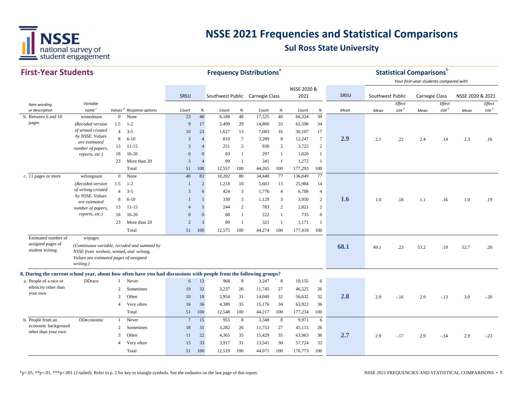

| <b>First-Year Students</b>                                                                                         |                                                                                              |                |                                             |                 |                |                                 |                | <b>Frequency Distributions<sup>ª</sup></b> |                |             |                 |      |                  |                   | <b>Statistical Comparisons</b> b       |                   |                  |                   |
|--------------------------------------------------------------------------------------------------------------------|----------------------------------------------------------------------------------------------|----------------|---------------------------------------------|-----------------|----------------|---------------------------------|----------------|--------------------------------------------|----------------|-------------|-----------------|------|------------------|-------------------|----------------------------------------|-------------------|------------------|-------------------|
|                                                                                                                    |                                                                                              |                |                                             |                 |                |                                 |                |                                            |                |             |                 |      |                  |                   | Your first-year students compared with |                   |                  |                   |
|                                                                                                                    |                                                                                              |                |                                             |                 |                |                                 |                |                                            |                | NSSE 2020 & |                 |      |                  |                   |                                        |                   |                  |                   |
|                                                                                                                    |                                                                                              |                |                                             | SRSU            |                | Southwest Public Carnegie Class |                |                                            |                | 2021        |                 | SRSU | Southwest Public |                   | Carnegie Class                         |                   | NSSE 2020 & 2021 |                   |
| Item wording                                                                                                       | Variable                                                                                     |                |                                             |                 |                |                                 |                |                                            |                |             |                 |      |                  | Effect            |                                        | Effect            |                  | Effect            |
| or description                                                                                                     | name <sup>c</sup>                                                                            |                | Values <sup>d</sup> Response options        | Count           | %              | Count                           | %              | Count                                      | %              | Count       | $\%$<br>39      | Mean | Mean             | size <sup>e</sup> | Mean                                   | size <sup>e</sup> | Mean             | size <sup>e</sup> |
| b. Between 6 and 10<br>pages                                                                                       | wrmednum                                                                                     | $\mathbf{0}$   | None                                        | 23              | 48             | 6,188                           | 48             | 17,525                                     | 40             | 66,324      |                 |      |                  |                   |                                        |                   |                  |                   |
|                                                                                                                    | (Recoded version<br>of wrmed created                                                         | 1.5            | $1 - 2$                                     | 9               | 17             | 3,499                           | 29             | 14,800                                     | 33             | 62,598      | 34              |      |                  |                   |                                        |                   |                  |                   |
|                                                                                                                    | by NSSE. Values                                                                              | $\overline{4}$ | $3 - 5$                                     | 10              | 23             | 1.627                           | 13             | 7,083                                      | 16             | 30,107      | 17              |      |                  |                   |                                        |                   |                  |                   |
|                                                                                                                    | are estimated                                                                                | 8              | $6 - 10$                                    | 3               | $\overline{4}$ | 810                             | $\overline{7}$ | 3,289                                      | 8              | 12,247      | $7\phantom{.0}$ | 2.9  | 2.1              | .22               | 2.4                                    | .14               | 2.3              | .16               |
|                                                                                                                    | number of papers,                                                                            | 13             | $11 - 15$                                   | $\overline{3}$  | $\overline{A}$ | 251                             | 2              | 930                                        | $\overline{2}$ | 3,725       | $\overline{c}$  |      |                  |                   |                                        |                   |                  |                   |
|                                                                                                                    | reports, etc.)                                                                               | 18             | $16 - 20$                                   | $\mathbf{0}$    | $\Omega$       | 83                              |                | 297                                        | $\mathbf{1}$   | 1,020       | $\mathbf{1}$    |      |                  |                   |                                        |                   |                  |                   |
|                                                                                                                    |                                                                                              | 23             | More than 20                                | $\mathbf{3}$    | $\overline{4}$ | 99                              | $\overline{1}$ | 341                                        | 1              | 1,272       | $\mathbf{1}$    |      |                  |                   |                                        |                   |                  |                   |
|                                                                                                                    |                                                                                              |                | Total                                       | 51              | 100            | 12,557                          | 100            | 44,265                                     | 100            | 177,293     | 100             |      |                  |                   |                                        |                   |                  |                   |
| c. 11 pages or more                                                                                                | wrlongnum                                                                                    | $\mathbf{0}$   | None                                        | 40              | 83             | 10,202                          | 80             | 34,440                                     | 77             | 136,049     | 77              |      |                  |                   |                                        |                   |                  |                   |
|                                                                                                                    | (Recoded version<br>of wrlong created                                                        | 1.5            | $1 - 2$                                     | $\mathbf{1}$    | $\overline{2}$ | 1,218                           | 10             | 5,603                                      | 13             | 25,984      | 14              |      |                  |                   |                                        |                   |                  |                   |
|                                                                                                                    | by NSSE. Values                                                                              | $\overline{4}$ | $3 - 5$                                     | $\mathfrak{Z}$  | 6              | 424                             | 3              | 1,776                                      | $\overline{4}$ | 6,708       | $\overline{4}$  |      |                  |                   |                                        |                   |                  |                   |
|                                                                                                                    | are estimated                                                                                | 8              | $6 - 10$                                    | $\mathbf{1}$    | $\overline{1}$ | 330                             | 3              | 1,129                                      | $\mathbf{3}$   | 3,950       | $\overline{c}$  | 1.6  | 1.0              | .18               | 1.1                                    | .16               | 1.0              | .19               |
|                                                                                                                    | number of papers,                                                                            | 13             | $11 - 15$                                   | $\overline{4}$  | 5              | 244                             | 2              | 783                                        | $\overline{2}$ | 2,821       | $\overline{c}$  |      |                  |                   |                                        |                   |                  |                   |
|                                                                                                                    | reports, etc.)                                                                               | 18             | $16-20$                                     | $\overline{0}$  | $\overline{0}$ | 68                              | -1             | 222                                        | $\mathbf{1}$   | 735         | $\mathbf{0}$    |      |                  |                   |                                        |                   |                  |                   |
|                                                                                                                    |                                                                                              | 23             | More than 20                                | $\overline{2}$  | $\mathfrak{Z}$ | 89                              | $\overline{1}$ | 321                                        | -1             | 1,171       | 1               |      |                  |                   |                                        |                   |                  |                   |
|                                                                                                                    |                                                                                              |                | Total                                       | 51              | 100            | 12,575                          | 100            | 44,274                                     | 100            | 177,418     | 100             |      |                  |                   |                                        |                   |                  |                   |
| Estimated number of                                                                                                | wrpages                                                                                      |                |                                             |                 |                |                                 |                |                                            |                |             |                 |      |                  |                   |                                        |                   |                  |                   |
| assigned pages of<br>student writing.                                                                              | NSSE from wrshort, wrmed, and wrlong.<br>Values are estimated pages of assigned<br>writing.) |                | (Continuous variable, recoded and summed by |                 |                |                                 |                |                                            |                |             |                 | 68.1 | 49.1             | .23               | 53.2                                   | .19               | 52.7             | .20               |
| 8. During the current school year, about how often have you had discussions with people from the following groups? |                                                                                              |                |                                             |                 |                |                                 |                |                                            |                |             |                 |      |                  |                   |                                        |                   |                  |                   |
| a. People of a race or                                                                                             | <b>DDrace</b>                                                                                | $\mathbf{1}$   | Never                                       | 6               | 13             | 968                             | 8              | 3,247                                      | 8              | 10,155      | 6               |      |                  |                   |                                        |                   |                  |                   |
| ethnicity other than                                                                                               |                                                                                              | $\overline{c}$ | Sometimes                                   | 19              | 32             | 3,237                           | 26             | 11,745                                     | 27             | 46,525      | 26              |      |                  |                   |                                        |                   |                  |                   |
| your own                                                                                                           |                                                                                              | 3              | Often                                       | 10              | 18             | 3,954                           | 31             | 14,049                                     | 32             | 56,632      | 32              | 2.8  | 2.9              | $-16$             | 2.9                                    | $-13$             | 3.0              | $-.20$            |
|                                                                                                                    |                                                                                              | 4              | Very often                                  | 16              | 36             | 4,389                           | 35             | 15,176                                     | 34             | 63,922      | 36              |      |                  |                   |                                        |                   |                  |                   |
|                                                                                                                    |                                                                                              |                | Total                                       | 51              | 100            | 12,548                          | 100            | 44,217                                     | 100            | 177,234     | 100             |      |                  |                   |                                        |                   |                  |                   |
| b. People from an                                                                                                  | DDeconomic                                                                                   | 1              | Never                                       | $7\phantom{.0}$ | 15             | 955                             | $\,8\,$        | 3,348                                      | 8              | 9,971       | 6               |      |                  |                   |                                        |                   |                  |                   |
| economic background                                                                                                |                                                                                              | 2              | Sometimes                                   | 18              | 31             | 3,282                           | 26             | 11,753                                     | 27             | 45,115      | 26              |      |                  |                   |                                        |                   |                  |                   |
| other than your own                                                                                                |                                                                                              | 3              | Often                                       | 11              | 22             | 4,365                           | 35             | 15,429                                     | 35             | 63,963      | 36              | 2.7  | 2.9              | $-.17$            | 2.9                                    | $-.14$            | 2.9              | $-.23$            |
|                                                                                                                    |                                                                                              | $\overline{4}$ | Very often                                  | 15              | 33             | 3,917                           | 31             | 13,541                                     | 30             | 57,724      | 32              |      |                  |                   |                                        |                   |                  |                   |
|                                                                                                                    |                                                                                              |                | Total                                       | 51              | 100            | 12,519                          | 100            | 44,071                                     | 100            | 176,773     | 100             |      |                  |                   |                                        |                   |                  |                   |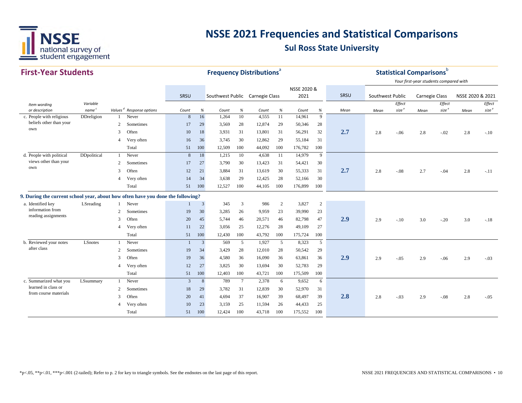

| <b>First-Year Students</b>                                                      |                               |                |                                      |              |                                                                    | <b>Frequency Distributions<sup>a</sup></b> |                 |        |      |                     |                |      |                  | <b>Statistical Comparisons</b> b |                                                          |                             |                  |                             |
|---------------------------------------------------------------------------------|-------------------------------|----------------|--------------------------------------|--------------|--------------------------------------------------------------------|--------------------------------------------|-----------------|--------|------|---------------------|----------------|------|------------------|----------------------------------|----------------------------------------------------------|-----------------------------|------------------|-----------------------------|
|                                                                                 |                               |                |                                      | SRSU         |                                                                    | Southwest Public Carnegie Class            |                 |        |      | NSSE 2020 &<br>2021 |                | SRSU | Southwest Public |                                  | Your first-year students compared with<br>Carnegie Class |                             | NSSE 2020 & 2021 |                             |
| Item wording<br>or description                                                  | Variable<br>name <sup>c</sup> |                | Values <sup>d</sup> Response options | Count        | $% \mathcal{B}_{\mathrm{d}}\left( \mathcal{B}_{\mathrm{d}}\right)$ | Count                                      | $\%$            | Count  | $\%$ | Count               | $\%$           | Mean | Mean             | Effect<br>size <sup>e</sup>      | Mean                                                     | Effect<br>size <sup>e</sup> | Mean             | Effect<br>size <sup>e</sup> |
| c. People with religious                                                        | DDreligion                    |                | Never                                | 8            | 16                                                                 | 1,264                                      | 10              | 4,555  | 11   | 14,961              | 9              |      |                  |                                  |                                                          |                             |                  |                             |
| beliefs other than your                                                         |                               | 2              | Sometimes                            | 17           | 29                                                                 | 3,569                                      | 28              | 12,874 | 29   | 50,346              | 28             |      |                  |                                  |                                                          |                             |                  |                             |
| own                                                                             |                               | 3              | Often                                | 10           | 18                                                                 | 3,931                                      | 31              | 13,801 | 31   | 56,291              | 32             | 2.7  | 2.8              | $-.06$                           | 2.8                                                      | $-.02$                      | 2.8              | $-.10$                      |
|                                                                                 |                               | $\overline{4}$ | Very often                           | 16           | 36                                                                 | 3,745                                      | 30              | 12,862 | 29   | 55,184              | 31             |      |                  |                                  |                                                          |                             |                  |                             |
|                                                                                 |                               |                | Total                                | 51           | 100                                                                | 12,509                                     | 100             | 44,092 | 100  | 176,782             | 100            |      |                  |                                  |                                                          |                             |                  |                             |
| d. People with political                                                        | DDpolitical                   |                | Never                                | 8            | 18                                                                 | 1,215                                      | 10              | 4,638  | -11  | 14,979              | 9              |      |                  |                                  |                                                          |                             |                  |                             |
| views other than your                                                           |                               | 2              | Sometimes                            | 17           | 27                                                                 | 3,790                                      | 30              | 13,423 | 31   | 54,421              | 30             |      |                  |                                  |                                                          |                             |                  |                             |
| own                                                                             |                               | 3              | Often                                | 12           | 21                                                                 | 3,884                                      | 31              | 13,619 | 30   | 55,333              | 31             | 2.7  | 2.8              | $-.08$                           | 2.7                                                      | $-.04$                      | 2.8              | $-.11$                      |
|                                                                                 |                               | $\overline{4}$ | Very often                           | 14           | 34                                                                 | 3,638                                      | 29              | 12,425 | 28   | 52,166              | 30             |      |                  |                                  |                                                          |                             |                  |                             |
|                                                                                 |                               |                | Total                                | 51           | 100                                                                | 12,527                                     | 100             | 44,105 | 100  | 176,899             | 100            |      |                  |                                  |                                                          |                             |                  |                             |
| 9. During the current school year, about how often have you done the following? |                               |                |                                      |              |                                                                    |                                            |                 |        |      |                     |                |      |                  |                                  |                                                          |                             |                  |                             |
| a. Identified key                                                               | LSreading                     |                | Never                                | $\mathbf{1}$ | $\overline{3}$                                                     | 345                                        | 3               | 986    | 2    | 3,827               | $\overline{c}$ |      |                  |                                  |                                                          |                             |                  |                             |
| information from                                                                |                               | 2              | Sometimes                            | 19           | 30                                                                 | 3,285                                      | 26              | 9,959  | 23   | 39,990              | 23             |      |                  |                                  |                                                          |                             |                  |                             |
| reading assignments                                                             |                               | 3              | Often                                | 20           | 45                                                                 | 5,744                                      | 46              | 20,571 | 46   | 82,798              | 47             | 2.9  | 2.9              | $-.10$                           | 3.0                                                      | $-.20$                      | 3.0              | $-.18$                      |
|                                                                                 |                               | $\overline{4}$ | Very often                           | 11           | 22                                                                 | 3,056                                      | 25              | 12,276 | 28   | 49,109              | 27             |      |                  |                                  |                                                          |                             |                  |                             |
|                                                                                 |                               |                | Total                                | 51           | 100                                                                | 12,430                                     | 100             | 43,792 | 100  | 175,724             | 100            |      |                  |                                  |                                                          |                             |                  |                             |
| b. Reviewed your notes                                                          | LSnotes                       |                | Never                                | $\mathbf{1}$ | 3                                                                  | 569                                        | 5               | 1,927  | 5    | 8,323               | 5              |      |                  |                                  |                                                          |                             |                  |                             |
| after class                                                                     |                               | 2              | Sometimes                            | 19           | 34                                                                 | 3,429                                      | 28              | 12,010 | 28   | 50,542              | 29             |      |                  |                                  |                                                          |                             |                  |                             |
|                                                                                 |                               | 3              | Often                                | 19           | 36                                                                 | 4,580                                      | 36              | 16,090 | 36   | 63,861              | 36             | 2.9  | 2.9              | $-.05$                           | 2.9                                                      | $-.06$                      | 2.9              | $-.03$                      |
|                                                                                 |                               | $\overline{4}$ | Very often                           | 12           | 27                                                                 | 3,825                                      | 30              | 13,694 | 30   | 52,783              | 29             |      |                  |                                  |                                                          |                             |                  |                             |
|                                                                                 |                               |                | Total                                | 51           | 100                                                                | 12,403                                     | 100             | 43,721 | 100  | 175,509             | 100            |      |                  |                                  |                                                          |                             |                  |                             |
| c. Summarized what you                                                          | LSsummary                     |                | Never                                | 3            | 8                                                                  | 789                                        | $7\phantom{.0}$ | 2,378  | 6    | 9,652               | 6              |      |                  |                                  |                                                          |                             |                  |                             |
| learned in class or                                                             |                               | 2              | Sometimes                            | 18           | 29                                                                 | 3,782                                      | 31              | 12,839 | 30   | 52,970              | 31             |      |                  |                                  |                                                          |                             |                  |                             |
| from course materials                                                           |                               | 3              | Often                                | 20           | 41                                                                 | 4,694                                      | 37              | 16,907 | 39   | 68,497              | 39             | 2.8  | 2.8              | $-.03$                           | 2.9                                                      | $-.08$                      | 2.8              | $-.05$                      |
|                                                                                 |                               | $\overline{4}$ | Very often                           | 10           | 23                                                                 | 3,159                                      | 25              | 11,594 | 26   | 44,433              | 25             |      |                  |                                  |                                                          |                             |                  |                             |
|                                                                                 |                               |                | Total                                | 51           | 100                                                                | 12,424                                     | 100             | 43,718 | 100  | 175.552             | 100            |      |                  |                                  |                                                          |                             |                  |                             |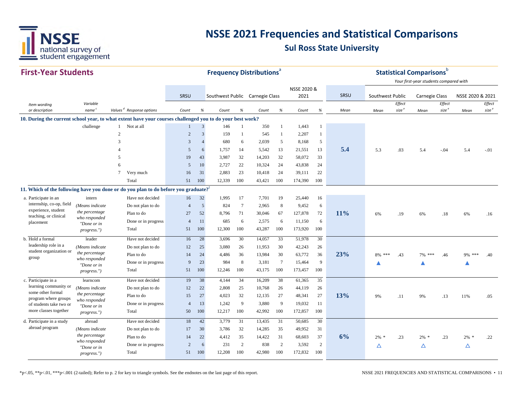

| <b>First-Year Students</b>                      |                                 |                                                                                                           |                |                                                                    | <b>Frequency Distributions</b> <sup>a</sup> |        |        |                 |                     |              |      |                  |                   | <b>Statistical Comparisons</b> <sup>b</sup> |                   |                  |                   |
|-------------------------------------------------|---------------------------------|-----------------------------------------------------------------------------------------------------------|----------------|--------------------------------------------------------------------|---------------------------------------------|--------|--------|-----------------|---------------------|--------------|------|------------------|-------------------|---------------------------------------------|-------------------|------------------|-------------------|
|                                                 |                                 |                                                                                                           |                |                                                                    |                                             |        |        |                 |                     |              |      |                  |                   | Your first-year students compared with      |                   |                  |                   |
|                                                 |                                 |                                                                                                           | SRSU           |                                                                    | Southwest Public Carnegie Class             |        |        |                 | NSSE 2020 &<br>2021 |              | SRSU | Southwest Public |                   | Carnegie Class                              |                   | NSSE 2020 & 2021 |                   |
|                                                 | Variable                        |                                                                                                           |                |                                                                    |                                             |        |        |                 |                     |              |      |                  | Effect            |                                             | Effect            |                  | Effect            |
| Item wording<br>or description                  | name <sup>c</sup>               | Values <sup>d</sup> Response options                                                                      | Count          | $% \mathcal{B}_{\mathrm{d}}\left( \mathcal{B}_{\mathrm{d}}\right)$ | Count                                       | $\%$   | Count  | $\%$            | Count               | $\%$         | Mean | Mean             | size <sup>e</sup> | Mean                                        | size <sup>e</sup> | Mean             | size <sup>e</sup> |
|                                                 |                                 | 10. During the current school year, to what extent have your courses challenged you to do your best work? |                |                                                                    |                                             |        |        |                 |                     |              |      |                  |                   |                                             |                   |                  |                   |
|                                                 | challenge                       | Not at all<br>$\mathbf{1}$                                                                                |                | $\overline{\mathbf{3}}$                                            | 146                                         |        | 350    | $\mathbf{1}$    | 1,443               | $\mathbf{1}$ |      |                  |                   |                                             |                   |                  |                   |
|                                                 |                                 | $\overline{2}$                                                                                            | $\sqrt{2}$     | $\overline{3}$                                                     | 159                                         |        | 545    | $\mathbf{1}$    | 2,207               | $\mathbf{1}$ |      |                  |                   |                                             |                   |                  |                   |
|                                                 |                                 | 3                                                                                                         | 3              | $\overline{4}$                                                     | 680                                         | 6      | 2,039  | 5               | 8,168               | 5            |      |                  |                   |                                             |                   |                  |                   |
|                                                 |                                 | $\overline{4}$                                                                                            | 5              | 6                                                                  | 1,757                                       | 14     | 5,542  | 13              | 21,551              | 13           | 5.4  | 5.3              | .03               | 5.4                                         | $-.04$            | 5.4              | $-.01$            |
|                                                 |                                 | 5                                                                                                         | 19             | 43                                                                 | 3,987                                       | 32     | 14,203 | 32              | 58,072              | 33           |      |                  |                   |                                             |                   |                  |                   |
|                                                 |                                 | 6                                                                                                         | 5              | 10                                                                 | 2,727                                       | 22     | 10,324 | 24              | 43,838              | 24           |      |                  |                   |                                             |                   |                  |                   |
|                                                 |                                 | $\tau$<br>Very much                                                                                       | 16             | 31                                                                 | 2,883                                       | 23     | 10,418 | 24              | 39,111              | 22           |      |                  |                   |                                             |                   |                  |                   |
|                                                 |                                 | Total                                                                                                     | 51             | 100                                                                | 12,339                                      | 100    | 43,421 | 100             | 174,390             | 100          |      |                  |                   |                                             |                   |                  |                   |
|                                                 |                                 | 11. Which of the following have you done or do you plan to do before you graduate?                        |                |                                                                    |                                             |        |        |                 |                     |              |      |                  |                   |                                             |                   |                  |                   |
| a. Participate in an                            | intern                          | Have not decided                                                                                          | 16             | 32                                                                 | 1,995                                       | 17     | 7,701  | 19              | 25,440              | 16           |      |                  |                   |                                             |                   |                  |                   |
| internship, co-op, field<br>experience, student | (Means indicate                 | Do not plan to do                                                                                         | $\overline{4}$ | $\overline{5}$                                                     | 824                                         | $\tau$ | 2,965  | 8               | 9,452               | 6            |      |                  |                   |                                             |                   |                  |                   |
| teaching, or clinical                           | the percentage<br>who responded | Plan to do                                                                                                | 27             | 52                                                                 | 8.796                                       | 71     | 30,046 | 67              | 127,878             | 72           | 11%  | 6%               | .19               | 6%                                          | .18               | 6%               | .16               |
| placement                                       | "Done or in                     | Done or in progress                                                                                       | $\overline{4}$ | 11                                                                 | 685                                         | 6      | 2,575  | 6               | 11,150              | 6            |      |                  |                   |                                             |                   |                  |                   |
|                                                 | <i>progress."</i> )             | Total                                                                                                     | 51             | 100                                                                | 12,300                                      | 100    | 43,287 | 100             | 173,920             | 100          |      |                  |                   |                                             |                   |                  |                   |
| b. Hold a formal                                | leader                          | Have not decided                                                                                          | 16             | 28                                                                 | 3,696                                       | 30     | 14,057 | 33              | 51,978              | 30           |      |                  |                   |                                             |                   |                  |                   |
| leadership role in a<br>student organization or | (Means indicate                 | Do not plan to do                                                                                         | 12             | 25                                                                 | 3,080                                       | 26     | 11,953 | 30              | 42,243              | 26           |      |                  |                   |                                             |                   |                  |                   |
| group                                           | the percentage<br>who responded | Plan to do                                                                                                | 14             | 24                                                                 | 4,486                                       | 36     | 13,984 | 30              | 63,772              | 36           | 23%  | 8%<br>***        | .43               | 7%<br>***                                   | .46               | 9% ***           | .40               |
|                                                 | "Done or in                     | Done or in progress                                                                                       | 9              | 23                                                                 | 984                                         | 8      | 3,181  | $7\phantom{.0}$ | 15,464              | 9            |      |                  |                   |                                             |                   |                  |                   |
|                                                 | <i>progress."</i> )             | Total                                                                                                     | 51             | 100                                                                | 12,246                                      | 100    | 43,175 | 100             | 173,457             | 100          |      |                  |                   |                                             |                   |                  |                   |
| c. Participate in a                             | learncom                        | Have not decided                                                                                          | 19             | 38                                                                 | 4,144                                       | 34     | 16,209 | 38              | 61,365              | 35           |      |                  |                   |                                             |                   |                  |                   |
| learning community or<br>some other formal      | (Means indicate                 | Do not plan to do                                                                                         | 12             | 22                                                                 | 2,808                                       | 25     | 10,768 | 26              | 44,119              | 26           |      |                  |                   |                                             |                   |                  |                   |
| program where groups                            | the percentage<br>who responded | Plan to do                                                                                                | 15             | 27                                                                 | 4,023                                       | 32     | 12,135 | 27              | 48,341              | 27           | 13%  | 9%               | .11               | 9%                                          | .13               | 11%              | .05               |
| of students take two or                         | "Done or in                     | Done or in progress                                                                                       | $\overline{4}$ | 13                                                                 | 1,242                                       | 9      | 3,880  | 9               | 19,032              | 11           |      |                  |                   |                                             |                   |                  |                   |
| more classes together                           | progress.")                     | Total                                                                                                     | 50             | 100                                                                | 12,217                                      | 100    | 42,992 | 100             | 172,857             | 100          |      |                  |                   |                                             |                   |                  |                   |
| d. Participate in a study                       | abroad                          | Have not decided                                                                                          | 18             | 42                                                                 | 3,779                                       | 31     | 13,435 | 31              | 50,685              | 30           |      |                  |                   |                                             |                   |                  |                   |
| abroad program                                  | (Means indicate                 | Do not plan to do                                                                                         | 17             | 30                                                                 | 3,786                                       | 32     | 14,285 | 35              | 49,952              | 31           |      |                  |                   |                                             |                   |                  |                   |
|                                                 | the percentage                  | Plan to do                                                                                                | 14             | 22                                                                 | 4,412                                       | 35     | 14,422 | 31              | 68,603              | 37           | 6%   | 2%               | .23               | $2\%$ *                                     | .23               | $2\%$ *          | .22               |
|                                                 | who responded<br>"Done or in    | Done or in progress                                                                                       | $\overline{2}$ | 6                                                                  | 231                                         | 2      | 838    | 2               | 3,592               | 2            |      | Δ                |                   | Δ                                           |                   | Δ                |                   |
|                                                 | <i>progress."</i> )             | Total                                                                                                     | 51             | 100                                                                | 12,208                                      | 100    | 42,980 | 100             | 172,832             | 100          |      |                  |                   |                                             |                   |                  |                   |

\*p<.05, \*\*p<.01, \*\*\*p<.001 (2-tailed); Refer to p. 2 for key to triangle symbols. See the endnotes on the last page of this report. NSSE 2021 FREQUENCIES AND STATISTICAL COMPARISONS • 11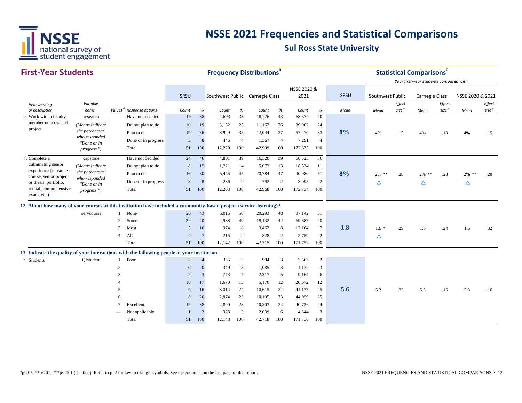

#### **First‐Year StudentsSRSU** *Item wording or description Variablenamec Values <sup>d</sup> Response options Count % Count % Count % Count % Mean Effect size <sup>e</sup> Effect size <sup>e</sup> Effect size*Mean size <sup>e</sup> Mean size <sup>e</sup> Mean size <sup>e</sup> *Mean Mean* SRSU Southwest Public Carnegie Class NSSE 2020 &2021 SRSU Southwest Public Carnegie Class NSSE 2020 & 2021 **Frequency Distributions**<sup>a</sup> **Statistical Comparisons**b *Your first‐year students compared with* e. Work with a faculty research research Have not decided 19 38 4,693 38 18,226 43 68,372 40 Do not plan to do 10 19 3,152 25 11,162 26 39,902 24 Plan to do <sup>19</sup> <sup>36</sup> 3,929 <sup>33</sup> 12,044 <sup>27</sup> 57,270 <sup>33</sup> **8%** $\frac{9}{9}$  4% .15 4% .18 4% .15 Done or in progress 3 8 446 4 1,567 4 7,291 4 Total 51 100 12,220 100 42,999 100 172,835 100 f. Complete a capstone Have not decided 24 48 4,801 39 16,320 39 60,325 36 Do not plan to do 8 15 1,721 14 5,072 13 18,334 11 Plan to do <sup>16</sup> <sup>30</sup> 5,445 <sup>45</sup> 20,784 <sup>47</sup> 90,980 <sup>51</sup> **8%** $\frac{9}{20}$  2% \*\* .28 2% \*\* .28 2% \*\* .28 Done or in progress and  $\begin{array}{cccccccccccc} 3 & 8 & 236 & 2 & 792 & 2 & 3,095 & 2 & \Delta & \Delta & \Delta & \Delta \end{array}$ Total 51 100 12,203 100 42,968 100 172,734 100 **12. About how many of your courses at this institution have included a community-based project (service-learning)?** servcourse 1 None 20 43 6,015 50 20,293 48 87,142 51 2 Some 22 40 4,938 40 18,132 42 69,687 40 3 Most <sup>5</sup> <sup>10</sup> <sup>974</sup> <sup>8</sup> 3,462 <sup>8</sup> 12,164 <sup>7</sup> **1.8** 1.6 \* .29 1.6 .24 1.6 .32 4 All 4 7 215 2 828 2 2,759 2 △ Total 51 100 12,142 100 42,715 100 171,752 100 **13. Indicate the quality of your interactions with the following people at your institution.** a. Students QIstudent 1 Poor 2 4 335 3 994 3 3,562 2  $\mathfrak{D}$  0 0 349 3 1,085 3 4,132 3 3 2 3 773 7 2,317 5 9,164 6 4 10 17 1,670 13 5,170 12 20,672 12 5 <sup>9</sup> <sup>16</sup> 3,014 <sup>24</sup> 10,615 <sup>24</sup> 44,177 <sup>25</sup> **5.6** 5.2 .23 5.3 .16 5.3 .16 6 8 20 2,874 23 10,195 23 44,959 25 7 Excellent 19 38 2,800 23 10,303 24 40,726 24 Not applicable 1 3 328 3 2,039 6 4,344 3 Total 51 100 12,143 100 42,718 100 171,736 100 member on a research project f. Complete a culminating senior experience (capstone course, senior project or thesis, portfolio, recital, comprehensive exam, etc.) *(Means indicate the percentage who responded "Done or in progress.") (Means indicate the percentage who responded "Done or in progress.")*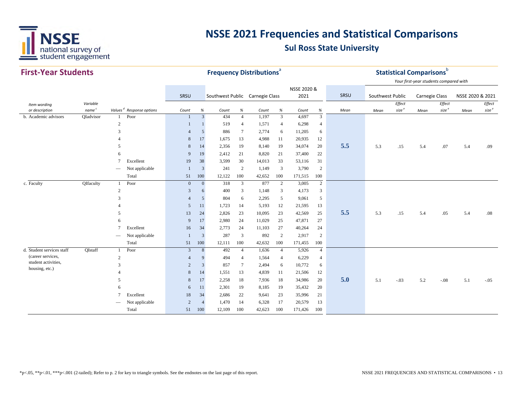

| <b>First-Year Students</b>            |                                                                             |                 |                                      |                | <b>Frequency Distributions</b> <sup>a</sup> |                                 |                         |                |                      |                |                        |      | <b>Statistical Comparisons</b> b |                   |                                        |                   |                  |                   |
|---------------------------------------|-----------------------------------------------------------------------------|-----------------|--------------------------------------|----------------|---------------------------------------------|---------------------------------|-------------------------|----------------|----------------------|----------------|------------------------|------|----------------------------------|-------------------|----------------------------------------|-------------------|------------------|-------------------|
|                                       |                                                                             |                 |                                      |                |                                             |                                 |                         |                |                      |                |                        |      |                                  |                   | Your first-year students compared with |                   |                  |                   |
|                                       |                                                                             |                 |                                      |                |                                             |                                 |                         |                |                      | NSSE 2020 &    |                        |      |                                  |                   |                                        |                   |                  |                   |
|                                       |                                                                             |                 |                                      | SRSU           |                                             | Southwest Public Carnegie Class |                         |                |                      | 2021           |                        | SRSU | Southwest Public                 |                   | <b>Carnegie Class</b>                  |                   | NSSE 2020 & 2021 |                   |
| Item wording                          | Variable<br>name <sup>c</sup>                                               |                 |                                      |                |                                             |                                 |                         |                |                      |                |                        |      |                                  | Effect            |                                        | Effect            |                  | Effect            |
| or description                        | QIadvisor<br>Poor<br>b. Academic advisors<br>$\mathbf{1}$<br>$\overline{2}$ |                 | Values <sup>d</sup> Response options | Count          | $\%$<br>$\mathfrak{Z}$                      | Count<br>434                    | $\%$<br>$\overline{4}$  | Count<br>1,197 | $\%$<br>$\mathbf{3}$ | Count<br>4,697 | $\%$<br>$\overline{3}$ | Mean | Mean                             | size <sup>e</sup> | Mean                                   | size <sup>e</sup> | Mean             | size <sup>e</sup> |
|                                       |                                                                             |                 |                                      | 1              |                                             | 519                             | $\overline{4}$          | 1,571          | $\overline{4}$       | 6,298          | $\overline{4}$         |      |                                  |                   |                                        |                   |                  |                   |
|                                       |                                                                             | 3               |                                      | $\overline{4}$ | 5                                           | 886                             | $7\phantom{.0}$         | 2,774          | 6                    | 11,205         | 6                      |      |                                  |                   |                                        |                   |                  |                   |
|                                       |                                                                             |                 |                                      | 8              | 17                                          | 1,675                           | 13                      | 4,988          | 11                   | 20,935         | 12                     |      |                                  |                   |                                        |                   |                  |                   |
|                                       |                                                                             | 5               |                                      | 8              | 14                                          | 2,356                           | 19                      | 8,140          | 19                   | 34,074         | 20                     | 5.5  | 5.3                              | .15               | 5.4                                    | .07               | 5.4              | .09               |
|                                       |                                                                             | 6               |                                      | 9              | 19                                          | 2,412                           | 21                      | 8,820          | 21                   | 37,400         | 22                     |      |                                  |                   |                                        |                   |                  |                   |
|                                       |                                                                             | $\tau$          | Excellent                            | 19             | 38                                          | 3,599                           | 30                      | 14,013         | 33                   | 53,116         | 31                     |      |                                  |                   |                                        |                   |                  |                   |
|                                       |                                                                             |                 | Not applicable                       | $\overline{1}$ | 3                                           | 241                             | 2                       | 1,149          | 3                    | 3,790          | $\sqrt{2}$             |      |                                  |                   |                                        |                   |                  |                   |
|                                       |                                                                             |                 | Total                                | 51             | 100                                         | 12,122                          | 100                     | 42,652         | 100                  | 171,515        | 100                    |      |                                  |                   |                                        |                   |                  |                   |
| c. Faculty                            | QIfaculty                                                                   | 1               | Poor                                 | $\mathbf{0}$   | $\mathbf{0}$                                | 318                             | $\overline{3}$          | 877            | $\overline{2}$       | 3,005          | $\overline{2}$         |      |                                  |                   |                                        |                   |                  |                   |
|                                       |                                                                             | $\overline{c}$  |                                      | 3              | 6                                           | 400                             | 3                       | 1,148          | 3                    | 4,173          | 3                      |      |                                  |                   |                                        |                   |                  |                   |
|                                       |                                                                             | $\mathcal{R}$   |                                      | $\overline{4}$ | 5                                           | 804                             | 6                       | 2,295          | 5                    | 9,061          | 5                      |      |                                  |                   |                                        |                   |                  |                   |
|                                       |                                                                             |                 |                                      | 5              | 11                                          | 1,723                           | 14                      | 5,193          | 12                   | 21,595         | 13                     |      |                                  |                   |                                        |                   |                  |                   |
|                                       |                                                                             | .5              |                                      | 13             | 24                                          | 2,826                           | 23                      | 10,095         | 23                   | 42,569         | 25                     | 5.5  | 5.3                              | .15               | 5.4                                    | .05               | 5.4              | .08               |
|                                       |                                                                             | 6               |                                      | 9              | 17                                          | 2,980                           | 24                      | 11,029         | 25                   | 47,871         | 27                     |      |                                  |                   |                                        |                   |                  |                   |
|                                       |                                                                             | $\tau$          | Excellent                            | 16             | 34                                          | 2,773                           | 24                      | 11,103         | 27                   | 40,264         | 24                     |      |                                  |                   |                                        |                   |                  |                   |
|                                       |                                                                             | $\qquad \qquad$ | Not applicable                       | $\mathbf{1}$   | 3                                           | 287                             | $\overline{\mathbf{3}}$ | 892            | $\overline{2}$       | 2,917          | $\overline{2}$         |      |                                  |                   |                                        |                   |                  |                   |
|                                       |                                                                             |                 | Total                                | 51             | 100                                         | 12,111                          | 100                     | 42,632         | 100                  | 171,455        | 100                    |      |                                  |                   |                                        |                   |                  |                   |
| d. Student services staff             | QIstaff                                                                     | $\mathbf{1}$    | Poor                                 | $\mathbf{3}$   | 8                                           | 492                             | $\overline{4}$          | 1,636          | $\overline{4}$       | 5,926          | $\overline{4}$         |      |                                  |                   |                                        |                   |                  |                   |
| (career services,                     |                                                                             | $\overline{2}$  |                                      | $\overline{4}$ | 9                                           | 494                             | $\overline{4}$          | 1,564          | $\overline{4}$       | 6,229          | $\overline{4}$         |      |                                  |                   |                                        |                   |                  |                   |
| student activities,<br>housing, etc.) |                                                                             | 3               |                                      | $\overline{2}$ | $\mathfrak{Z}$                              | 857                             | $7\phantom{.0}$         | 2,494          | 6                    | 10,772         | 6                      |      |                                  |                   |                                        |                   |                  |                   |
|                                       |                                                                             |                 |                                      | $\,8\,$        | 14                                          | 1,551                           | 13                      | 4,839          | 11                   | 21,506         | 12                     |      |                                  |                   |                                        |                   |                  |                   |
|                                       |                                                                             | .5              |                                      | 8              | 17                                          | 2,258                           | 18                      | 7,936          | 18                   | 34,986         | 20                     | 5.0  | 5.1                              | $-.03$            | 5.2                                    | $-.08$            | 5.1              | $-.05$            |
|                                       |                                                                             | 6               |                                      | 6              | 11                                          | 2,301                           | 19                      | 8,185          | 19                   | 35,432         | 20                     |      |                                  |                   |                                        |                   |                  |                   |
|                                       | 7                                                                           | Excellent       | 18                                   | 34             | 2,686                                       | 22                              | 9,641                   | 23             | 35,996               | 21             |                        |      |                                  |                   |                                        |                   |                  |                   |
|                                       | Not applicable                                                              |                 |                                      | $\overline{c}$ | $\overline{4}$                              | 1,470                           | 14                      | 6,328          | 17                   | 20,579         | 13                     |      |                                  |                   |                                        |                   |                  |                   |
|                                       |                                                                             |                 | Total                                | 51             | 100                                         | 12,109                          | 100                     | 42,623         | 100                  | 171,426        | 100                    |      |                                  |                   |                                        |                   |                  |                   |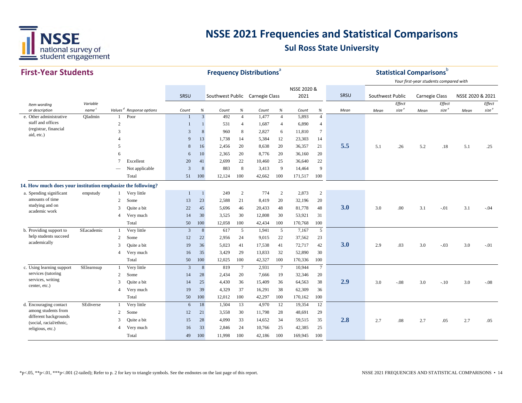

| <b>First-Year Students</b>                                  |                   |                 |                                      |                |                | <b>Frequency Distributions</b> <sup>®</sup> |                 |        |                |             |                 |      |                  |                   | <b>Statistical Comparisons</b> b       |                   |                  |                   |
|-------------------------------------------------------------|-------------------|-----------------|--------------------------------------|----------------|----------------|---------------------------------------------|-----------------|--------|----------------|-------------|-----------------|------|------------------|-------------------|----------------------------------------|-------------------|------------------|-------------------|
|                                                             |                   |                 |                                      |                |                |                                             |                 |        |                | NSSE 2020 & |                 |      |                  |                   | Your first-year students compared with |                   |                  |                   |
|                                                             |                   |                 |                                      | SRSU           |                | Southwest Public Carnegie Class             |                 |        |                | 2021        |                 | SRSU | Southwest Public |                   | <b>Carnegie Class</b>                  |                   | NSSE 2020 & 2021 |                   |
| Item wording                                                | Variable          |                 |                                      |                |                |                                             |                 |        |                |             |                 |      |                  | Effect            |                                        | Effect            |                  | Effect            |
| or description                                              | name <sup>c</sup> |                 | Values <sup>d</sup> Response options | Count          | $\%$           | Count                                       | %               | Count  | $\%$           | Count       | $\%$            | Mean | Mean             | size <sup>e</sup> | Mean                                   | size <sup>e</sup> | Mean             | size <sup>e</sup> |
| e. Other administrative<br>staff and offices                | QIadmin           | 1               | Poor                                 | $\mathbf{1}$   | $\overline{3}$ | 492                                         | $\overline{4}$  | 1,477  | $\overline{4}$ | 5,893       | $\overline{4}$  |      |                  |                   |                                        |                   |                  |                   |
| (registrar, financial                                       |                   | $\overline{c}$  |                                      | $\mathbf{1}$   | 1              | 531                                         | $\overline{4}$  | 1,687  | $\overline{4}$ | 6,890       | $\overline{4}$  |      |                  |                   |                                        |                   |                  |                   |
| aid, etc.)                                                  |                   | 3               |                                      | 3              | 8              | 960                                         | 8               | 2,827  | 6              | 11,810      | $7\phantom{.0}$ |      |                  |                   |                                        |                   |                  |                   |
|                                                             |                   | 4               |                                      | 9              | 13             | 1,738                                       | 14              | 5,384  | 12             | 23,303      | 14              |      |                  |                   |                                        |                   |                  |                   |
|                                                             |                   | 5               |                                      | 8              | 16             | 2,456                                       | 20              | 8,638  | 20             | 36,357      | 21              | 5.5  | 5.1              | .26               | 5.2                                    | .18               | 5.1              | .25               |
|                                                             |                   | 6               |                                      | 6              | 10             | 2,365                                       | 20              | 8,776  | 20             | 36,160      | 20              |      |                  |                   |                                        |                   |                  |                   |
|                                                             |                   | $7\phantom{.0}$ | Excellent                            | 20             | 41             | 2,699                                       | 22              | 10,460 | 25             | 36,640      | 22              |      |                  |                   |                                        |                   |                  |                   |
|                                                             |                   |                 | Not applicable                       | 3              | 8              | 883                                         | 8               | 3,413  | 9              | 14,464      | 9               |      |                  |                   |                                        |                   |                  |                   |
|                                                             |                   |                 | Total                                | 51             | 100            | 12,124                                      | 100             | 42,662 | 100            | 171,517     | 100             |      |                  |                   |                                        |                   |                  |                   |
| 14. How much does your institution emphasize the following? |                   |                 |                                      |                |                |                                             |                 |        |                |             |                 |      |                  |                   |                                        |                   |                  |                   |
| a. Spending significant                                     | empstudy          | 1               | Very little                          | $\overline{1}$ | $\overline{1}$ | 249                                         | 2               | 774    | 2              | 2,873       | 2               |      |                  |                   |                                        |                   |                  |                   |
| amounts of time                                             |                   | 2               | Some                                 | 13             | 23             | 2,588                                       | 21              | 8,419  | 20             | 32,196      | 20              |      |                  |                   |                                        |                   |                  |                   |
| studying and on                                             |                   | 3               | Quite a bit                          | 22             | 45             | 5,696                                       | 46              | 20,433 | 48             | 81,778      | 48              | 3.0  | 3.0              | .00.              | 3.1                                    | $-.01$            | 3.1              | $-.04$            |
| academic work                                               |                   | $\overline{4}$  | Very much                            | 14             | 30             | 3,525                                       | 30              | 12,808 | 30             | 53,921      | 31              |      |                  |                   |                                        |                   |                  |                   |
|                                                             |                   |                 | Total                                | 50             | 100            | 12,058                                      | 100             | 42,434 | 100            | 170,768     | 100             |      |                  |                   |                                        |                   |                  |                   |
| b. Providing support to                                     | SEacademic        | $\overline{1}$  | Very little                          | 3              | 8              | 617                                         | 5               | 1,941  | 5              | 7,167       | 5               |      |                  |                   |                                        |                   |                  |                   |
| help students succeed                                       |                   | 2               | Some                                 | 12             | 22             | 2,956                                       | 24              | 9,015  | 22             | 37,562      | 23              |      |                  |                   |                                        |                   |                  |                   |
| academically                                                |                   | 3               | Quite a bit                          | 19             | 36             | 5,023                                       | 41              | 17,538 | 41             | 72,717      | 42              | 3.0  | 2.9              | .03               | 3.0                                    | $-.03$            | 3.0              | $-.01$            |
|                                                             |                   | 4               | Very much                            | 16             | 35             | 3,429                                       | 29              | 13,833 | 32             | 52,890      | 30              |      |                  |                   |                                        |                   |                  |                   |
|                                                             |                   |                 | Total                                | 50             | 100            | 12,025                                      | 100             | 42,327 | 100            | 170,336     | 100             |      |                  |                   |                                        |                   |                  |                   |
| c. Using learning support                                   | SElearnsup        | -1              | Very little                          | 3              | 8              | 819                                         | $7\phantom{.0}$ | 2,931  | $\tau$         | 10,944      | $7\phantom{.0}$ |      |                  |                   |                                        |                   |                  |                   |
| services (tutoring                                          |                   | 2               | Some                                 | 14             | 28             | 2,434                                       | 20              | 7,666  | 19             | 32,346      | 20              |      |                  |                   |                                        |                   |                  |                   |
| services, writing                                           |                   | 3               | Quite a bit                          | 14             | 25             | 4,430                                       | 36              | 15,409 | 36             | 64,563      | 38              | 2.9  | 3.0              | $-0.08$           | 3.0                                    | $-.10$            | 3.0              | $-0.08$           |
| center, etc.)                                               |                   | 4               | Very much                            | 19             | 39             | 4,329                                       | 37              | 16,291 | 38             | 62,309      | 36              |      |                  |                   |                                        |                   |                  |                   |
|                                                             |                   |                 | Total                                | 50             | 100            | 12,012                                      | 100             | 42,297 | 100            | 170,162     | 100             |      |                  |                   |                                        |                   |                  |                   |
| d. Encouraging contact                                      | SEdiverse         | $\mathbf{1}$    | Very little                          | 6              | 18             | 1,504                                       | 13              | 4,970  | 12             | 19,354      | 12              |      |                  |                   |                                        |                   |                  |                   |
| among students from                                         |                   | $\overline{c}$  | Some                                 | 12             | 21             | 3,558                                       | 30              | 11,798 | 28             | 48,691      | 29              |      |                  |                   |                                        |                   |                  |                   |
| different backgrounds                                       |                   | 3               | Quite a bit                          | 15             | 28             | 4,090                                       | 33              | 14,652 | 34             | 59,515      | 35              | 2.8  | 2.7              | .08               | 2.7                                    | .05               | 2.7              | .05               |
| (social, racial/ethnic,<br>religious, etc.)                 |                   | 4               | Very much                            | 16             | 33             | 2,846                                       | 24              | 10,766 | 25             | 42,385      | 25              |      |                  |                   |                                        |                   |                  |                   |
|                                                             |                   |                 | Total                                | 49             | 100            | 11,998                                      | 100             | 42,186 | 100            | 169,945     | 100             |      |                  |                   |                                        |                   |                  |                   |
|                                                             |                   |                 |                                      |                |                |                                             |                 |        |                |             |                 |      |                  |                   |                                        |                   |                  |                   |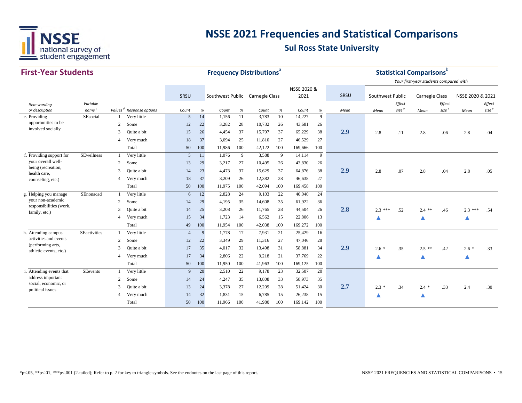

| <b>First-Year Students</b>                  |                   |                          |                                      |                |     |                                 | <b>Frequency Distributions<sup>®</sup></b> |        |      |             |      |      |                  | <b>Statistical Comparisons</b> <sup>b</sup> |                                        |                   |                  |                   |
|---------------------------------------------|-------------------|--------------------------|--------------------------------------|----------------|-----|---------------------------------|--------------------------------------------|--------|------|-------------|------|------|------------------|---------------------------------------------|----------------------------------------|-------------------|------------------|-------------------|
|                                             |                   |                          |                                      |                |     |                                 |                                            |        |      | NSSE 2020 & |      |      |                  |                                             | Your first-year students compared with |                   |                  |                   |
|                                             |                   |                          |                                      | SRSU           |     | Southwest Public Carnegie Class |                                            |        |      | 2021        |      | SRSU | Southwest Public |                                             | <b>Carnegie Class</b>                  |                   | NSSE 2020 & 2021 |                   |
| Item wording                                | Variable          |                          |                                      |                |     |                                 |                                            |        |      |             |      |      |                  | Effect                                      |                                        | Effect            |                  | Effect            |
| or description                              | name <sup>c</sup> |                          | Values <sup>d</sup> Response options | Count          | %   | Count                           | $\%$                                       | Count  | $\%$ | Count       | $\%$ | Mean | Mean             | size <sup>e</sup>                           | Mean                                   | size <sup>e</sup> | Mean             | size <sup>e</sup> |
| e. Providing                                | SEsocial          | 1                        | Very little                          | $\mathfrak{S}$ | 14  | 1,156                           | 11                                         | 3,783  | 10   | 14,227      | 9    |      |                  |                                             |                                        |                   |                  |                   |
| opportunities to be<br>involved socially    |                   | 2                        | Some                                 | 12             | 22  | 3,282                           | 28                                         | 10,732 | 26   | 43,681      | 26   |      |                  |                                             |                                        |                   |                  |                   |
|                                             |                   | 3                        | Quite a bit                          | 15             | 26  | 4,454                           | 37                                         | 15,797 | 37   | 65,229      | 38   | 2.9  | 2.8              | .11                                         | 2.8                                    | .06               | 2.8              | .04               |
|                                             |                   | $\overline{4}$           | Very much                            | 18             | 37  | 3,094                           | 25                                         | 11,810 | 27   | 46,529      | 27   |      |                  |                                             |                                        |                   |                  |                   |
|                                             |                   |                          | Total                                | 50             | 100 | 11,986                          | 100                                        | 42,122 | 100  | 169,666     | 100  |      |                  |                                             |                                        |                   |                  |                   |
| f. Providing support for                    | <b>SEwellness</b> |                          | Very little                          | 5              | 11  | 1,076                           | 9                                          | 3,588  | 9    | 14,114      | 9    |      |                  |                                             |                                        |                   |                  |                   |
| your overall well-                          |                   | 2                        | Some                                 | 13             | 29  | 3,217                           | 27                                         | 10,495 | 26   | 43,830      | 26   |      |                  |                                             |                                        |                   |                  |                   |
| being (recreation,<br>health care,          |                   | 3                        | Quite a bit                          | 14             | 23  | 4,473                           | 37                                         | 15,629 | 37   | 64,876      | 38   | 2.9  | 2.8              | .07                                         | 2.8                                    | .04               | 2.8              | .05               |
| counseling, etc.)                           |                   | 4                        | Very much                            | 18             | 37  | 3,209                           | 26                                         | 12,382 | 28   | 46,638      | 27   |      |                  |                                             |                                        |                   |                  |                   |
|                                             |                   |                          | Total                                | 50             | 100 | 11,975                          | 100                                        | 42,094 | 100  | 169,458     | 100  |      |                  |                                             |                                        |                   |                  |                   |
| g. Helping you manage                       | SEnonacad         |                          | Very little                          | 6              | 12  | 2,828                           | 24                                         | 9,103  | 22   | 40,040      | 24   |      |                  |                                             |                                        |                   |                  |                   |
| your non-academic                           |                   | 2                        | Some                                 | 14             | 29  | 4,195                           | 35                                         | 14,608 | 35   | 61,922      | 36   |      |                  |                                             |                                        |                   |                  |                   |
| responsibilities (work,<br>family, etc.)    |                   | 3                        | Quite a bit                          | 14             | 25  | 3,208                           | 26                                         | 11,765 | 28   | 44,504      | 26   | 2.8  | $2.3***$         | .52                                         | $2.4$ **                               | .46               | $2.3***$         | .54               |
|                                             |                   | $\overline{\mathcal{A}}$ | Very much                            | 15             | 34  | 1,723                           | 14                                         | 6,562  | 15   | 22,806      | 13   |      |                  |                                             |                                        |                   |                  |                   |
|                                             |                   |                          | Total                                | 49             | 100 | 11,954                          | 100                                        | 42,038 | 100  | 169,272     | 100  |      |                  |                                             |                                        |                   |                  |                   |
| h. Attending campus                         | SEactivities      |                          | Very little                          | $\overline{4}$ | 9   | 1,778                           | 17                                         | 7,931  | 21   | 25,429      | 16   |      |                  |                                             |                                        |                   |                  |                   |
| activities and events                       |                   | 2                        | Some                                 | 12             | 22  | 3,349                           | 29                                         | 11,316 | 27   | 47,046      | 28   |      |                  |                                             |                                        |                   |                  |                   |
| (performing arts,<br>athletic events, etc.) |                   | 3                        | Quite a bit                          | 17             | 35  | 4,017                           | 32                                         | 13,498 | 31   | 58,881      | 34   | 2.9  | $2.6*$           | .35                                         | $2.5$ **                               | .42               | $2.6*$           | .33               |
|                                             |                   | $\overline{\mathcal{A}}$ | Very much                            | 17             | 34  | 2,806                           | 22                                         | 9,218  | 21   | 37,769      | 22   |      |                  |                                             |                                        |                   | ▲                |                   |
|                                             |                   |                          | Total                                | 50             | 100 | 11,950                          | 100                                        | 41,963 | 100  | 169,125     | 100  |      |                  |                                             |                                        |                   |                  |                   |
| i. Attending events that                    | <b>SEevents</b>   |                          | Very little                          | 9              | 20  | 2,510                           | 22                                         | 9,178  | 23   | 32,507      | 20   |      |                  |                                             |                                        |                   |                  |                   |
| address important                           |                   | 2                        | Some                                 | 14             | 24  | 4,247                           | 35                                         | 13,808 | 33   | 58,973      | 35   |      |                  |                                             |                                        |                   |                  |                   |
| social, economic, or                        |                   | 3                        | Quite a bit                          | 13             | 24  | 3,378                           | 27                                         | 12,209 | 28   | 51,424      | 30   | 2.7  | $2.3*$           | .34                                         | $2.4 *$                                | .33               | 2.4              | .30               |
| political issues                            |                   | 4                        | Very much                            | 14             | 32  | 1,831                           | 15                                         | 6,785  | 15   | 26,238      | 15   |      |                  |                                             |                                        |                   |                  |                   |
|                                             |                   |                          | Total                                | 50             | 100 | 11.966                          | 100                                        | 41,980 | 100  | 169,142     | 100  |      |                  |                                             |                                        |                   |                  |                   |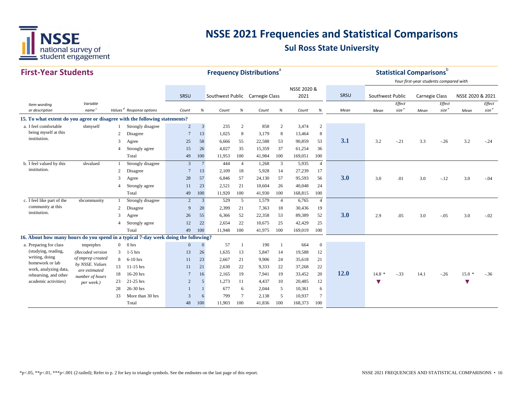

#### **First‐Year StudentsSRSU** *Item wording or description Variablenamec Values <sup>d</sup> Response options Count % Count % Count % Count % Mean Effect size <sup>e</sup> Effect size <sup>e</sup> Effect size*Mean size <sup>e</sup> Mean size <sup>e</sup> Mean size <sup>e</sup> *Mean Mean* SRSU Southwest Public Carnegie Class NSSE 2020 &2021 SRSU Southwest Public Carnegie Class NSSE 2020 & 2021 **Frequency Distributions**<sup>a</sup> **Statistical Comparisons**b *Your first‐year students compared with* **15. To what extent do you agree or disagree with the following statements?** a.I feel comfortable sbmyself 1 Strongly disagree 2 3 235 2 858 2 3,474 2 2 Disagree 7 13 1,025 8 3,179 8 13,464 8 <sup>3</sup> Agree <sup>25</sup> <sup>58</sup> 6,666 <sup>55</sup> 22,588 <sup>53</sup> 90,859 <sup>53</sup> **3.1** 3.2 -.21 3.3 -.26 3.2 -.24 4 Strongly agree 15 26 4,027 35 15,359 37 61,254 36 Total 49 100 11,953 100 41,984 100 169,051 100 b. I feel valued by this sbvalued 1 Strongly disagree 3 7 444 4 1,268 3 5,935 4 2 Disagree 7 13 2,109 18 5,928 14 27,239 17 <sup>3</sup> Agree <sup>28</sup> <sup>57</sup> 6,846 <sup>57</sup> 24,130 <sup>57</sup> 95,593 <sup>56</sup> **3.0** 3.0 .01 3.0 -.12 3.0 -.04 4 Strongly agree 11 23 2,521 21 10,604 26 40,048 24 Total 49 100 11,920 100 41,930 100 168,815 100 c. I feel like part of the sbcommunity 1 Strongly disagree 2 3 529 5 1,579 4 6,765 4 2 Disagree 9 20 2,399 21 7,363 18 30,436 19 <sup>3</sup> Agree <sup>26</sup> <sup>55</sup> 6,366 <sup>52</sup> 22,358 <sup>53</sup> 89,389 <sup>52</sup> **3.0** 2.9 .05 3.0 -.05 3.0 -.02 4 Strongly agree 12 22 2,654 22 10,675 25 42,429 25 Total 49 100 11,948 100 41,975 100 169,019 100 **16. About how many hours do you spend in a typical 7-day week doing the following?** a. Preparing for class tmprephrs 0 0 hrs 0 0 0 0 57 1 190 1 664 0 3 1-5 hrs 13 26 1,635 13 5,847 14 19,588 12 8 6-10 hrs 11 23 2,667 21 9,906 24 35,618 21 13 11-15 hrs 11 21 2,630 22 9,333 22 37,268 22 18 16-20 hrs <sup>7</sup> <sup>16</sup> 2,165 <sup>19</sup> 7,941 <sup>19</sup> 33,452 <sup>20</sup> **12.0** 14.8 \* -.33 14.1 -.26 15.0 \* -.36 <sup>23</sup> 21-25 hrs <sup>2</sup> <sup>5</sup> 1,273 <sup>11</sup> 4,437 <sup>10</sup> 20,485 <sup>12</sup> **▼ ▼** 28 26-30 hrs 1 1 677 6 2,044 5 10,361 6 33 More than 30 hrs 3 6 799 7 2,138 5 10,937 7 Total 48 100 11,903 100 41,836 100 168,373 100 institution.community at this institution.*(Recoded version of tmprep created by NSSE. Values are estimated number of hours per week.)* being myself at this institution.(studying, reading, writing, doing homework or lab work, analyzing data, rehearsing, and other academic activities)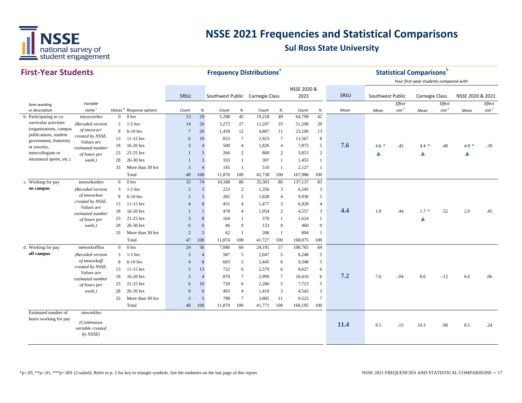

| <b>First-Year Students</b>                      |                                |                |                                      |                 | <b>Frequency Distributions</b> <sup>a</sup> |                                 |                  |        |                  |             |                         |      |                  | <b>Statistical Comparisons</b> b |                                        |                   |                  |                   |
|-------------------------------------------------|--------------------------------|----------------|--------------------------------------|-----------------|---------------------------------------------|---------------------------------|------------------|--------|------------------|-------------|-------------------------|------|------------------|----------------------------------|----------------------------------------|-------------------|------------------|-------------------|
|                                                 |                                |                |                                      |                 |                                             |                                 |                  |        |                  |             |                         |      |                  |                                  | Your first-year students compared with |                   |                  |                   |
|                                                 |                                |                |                                      |                 |                                             |                                 |                  |        |                  | NSSE 2020 & |                         |      |                  |                                  |                                        |                   |                  |                   |
|                                                 |                                |                |                                      | SRSU            |                                             | Southwest Public Carnegie Class |                  |        |                  | 2021        |                         | SRSU | Southwest Public |                                  | Carnegie Class                         |                   | NSSE 2020 & 2021 |                   |
| Item wording                                    | Variable                       |                |                                      |                 |                                             |                                 |                  |        |                  |             |                         |      |                  | Effect                           |                                        | Effect            |                  | Effect            |
| or description                                  | name <sup>c</sup>              |                | Values <sup>d</sup> Response options | Count           | $\%$                                        | Count                           | $\%$             | Count  | $\%$             | Count       | $\%$                    | Mean | Mean             | size <sup>e</sup>                | Mean                                   | size <sup>e</sup> | Mean             | size <sup>e</sup> |
| b. Participating in co-                         | tmcocurrhrs                    | $\overline{0}$ | 0 <sub>hrs</sub>                     | 13              | 29                                          | 5,298                           | 45               | 19,218 | 49               | 64,799      | 41                      |      |                  |                                  |                                        |                   |                  |                   |
| curricular activities                           | (Recoded version               | 3              | $1-5$ hrs                            | 14              | 26                                          | 3,272                           | 27               | 11,207 | 25               | 51,208      | 29                      |      |                  |                                  |                                        |                   |                  |                   |
| (organizations, campus<br>publications, student | of tmcocurr                    | 8              | $6-10$ hrs                           | $7\phantom{.0}$ | 20                                          | 1,439                           | 12               | 4,887  | 11               | 23,106      | 13                      |      |                  |                                  |                                        |                   |                  |                   |
| government, fraternity                          | created by NSSE.<br>Values are | 13             | $11-15$ hrs                          | 6               | 10                                          | 853                             | $7\phantom{.0}$  | 2,923  | $\tau$           | 13,567      | 8                       |      |                  |                                  |                                        |                   |                  |                   |
| or sorority,                                    | estimated number               | 18             | 16-20 hrs                            | 3               | $\overline{4}$                              | 500                             | $\overline{4}$   | 1,826  | $\overline{4}$   | 7,873       | 5                       | 7.6  | $4.6*$           | .45                              | $4.4 *$                                | .48               | $4.9*$           | .39               |
| intercollegiate or                              | of hours per                   | 23             | 21-25 hrs                            | $\mathbf{1}$    | 3                                           | 266                             | 2                | 860    | $\overline{2}$   | 3,853       | 2                       |      | ▲                |                                  | ▲                                      |                   | ▲                |                   |
| intramural sports, etc.)                        | week.)                         | 28             | 26-30 hrs                            | $\mathbf{1}$    | $\overline{3}$                              | 103                             | -1               | 307    | $\mathbf{1}$     | 1,455       | $\mathbf{1}$            |      |                  |                                  |                                        |                   |                  |                   |
|                                                 |                                | 33             | More than 30 hrs                     | 3               | $\overline{4}$                              | 145                             | -1               | 510    | -1               | 2,127       | $\overline{1}$          |      |                  |                                  |                                        |                   |                  |                   |
|                                                 |                                |                | Total                                | 48              | 100                                         | 11,876                          | 100              | 41,738 | 100              | 167,988     | 100                     |      |                  |                                  |                                        |                   |                  |                   |
| c. Working for pay                              | tmworkonhrs                    | $\overline{0}$ | 0 <sub>hrs</sub>                     | 33              | 74                                          | 10,188                          | 86               | 35,303 | 86               | 137,137     | 83                      |      |                  |                                  |                                        |                   |                  |                   |
| on campus                                       | (Recoded version               | 3              | $1-5$ hrs                            | $\overline{c}$  | 3                                           | 223                             | 2                | 1,356  | 3                | 6,545       | $\overline{\mathbf{3}}$ |      |                  |                                  |                                        |                   |                  |                   |
|                                                 | of tmworkon                    | 8              | $6-10$ hrs                           | 2               | $\overline{3}$                              | 282                             | 2                | 1,828  | $\overline{4}$   | 9,930       | 5                       |      |                  |                                  |                                        |                   |                  |                   |
|                                                 | created by NSSE.               | 13             | $11-15$ hrs                          | $\overline{4}$  | 8                                           | 431                             | $\overline{4}$   | 1,477  | 3                | 6,928       | $\overline{4}$          |      |                  |                                  |                                        |                   |                  |                   |
|                                                 | Values are<br>estimated number | 18             | 16-20 hrs                            | $\mathbf{1}$    |                                             | 478                             | $\overline{4}$   | 1,054  | 2                | 4,557       | 3                       | 4.4  | 1.9              | .44                              | $1.7 *$                                | .52               | 2.0              | .45               |
|                                                 | of hours per                   | 23             | 21-25 hrs                            | 3               | 8                                           | 164                             |                  | 370    | 1                | 1,624       | $\mathbf{1}$            |      |                  |                                  | ▲                                      |                   |                  |                   |
|                                                 | week.)                         | 28             | 26-30 hrs                            | $\mathbf{0}$    | $\mathbf{0}$                                | 46                              | $\boldsymbol{0}$ | 133    | $\boldsymbol{0}$ | 460         | $\overline{0}$          |      |                  |                                  |                                        |                   |                  |                   |
|                                                 |                                | 33             | More than 30 hrs                     | $\overline{c}$  | 3                                           | 62                              |                  | 206    | -1               | 894         | 1                       |      |                  |                                  |                                        |                   |                  |                   |
|                                                 |                                |                | Total                                | 47              | 100                                         | 11,874                          | 100              | 41,727 | 100              | 168,075     | 100                     |      |                  |                                  |                                        |                   |                  |                   |
| d. Working for pay                              | tmworkoffhrs                   | $\overline{0}$ | 0 <sub>hrs</sub>                     | 24              | 56                                          | 7,086                           | 60               | 24,191 | 57               | 108,765     | 64                      |      |                  |                                  |                                        |                   |                  |                   |
| off campus                                      | (Recoded version               | 3              | $1-5$ hrs                            | 3               | $\overline{4}$                              | 587                             | 5                | 2,047  | 5                | 8,248       | 5                       |      |                  |                                  |                                        |                   |                  |                   |
|                                                 | of tmworkoff                   | 8              | $6-10$ hrs                           | $\overline{4}$  | 8                                           | 603                             | 5                | 2,445  | 6                | 9,348       | 5                       |      |                  |                                  |                                        |                   |                  |                   |
|                                                 | created by NSSE.               | 13             | $11-15$ hrs                          | 5               | 13                                          | 722                             | 6                | 2,579  | 6                | 9,627       | 6                       |      |                  |                                  |                                        |                   |                  |                   |
|                                                 | Values are<br>estimated number | 18             | 16-20 hrs                            | 3               | $\overline{4}$                              | 870                             | $\tau$           | 2,999  | $7\phantom{.0}$  | 10,416      | 6                       | 7.2  | 7.6              | $-.04$                           | 8.6                                    | $-.12$            | 6.6              | .06               |
|                                                 | of hours per                   | 23             | 21-25 hrs                            | 6               | 10                                          | 720                             | 6                | 2,286  | 5                | 7,723       | 5                       |      |                  |                                  |                                        |                   |                  |                   |
|                                                 | week.)                         | 28             | 26-30 hrs                            | $\mathbf{0}$    | $\mathbf{0}$                                | 493                             | $\overline{4}$   | 1,419  | 3                | 4,543       | 3                       |      |                  |                                  |                                        |                   |                  |                   |
|                                                 |                                | 33             | More than 30 hrs                     | 3               | 5                                           | 798                             | $7\phantom{.0}$  | 3,805  | 11               | 9,525       | $7\phantom{.0}$         |      |                  |                                  |                                        |                   |                  |                   |
|                                                 |                                |                | Total                                | 48              | 100                                         | 11,879                          | 100              | 41,771 | 100              | 168,195     | 100                     |      |                  |                                  |                                        |                   |                  |                   |
| Estimated number of                             | tmworkhrs                      |                |                                      |                 |                                             |                                 |                  |        |                  |             |                         |      |                  |                                  |                                        |                   |                  |                   |
| hours working for pay                           | (Continuous                    |                |                                      |                 |                                             |                                 |                  |        |                  |             |                         |      |                  |                                  |                                        |                   |                  |                   |
|                                                 | variable created               |                |                                      |                 |                                             |                                 |                  |        |                  |             |                         | 11.4 | 9.5              | .15                              | 10.3                                   | .08               | 8.5              | .24               |
|                                                 | by NSSE)                       |                |                                      |                 |                                             |                                 |                  |        |                  |             |                         |      |                  |                                  |                                        |                   |                  |                   |
|                                                 |                                |                |                                      |                 |                                             |                                 |                  |        |                  |             |                         |      |                  |                                  |                                        |                   |                  |                   |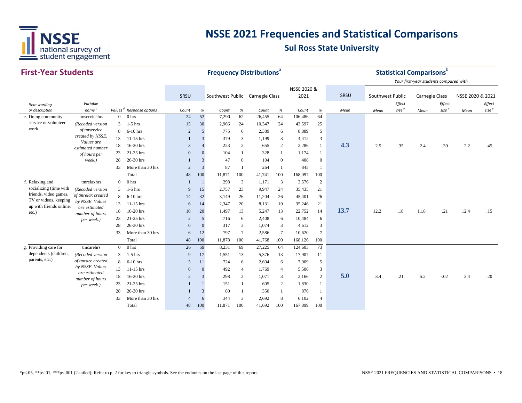

| <b>First-Year Students</b>                       |                                  |                     |                  |                |                |                                 |                | <b>Frequency Distributions<sup>ª</sup></b> |                 |             |                 |      |                  |                   | <b>Statistical Comparisons</b> b<br>Your first-year students compared with |                   |                  |                   |
|--------------------------------------------------|----------------------------------|---------------------|------------------|----------------|----------------|---------------------------------|----------------|--------------------------------------------|-----------------|-------------|-----------------|------|------------------|-------------------|----------------------------------------------------------------------------|-------------------|------------------|-------------------|
|                                                  |                                  |                     |                  |                |                |                                 |                |                                            |                 | NSSE 2020 & |                 |      |                  |                   |                                                                            |                   |                  |                   |
|                                                  |                                  |                     |                  | SRSU           |                | Southwest Public Carnegie Class |                |                                            |                 | 2021        |                 | SRSU | Southwest Public |                   | Carnegie Class                                                             |                   | NSSE 2020 & 2021 |                   |
| Item wording                                     | Variable                         |                     |                  |                |                |                                 |                |                                            |                 |             |                 |      |                  | Effect            |                                                                            | Effect            |                  | Effect            |
| or description                                   | name <sup>c</sup>                | Values <sup>d</sup> | Response options | Count          | $\%$           | Count                           | $\%$           | Count                                      | $\%$            | Count       | $\%$            | Mean | Mean             | size <sup>e</sup> | Mean                                                                       | size <sup>e</sup> | Mean             | size <sup>e</sup> |
| e. Doing community                               | tmservicehrs                     | $\overline{0}$      | 0 hrs            | 24             | 52             | 7,290                           | 62             | 26,455                                     | 64              | 106,486     | 64              |      |                  |                   |                                                                            |                   |                  |                   |
| service or volunteer                             | (Recoded version                 | 3                   | $1-5$ hrs        | 15             | 30             | 2,966                           | 24             | 10,347                                     | 24              | 43,597      | 25              |      |                  |                   |                                                                            |                   |                  |                   |
| work                                             | of tmservice                     | 8                   | $6-10$ hrs       | $\overline{2}$ | 5              | 775                             | 6              | 2,389                                      | 6               | 8,889       | 5               |      |                  |                   |                                                                            |                   |                  |                   |
|                                                  | created by NSSE.<br>Values are   | 13                  | 11-15 hrs        |                | 3              | 379                             | 3              | 1,199                                      | 3               | 4,412       | 3               |      |                  |                   |                                                                            |                   |                  |                   |
|                                                  | estimated number                 | 18                  | 16-20 hrs        | 3              | $\overline{4}$ | 223                             | 2              | 655                                        | $\overline{2}$  | 2,286       | $\mathbf{1}$    | 4.3  | 2.5              | .35               | 2.4                                                                        | .39               | 2.2              | .45               |
|                                                  | of hours per                     | 23                  | 21-25 hrs        | $\mathbf{0}$   | $\Omega$       | 104                             |                | 328                                        |                 | 1,174       | 1               |      |                  |                   |                                                                            |                   |                  |                   |
|                                                  | week.)                           | 28                  | 26-30 hrs        |                | 3              | 47                              | $\mathbf{0}$   | 104                                        | $\mathbf{0}$    | 408         | $\overline{0}$  |      |                  |                   |                                                                            |                   |                  |                   |
|                                                  |                                  | 33                  | More than 30 hrs | $\overline{c}$ | $\overline{3}$ | 87                              | $\overline{1}$ | 264                                        |                 | 845         | -1              |      |                  |                   |                                                                            |                   |                  |                   |
|                                                  |                                  |                     | Total            | 48             | 100            | 11,871                          | 100            | 41,741                                     | 100             | 168,097     | 100             |      |                  |                   |                                                                            |                   |                  |                   |
| f. Relaxing and                                  | tmrelaxhrs                       | $\overline{0}$      | 0 hrs            | -1             |                | 298                             | 3              | 1,171                                      | 3               | 3,576       | 2               |      |                  |                   |                                                                            |                   |                  |                   |
| socializing (time with                           | (Recoded version                 | 3                   | $1-5$ hrs        | 9              | 15             | 2,757                           | 23             | 9,947                                      | 24              | 35,435      | 21              |      |                  |                   |                                                                            |                   |                  |                   |
| friends, video games,                            | of tmrelax created               | 8                   | $6-10$ hrs       | 14             | 32             | 3,149                           | 26             | 11,204                                     | 26              | 45,401      | 26              |      |                  |                   |                                                                            |                   |                  |                   |
| TV or videos, keeping<br>up with friends online, | by NSSE. Values                  | 13                  | 11-15 hrs        | 6              | 14             | 2,347                           | 20             | 8,131                                      | 19              | 35,246      | 21              |      |                  |                   |                                                                            |                   |                  |                   |
| etc.)                                            | are estimated<br>number of hours | 18                  | 16-20 hrs        | 10             | 20             | 1,497                           | 13             | 5,247                                      | 13              | 22,752      | 14              | 13.7 | 12.2             | .18               | 11.8                                                                       | .21               | 12.4             | .15               |
|                                                  | per week.)                       | 23                  | 21-25 hrs        | $\overline{2}$ | 5              | 716                             | 6              | 2,408                                      | 6               | 10,484      | 6               |      |                  |                   |                                                                            |                   |                  |                   |
|                                                  |                                  | 28                  | 26-30 hrs        | $\mathbf{0}$   | $\overline{0}$ | 317                             | 3              | 1,074                                      | 3               | 4,612       | 3               |      |                  |                   |                                                                            |                   |                  |                   |
|                                                  |                                  | 33                  | More than 30 hrs | 6              | 12             | 797                             | $\overline{7}$ | 2,586                                      | $7\phantom{.0}$ | 10,620      | $7\phantom{.0}$ |      |                  |                   |                                                                            |                   |                  |                   |
|                                                  |                                  |                     | Total            | 48             | 100            | 11,878                          | 100            | 41,768                                     | 100             | 168,126     | 100             |      |                  |                   |                                                                            |                   |                  |                   |
| g. Providing care for                            | tmcarehrs                        | $\overline{0}$      | 0 hrs            | 26             | 59             | 8,231                           | 69             | 27,225                                     | 64              | 124,603     | 73              |      |                  |                   |                                                                            |                   |                  |                   |
| dependents (children,                            | (Recoded version                 | 3                   | $1-5$ hrs        | 9              | 17             | 1,551                           | 13             | 5,376                                      | 13              | 17,907      | 11              |      |                  |                   |                                                                            |                   |                  |                   |
| parents, etc.)                                   | of tmcare created                | 8                   | $6-10$ hrs       | 5              | 11             | 724                             | 6              | 2,604                                      | 6               | 7,909       | 5               |      |                  |                   |                                                                            |                   |                  |                   |
|                                                  | by NSSE. Values                  | 13                  | $11-15$ hrs      | $\overline{0}$ | $\Omega$       | 492                             | $\overline{4}$ | 1,769                                      | $\overline{4}$  | 5,506       | $\mathbf{3}$    |      |                  |                   |                                                                            |                   |                  |                   |
|                                                  | are estimated<br>number of hours | 18                  | 16-20 hrs        | 2              | 3              | 298                             | 2              | 1,071                                      | 3               | 3,166       | 2               | 5.0  | 3.4              | .21               | 5.2                                                                        | $-.02$            | 3.4              | .20               |
|                                                  | per week.)                       | 23                  | 21-25 hrs        |                |                | 151                             | $\overline{1}$ | 605                                        | 2               | 1,830       | 1               |      |                  |                   |                                                                            |                   |                  |                   |
|                                                  |                                  | 28                  | 26-30 hrs        |                | 3              | 80                              | - 1            | 350                                        |                 | 876         | -1              |      |                  |                   |                                                                            |                   |                  |                   |
|                                                  |                                  | 33                  | More than 30 hrs | $\overline{4}$ | 6              | 344                             | 3              | 2,692                                      | 8               | 6,102       | $\overline{4}$  |      |                  |                   |                                                                            |                   |                  |                   |
|                                                  |                                  |                     | Total            | 48             | 100            | 11,871                          | 100            | 41,692                                     | 100             | 167,899     | 100             |      |                  |                   |                                                                            |                   |                  |                   |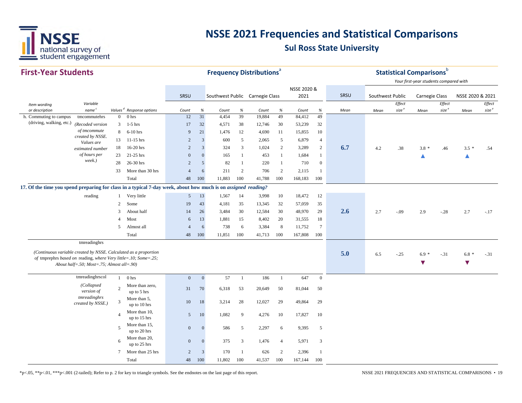

| <b>First-Year Students</b>                                                                                    |                                                |                 |                                      |                  |              | <b>Frequency Distributions<sup>ª</sup></b> |                |        |                |             |                  |      |                  |                             | Statistical Comparisons $^{\rm b}$     |                             |                      |                             |
|---------------------------------------------------------------------------------------------------------------|------------------------------------------------|-----------------|--------------------------------------|------------------|--------------|--------------------------------------------|----------------|--------|----------------|-------------|------------------|------|------------------|-----------------------------|----------------------------------------|-----------------------------|----------------------|-----------------------------|
|                                                                                                               |                                                |                 |                                      |                  |              |                                            |                |        |                |             |                  |      |                  |                             | Your first-year students compared with |                             |                      |                             |
|                                                                                                               |                                                |                 |                                      |                  |              |                                            |                |        |                | NSSE 2020 & |                  |      |                  |                             |                                        |                             |                      |                             |
|                                                                                                               |                                                |                 |                                      | SRSU             |              | Southwest Public Carnegie Class            |                |        |                | 2021        |                  | SRSU | Southwest Public |                             | <b>Carnegie Class</b>                  |                             | NSSE 2020 & 2021     |                             |
| Item wording<br>or description                                                                                | Variable<br>name <sup>c</sup>                  |                 | Values <sup>d</sup> Response options | Count            | $\%$         | Count                                      | $\%$           | Count  | $\%$           | Count       | $\%$             | Mean | Mean             | Effect<br>size <sup>e</sup> | Mean                                   | Effect<br>size <sup>e</sup> | Mean                 | Effect<br>size <sup>e</sup> |
| h. Commuting to campus                                                                                        | tmcommutehrs                                   | $\overline{0}$  | 0 <sub>hrs</sub>                     | 12               | 31           | 4,454                                      | 39             | 19,884 | 49             | 84,412      | 49               |      |                  |                             |                                        |                             |                      |                             |
| (driving, walking, etc.)                                                                                      | (Recoded version                               | 3               | $1-5$ hrs                            | 17               | 32           | 4,571                                      | 38             | 12,746 | 30             | 53,239      | 32               |      |                  |                             |                                        |                             |                      |                             |
|                                                                                                               | of tmcommute                                   | 8               | $6-10$ hrs                           | 9                | 21           | 1,476                                      | 12             | 4,690  | 11             | 15,855      | 10               |      |                  |                             |                                        |                             |                      |                             |
|                                                                                                               | created by NSSE.                               | 13              | $11-15$ hrs                          | $\overline{2}$   | 3            | 600                                        | 5              | 2,065  | 5              | 6,879       | $\overline{4}$   |      |                  |                             |                                        |                             |                      |                             |
|                                                                                                               | Values are<br>estimated number                 | 18              | 16-20 hrs                            | $\overline{2}$   | 3            | 324                                        | $\mathfrak{Z}$ | 1,024  | 2              | 3,289       | $\overline{2}$   | 6.7  | 4.2              | .38                         | $3.8 *$                                | .46                         | $3.5*$               | .54                         |
|                                                                                                               | of hours per                                   | 23              | $21-25$ hrs                          | $\mathbf{0}$     | $\Omega$     | 165                                        | 1              | 453    | 1              | 1,684       | $\mathbf{1}$     |      |                  |                             | Δ                                      |                             | ▲                    |                             |
|                                                                                                               | week.)                                         | 28              | 26-30 hrs                            | $\overline{2}$   | 5            | 82                                         | $\overline{1}$ | 220    | 1              | 710         | $\boldsymbol{0}$ |      |                  |                             |                                        |                             |                      |                             |
|                                                                                                               |                                                | 33              | More than 30 hrs                     | $\overline{4}$   | 6            | 211                                        | $\overline{2}$ | 706    | 2              | 2,115       | $\mathbf{1}$     |      |                  |                             |                                        |                             |                      |                             |
|                                                                                                               |                                                |                 | Total                                | 48               | 100          | 11,883                                     | 100            | 41,788 | 100            | 168,183     | 100              |      |                  |                             |                                        |                             |                      |                             |
| 17. Of the time you spend preparing for class in a typical 7-day week, about how much is on assigned reading? |                                                |                 |                                      |                  |              |                                            |                |        |                |             |                  |      |                  |                             |                                        |                             |                      |                             |
|                                                                                                               | reading                                        | -1              | Very little                          | $5\overline{)}$  | 13           | 1,567                                      | 14             | 3,998  | 10             | 18,472      | 12               |      |                  |                             |                                        |                             |                      |                             |
|                                                                                                               |                                                | 2               | Some                                 | 19               | 43           | 4,181                                      | 35             | 13,345 | 32             | 57,059      | 35               |      |                  |                             |                                        |                             |                      |                             |
|                                                                                                               |                                                | 3               | About half                           | 14               | 26           | 3,484                                      | 30             | 12,584 | 30             | 48,970      | 29               | 2.6  | 2.7              | $-.09$                      | 2.9                                    | $-.28$                      | 2.7                  | $-.17$                      |
|                                                                                                               |                                                | $\overline{4}$  | Most                                 | 6                | 13           | 1,881                                      | 15             | 8,402  | 20             | 31,555      | 18               |      |                  |                             |                                        |                             |                      |                             |
|                                                                                                               |                                                | 5               | Almost all                           | $\overline{4}$   | 6            | 738                                        | 6              | 3,384  | 8              | 11,752      | $7\phantom{.0}$  |      |                  |                             |                                        |                             |                      |                             |
|                                                                                                               |                                                |                 | Total                                | 48               | 100          | 11,851                                     | 100            | 41,713 | 100            | 167,808     | 100              |      |                  |                             |                                        |                             |                      |                             |
|                                                                                                               | tmreadinghrs                                   |                 |                                      |                  |              |                                            |                |        |                |             |                  |      |                  |                             |                                        |                             |                      |                             |
| (Continuous variable created by NSSE. Calculated as a proportion                                              |                                                |                 |                                      |                  |              |                                            |                |        |                |             |                  |      |                  |                             |                                        |                             |                      |                             |
| of tmprephrs based on reading, where Very little=.10; Some=.25;                                               |                                                |                 |                                      |                  |              |                                            |                |        |                |             |                  | 5.0  | 6.5              | $-.25$                      | $6.9 *$                                | $-.31$                      | $6.8*$               | $-.31$                      |
|                                                                                                               | About half=.50; $Most = .75$ ; Almost all=.90) |                 |                                      |                  |              |                                            |                |        |                |             |                  |      |                  |                             | $\blacktriangledown$                   |                             | $\blacktriangledown$ |                             |
|                                                                                                               | tmreadinghrscol                                |                 |                                      |                  |              |                                            |                |        |                |             |                  |      |                  |                             |                                        |                             |                      |                             |
|                                                                                                               |                                                |                 | $1$ 0 hrs                            | $\boldsymbol{0}$ | $\mathbf{0}$ | 57                                         | -1             | 186    | $\mathbf{1}$   | 647         | $\mathbf{0}$     |      |                  |                             |                                        |                             |                      |                             |
|                                                                                                               | (Collapsed<br>version of                       | $\overline{2}$  | More than zero,<br>up to 5 hrs       | 31               | 70           | 6,318                                      | 53             | 20,649 | 50             | 81,044      | 50               |      |                  |                             |                                        |                             |                      |                             |
|                                                                                                               | tmreadinghrs<br>created by NSSE.)              | $\overline{3}$  | More than 5,<br>up to 10 hrs         | 10               | 18           | 3,214                                      | 28             | 12,027 | 29             | 49,864      | 29               |      |                  |                             |                                        |                             |                      |                             |
|                                                                                                               |                                                | $\overline{A}$  | More than 10,<br>up to 15 hrs        | 5                | 10           | 1,082                                      | 9              | 4,276  | 10             | 17,827      | 10               |      |                  |                             |                                        |                             |                      |                             |
|                                                                                                               |                                                | 5               | More than 15,                        | $\mathbf{0}$     | $\mathbf{0}$ | 586                                        | 5              | 2,297  | 6              | 9,395       | 5                |      |                  |                             |                                        |                             |                      |                             |
|                                                                                                               |                                                |                 | up to 20 hrs                         |                  |              |                                            |                |        |                |             |                  |      |                  |                             |                                        |                             |                      |                             |
|                                                                                                               |                                                | 6               | More than 20,<br>up to 25 hrs        | $\overline{0}$   | $\mathbf{0}$ | 375                                        | 3              | 1,476  | $\overline{4}$ | 5,971       | $\mathbf{3}$     |      |                  |                             |                                        |                             |                      |                             |
|                                                                                                               |                                                | $7\phantom{.0}$ | More than 25 hrs                     | $\overline{c}$   | 3            | 170                                        | -1             | 626    | 2              | 2,396       | $\mathbf{1}$     |      |                  |                             |                                        |                             |                      |                             |
|                                                                                                               |                                                |                 | Total                                | 48               | 100          | 11,802                                     | 100            | 41,537 | 100            | 167,144     | 100              |      |                  |                             |                                        |                             |                      |                             |

\*p<.05, \*\*p<.01, \*\*\*p<.001 (2-tailed); Refer to p. 2 for key to triangle symbols. See the endnotes on the last page of this report. NSSE 2021 FREQUENCIES AND STATISTICAL COMPARISONS • 19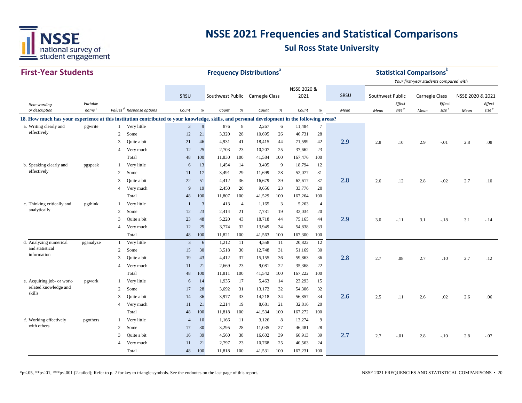

| <b>First-Year Students</b>                                                                                                                   |                               |                |                                      |                |                | <b>Frequency Distributions<sup>®</sup></b> |                |        |      |             |                |      |                  |                             | <b>Statistical Comparisons</b> b       |                             |                  |                             |
|----------------------------------------------------------------------------------------------------------------------------------------------|-------------------------------|----------------|--------------------------------------|----------------|----------------|--------------------------------------------|----------------|--------|------|-------------|----------------|------|------------------|-----------------------------|----------------------------------------|-----------------------------|------------------|-----------------------------|
|                                                                                                                                              |                               |                |                                      |                |                |                                            |                |        |      |             |                |      |                  |                             | Your first-year students compared with |                             |                  |                             |
|                                                                                                                                              |                               |                |                                      |                |                |                                            |                |        |      | NSSE 2020 & |                |      |                  |                             |                                        |                             |                  |                             |
|                                                                                                                                              |                               |                |                                      | SRSU           |                | Southwest Public Carnegie Class            |                |        |      | 2021        |                | SRSU | Southwest Public |                             | Carnegie Class                         |                             | NSSE 2020 & 2021 |                             |
| Item wording<br>or description                                                                                                               | Variable<br>name <sup>c</sup> |                | Values <sup>d</sup> Response options | Count          | %              | Count                                      | %              | Count  | $\%$ | Count       | $\%$           | Mean | Mean             | Effect<br>size <sup>e</sup> | Mean                                   | Effect<br>size <sup>e</sup> | Mean             | Effect<br>size <sup>e</sup> |
| 18. How much has your experience at this institution contributed to your knowledge, skills, and personal development in the following areas? |                               |                |                                      |                |                |                                            |                |        |      |             |                |      |                  |                             |                                        |                             |                  |                             |
| a. Writing clearly and                                                                                                                       | pgwrite                       | $\mathbf{1}$   | Very little                          | $\overline{3}$ | 9              | 876                                        | 8              | 2,267  | 6    | 11,484      | $\tau$         |      |                  |                             |                                        |                             |                  |                             |
| effectively                                                                                                                                  |                               | 2              | Some                                 | 12             | 21             | 3,320                                      | 28             | 10,695 | 26   | 46,731      | 28             |      |                  |                             |                                        |                             |                  |                             |
|                                                                                                                                              |                               | 3              | Quite a bit                          | 21             | 46             | 4,931                                      | 41             | 18,415 | 44   | 71,599      | 42             | 2.9  | 2.8              | .10                         | 2.9                                    | $-0.01$                     | 2.8              | .08                         |
|                                                                                                                                              |                               | 4              | Very much                            | 12             | 25             | 2,703                                      | 23             | 10,207 | 25   | 37,662      | 23             |      |                  |                             |                                        |                             |                  |                             |
|                                                                                                                                              |                               |                | Total                                | 48             | 100            | 11,830                                     | 100            | 41,584 | 100  | 167,476     | 100            |      |                  |                             |                                        |                             |                  |                             |
| b. Speaking clearly and                                                                                                                      | pgspeak                       | 1              | Very little                          | 6              | 13             | 1,454                                      | 14             | 3,495  | 9    | 18,794      | 12             |      |                  |                             |                                        |                             |                  |                             |
| effectively                                                                                                                                  |                               | 2              | Some                                 | 11             | 17             | 3,491                                      | 29             | 11,699 | 28   | 52,077      | 31             |      |                  |                             |                                        |                             |                  |                             |
|                                                                                                                                              |                               | 3              | Quite a bit                          | 22             | 51             | 4,412                                      | 36             | 16,679 | 39   | 62,617      | 37             | 2.8  | 2.6              | .12                         | 2.8                                    | $-.02$                      | 2.7              | .10                         |
|                                                                                                                                              |                               | $\overline{4}$ | Very much                            | 9              | 19             | 2,450                                      | 20             | 9,656  | 23   | 33,776      | 20             |      |                  |                             |                                        |                             |                  |                             |
|                                                                                                                                              |                               |                | Total                                | 48             | 100            | 11,807                                     | 100            | 41,529 | 100  | 167,264     | 100            |      |                  |                             |                                        |                             |                  |                             |
| c. Thinking critically and                                                                                                                   | pgthink                       | $\mathbf{1}$   | Very little                          | $\overline{1}$ | $\overline{3}$ | 413                                        | $\overline{4}$ | 1,165  | 3    | 5,263       | $\overline{4}$ |      |                  |                             |                                        |                             |                  |                             |
| analytically                                                                                                                                 |                               | $\overline{c}$ | Some                                 | 12             | 23             | 2,414                                      | 21             | 7,731  | 19   | 32,034      | 20             |      |                  |                             |                                        |                             |                  |                             |
|                                                                                                                                              |                               | 3              | Quite a bit                          | 23             | 48             | 5,220                                      | 43             | 18,718 | 44   | 75,165      | 44             | 2.9  | 3.0              | $-.11$                      | 3.1                                    | $-.18$                      | 3.1              | $-.14$                      |
|                                                                                                                                              |                               | 4              | Very much                            | 12             | 25             | 3.774                                      | 32             | 13,949 | 34   | 54,838      | 33             |      |                  |                             |                                        |                             |                  |                             |
|                                                                                                                                              |                               |                | Total                                | 48             | 100            | 11,821                                     | 100            | 41,563 | 100  | 167,300     | 100            |      |                  |                             |                                        |                             |                  |                             |
| d. Analyzing numerical                                                                                                                       | pganalyze                     | $\mathbf{1}$   | Very little                          | $\overline{3}$ | 6              | 1,212                                      | -11            | 4,558  | 11   | 20,822      | 12             |      |                  |                             |                                        |                             |                  |                             |
| and statistical                                                                                                                              |                               | 2              | Some                                 | 15             | 30             | 3,518                                      | 30             | 12,748 | 31   | 51,169      | 30             |      |                  |                             |                                        |                             |                  |                             |
| information                                                                                                                                  |                               | 3              | Quite a bit                          | 19             | 43             | 4,412                                      | 37             | 15,155 | 36   | 59,863      | 36             | 2.8  | 2.7              | .08                         | 2.7                                    | .10                         | 2.7              | .12                         |
|                                                                                                                                              |                               | $\overline{4}$ | Very much                            | 11             | 21             | 2,669                                      | 23             | 9,081  | 22   | 35,368      | 22             |      |                  |                             |                                        |                             |                  |                             |
|                                                                                                                                              |                               |                | Total                                | 48             | 100            | 11,811                                     | 100            | 41,542 | 100  | 167,222     | 100            |      |                  |                             |                                        |                             |                  |                             |
| e. Acquiring job- or work-                                                                                                                   | pgwork                        | $\mathbf{1}$   | Very little                          | 6              | 14             | 1,935                                      | 17             | 5,463  | 14   | 23,293      | 15             |      |                  |                             |                                        |                             |                  |                             |
| related knowledge and<br>skills                                                                                                              |                               | 2              | Some                                 | 17             | 28             | 3,692                                      | 31             | 13,172 | 32   | 54,306      | 32             |      |                  |                             |                                        |                             |                  |                             |
|                                                                                                                                              |                               | 3              | Quite a bit                          | 14             | 36             | 3,977                                      | 33             | 14,218 | 34   | 56,857      | 34             | 2.6  | 2.5              | .11                         | 2.6                                    | .02                         | 2.6              | .06                         |
|                                                                                                                                              |                               | $\overline{4}$ | Very much                            | 11             | 21             | 2,214                                      | 19             | 8,681  | 21   | 32,816      | 20             |      |                  |                             |                                        |                             |                  |                             |
|                                                                                                                                              |                               |                | Total                                | 48             | 100            | 11,818                                     | 100            | 41,534 | 100  | 167,272     | 100            |      |                  |                             |                                        |                             |                  |                             |
| f. Working effectively                                                                                                                       | pgothers                      | $\mathbf{1}$   | Very little                          | $\overline{4}$ | 10             | 1,166                                      | 11             | 3,126  | 8    | 13,274      | 9              |      |                  |                             |                                        |                             |                  |                             |
| with others                                                                                                                                  |                               | 2              | Some                                 | 17             | 30             | 3,295                                      | 28             | 11,035 | 27   | 46,481      | 28             |      |                  |                             |                                        |                             |                  |                             |
|                                                                                                                                              |                               | 3              | Quite a bit                          | 16             | 39             | 4,560                                      | 38             | 16,602 | 39   | 66,913      | 39             | 2.7  | 2.7              | $-.01$                      | 2.8                                    | $-.10$                      | 2.8              | $-.07$                      |
|                                                                                                                                              |                               | $\overline{4}$ | Very much                            | 11             | 21             | 2,797                                      | 23             | 10,768 | 25   | 40,563      | 24             |      |                  |                             |                                        |                             |                  |                             |
|                                                                                                                                              |                               |                | Total                                | 48             | 100            | 11,818                                     | 100            | 41,531 | 100  | 167,231     | 100            |      |                  |                             |                                        |                             |                  |                             |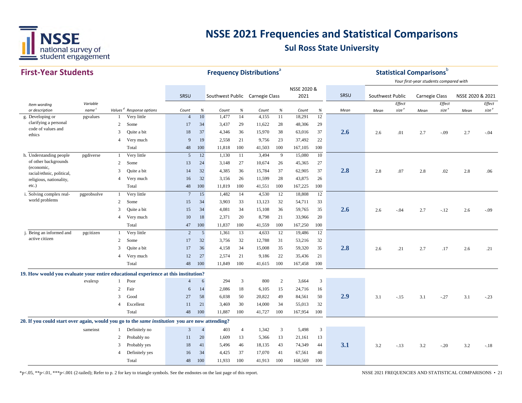

#### **First‐Year Students**

| <b>First-Year Students</b>                                                                     |                   |                |                                      |                 |                | <b>Frequency Distributions®</b> |                |        |      |             |                 |      |                  |                   | <b>Statistical Comparisons</b> <sup>b</sup> |                   |                  |                   |
|------------------------------------------------------------------------------------------------|-------------------|----------------|--------------------------------------|-----------------|----------------|---------------------------------|----------------|--------|------|-------------|-----------------|------|------------------|-------------------|---------------------------------------------|-------------------|------------------|-------------------|
|                                                                                                |                   |                |                                      |                 |                |                                 |                |        |      | NSSE 2020 & |                 |      |                  |                   | Your first-year students compared with      |                   |                  |                   |
|                                                                                                |                   |                |                                      | SRSU            |                | Southwest Public Carnegie Class |                |        |      | 2021        |                 | SRSU | Southwest Public |                   | Carnegie Class                              |                   | NSSE 2020 & 2021 |                   |
| Item wording                                                                                   | Variable          |                |                                      |                 |                |                                 |                |        |      |             |                 |      |                  | Effect            |                                             | Effect            |                  | Effect            |
| or description                                                                                 | name <sup>c</sup> |                | Values <sup>d</sup> Response options | Count           | $\%$           | Count                           | $\%$           | Count  | $\%$ | Count       | $\%$            | Mean | Mean             | size <sup>e</sup> | Mean                                        | size <sup>e</sup> | Mean             | size <sup>e</sup> |
| g. Developing or<br>clarifying a personal                                                      | pgvalues          | 1              | Very little                          | $\overline{4}$  | 10             | 1,477                           | 14             | 4,155  | 11   | 18,291      | $12 \,$         |      |                  |                   |                                             |                   |                  |                   |
| code of values and                                                                             |                   | $\overline{2}$ | Some                                 | 17              | 34             | 3,437                           | 29             | 11,622 | 28   | 48,306      | 29              |      |                  |                   |                                             |                   |                  |                   |
| ethics                                                                                         |                   | 3              | Quite a bit                          | 18              | 37             | 4,346                           | 36             | 15,970 | 38   | 63,016      | 37              | 2.6  | 2.6              | .01               | 2.7                                         | $-.09$            | 2.7              | $-.04$            |
|                                                                                                |                   | 4              | Very much                            | 9               | 19             | 2,558                           | 21             | 9,756  | 23   | 37,492      | 22              |      |                  |                   |                                             |                   |                  |                   |
|                                                                                                |                   |                | Total                                | 48              | 100            | 11,818                          | 100            | 41,503 | 100  | 167,105     | 100             |      |                  |                   |                                             |                   |                  |                   |
| h. Understanding people                                                                        | pgdiverse         | -1             | Very little                          | 5               | 12             | 1,130                           | 11             | 3,494  | 9    | 15,080      | 10              |      |                  |                   |                                             |                   |                  |                   |
| of other backgrounds<br>(economic,                                                             |                   | 2              | Some                                 | 13              | 24             | 3,148                           | 27             | 10,674 | 26   | 45,365      | 27              |      |                  |                   |                                             |                   |                  |                   |
| racial/ethnic, political,                                                                      |                   | 3              | Quite a bit                          | 14              | 32             | 4,385                           | 36             | 15,784 | 37   | 62,905      | 37              | 2.8  | 2.8              | .07               | 2.8                                         | .02               | 2.8              | .06               |
| religious, nationality,                                                                        |                   | $\overline{4}$ | Very much                            | 16              | 32             | 3,156                           | 26             | 11,599 | 28   | 43,875      | 26              |      |                  |                   |                                             |                   |                  |                   |
| $etc.$ )                                                                                       |                   |                | Total                                | 48              | 100            | 11,819                          | 100            | 41,551 | 100  | 167,225     | 100             |      |                  |                   |                                             |                   |                  |                   |
| i. Solving complex real-                                                                       | pgprobsolve       | $\mathbf{1}$   | Very little                          | $7\phantom{.0}$ | 15             | 1,482                           | 14             | 4,530  | 12   | 18,808      | $\overline{12}$ |      |                  |                   |                                             |                   |                  |                   |
| world problems                                                                                 |                   | 2              | Some                                 | 15              | 34             | 3,903                           | 33             | 13,123 | 32   | 54,711      | 33              |      |                  |                   |                                             |                   |                  |                   |
|                                                                                                |                   | 3              | Quite a bit                          | 15              | 34             | 4,081                           | 34             | 15,108 | 36   | 59,765      | 35              | 2.6  | 2.6              | $-.04$            | 2.7                                         | $-.12$            | 2.6              | $-.09$            |
|                                                                                                |                   | $\overline{4}$ | Very much                            | 10              | 18             | 2,371                           | 20             | 8,798  | 21   | 33,966      | 20              |      |                  |                   |                                             |                   |                  |                   |
|                                                                                                |                   |                | Total                                | 47              | 100            | 11,837                          | 100            | 41,559 | 100  | 167,250     | 100             |      |                  |                   |                                             |                   |                  |                   |
| j. Being an informed and                                                                       | pgcitizen         | 1              | Very little                          | 2               | 5              | 1,361                           | 13             | 4,633  | 12   | 19,486      | 12              |      |                  |                   |                                             |                   |                  |                   |
| active citizen                                                                                 |                   | 2              | Some                                 | 17              | 32             | 3,756                           | 32             | 12,788 | 31   | 53,216      | 32              |      |                  |                   |                                             |                   |                  |                   |
|                                                                                                |                   | 3              | Quite a bit                          | 17              | 36             | 4,158                           | 34             | 15,008 | 35   | 59,320      | 35              | 2.8  | 2.6              | .21               | 2.7                                         | .17               | 2.6              | .21               |
|                                                                                                |                   | $\overline{4}$ | Very much                            | 12              | 27             | 2,574                           | 21             | 9,186  | 22   | 35,436      | 21              |      |                  |                   |                                             |                   |                  |                   |
|                                                                                                |                   |                | Total                                | 48              | 100            | 11,849                          | 100            | 41,615 | 100  | 167,458     | 100             |      |                  |                   |                                             |                   |                  |                   |
| 19. How would you evaluate your entire educational experience at this institution?             |                   |                |                                      |                 |                |                                 |                |        |      |             |                 |      |                  |                   |                                             |                   |                  |                   |
|                                                                                                | evalexp           | -1             | Poor                                 | $\overline{4}$  | 6              | 294                             | 3              | 800    | 2    | 3,664       | $\mathfrak{Z}$  |      |                  |                   |                                             |                   |                  |                   |
|                                                                                                |                   | 2              | Fair                                 | 6               | 14             | 2,086                           | 18             | 6,105  | 15   | 24,716      | 16              |      |                  |                   |                                             |                   |                  |                   |
|                                                                                                |                   | 3              | Good                                 | 27              | 58             | 6,038                           | 50             | 20,822 | 49   | 84,561      | 50              | 2.9  | 3.1              | $-.15$            | 3.1                                         | $-.27$            | 3.1              | $-.23$            |
|                                                                                                |                   | 4              | Excellent                            | 11              | 21             | 3,469                           | 30             | 14,000 | 34   | 55,013      | 32              |      |                  |                   |                                             |                   |                  |                   |
|                                                                                                |                   |                | Total                                | 48              | 100            | 11,887                          | 100            | 41,727 | 100  | 167,954     | 100             |      |                  |                   |                                             |                   |                  |                   |
| 20. If you could start over again, would you go to the same institution you are now attending? |                   |                |                                      |                 |                |                                 |                |        |      |             |                 |      |                  |                   |                                             |                   |                  |                   |
|                                                                                                | sameinst          | 1              | Definitely no                        | 3               | $\overline{4}$ | 403                             | $\overline{4}$ | 1,342  | 3    | 5,498       | 3               |      |                  |                   |                                             |                   |                  |                   |
|                                                                                                |                   | $\overline{c}$ | Probably no                          | 11              | 20             | 1,609                           | 13             | 5,366  | 13   | 21,161      | 13              |      |                  |                   |                                             |                   |                  |                   |
|                                                                                                |                   |                |                                      |                 |                |                                 |                |        | 43   |             |                 | 3.1  |                  |                   |                                             |                   |                  |                   |
|                                                                                                |                   | 3              | Probably yes                         | 18              | 41<br>34       | 5,496                           | 46<br>37       | 18,135 | 41   | 74,349      | 44<br>40        |      | 3.2              | $-.13$            | 3.2                                         | $-.20$            | 3.2              | $-.18$            |
|                                                                                                |                   |                | Definitely yes                       | 16              |                | 4,425                           |                | 17,070 |      | 67,561      |                 |      |                  |                   |                                             |                   |                  |                   |
|                                                                                                |                   |                | Total                                | 48              | 100            | 11,933                          | 100            | 41,913 | 100  | 168,569     | 100             |      |                  |                   |                                             |                   |                  |                   |

\*p<.05, \*\*p<.01, \*\*\*p<.001 (2-tailed); Refer to p. 2 for key to triangle symbols. See the endnotes on the last page of this report. NSSE 2021 FREQUENCIES AND STATISTICAL COMPARISONS • 21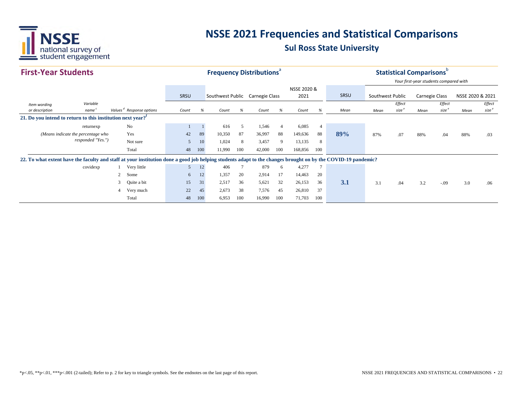

| <b>First-Year Students</b>                                                                                                                                   |       |                                      |             |     | <b>Frequency Distributions<sup>®</sup></b> |     |        |                |             |                |      |                  |                   | <b>Statistical Comparisons</b>         |                   |                  |                   |
|--------------------------------------------------------------------------------------------------------------------------------------------------------------|-------|--------------------------------------|-------------|-----|--------------------------------------------|-----|--------|----------------|-------------|----------------|------|------------------|-------------------|----------------------------------------|-------------------|------------------|-------------------|
|                                                                                                                                                              |       |                                      |             |     |                                            |     |        |                |             |                |      |                  |                   | Your first-year students compared with |                   |                  |                   |
|                                                                                                                                                              |       |                                      |             |     |                                            |     |        |                | NSSE 2020 & |                |      |                  |                   |                                        |                   |                  |                   |
|                                                                                                                                                              |       |                                      | <b>SRSU</b> |     | Southwest Public Carnegie Class            |     |        |                | 2021        |                | SRSU | Southwest Public |                   | <b>Carnegie Class</b>                  |                   | NSSE 2020 & 2021 |                   |
| Variable<br>Item wording                                                                                                                                     |       |                                      |             |     |                                            |     |        |                |             |                |      |                  | Effect            |                                        | Effect            |                  | Effect            |
| name <sup>c</sup><br>or description                                                                                                                          |       | Values <sup>d</sup> Response options | Count       | %   | Count                                      | %   | Count  | %              | Count       | %              | Mean | Mean             | size <sup>e</sup> | Mean                                   | size <sup>e</sup> | Mean             | size <sup>e</sup> |
| 21. Do you intend to return to this institution next year?                                                                                                   |       |                                      |             |     |                                            |     |        |                |             |                |      |                  |                   |                                        |                   |                  |                   |
| No<br>returnexp                                                                                                                                              |       |                                      |             |     | 616                                        | 5   | 1,546  | $\overline{4}$ | 6,085       | $\overline{4}$ |      |                  |                   |                                        |                   |                  |                   |
| Yes<br>(Means indicate the percentage who                                                                                                                    |       |                                      | 42          | 89  | 10,350                                     | 87  | 36,997 | 88             | 149,636     | 88             | 89%  | 87%              | .07               | 88%                                    | .04               | 88%              | .03               |
| responded "Yes.")                                                                                                                                            |       | Not sure                             | 5           | 10  | 1,024                                      | 8   | 3,457  | 9              | 13,135      | 8              |      |                  |                   |                                        |                   |                  |                   |
|                                                                                                                                                              |       | Total                                | 48          | 100 | 11,990                                     | 100 | 42,000 | 100            | 168,856     | 100            |      |                  |                   |                                        |                   |                  |                   |
| 22. To what extent have the faculty and staff at your institution done a good job helping students adapt to the changes brought on by the COVID-19 pandemic? |       |                                      |             |     |                                            |     |        |                |             |                |      |                  |                   |                                        |                   |                  |                   |
| covidexp                                                                                                                                                     |       | Very little                          | 5           | 12  | 406                                        |     | 879    | 6              | 4,277       | $\overline{7}$ |      |                  |                   |                                        |                   |                  |                   |
|                                                                                                                                                              | 2     | Some                                 | 6           | 12  | 1,357                                      | 20  | 2,914  | 17             | 14,463      | 20             |      |                  |                   |                                        |                   |                  |                   |
|                                                                                                                                                              | 3     | Quite a bit                          | 15          | 31  | 2,517                                      | 36  | 5,621  | 32             | 26,153      | 36             | 3.1  | 3.1              | .04               | 3.2                                    | $-.09$            | 3.0              | .06               |
|                                                                                                                                                              | 4     | Very much                            | 22          | 45  | 2,673                                      | 38  | 7,576  | 45             | 26,810      | 37             |      |                  |                   |                                        |                   |                  |                   |
|                                                                                                                                                              | Total |                                      |             |     | 100<br>6,953                               | 100 | 16,990 | 100            | 71,703      | 100            |      |                  |                   |                                        |                   |                  |                   |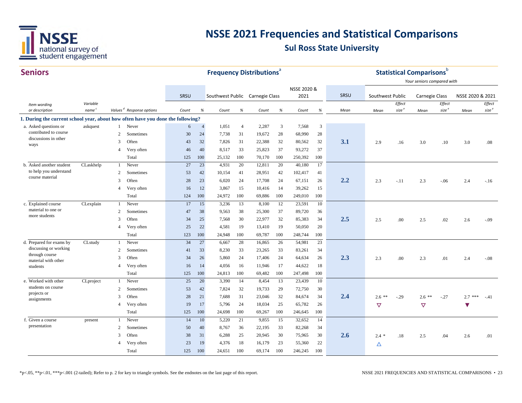

| <b>Seniors</b>                                                                  |                               |                |                                      |           |                      |                                 |                | <b>Frequency Distributions</b> <sup>a</sup> |           |                   |           |      |                  |                             | <b>Statistical Comparisons</b> <sup>b</sup> |                             |                      |                                     |
|---------------------------------------------------------------------------------|-------------------------------|----------------|--------------------------------------|-----------|----------------------|---------------------------------|----------------|---------------------------------------------|-----------|-------------------|-----------|------|------------------|-----------------------------|---------------------------------------------|-----------------------------|----------------------|-------------------------------------|
|                                                                                 |                               |                |                                      |           |                      |                                 |                |                                             |           |                   |           |      |                  |                             | Your seniors compared with                  |                             |                      |                                     |
|                                                                                 |                               |                |                                      |           |                      |                                 |                |                                             |           | NSSE 2020 &       |           |      |                  |                             |                                             |                             |                      |                                     |
|                                                                                 |                               |                |                                      | SRSU      |                      | Southwest Public Carnegie Class |                |                                             |           | 2021              |           | SRSU | Southwest Public |                             | <b>Carnegie Class</b>                       |                             | NSSE 2020 & 2021     |                                     |
| Item wording<br>or description                                                  | Variable<br>name <sup>c</sup> |                | Values <sup>d</sup> Response options | Count     | %                    | Count                           | $\%$           | Count                                       | $\%$      | Count             | $\%$      | Mean |                  | Effect<br>size <sup>e</sup> |                                             | Effect<br>size <sup>e</sup> |                      | ${\it Effect}$<br>size <sup>e</sup> |
|                                                                                 |                               |                |                                      |           |                      |                                 |                |                                             |           |                   |           |      | Mean             |                             | Mean                                        |                             | Mean                 |                                     |
| 1. During the current school year, about how often have you done the following? |                               |                |                                      | 6         |                      |                                 | $\overline{4}$ |                                             |           |                   | 3         |      |                  |                             |                                             |                             |                      |                                     |
| a. Asked questions or<br>contributed to course                                  | askquest                      | 2              | 1 Never<br>Sometimes                 | 30        | $\overline{4}$<br>24 | 1,051                           |                | 2,287                                       | 3         | 7,568             | 28        |      |                  |                             |                                             |                             |                      |                                     |
| discussions in other                                                            |                               | 3              | Often                                |           | 32                   | 7,738<br>7,826                  | 31<br>31       | 19,672<br>22,388                            | 28<br>32  | 68,990            | 32        | 3.1  |                  |                             |                                             |                             |                      |                                     |
| ways                                                                            |                               |                |                                      | 43        | 40                   |                                 |                |                                             |           | 80,562<br>93,272  |           |      | 2.9              | .16                         | 3.0                                         | .10                         | 3.0                  | $.08\,$                             |
|                                                                                 |                               | $\overline{4}$ | Very often                           | 46        |                      | 8,517                           | 33             | 25,823                                      | 37        |                   | 37        |      |                  |                             |                                             |                             |                      |                                     |
| b. Asked another student                                                        | CLaskhelp                     | $\mathbf{1}$   | Total<br>Never                       | 125<br>27 | 100<br>23            | 25,132<br>4,931                 | 100<br>20      | 70,170<br>12,811                            | 100<br>20 | 250,392<br>40,180 | 100<br>17 |      |                  |                             |                                             |                             |                      |                                     |
| to help you understand                                                          |                               |                |                                      |           |                      |                                 |                |                                             |           |                   |           |      |                  |                             |                                             |                             |                      |                                     |
| course material                                                                 |                               | 2<br>3         | Sometimes                            | 53        | 42                   | 10,154                          | 41             | 28,951                                      | 42        | 102,417           | 41        | 2.2  |                  |                             |                                             |                             |                      |                                     |
|                                                                                 |                               |                | Often                                | 28        | 23                   | 6,020                           | 24             | 17,708                                      | 24        | 67,151            | 26        |      | 2.3              | $-.11$                      | 2.3                                         | $-.06$                      | 2.4                  | $-.16$                              |
|                                                                                 |                               | $\overline{4}$ | Very often                           | 16        | 12                   | 3,867                           | 15             | 10,416                                      | 14        | 39,262            | 15        |      |                  |                             |                                             |                             |                      |                                     |
|                                                                                 |                               |                | Total                                | 124       | 100                  | 24,972                          | 100            | 69,886                                      | 100       | 249,010           | 100       |      |                  |                             |                                             |                             |                      |                                     |
| c. Explained course<br>material to one or                                       | CLexplain                     | 1              | Never                                | 17        | 15                   | 3,236                           | 13             | 8,100                                       | 12        | 23,591            | 10        |      |                  |                             |                                             |                             |                      |                                     |
| more students                                                                   |                               | 2              | Sometimes                            | 47        | 38                   | 9,563                           | 38             | 25,300                                      | 37        | 89,720            | 36        | 2.5  |                  |                             |                                             |                             |                      |                                     |
|                                                                                 |                               | 3              | Often                                | 34        | 25                   | 7,568                           | 30             | 22,977                                      | 32        | 85,383            | 34        |      | 2.5              | .00                         | 2.5                                         | .02                         | 2.6                  | $-0.09$                             |
|                                                                                 |                               | $\overline{4}$ | Very often                           | 25        | 22                   | 4,581                           | 19             | 13,410                                      | 19        | 50,050            | 20        |      |                  |                             |                                             |                             |                      |                                     |
|                                                                                 |                               |                | Total                                | 123       | 100                  | 24,948                          | 100            | 69,787                                      | 100       | 248,744           | 100       |      |                  |                             |                                             |                             |                      |                                     |
| d. Prepared for exams by<br>discussing or working                               | CLstudy                       | $\mathbf{1}$   | Never                                | 34        | 27                   | 6,667                           | 28             | 16,865                                      | 26        | 54,981            | 23        |      |                  |                             |                                             |                             |                      |                                     |
| through course                                                                  |                               | 2              | Sometimes                            | 41        | 33                   | 8,230                           | 33             | 23,265                                      | 33        | 83,261            | 34        |      |                  |                             |                                             |                             |                      |                                     |
| material with other                                                             |                               | 3              | Often                                | 34        | 26                   | 5,860                           | 24             | 17,406                                      | 24        | 64,634            | 26        | 2.3  | 2.3              | .00                         | 2.3                                         | .01                         | 2.4                  | $-.08$                              |
| students                                                                        |                               | $\overline{4}$ | Very often                           | 16        | 14                   | 4,056                           | 16             | 11,946                                      | 17        | 44,622            | 18        |      |                  |                             |                                             |                             |                      |                                     |
|                                                                                 |                               |                | Total                                | 125       | 100                  | 24,813                          | 100            | 69,482                                      | 100       | 247,498           | 100       |      |                  |                             |                                             |                             |                      |                                     |
| e. Worked with other<br>students on course                                      | CLproject                     | $\mathbf{1}$   | Never                                | 25        | 20                   | 3,390                           | 14             | 8,454                                       | 13        | 23,439            | 10        |      |                  |                             |                                             |                             |                      |                                     |
| projects or                                                                     |                               | 2              | Sometimes                            | 53        | 42                   | 7,824                           | 32             | 19,733                                      | 29        | 72,750            | 30        |      |                  |                             |                                             |                             |                      |                                     |
| assignments                                                                     |                               | 3              | Often                                | 28        | 21                   | 7,688                           | 31             | 23,046                                      | 32        | 84,674            | 34        | 2.4  | $2.6$ **         | $-.29$                      | $2.6$ **                                    | $-0.27$                     | $2.7***$             | $-.41$                              |
|                                                                                 |                               | $\overline{4}$ | Very often                           | 19        | 17                   | 5.796                           | 24             | 18,034                                      | 25        | 65,782            | 26        |      | $\triangledown$  |                             | $\triangledown$                             |                             | $\blacktriangledown$ |                                     |
|                                                                                 |                               |                | Total                                | 125       | 100                  | 24,698                          | 100            | 69,267                                      | 100       | 246,645           | 100       |      |                  |                             |                                             |                             |                      |                                     |
| f. Given a course<br>presentation                                               | present                       | $\mathbf{1}$   | Never                                | 14        | 10                   | 5,220                           | 21             | 9,855                                       | 15        | 32,652            | 14        |      |                  |                             |                                             |                             |                      |                                     |
|                                                                                 |                               | 2              | Sometimes                            | 50        | 40                   | 8,767                           | 36             | 22,195                                      | 33        | 82,268            | 34        |      |                  |                             |                                             |                             |                      |                                     |
|                                                                                 |                               | 3              | Often                                | 38        | 31                   | 6,288                           | 25             | 20,945                                      | 30        | 75,965            | 30        | 2.6  | $2.4 *$          | .18                         | 2.5                                         | .04                         | 2.6                  | .01                                 |
|                                                                                 |                               | $\overline{4}$ | Very often                           | 23        | 19                   | 4,376                           | 18             | 16,179                                      | 23        | 55,360            | 22        |      | Δ                |                             |                                             |                             |                      |                                     |
|                                                                                 |                               |                | Total                                | 125       | 100                  | 24,651                          | 100            | 69,174                                      | 100       | 246,245           | 100       |      |                  |                             |                                             |                             |                      |                                     |

\*p<.05, \*\*p<.01, \*\*\*p<.001 (2-tailed); Refer to p. 2 for key to triangle symbols. See the endnotes on the last page of this report. NSSE 2021 FREQUENCIES AND STATISTICAL COMPARISONS • 23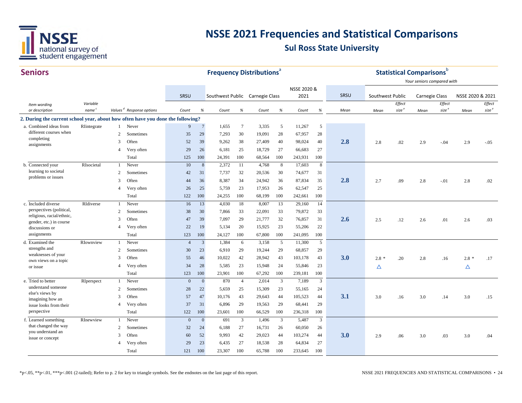

| <b>Seniors</b>                                                                  |                   |                |                                      |                |                | <b>Frequency Distributions®</b> |                |        |      |                     |         |      |                  |                   | <b>Statistical Comparisons</b> b |                   |                  |                   |
|---------------------------------------------------------------------------------|-------------------|----------------|--------------------------------------|----------------|----------------|---------------------------------|----------------|--------|------|---------------------|---------|------|------------------|-------------------|----------------------------------|-------------------|------------------|-------------------|
|                                                                                 |                   |                |                                      | SRSU           |                |                                 |                |        |      | NSSE 2020 &<br>2021 |         | SRSU |                  |                   | Your seniors compared with       |                   | NSSE 2020 & 2021 |                   |
|                                                                                 | Variable          |                |                                      |                |                | Southwest Public Carnegie Class |                |        |      |                     |         |      | Southwest Public | Effect            | <b>Carnegie Class</b>            | Effect            |                  | Effect            |
| Item wording<br>or description                                                  | name <sup>c</sup> |                | Values <sup>d</sup> Response options | Count          | %              | Count                           | %              | Count  | $\%$ | Count               | %       | Mean | Mean             | size <sup>e</sup> | Mean                             | size <sup>e</sup> | Mean             | size <sup>e</sup> |
| 2. During the current school year, about how often have you done the following? |                   |                |                                      |                |                |                                 |                |        |      |                     |         |      |                  |                   |                                  |                   |                  |                   |
| a. Combined ideas from                                                          | RIntegrate        |                | 1 Never                              | 9              | $\overline{7}$ | 1,655                           | $\overline{7}$ | 3,335  | 5    | 11,267              | 5       |      |                  |                   |                                  |                   |                  |                   |
| different courses when                                                          |                   | 2              | Sometimes                            | 35             | 29             | 7,293                           | 30             | 19,091 | 28   | 67,957              | 28      |      |                  |                   |                                  |                   |                  |                   |
| completing<br>assignments                                                       |                   | 3              | Often                                | 52             | 39             | 9,262                           | 38             | 27,409 | 40   | 98,024              | 40      | 2.8  | 2.8              | .02               | 2.9                              | $-.04$            | 2.9              | $-.05$            |
|                                                                                 |                   | $\overline{4}$ | Very often                           | 29             | 26             | 6,181                           | 25             | 18,729 | 27   | 66,683              | 27      |      |                  |                   |                                  |                   |                  |                   |
|                                                                                 |                   |                | Total                                | 125            | 100            | 24,391                          | 100            | 68,564 | 100  | 243,931             | 100     |      |                  |                   |                                  |                   |                  |                   |
| b. Connected your                                                               | RIsocietal        | $\mathbf{1}$   | Never                                | 10             | $\,8\,$        | 2,372                           | 11             | 4,768  | 8    | 17,603              | $\,8\,$ |      |                  |                   |                                  |                   |                  |                   |
| learning to societal<br>problems or issues                                      |                   | 2              | Sometimes                            | 42             | 31             | 7,737                           | 32             | 20,536 | 30   | 74,677              | 31      |      |                  |                   |                                  |                   |                  |                   |
|                                                                                 |                   | 3              | Often                                | 44             | 36             | 8,387                           | 34             | 24,942 | 36   | 87,834              | 35      | 2.8  | 2.7              | .09               | 2.8                              | $-.01$            | 2.8              | .02               |
|                                                                                 |                   | $\overline{4}$ | Very often                           | 26             | 25             | 5,759                           | 23             | 17,953 | 26   | 62,547              | 25      |      |                  |                   |                                  |                   |                  |                   |
|                                                                                 |                   |                | Total                                | 122            | 100            | 24,255                          | 100            | 68,199 | 100  | 242,661             | 100     |      |                  |                   |                                  |                   |                  |                   |
| c. Included diverse                                                             | RIdiverse         | $\mathbf{1}$   | Never                                | 16             | 13             | 4,030                           | 18             | 8,007  | 13   | 29,160              | 14      |      |                  |                   |                                  |                   |                  |                   |
| perspectives (political,<br>religious, racial/ethnic,                           |                   | 2              | Sometimes                            | 38             | 30             | 7,866                           | 33             | 22,091 | 33   | 79,872              | 33      |      |                  |                   |                                  |                   |                  |                   |
| gender, etc.) in course                                                         |                   | 3              | Often                                | 47             | 39             | 7.097                           | 29             | 21,777 | 32   | 76,857              | 31      | 2.6  | 2.5              | .12               | 2.6                              | .01               | 2.6              | .03               |
| discussions or                                                                  |                   | $\overline{4}$ | Very often                           | 22             | 19             | 5,134                           | 20             | 15,925 | 23   | 55,206              | 22      |      |                  |                   |                                  |                   |                  |                   |
| assignments                                                                     |                   |                | Total                                | 123            | 100            | 24,127                          | 100            | 67,800 | 100  | 241,095             | 100     |      |                  |                   |                                  |                   |                  |                   |
| d. Examined the                                                                 | RIownview         | -1             | Never                                | $\overline{4}$ | 3              | 1,384                           | 6              | 3,158  | 5    | 11,300              | 5       |      |                  |                   |                                  |                   |                  |                   |
| strengths and<br>weaknesses of your                                             |                   | 2              | Sometimes                            | 30             | 23             | 6,910                           | 29             | 19,244 | 29   | 68,857              | 29      |      |                  |                   |                                  |                   |                  |                   |
| own views on a topic                                                            |                   | 3              | Often                                | 55             | 46             | 10,022                          | 42             | 28,942 | 43   | 103,178             | 43      | 3.0  | $2.8*$           | .20               | 2.8                              | .16               | $2.8*$           | .17               |
| or issue                                                                        |                   | $\overline{4}$ | Very often                           | 34             | 28             | 5,585                           | 23             | 15,948 | 24   | 55,846              | 23      |      | Δ                |                   |                                  |                   | Δ                |                   |
|                                                                                 |                   |                | Total                                | 123            | 100            | 23,901                          | 100            | 67,292 | 100  | 239,181             | 100     |      |                  |                   |                                  |                   |                  |                   |
| e. Tried to better                                                              | RIperspect        | $\mathbf{1}$   | Never                                | $\mathbf{0}$   | $\mathbf{0}$   | 870                             | $\overline{4}$ | 2,014  | 3    | 7,189               | 3       |      |                  |                   |                                  |                   |                  |                   |
| understand someone<br>else's views by                                           |                   | 2              | Sometimes                            | 28             | 22             | 5,659                           | 25             | 15,309 | 23   | 55,165              | 24      |      |                  |                   |                                  |                   |                  |                   |
| imagining how an                                                                |                   | 3              | Often                                | 57             | 47             | 10,176                          | 43             | 29,643 | 44   | 105,523             | 44      | 3.1  | 3.0              | .16               | 3.0                              | .14               | 3.0              | .15               |
| issue looks from their                                                          |                   | $\overline{4}$ | Very often                           | 37             | 31             | 6,896                           | 29             | 19,563 | 29   | 68,441              | 29      |      |                  |                   |                                  |                   |                  |                   |
| perspective                                                                     |                   |                | Total                                | 122            | 100            | 23,601                          | 100            | 66,529 | 100  | 236,318             | 100     |      |                  |                   |                                  |                   |                  |                   |
| f. Learned something                                                            | RInewview         | -1             | Never                                | $\overline{0}$ | $\overline{0}$ | 691                             | $\overline{3}$ | 1,496  | 3    | 5,487               | 3       |      |                  |                   |                                  |                   |                  |                   |
| that changed the way<br>you understand an                                       |                   | $\overline{c}$ | Sometimes                            | 32             | 24             | 6,188                           | 27             | 16,731 | 26   | 60,050              | 26      |      |                  |                   |                                  |                   |                  |                   |
| issue or concept                                                                |                   | 3              | Often                                | 60             | 52             | 9,993                           | 42             | 29,023 | 44   | 103,274             | 44      | 3.0  | 2.9              | .06               | 3.0                              | .03               | 3.0              | .04               |
|                                                                                 |                   | $\overline{4}$ | Very often                           | 29             | 23             | 6,435                           | 27             | 18,538 | 28   | 64,834              | 27      |      |                  |                   |                                  |                   |                  |                   |
|                                                                                 |                   |                | Total                                | 121            | 100            | 23,307                          | 100            | 65,788 | 100  | 233,645             | 100     |      |                  |                   |                                  |                   |                  |                   |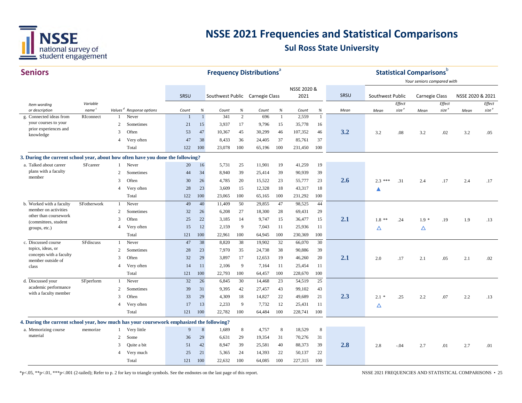

| <b>Seniors</b>                                                                            |                   |                          |                  |              |                  |                                 |                | <b>Frequency Distributions</b> |              |             |              |      |                  |                   | <b>Statistical Comparisons</b> b |                   |                  |                   |
|-------------------------------------------------------------------------------------------|-------------------|--------------------------|------------------|--------------|------------------|---------------------------------|----------------|--------------------------------|--------------|-------------|--------------|------|------------------|-------------------|----------------------------------|-------------------|------------------|-------------------|
|                                                                                           |                   |                          |                  |              |                  |                                 |                |                                |              |             |              |      |                  |                   | Your seniors compared with       |                   |                  |                   |
|                                                                                           |                   |                          |                  |              |                  |                                 |                |                                |              | NSSE 2020 & |              |      |                  |                   |                                  |                   |                  |                   |
|                                                                                           |                   |                          |                  | SRSU         |                  | Southwest Public Carnegie Class |                |                                |              | 2021        |              | SRSU | Southwest Public |                   | Carnegie Class                   |                   | NSSE 2020 & 2021 |                   |
| Item wording                                                                              | Variable          |                          |                  |              |                  |                                 |                |                                |              |             |              |      |                  | Effect            |                                  | Effect            |                  | Effect            |
| or description                                                                            | name <sup>c</sup> | Values <sup>d</sup>      | Response options | Count        | $\%$             | Count                           | %              | Count                          | $\%$         | Count       | $\%$         | Mean | Mean             | size <sup>e</sup> | Mean                             | size <sup>e</sup> | Mean             | size <sup>e</sup> |
| g. Connected ideas from<br>your courses to your                                           | RIconnect         | 1                        | Never            | $\mathbf{1}$ | $\mathbf{1}$     | 341                             | $\overline{2}$ | 696                            | $\mathbf{1}$ | 2,559       | $\mathbf{1}$ |      |                  |                   |                                  |                   |                  |                   |
| prior experiences and                                                                     |                   | 2                        | Sometimes        | 21           | 15               | 3,937                           | 17             | 9,796                          | 15           | 35,778      | 16           |      |                  |                   |                                  |                   |                  |                   |
| knowledge                                                                                 |                   | 3                        | Often            | 53           | 47               | 10,367                          | 45             | 30,299                         | 46           | 107,352     | 46           | 3.2  | 3.2              | .08               | 3.2                              | .02               | 3.2              | .05               |
|                                                                                           |                   | $\overline{4}$           | Very often       | 47           | 38               | 8,433                           | 36             | 24,405                         | 37           | 85,761      | 37           |      |                  |                   |                                  |                   |                  |                   |
|                                                                                           |                   |                          | Total            | 122          | 100              | 23,078                          | 100            | 65,196                         | 100          | 231,450     | 100          |      |                  |                   |                                  |                   |                  |                   |
| 3. During the current school year, about how often have you done the following?           |                   |                          |                  |              |                  |                                 |                |                                |              |             |              |      |                  |                   |                                  |                   |                  |                   |
| a. Talked about career                                                                    | SFcareer          |                          | Never            | 20           | 16               | 5,731                           | 25             | 11,901                         | 19           | 41,259      | 19           |      |                  |                   |                                  |                   |                  |                   |
| plans with a faculty                                                                      |                   | 2                        | Sometimes        | 44           | 34               | 8,940                           | 39             | 25,414                         | 39           | 90,939      | 39           |      |                  |                   |                                  |                   |                  |                   |
| member                                                                                    |                   | 3                        | Often            | 30           | 26               | 4,785                           | 20             | 15,522                         | 23           | 55,777      | 23           | 2.6  | $2.3***$         | .31               | 2.4                              | .17               | 2.4              | .17               |
|                                                                                           |                   | $\overline{4}$           | Very often       | 28           | 23               | 3,609                           | 15             | 12,328                         | 18           | 43,317      | 18           |      | ▲                |                   |                                  |                   |                  |                   |
|                                                                                           |                   |                          | Total            | 122          | 100              | 23,065                          | 100            | 65,165                         | 100          | 231,292     | 100          |      |                  |                   |                                  |                   |                  |                   |
| b. Worked with a faculty                                                                  | SFotherwork       | $\mathbf{1}$             | Never            | 49           | 40               | 11,409                          | 50             | 29,855                         | 47           | 98,525      | 44           |      |                  |                   |                                  |                   |                  |                   |
| member on activities                                                                      |                   | 2                        | Sometimes        | 32           | 26               | 6,208                           | 27             | 18,300                         | 28           | 69,431      | 29           |      |                  |                   |                                  |                   |                  |                   |
| other than coursework<br>(committees, student                                             |                   | 3                        | Often            | 25           | 22               | 3,185                           | 14             | 9,747                          | 15           | 36,477      | 15           | 2.1  | $1.8$ **         | .24               | $1.9*$                           | .19               | 1.9              | .13               |
| groups, etc.)                                                                             |                   | $\overline{\mathcal{A}}$ | Very often       | 15           | 12               | 2,159                           | 9              | 7,043                          | 11           | 25,936      | 11           |      | Δ                |                   | Δ                                |                   |                  |                   |
|                                                                                           |                   |                          | Total            | 121          | 100              | 22,961                          | 100            | 64,945                         | 100          | 230,369     | 100          |      |                  |                   |                                  |                   |                  |                   |
| c. Discussed course                                                                       | <b>SFdiscuss</b>  | $\mathbf{1}$             | Never            | 47           | 38               | 8,820                           | 38             | 19,902                         | 32           | 66,070      | 30           |      |                  |                   |                                  |                   |                  |                   |
| topics, ideas, or                                                                         |                   | 2                        | Sometimes        | 28           | 23               | 7,970                           | 35             | 24,738                         | 38           | 90,886      | 39           |      |                  |                   |                                  |                   |                  |                   |
| concepts with a faculty                                                                   |                   | 3                        | Often            | 32           | 29               | 3,897                           | 17             | 12,653                         | 19           | 46,260      | 20           | 2.1  | 2.0              | .17               | 2.1                              | .05               | 2.1              | .02               |
| member outside of<br>class                                                                |                   | $\overline{4}$           | Very often       | 14           | 11               | 2,106                           | 9              | 7,164                          | 11           | 25,454      | 11           |      |                  |                   |                                  |                   |                  |                   |
|                                                                                           |                   |                          | Total            | 121          | 100              | 22,793                          | 100            | 64,457                         | 100          | 228,670     | 100          |      |                  |                   |                                  |                   |                  |                   |
| d. Discussed your                                                                         | SFperform         | 1                        | Never            | 32           | 26               | 6,845                           | 30             | 14,468                         | 23           | 54,519      | 25           |      |                  |                   |                                  |                   |                  |                   |
| academic performance                                                                      |                   | 2                        | Sometimes        | 39           | 31               | 9,395                           | 42             | 27,457                         | 43           | 99,102      | 43           |      |                  |                   |                                  |                   |                  |                   |
| with a faculty member                                                                     |                   | 3                        | Often            | 33           | 29               | 4,309                           | 18             | 14,827                         | 22           | 49,689      | 21           | 2.3  | $2.1*$           | .25               | 2.2                              | .07               | 2.2              | .13               |
|                                                                                           |                   | $\overline{4}$           | Very often       | 17           | 13               | 2,233                           | 9              | 7,732                          | 12           | 25,431      | 11           |      | Δ                |                   |                                  |                   |                  |                   |
|                                                                                           |                   |                          | Total            | 121          | 100              | 22,782                          | 100            | 64,484                         | 100          | 228,741     | 100          |      |                  |                   |                                  |                   |                  |                   |
|                                                                                           |                   |                          |                  |              |                  |                                 |                |                                |              |             |              |      |                  |                   |                                  |                   |                  |                   |
| 4. During the current school year, how much has your coursework emphasized the following? |                   |                          |                  |              |                  |                                 |                |                                |              |             |              |      |                  |                   |                                  |                   |                  |                   |
| a. Memorizing course<br>material                                                          | memorize          | 1                        | Very little      | 9            | $\boldsymbol{8}$ | 1,689                           | 8              | 4,757                          | 8            | 18,529      | 8            |      |                  |                   |                                  |                   |                  |                   |
|                                                                                           |                   | $\overline{c}$           | Some             | 36           | 29               | 6,631                           | 29             | 19,354                         | 31           | 70,276      | 31           |      |                  |                   |                                  |                   |                  |                   |
|                                                                                           |                   | 3                        | Quite a bit      | 51           | 42               | 8,947                           | 39             | 25,581                         | 40           | 88,373      | 39           | 2.8  | 2.8              | $-.04$            | 2.7                              | .01               | 2.7              | .01               |
|                                                                                           |                   | 4                        | Very much        | 25           | 21               | 5,365                           | 24             | 14,393                         | 22           | 50,137      | 22           |      |                  |                   |                                  |                   |                  |                   |
|                                                                                           |                   |                          | Total            | 121          | 100              | 22,632                          | 100            | 64,085                         | 100          | 227,315     | 100          |      |                  |                   |                                  |                   |                  |                   |

\*p<.05, \*\*p<.01, \*\*\*p<.001 (2-tailed); Refer to p. 2 for key to triangle symbols. See the endnotes on the last page of this report. NSSE 2021 FREQUENCIES AND STATISTICAL COMPARISONS • 25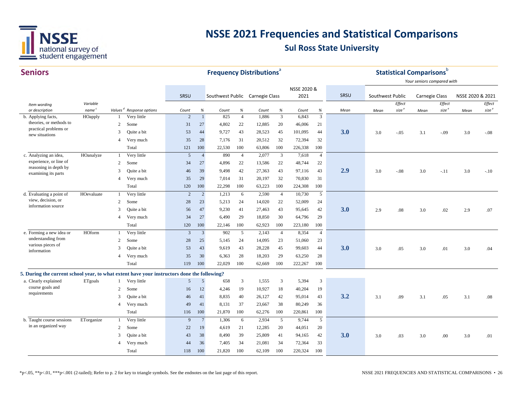

**Frequency Distributions**<sup>a</sup> **Statistical Comparisons**<sup>b</sup>

NSSE 2020 &

SRSU

#### **Seniors** *Item wording or description Variablename Values*b.2 SomeApplying facts, theories, or methods to practical problems or new situations

|                                                                                             |                   |                |                                      | <b>SRSU</b>    |                 | Southwest Public Carnegie Class |                |        |                | 2021    |                | SRSU | Southwest Public |                   | <b>Carnegie Class</b> |                   | NSSE 2020 & 2021 |                   |
|---------------------------------------------------------------------------------------------|-------------------|----------------|--------------------------------------|----------------|-----------------|---------------------------------|----------------|--------|----------------|---------|----------------|------|------------------|-------------------|-----------------------|-------------------|------------------|-------------------|
| Item wording                                                                                | Variable          |                |                                      |                |                 |                                 |                |        |                |         |                |      |                  | Effect            |                       | Effect            |                  | Effect            |
| or description                                                                              | name <sup>c</sup> |                | Values <sup>d</sup> Response options | Count          | %               | Count                           | %              | Count  | %              | Count   | %              | Mean | Mean             | size <sup>e</sup> | Mean                  | size <sup>e</sup> | Mean             | size <sup>e</sup> |
| b. Applying facts,                                                                          | HOapply           |                | Very little                          | $\overline{2}$ | $\mathbf{1}$    | 825                             | $\overline{4}$ | 1,886  | $\overline{3}$ | 6.843   | $\overline{3}$ |      |                  |                   |                       |                   |                  |                   |
| theories, or methods to<br>practical problems or                                            |                   | 2              | Some                                 | 31             | 27              | 4,802                           | 22             | 12,885 | 20             | 46,006  | 21             |      |                  |                   |                       |                   |                  |                   |
| new situations                                                                              |                   | 3              | Quite a bit                          | 53             | 44              | 9,727                           | 43             | 28,523 | 45             | 101,095 | 44             | 3.0  | 3.0              | $-.05$            | 3.1                   | $-.09$            | 3.0              | $-.08$            |
|                                                                                             |                   |                | Very much                            | 35             | 28              | 7,176                           | 31             | 20,512 | 32             | 72,394  | 32             |      |                  |                   |                       |                   |                  |                   |
|                                                                                             |                   |                | Total                                | 121            | 100             | 22,530                          | 100            | 63,806 | 100            | 226,338 | 100            |      |                  |                   |                       |                   |                  |                   |
| c. Analyzing an idea,                                                                       | HOanalyze         |                | Very little                          | 5              | $\overline{4}$  | 890                             | $\overline{4}$ | 2,077  | $\mathfrak{Z}$ | 7,618   | $\overline{4}$ |      |                  |                   |                       |                   |                  |                   |
| experience, or line of                                                                      |                   | 2              | Some                                 | 34             | 27              | 4,896                           | 22             | 13,586 | 22             | 48,744  | 22             |      |                  |                   |                       |                   |                  |                   |
| reasoning in depth by<br>examining its parts                                                |                   | 3              | Ouite a bit                          | 46             | 39              | 9,498                           | 42             | 27,363 | 43             | 97,116  | 43             | 2.9  | 3.0              | $-.08$            | 3.0                   | $-.11$            | 3.0              | $-.10$            |
|                                                                                             |                   |                | Very much                            | 35             | 29              | 7,014                           | 31             | 20,197 | 32             | 70,830  | 31             |      |                  |                   |                       |                   |                  |                   |
|                                                                                             |                   |                | Total                                | 120            | 100             | 22,298                          | 100            | 63,223 | 100            | 224,308 | 100            |      |                  |                   |                       |                   |                  |                   |
| d. Evaluating a point of                                                                    | HOevaluate        |                | Very little                          | $\overline{c}$ | $\overline{2}$  | 1,213                           | 6              | 2,590  | $\overline{4}$ | 10,730  | $\mathfrak{S}$ |      |                  |                   |                       |                   |                  |                   |
| view, decision, or                                                                          |                   | 2              | Some                                 | 28             | 23              | 5,213                           | 24             | 14,020 | 22             | 52,009  | 24             |      |                  |                   |                       |                   |                  |                   |
| information source                                                                          |                   | 3              | Quite a bit                          | 56             | 47              | 9,230                           | 41             | 27,463 | 43             | 95,645  | 42             | 3.0  | 2.9              | .08               | 3.0                   | .02               | 2.9              | .07               |
|                                                                                             |                   | $\overline{4}$ | Very much                            | 34             | 27              | 6,490                           | 29             | 18,850 | 30             | 64,796  | 29             |      |                  |                   |                       |                   |                  |                   |
|                                                                                             |                   |                | Total                                | 120            | 100             | 22,146                          | 100            | 62,923 | 100            | 223,180 | 100            |      |                  |                   |                       |                   |                  |                   |
| e. Forming a new idea or                                                                    | HOform            |                | Very little                          | 3              | $\overline{3}$  | 902                             | 5              | 2,143  | $\overline{4}$ | 8,354   | $\overline{4}$ |      |                  |                   |                       |                   |                  |                   |
| understanding from                                                                          |                   | 2              | Some                                 | 28             | 25              | 5,145                           | 24             | 14,095 | 23             | 51,060  | 23             |      |                  |                   |                       |                   |                  |                   |
| various pieces of<br>information                                                            |                   | 3              | Quite a bit                          | 53             | 43              | 9,619                           | 43             | 28,228 | 45             | 99,603  | 44             | 3.0  | 3.0              | .05               | 3.0                   | .01               | 3.0              | .04               |
|                                                                                             |                   | $\overline{A}$ | Very much                            | 35             | 30              | 6,363                           | 28             | 18,203 | 29             | 63,250  | 28             |      |                  |                   |                       |                   |                  |                   |
|                                                                                             |                   |                | Total                                | 119            | 100             | 22,029                          | 100            | 62,669 | 100            | 222,267 | 100            |      |                  |                   |                       |                   |                  |                   |
| 5. During the current school year, to what extent have your instructors done the following? |                   |                |                                      |                |                 |                                 |                |        |                |         |                |      |                  |                   |                       |                   |                  |                   |
| a. Clearly explained                                                                        | ETgoals           |                | Very little                          | 5              | $5\overline{)}$ | 658                             | 3              | 1,555  | 3              | 5,394   | $\overline{3}$ |      |                  |                   |                       |                   |                  |                   |
| course goals and                                                                            |                   | 2              | Some                                 | 16             | 12              | 4,246                           | 19             | 10,927 | 18             | 40,204  | 19             |      |                  |                   |                       |                   |                  |                   |
| requirements                                                                                |                   | 3              | Quite a bit                          | 46             | 41              | 8,835                           | 40             | 26,127 | 42             | 95,014  | 43             | 3.2  | 3.1              | .09               | 3.1                   | .05               | 3.1              | .08               |
|                                                                                             |                   | $\overline{4}$ | Very much                            | 49             | 41              | 8,131                           | 37             | 23,667 | 38             | 80,249  | 36             |      |                  |                   |                       |                   |                  |                   |
|                                                                                             |                   |                | Total                                | 116            | 100             | 21,870                          | 100            | 62,276 | 100            | 220,861 | 100            |      |                  |                   |                       |                   |                  |                   |
| b. Taught course sessions                                                                   | ETorganize        |                | Very little                          | 9              | $7\phantom{.0}$ | 1,306                           | 6              | 2,934  | 5              | 9,744   | 5              |      |                  |                   |                       |                   |                  |                   |
| in an organized way                                                                         |                   | $\overline{2}$ | Some                                 | 22             | 19              | 4,619                           | 21             | 12,285 | 20             | 44,051  | 20             |      |                  |                   |                       |                   |                  |                   |
|                                                                                             |                   | 3              | Quite a bit                          | 43             | 38              | 8,490                           | 39             | 25,809 | 41             | 94,165  | 42             | 3.0  | 3.0              | .03               | 3.0                   | .00               | 3.0              | .01               |
|                                                                                             |                   |                | Very much                            | 44             | 36              | 7,405                           | 34             | 21,081 | 34             | 72,364  | 33             |      |                  |                   |                       |                   |                  |                   |
|                                                                                             |                   |                | Total                                | 118            | 100             | 21,820                          | 100            | 62,109 | 100            | 220,324 | 100            |      |                  |                   |                       |                   |                  |                   |
|                                                                                             |                   |                |                                      |                |                 |                                 |                |        |                |         |                |      |                  |                   |                       |                   |                  |                   |

*Your seniors compared with*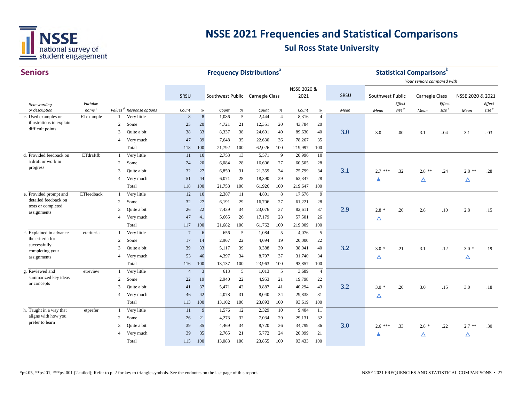

| <b>Seniors</b>                                |                                |                          |                                                     |                  |              |                                 |           | <b>Frequency Distributions</b> <sup>a</sup> |                        |                |                        |      |                  |                   | <b>Statistical Comparisons</b> <sup>b</sup> |                   |                  |                   |
|-----------------------------------------------|--------------------------------|--------------------------|-----------------------------------------------------|------------------|--------------|---------------------------------|-----------|---------------------------------------------|------------------------|----------------|------------------------|------|------------------|-------------------|---------------------------------------------|-------------------|------------------|-------------------|
|                                               |                                |                          |                                                     |                  |              |                                 |           |                                             |                        |                |                        |      |                  |                   | Your seniors compared with                  |                   |                  |                   |
|                                               |                                |                          |                                                     |                  |              |                                 |           |                                             |                        | NSSE 2020 &    |                        |      |                  |                   |                                             |                   |                  |                   |
|                                               |                                |                          |                                                     | SRSU             |              | Southwest Public Carnegie Class |           |                                             |                        | 2021           |                        | SRSU | Southwest Public |                   | <b>Carnegie Class</b>                       |                   | NSSE 2020 & 2021 |                   |
| Item wording                                  | Variable                       |                          |                                                     |                  |              |                                 |           |                                             |                        |                |                        |      |                  | Effect            |                                             | Effect            |                  | Effect            |
| or description<br>c. Used examples or         | name <sup>c</sup><br>ETexample | 1                        | Values <sup>d</sup> Response options<br>Very little | Count<br>$\,8\,$ | %<br>$\,8\,$ | Count<br>1,086                  | $\%$<br>5 | Count<br>2,444                              | $\%$<br>$\overline{4}$ | Count<br>8,316 | $\%$<br>$\overline{4}$ | Mean | Mean             | size <sup>e</sup> | Mean                                        | size <sup>e</sup> | Mean             | size <sup>e</sup> |
| illustrations to explain                      |                                |                          | Some                                                |                  |              |                                 |           |                                             |                        | 43,784         |                        |      |                  |                   |                                             |                   |                  |                   |
| difficult points                              |                                | 2<br>3                   |                                                     | 25               | 20           | 4,721                           | 21        | 12,351                                      | 20                     |                | 20<br>40               | 3.0  |                  |                   |                                             |                   |                  |                   |
|                                               |                                |                          | Quite a bit                                         | 38               | 33           | 8,337                           | 38        | 24,601                                      | 40                     | 89,630         |                        |      | 3.0              | .00               | 3.1                                         | $-.04$            | 3.1              | $-.03$            |
|                                               |                                | $\overline{\mathcal{A}}$ | Very much                                           | 47               | 39           | 7.648                           | 35        | 22,630                                      | 36                     | 78,267         | 35                     |      |                  |                   |                                             |                   |                  |                   |
|                                               |                                |                          | Total                                               | 118              | 100          | 21,792                          | 100       | 62,026                                      | 100                    | 219,997        | 100                    |      |                  |                   |                                             |                   |                  |                   |
| d. Provided feedback on<br>a draft or work in | ETdraftfb                      | -1                       | Very little                                         | 11               | 10           | 2,753                           | 13        | 5,571                                       | 9                      | 20,996         | 10                     |      |                  |                   |                                             |                   |                  |                   |
| progress                                      |                                | 2                        | Some                                                | 24               | 20           | 6,084                           | 28        | 16,606                                      | 27                     | 60,505         | 28                     |      |                  |                   |                                             |                   |                  |                   |
|                                               |                                | 3                        | Quite a bit                                         | 32               | 27           | 6,850                           | 31        | 21,359                                      | 34                     | 75,799         | 34                     | 3.1  | $2.7***$         | .32               | $2.8$ **                                    | .24               | $2.8$ **         | .28               |
|                                               |                                | $\overline{4}$           | Very much                                           | 51               | 44           | 6,071                           | 28        | 18,390                                      | 29                     | 62,347         | 28                     |      |                  |                   | Δ                                           |                   | Δ                |                   |
|                                               |                                |                          | Total                                               | 118              | 100          | 21,758                          | 100       | 61,926                                      | 100                    | 219,647        | 100                    |      |                  |                   |                                             |                   |                  |                   |
| e. Provided prompt and                        | ETfeedback                     | 1                        | Very little                                         | 12               | 10           | 2,387                           | 11        | 4,801                                       | 8                      | 17,676         | 9                      |      |                  |                   |                                             |                   |                  |                   |
| detailed feedback on                          |                                | 2                        | Some                                                | 32               | 27           | 6,191                           | 29        | 16,706                                      | 27                     | 61,221         | 28                     |      |                  |                   |                                             |                   |                  |                   |
| tests or completed<br>assignments             |                                | 3                        | Quite a bit                                         | 26               | 22           | 7,439                           | 34        | 23,076                                      | 37                     | 82,611         | 37                     | 2.9  | $2.8 *$          | .20               | 2.8                                         | .10               | 2.8              | .15               |
|                                               |                                | 4                        | Very much                                           | 47               | 41           | 5.665                           | 26        | 17,179                                      | 28                     | 57,501         | 26                     |      | Δ                |                   |                                             |                   |                  |                   |
|                                               |                                |                          | Total                                               | 117              | 100          | 21,682                          | 100       | 61,762                                      | 100                    | 219,009        | 100                    |      |                  |                   |                                             |                   |                  |                   |
| f. Explained in advance                       | etcriteria                     | 1                        | Very little                                         | $7\phantom{.0}$  | 6            | 656                             | 5         | 1,084                                       | 5                      | 4,076          | 5                      |      |                  |                   |                                             |                   |                  |                   |
| the criteria for                              |                                | 2                        | Some                                                | 17               | 14           | 2,967                           | 22        | 4,694                                       | 19                     | 20,000         | 22                     |      |                  |                   |                                             |                   |                  |                   |
| successfully<br>completing your               |                                | 3                        | Quite a bit                                         | 39               | 33           | 5,117                           | 39        | 9,388                                       | 39                     | 38,041         | 40                     | 3.2  | $3.0*$           | .21               | 3.1                                         | .12               | $3.0*$           | .19               |
| assignments                                   |                                | 4                        | Very much                                           | 53               | 46           | 4,397                           | 34        | 8,797                                       | 37                     | 31,740         | 34                     |      | Δ                |                   |                                             |                   | Δ                |                   |
|                                               |                                |                          | Total                                               | 116              | 100          | 13,137                          | 100       | 23,963                                      | 100                    | 93,857         | 100                    |      |                  |                   |                                             |                   |                  |                   |
| g. Reviewed and                               | etreview                       | $\mathbf{1}$             | Very little                                         | $\overline{4}$   | $\mathbf{3}$ | 613                             | 5         | 1,013                                       | 5                      | 3,689          | $\overline{4}$         |      |                  |                   |                                             |                   |                  |                   |
| summarized key ideas                          |                                | 2                        | Some                                                | 22               | 19           | 2,940                           | 22        | 4,953                                       | 21                     | 19,798         | 22                     |      |                  |                   |                                             |                   |                  |                   |
| or concepts                                   |                                | 3                        | Quite a bit                                         | 41               | 37           | 5,471                           | 42        | 9,887                                       | 41                     | 40,294         | 43                     | 3.2  | $3.0*$           | .20               | 3.0                                         | .15               | 3.0              | .18               |
|                                               |                                | $\overline{4}$           | Very much                                           | 46               | 42           | 4,078                           | 31        | 8,040                                       | 34                     | 29,838         | 31                     |      | Δ                |                   |                                             |                   |                  |                   |
|                                               |                                |                          | Total                                               | 113              | 100          | 13,102                          | 100       | 23,893                                      | 100                    | 93,619         | 100                    |      |                  |                   |                                             |                   |                  |                   |
| h. Taught in a way that                       | etprefer                       | 1                        | Very little                                         | 11               | 9            | 1,576                           | 12        | 2,329                                       | 10                     | 9,404          | -11                    |      |                  |                   |                                             |                   |                  |                   |
| aligns with how you                           |                                | 2                        | Some                                                | 26               | 21           | 4,273                           | 32        | 7,034                                       | 29                     | 29,131         | 32                     |      |                  |                   |                                             |                   |                  |                   |
| prefer to learn                               |                                | 3                        | Quite a bit                                         | 39               | 35           | 4,469                           | 34        | 8,720                                       | 36                     | 34,799         | 36                     | 3.0  | $2.6***$         | .33               | $2.8*$                                      | .22               | $2.7$ **         | .30               |
|                                               |                                | 4                        | Very much                                           | 39               | 35           | 2,765                           | 21        | 5,772                                       | 24                     | 20,099         | 21                     |      |                  |                   |                                             |                   |                  |                   |
|                                               |                                |                          | Total                                               | 115              | 100          | 13.083                          | 100       | 23,855                                      | 100                    | 93,433         | 100                    |      |                  |                   | Δ                                           |                   | Δ                |                   |
|                                               |                                |                          |                                                     |                  |              |                                 |           |                                             |                        |                |                        |      |                  |                   |                                             |                   |                  |                   |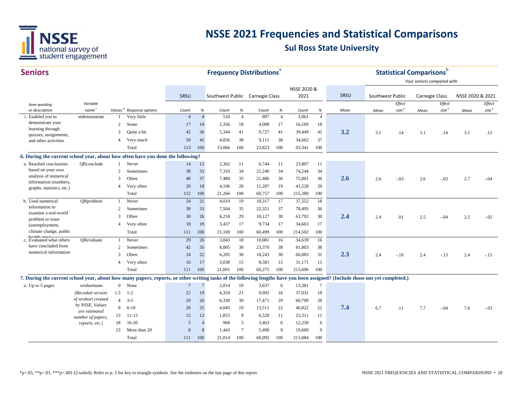

|    | T C |  |
|----|-----|--|
| וו |     |  |
|    |     |  |

| <b>Seniors</b>                                                                                                                                                                |                    |                |                                      |                 |                | <b>Frequency Distributions</b>  |                |        |                |             |                 |      |                  |                   | <b>Statistical Comparisons</b> | b                 |                  |                   |
|-------------------------------------------------------------------------------------------------------------------------------------------------------------------------------|--------------------|----------------|--------------------------------------|-----------------|----------------|---------------------------------|----------------|--------|----------------|-------------|-----------------|------|------------------|-------------------|--------------------------------|-------------------|------------------|-------------------|
|                                                                                                                                                                               |                    |                |                                      |                 |                |                                 |                |        |                |             |                 |      |                  |                   | Your seniors compared with     |                   |                  |                   |
|                                                                                                                                                                               |                    |                |                                      |                 |                |                                 |                |        |                | NSSE 2020 & |                 |      |                  |                   |                                |                   |                  |                   |
|                                                                                                                                                                               |                    |                |                                      | SRSU            |                | Southwest Public Carnegie Class |                |        |                | 2021        |                 | SRSU | Southwest Public |                   | Carnegie Class                 |                   | NSSE 2020 & 2021 |                   |
| Item wording                                                                                                                                                                  | Variable           |                |                                      |                 |                |                                 |                |        |                |             |                 |      |                  | Effect            |                                | Effect            |                  | Effect            |
| or description                                                                                                                                                                | name <sup>c</sup>  |                | Values <sup>d</sup> Response options | Count           | %              | Count                           | %              | Count  | %              | Count       | $\%$            | Mean | Mean             | size <sup>e</sup> | Mean                           | size <sup>e</sup> | Mean             | size <sup>e</sup> |
| i. Enabled you to                                                                                                                                                             | etdemonstrate      |                | Very little                          | $\overline{4}$  | $\overline{4}$ | 510                             | $\overline{4}$ | 897    | $\overline{4}$ | 3,061       | $\overline{4}$  |      |                  |                   |                                |                   |                  |                   |
| demonstrate your<br>learning through                                                                                                                                          |                    | 2              | Some                                 | 17              | 14             | 2,356                           | 18             | 4,088  | 17             | 16,169      | 18              |      |                  |                   |                                |                   |                  |                   |
| quizzes, assignments,                                                                                                                                                         |                    | 3              | Quite a bit                          | 42              | 36             | 5,344                           | 41             | 9,727  | 41             | 39,449      | 42              | 3.2  | 3.1              | .14               | 3.1                            | .14               | 3.1              | .15               |
| and other activities                                                                                                                                                          |                    | $\overline{4}$ | Very much                            | 50              | 45             | 4,856                           | 38             | 9,111  | 38             | 34,662      | 37              |      |                  |                   |                                |                   |                  |                   |
|                                                                                                                                                                               |                    |                | Total                                | 113             | 100            | 13,066                          | 100            | 23,823 | 100            | 93,341      | 100             |      |                  |                   |                                |                   |                  |                   |
| 6. During the current school year, about how often have you done the following?                                                                                               |                    |                |                                      |                 |                |                                 |                |        |                |             |                 |      |                  |                   |                                |                   |                  |                   |
| a. Reached conclusions                                                                                                                                                        | ORconclude         |                | Never                                | 14              | 12             | 2,362                           | 11             | 6,744  | 11             | 23,807      | 11              |      |                  |                   |                                |                   |                  |                   |
| based on your own                                                                                                                                                             |                    | 2              | Sometimes                            | 38              | 33             | 7,310                           | 34             | 21,240 | 34             | 74,244      | 34              |      |                  |                   |                                |                   |                  |                   |
| analysis of numerical                                                                                                                                                         |                    | 3              | Often                                | 40              | 37             | 7,488                           | 35             | 21,486 | 36             | 75,801      | 36              | 2.6  | 2.6              | $-.03$            | 2.6                            | $-.03$            | 2.7              | $-.04$            |
| information (numbers,<br>graphs, statistics, etc.)                                                                                                                            |                    | $\overline{4}$ | Very often                           | 20              | 18             | 4,106                           | 20             | 11,287 | 19             | 41,528      | 20              |      |                  |                   |                                |                   |                  |                   |
|                                                                                                                                                                               |                    |                | Total                                | 112             | 100            | 21,266                          | 100            | 60,757 | 100            | 215,380     | 100             |      |                  |                   |                                |                   |                  |                   |
| b. Used numerical                                                                                                                                                             | ORproblem          | -1             | Never                                | 24              | 21             | 4,010                           | 19             | 10,317 | 17             | 37,552      | 18              |      |                  |                   |                                |                   |                  |                   |
| information to                                                                                                                                                                |                    | 2              | Sometimes                            | 39              | 33             | 7,504                           | 35             | 22,321 | 37             | 78,495      | 36              |      |                  |                   |                                |                   |                  |                   |
| examine a real-world                                                                                                                                                          |                    | 3              | Often                                | 30              | 26             | 6,218                           | 29             | 18,127 | 30             | 63,792      | 30              | 2.4  | 2.4              | .01               | 2.5                            | $-.04$            | 2.5              | $-.02$            |
| problem or issue<br>(unemployment,                                                                                                                                            |                    | $\overline{4}$ | Very often                           | 18              | 19             | 3,437                           | 17             | 9,734  | 17             | 34,663      | 17              |      |                  |                   |                                |                   |                  |                   |
| climate change, public                                                                                                                                                        |                    |                | Total                                | 111             | 100            | 21,169                          | 100            | 60,499 | 100            | 214,502     | 100             |      |                  |                   |                                |                   |                  |                   |
| c. Evaluated what others                                                                                                                                                      | ORevaluate         |                | Never                                | 29              | 26             | 3,843                           | 18             | 10,081 | 16             | 34,639      | 16              |      |                  |                   |                                |                   |                  |                   |
| have concluded from                                                                                                                                                           |                    | $\overline{2}$ | Sometimes                            | 42              | 35             | 8,005                           | 38             | 23,370 | 38             | 81,803      | 38              |      |                  |                   |                                |                   |                  |                   |
| numerical information                                                                                                                                                         |                    | 3              | Often                                | 24              | 22             | 6,205                           | 30             | 18,243 | 30             | 66,083      | 31              | 2.3  | 2.4              | $-.10$            | 2.4                            | $-.13$            | 2.4              | $-.15$            |
|                                                                                                                                                                               |                    | $\overline{4}$ | Very often                           | 16              | 17             | 3,038                           | 15             | 8,581  | 15             | 31,171      | 15              |      |                  |                   |                                |                   |                  |                   |
|                                                                                                                                                                               |                    |                | Total                                | 111             | 100            | 21,091                          | 100            | 60,275 | 100            | 213,696     | 100             |      |                  |                   |                                |                   |                  |                   |
| 7. During the current school year, about how many papers, reports, or other writing tasks of the following lengths have you been assigned? (Include those not yet completed.) |                    |                |                                      |                 |                |                                 |                |        |                |             |                 |      |                  |                   |                                |                   |                  |                   |
| a. Up to 5 pages                                                                                                                                                              | wrshortnum         | $\overline{0}$ | None                                 | $7\phantom{.0}$ | $\overline{7}$ | 2,014                           | 10             | 3,637  | 6              | 13,381      | $7\phantom{.0}$ |      |                  |                   |                                |                   |                  |                   |
|                                                                                                                                                                               | (Recoded version   | 1.5            | $1 - 2$                              | 22              | 19             | 4,359                           | 21             | 9,992  | 16             | 37,031      | 18              |      |                  |                   |                                |                   |                  |                   |
|                                                                                                                                                                               | of wrshort created | $\overline{4}$ | $3 - 5$                              | 29              | 26             | 6,330                           | 30             | 17,471 | 29             | 60,709      | 28              |      |                  |                   |                                |                   |                  |                   |
|                                                                                                                                                                               | by NSSE. Values    | 8              | $6 - 10$                             | 28              | 25             | 4,045                           | 19             | 13,511 | 22             | 46,822      | 22              | 7.4  | 6.7              | .11               | 7.7                            | $-.04$            | 7.6              | $-.03$            |
|                                                                                                                                                                               | are estimated      | 13             | $11 - 15$                            | 12              | 12             | 1,855                           | 9              | 6,528  | 11             | 23,311      | 11              |      |                  |                   |                                |                   |                  |                   |
|                                                                                                                                                                               | number of papers,  | 18             | $16 - 20$                            | 5               | $\overline{4}$ | 968                             | 5              | 3,463  | 6              | 12,230      | 6               |      |                  |                   |                                |                   |                  |                   |
|                                                                                                                                                                               | reports, etc.)     | 23             | More than 20                         | 8               | 8              | 1,443                           | $\overline{7}$ | 5,490  | 9              | 19,600      | 9               |      |                  |                   |                                |                   |                  |                   |
|                                                                                                                                                                               |                    |                | Total                                | 111             | 100            | 21.014                          | 100            | 60.092 | 100            | 213,084     | 100             |      |                  |                   |                                |                   |                  |                   |
|                                                                                                                                                                               |                    |                |                                      |                 |                |                                 |                |        |                |             |                 |      |                  |                   |                                |                   |                  |                   |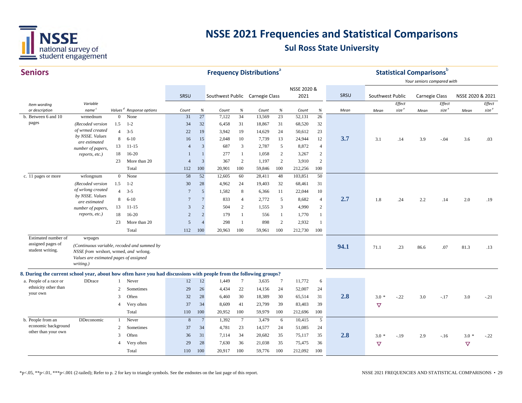

| <b>Seniors</b>                                                                                                     |                                        |                     |                                             |                 |                                                                    | <b>Frequency Distributions</b> <sup>a</sup> |                 |                  |                 |                  |                         |      |                  | <b>Statistical Comparisons</b> b |                            |                   |                  |                   |
|--------------------------------------------------------------------------------------------------------------------|----------------------------------------|---------------------|---------------------------------------------|-----------------|--------------------------------------------------------------------|---------------------------------------------|-----------------|------------------|-----------------|------------------|-------------------------|------|------------------|----------------------------------|----------------------------|-------------------|------------------|-------------------|
|                                                                                                                    |                                        |                     |                                             |                 |                                                                    |                                             |                 |                  |                 |                  |                         |      |                  |                                  | Your seniors compared with |                   |                  |                   |
|                                                                                                                    |                                        |                     |                                             |                 |                                                                    |                                             |                 |                  |                 | NSSE 2020 &      |                         |      |                  |                                  |                            |                   |                  |                   |
|                                                                                                                    |                                        |                     |                                             | SRSU            |                                                                    | Southwest Public Carnegie Class             |                 |                  |                 | 2021             |                         | SRSU | Southwest Public |                                  | <b>Carnegie Class</b>      |                   | NSSE 2020 & 2021 |                   |
| Item wording                                                                                                       | Variable                               |                     |                                             |                 |                                                                    |                                             |                 |                  |                 |                  |                         |      |                  | Effect                           |                            | Effect            |                  | Effect            |
| or description                                                                                                     | name <sup>c</sup>                      |                     | Values <sup>d</sup> Response options        | Count           | $% \mathcal{B}_{\mathrm{d}}\left( \mathcal{B}_{\mathrm{d}}\right)$ | Count                                       | $\%$            | Count            | $\%$            | Count            | $\%$<br>$\overline{26}$ | Mean | Mean             | size <sup>e</sup>                | Mean                       | size <sup>e</sup> | Mean             | size <sup>e</sup> |
| b. Between 6 and 10<br>pages                                                                                       | wrmednum                               | $\mathbf{0}$<br>1.5 | None<br>$1 - 2$                             | 31              | 27                                                                 | 7,122                                       | 34              | 13,569           | 23              | 52,131           |                         |      |                  |                                  |                            |                   |                  |                   |
|                                                                                                                    | (Recoded version<br>of wrmed created   | $\overline{4}$      | $3 - 5$                                     | 34<br>22        | 32<br>19                                                           | 6,458<br>3,942                              | 31<br>19        | 18,867<br>14,629 | 31<br>24        | 68,520<br>50,612 | 32<br>23                |      |                  |                                  |                            |                   |                  |                   |
|                                                                                                                    | by NSSE. Values                        | 8                   | $6 - 10$                                    | 16              | 15                                                                 | 2,048                                       | 10              | 7,739            | 13              | 24,944           | 12                      | 3.7  | 3.1              | .14                              | 3.9                        |                   | 3.6              |                   |
|                                                                                                                    | are estimated                          | 13                  |                                             | $\overline{4}$  | 3                                                                  | 687                                         | 3               | 2,787            | 5               | 8,872            | $\overline{4}$          |      |                  |                                  |                            | $-0.04$           |                  | .03               |
|                                                                                                                    | number of papers,                      | 18                  | $11 - 15$<br>$16 - 20$                      | $\mathbf{1}$    | $\mathbf{1}$                                                       | 277                                         | -1              | 1,058            | $\overline{c}$  | 3,267            | $\overline{2}$          |      |                  |                                  |                            |                   |                  |                   |
|                                                                                                                    | reports, etc.)                         | 23                  | More than 20                                | $\overline{4}$  | $\overline{3}$                                                     | 367                                         | $\overline{2}$  | 1,197            | $\overline{2}$  | 3,910            | $\overline{2}$          |      |                  |                                  |                            |                   |                  |                   |
|                                                                                                                    |                                        |                     | Total                                       | 112             | 100                                                                | 20,901                                      | 100             | 59,846           | 100             | 212,256          | 100                     |      |                  |                                  |                            |                   |                  |                   |
| c. 11 pages or more                                                                                                | wrlongnum                              | $\overline{0}$      | None                                        | 58              | 52                                                                 | 12,605                                      | 60              | 28,411           | 48              | 103,851          | 50                      |      |                  |                                  |                            |                   |                  |                   |
|                                                                                                                    | (Recoded version                       | 1.5                 | $1 - 2$                                     | 30              | 28                                                                 | 4,962                                       | 24              | 19,403           | 32              | 68,461           | 31                      |      |                  |                                  |                            |                   |                  |                   |
|                                                                                                                    | of wrlong created                      | $\overline{4}$      | $3 - 5$                                     | 7               | 5                                                                  | 1,582                                       | 8               | 6,366            | 11              | 22,044           | 10                      |      |                  |                                  |                            |                   |                  |                   |
|                                                                                                                    | by NSSE. Values                        | 8                   | $6 - 10$                                    | 7               | $7\phantom{.0}$                                                    | 833                                         | $\overline{4}$  | 2,772            | 5               | 8,682            | $\overline{4}$          | 2.7  |                  |                                  |                            |                   |                  |                   |
|                                                                                                                    | are estimated                          |                     |                                             | 3               | $\overline{2}$                                                     | 504                                         | 2               |                  | 3               | 4,990            | $\overline{2}$          |      | 1.8              | .24                              | 2.2                        | .14               | 2.0              | .19               |
|                                                                                                                    | number of papers,<br>reports, etc.)    | 13                  | $11 - 15$                                   |                 |                                                                    |                                             |                 | 1,555            |                 |                  |                         |      |                  |                                  |                            |                   |                  |                   |
|                                                                                                                    |                                        | 18                  | $16 - 20$                                   | $\overline{2}$  | $\overline{2}$                                                     | 179                                         | $\mathbf{1}$    | 556              | $\mathbf{1}$    | 1,770            | $\mathbf{1}$            |      |                  |                                  |                            |                   |                  |                   |
|                                                                                                                    |                                        | 23                  | More than 20                                | 5               | $\overline{4}$                                                     | 298                                         | $\overline{1}$  | 898              | $\overline{2}$  | 2,932            | $\mathbf{1}$            |      |                  |                                  |                            |                   |                  |                   |
|                                                                                                                    |                                        |                     | Total                                       | 112             | 100                                                                | 20,963                                      | 100             | 59,961           | 100             | 212,730          | 100                     |      |                  |                                  |                            |                   |                  |                   |
| Estimated number of<br>assigned pages of                                                                           | wrpages                                |                     |                                             |                 |                                                                    |                                             |                 |                  |                 |                  |                         |      |                  |                                  |                            |                   |                  |                   |
| student writing.                                                                                                   | NSSE from wrshort, wrmed, and wrlong.  |                     | (Continuous variable, recoded and summed by |                 |                                                                    |                                             |                 |                  |                 |                  |                         | 94.1 | 71.1             | .23                              | 86.6                       | .07               | 81.3             | .13               |
|                                                                                                                    | Values are estimated pages of assigned |                     |                                             |                 |                                                                    |                                             |                 |                  |                 |                  |                         |      |                  |                                  |                            |                   |                  |                   |
|                                                                                                                    | writing.)                              |                     |                                             |                 |                                                                    |                                             |                 |                  |                 |                  |                         |      |                  |                                  |                            |                   |                  |                   |
| 8. During the current school year, about how often have you had discussions with people from the following groups? |                                        |                     |                                             |                 |                                                                    |                                             |                 |                  |                 |                  |                         |      |                  |                                  |                            |                   |                  |                   |
| a. People of a race or                                                                                             | <b>DDrace</b>                          |                     | Never                                       | 12              | 12                                                                 | 1,449                                       | $7\phantom{.0}$ | 3,635            | $7\phantom{.0}$ | 11,772           | 6                       |      |                  |                                  |                            |                   |                  |                   |
| ethnicity other than                                                                                               |                                        | $\overline{2}$      | Sometimes                                   | 29              | 26                                                                 | 4,434                                       | 22              | 14,156           | 24              | 52,007           | 24                      |      |                  |                                  |                            |                   |                  |                   |
| your own                                                                                                           |                                        | 3                   | Often                                       | 32              | 28                                                                 | 6,460                                       | 30              | 18,389           | 30              | 65,514           | 31                      | 2.8  | $3.0*$           | $-.22$                           | 3.0                        | $-.17$            | 3.0              | $-.21$            |
|                                                                                                                    |                                        | $\overline{4}$      | Very often                                  | 37              | 34                                                                 | 8,609                                       | 41              | 23,799           | 39              | 83,403           | 39                      |      | $\triangledown$  |                                  |                            |                   |                  |                   |
|                                                                                                                    |                                        |                     | Total                                       | 110             | 100                                                                | 20,952                                      | 100             | 59,979           | 100             | 212,696          | 100                     |      |                  |                                  |                            |                   |                  |                   |
| b. People from an                                                                                                  | DDeconomic                             |                     | Never                                       | $8\phantom{.0}$ | $7\phantom{.0}$                                                    | 1,392                                       | $7\phantom{.0}$ | 3,479            | 6               | 10,415           | $\overline{5}$          |      |                  |                                  |                            |                   |                  |                   |
| economic background                                                                                                |                                        | 2                   | Sometimes                                   | 37              | 34                                                                 | 4,781                                       | 23              | 14,577           | 24              | 51,085           | 24                      |      |                  |                                  |                            |                   |                  |                   |
| other than your own                                                                                                |                                        | 3                   | Often                                       | 36              | 31                                                                 | 7,114                                       | 34              | 20,682           | 35              | 75,117           | 35                      | 2.8  | $3.0*$           | $-.19$                           | 2.9                        | $-.16$            | $3.0*$           | $-.22$            |
|                                                                                                                    |                                        | $\overline{4}$      | Very often                                  | 29              | 28                                                                 | 7,630                                       | 36              | 21,038           | 35              | 75,475           | 36                      |      | $\triangledown$  |                                  |                            |                   | $\triangledown$  |                   |
|                                                                                                                    |                                        |                     | Total                                       | 110             | 100                                                                | 20,917                                      | 100             | 59,776           | 100             | 212,092          | 100                     |      |                  |                                  |                            |                   |                  |                   |
|                                                                                                                    |                                        |                     |                                             |                 |                                                                    |                                             |                 |                  |                 |                  |                         |      |                  |                                  |                            |                   |                  |                   |

\*p<.05, \*\*p<.01, \*\*\*p<.001 (2-tailed); Refer to p. 2 for key to triangle symbols. See the endnotes on the last page of this report. NSSE 2021 FREQUENCIES AND STATISTICAL COMPARISONS • 29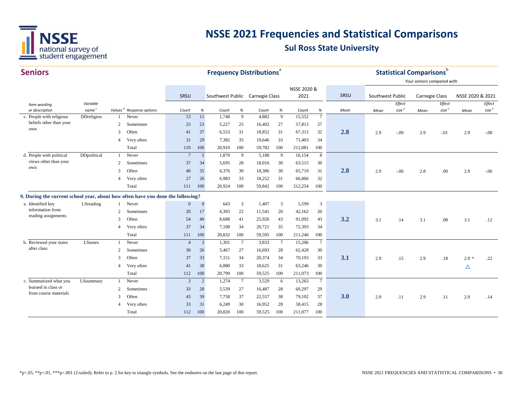

| <b>Seniors</b>                                                                  |                               |              |                                      |                 | <b>Frequency Distributions<sup>ª</sup></b> |                                 |                 |        |      |                 |                 |      | <b>Statistical Comparisons</b> b | Your seniors compared with  |                |                             |                  |                             |
|---------------------------------------------------------------------------------|-------------------------------|--------------|--------------------------------------|-----------------|--------------------------------------------|---------------------------------|-----------------|--------|------|-----------------|-----------------|------|----------------------------------|-----------------------------|----------------|-----------------------------|------------------|-----------------------------|
|                                                                                 |                               |              |                                      |                 |                                            |                                 |                 |        |      | NSSE 2020 &     |                 | SRSU |                                  |                             |                |                             |                  |                             |
|                                                                                 |                               |              |                                      | SRSU            |                                            | Southwest Public Carnegie Class |                 |        |      | 2021            |                 |      | Southwest Public                 |                             | Carnegie Class |                             | NSSE 2020 & 2021 |                             |
| Item wording<br>or description                                                  | Variable<br>name <sup>c</sup> |              | Values <sup>d</sup> Response options | Count           | $\%$                                       | Count                           | %               | Count  | $\%$ |                 | $\%$            |      |                                  | Effect<br>size <sup>e</sup> |                | Effect<br>size <sup>e</sup> |                  | Effect<br>size <sup>e</sup> |
| c. People with religious                                                        | DDreligion                    |              | Never                                | 13              | 11                                         | 1,748                           | 9               | 4,882  | 9    | Count<br>15,552 | $\overline{7}$  | Mean | Mean                             |                             | Mean           |                             | Mean             |                             |
| beliefs other than your                                                         |                               | 2            | Sometimes                            | 25              | 23                                         | 5,227                           | 25              | 16,402 | 27   | 57,813          | 27              |      |                                  |                             |                |                             |                  |                             |
| own                                                                             |                               | 3            | Often                                | 41              | 37                                         | 6,553                           | 31              | 18,852 | 31   | 67,313          | 32              | 2.8  | 2.9                              | $-.09$                      | 2.9            | $-.01$                      | 2.9              | $-.08$                      |
|                                                                                 |                               | 4            | Very often                           | 31              | 29                                         | 7,382                           | 35              | 19,646 | 33   | 71,403          | 34              |      |                                  |                             |                |                             |                  |                             |
|                                                                                 |                               |              | Total                                | 110             | 100                                        | 20,910                          | 100             | 59,782 | 100  | 212,081         | 100             |      |                                  |                             |                |                             |                  |                             |
| d. People with political                                                        | DDpolitical                   | $\mathbf{1}$ | Never                                | $7\phantom{.0}$ | $5\overline{)}$                            | 1,870                           | 9               | 5,188  | 9    | 16,154          | 8               |      |                                  |                             |                |                             |                  |                             |
| views other than your                                                           |                               | 2            | Sometimes                            | 37              | 34                                         | 5,695                           | 28              | 18,016 | 30   | 63,515          | 30              |      |                                  |                             |                |                             |                  |                             |
| own                                                                             |                               | 3            | Often                                | 40              | 35                                         | 6,376                           | 30              | 18,386 | 30   | 65,719          | 31              | 2.8  | 2.9                              | $-.06$                      | 2.8            | .00                         | 2.9              | $-.06$                      |
|                                                                                 |                               | 4            | Very often                           | 27              | 26                                         | 6,983                           | 33              | 18,252 | 31   | 66,866          | 32              |      |                                  |                             |                |                             |                  |                             |
|                                                                                 |                               |              | Total                                | 111             | 100                                        | 20,924                          | 100             | 59,842 | 100  | 212,254         | 100             |      |                                  |                             |                |                             |                  |                             |
| 9. During the current school year, about how often have you done the following? |                               |              |                                      |                 |                                            |                                 |                 |        |      |                 |                 |      |                                  |                             |                |                             |                  |                             |
| a. Identified key                                                               | LSreading                     |              | Never                                | $\mathbf{0}$    | $\mathbf{0}$                               | 643                             | 3               | 1,407  | 3    | 5,599           | 3               |      |                                  |                             |                |                             |                  |                             |
| information from                                                                |                               | 2            | Sometimes                            | 20              | 17                                         | 4,393                           | 22              | 11,541 | 20   | 42,162          | 20              |      |                                  |                             |                |                             |                  |                             |
| reading assignments                                                             |                               | 3            | Often                                | 54              | 49                                         | 8,688                           | 41              | 25,926 | 43   | 91,092          | 43              | 3.2  | 3.1                              | .14                         | 3.1            | .08                         | 3.1              | .12                         |
|                                                                                 |                               | 4            | Very often                           | 37              | 34                                         | 7,108                           | 34              | 20,721 | 35   | 72,393          | 34              |      |                                  |                             |                |                             |                  |                             |
|                                                                                 |                               |              | Total                                | 111             | 100                                        | 20,832                          | 100             | 59,595 | 100  | 211,246         | 100             |      |                                  |                             |                |                             |                  |                             |
| b. Reviewed your notes                                                          | LSnotes                       |              | Never                                | $\overline{4}$  | $\overline{3}$                             | 1,301                           | $7\phantom{.0}$ | 3,833  | 7    | 15,206          | $7\phantom{.0}$ |      |                                  |                             |                |                             |                  |                             |
| after class                                                                     |                               | 2            | Sometimes                            | 30              | 26                                         | 5,467                           | 27              | 16,693 | 28   | 62,428          | 30              |      |                                  |                             |                |                             |                  |                             |
|                                                                                 |                               | 3            | Often                                | 37              | 33                                         | 7,151                           | 34              | 20,374 | 34   | 70,193          | 33              | 3.1  | 2.9                              | .15                         | 2.9            | .18                         | $2.9*$           | .22                         |
|                                                                                 |                               | 4            | Very often                           | 41              | 38                                         | 6,880                           | 33              | 18,625 | 31   | 63,246          | 30              |      |                                  |                             |                |                             | $\Delta$         |                             |
|                                                                                 |                               |              | Total                                | 112             | 100                                        | 20,799                          | 100             | 59,525 | 100  | 211,073         | 100             |      |                                  |                             |                |                             |                  |                             |
| c. Summarized what you                                                          | LSsummary                     | $\mathbf{1}$ | Never                                | 3               | $\overline{2}$                             | 1,274                           | $7\phantom{.0}$ | 3,529  | 6    | 13,263          | $7\overline{ }$ |      |                                  |                             |                |                             |                  |                             |
| learned in class or                                                             |                               | 2            | Sometimes                            | 33              | 28                                         | 5,539                           | 27              | 16,487 | 28   | 60,297          | 29              |      |                                  |                             |                |                             |                  |                             |
| from course materials                                                           |                               | 3            | Often                                | 43              | 39                                         | 7,758                           | 37              | 22,557 | 38   | 79,102          | 37              | 3.0  | 2.9                              | .11                         | 2.9            | .11                         | 2.9              | .14                         |
|                                                                                 |                               | 4            | Very often                           | 33              | 31                                         | 6,249                           | 30              | 16,952 | 28   | 58,415          | 28              |      |                                  |                             |                |                             |                  |                             |
|                                                                                 |                               |              | Total                                | 112             | 100                                        | 20,820                          | 100             | 59.525 | 100  | 211,077         | 100             |      |                                  |                             |                |                             |                  |                             |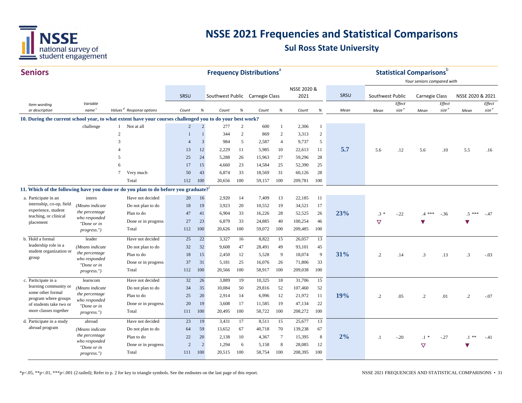

| <b>Seniors</b>                               |                              |                                                                                                                                         |                |                |                                 |                | <b>Frequency Distributions</b> <sup>a</sup> |                 |             |                |      |                  |                   | <b>Statistical Comparisons</b> <sup>b</sup> |                   |                      |                   |
|----------------------------------------------|------------------------------|-----------------------------------------------------------------------------------------------------------------------------------------|----------------|----------------|---------------------------------|----------------|---------------------------------------------|-----------------|-------------|----------------|------|------------------|-------------------|---------------------------------------------|-------------------|----------------------|-------------------|
|                                              |                              |                                                                                                                                         |                |                |                                 |                |                                             |                 | NSSE 2020 & |                |      |                  |                   | Your seniors compared with                  |                   |                      |                   |
|                                              |                              |                                                                                                                                         | SRSU           |                | Southwest Public Carnegie Class |                |                                             |                 | 2021        |                | SRSU | Southwest Public |                   | Carnegie Class                              |                   | NSSE 2020 & 2021     |                   |
| Item wording                                 | Variable                     |                                                                                                                                         |                |                |                                 |                |                                             |                 |             |                |      |                  | Effect            |                                             | Effect            |                      | Effect            |
| or description                               | name <sup>c</sup>            | Values <sup>d</sup> Response options                                                                                                    | Count          | $\%$           | Count                           | $\%$           | Count                                       | $\%$            | Count       | $\%$           | Mean | Mean             | size <sup>e</sup> | Mean                                        | size <sup>e</sup> | Mean                 | size <sup>e</sup> |
|                                              | challenge                    | 10. During the current school year, to what extent have your courses challenged you to do your best work?<br>Not at all<br>$\mathbf{1}$ | $\overline{2}$ | $\overline{2}$ | 277                             | $\overline{2}$ | 600                                         | 1               | 2,306       | 1              |      |                  |                   |                                             |                   |                      |                   |
|                                              |                              | $\overline{c}$                                                                                                                          | $\mathbf{1}$   | $\overline{1}$ | 344                             | 2              | 869                                         | 2               | 3,313       | $\overline{c}$ |      |                  |                   |                                             |                   |                      |                   |
|                                              |                              | 3                                                                                                                                       | $\overline{4}$ | $\overline{3}$ | 984                             | 5              | 2,587                                       | $\overline{4}$  | 9,737       | 5              |      |                  |                   |                                             |                   |                      |                   |
|                                              |                              | $\overline{\mathcal{A}}$                                                                                                                | 13             | 12             | 2,229                           | 11             | 5,985                                       | 10              | 22,613      | 11             | 5.7  | 5.6              | .12               | 5.6                                         | .10               | 5.5                  | .16               |
|                                              |                              | 5                                                                                                                                       | 25             | 24             | 5,288                           | 26             | 15,963                                      | 27              | 59,296      | 28             |      |                  |                   |                                             |                   |                      |                   |
|                                              |                              | 6                                                                                                                                       | 17             | 15             | 4,660                           | 23             | 14,584                                      | 25              | 52,390      | 25             |      |                  |                   |                                             |                   |                      |                   |
|                                              |                              | 7<br>Very much                                                                                                                          | 50             | 43             | 6,874                           | 33             | 18,569                                      | 31              | 60,126      | 28             |      |                  |                   |                                             |                   |                      |                   |
|                                              |                              | Total                                                                                                                                   | 112            | 100            | 20,656                          | 100            | 59,157                                      | 100             | 209,781     | 100            |      |                  |                   |                                             |                   |                      |                   |
|                                              |                              | 11. Which of the following have you done or do you plan to do before you graduate?                                                      |                |                |                                 |                |                                             |                 |             |                |      |                  |                   |                                             |                   |                      |                   |
| a. Participate in an                         | intern                       | Have not decided                                                                                                                        | 20             | 16             | 2,920                           | -14            | 7,409                                       | 13              | 22,185      | 11             |      |                  |                   |                                             |                   |                      |                   |
| internship, co-op, field                     | (Means indicate              | Do not plan to do                                                                                                                       | 18             | 19             | 3,923                           | 20             | 10,552                                      | 19              | 34,521      | 17             |      |                  |                   |                                             |                   |                      |                   |
| experience, student<br>teaching, or clinical | the percentage               | Plan to do                                                                                                                              | 47             | 41             | 6,904                           | 33             | 16,226                                      | 28              | 52,525      | 26             | 23%  | $.3 *$           | $-.22$            | $.4***$                                     | $-.36$            | $.5***$              | $-.47$            |
| placement                                    | who responded<br>"Done or in | Done or in progress                                                                                                                     | 27             | 23             | 6,879                           | 33             | 24,885                                      | 40              | 100,254     | 46             |      | $\triangledown$  |                   | $\blacktriangledown$                        |                   |                      |                   |
|                                              | progress.")                  | Total                                                                                                                                   | 112            | 100            | 20,626                          | 100            | 59,072                                      | 100             | 209,485     | 100            |      |                  |                   |                                             |                   |                      |                   |
| b. Hold a formal                             | leader                       | Have not decided                                                                                                                        | 25             | 22             | 3,327                           | 16             | 8,822                                       | 15              | 26,057      | 13             |      |                  |                   |                                             |                   |                      |                   |
| leadership role in a                         | (Means indicate              | Do not plan to do                                                                                                                       | 32             | 32             | 9,608                           | 47             | 28,491                                      | 49              | 93,101      | 45             |      |                  |                   |                                             |                   |                      |                   |
| student organization or<br>group             | the percentage               | Plan to do                                                                                                                              | 18             | 15             | 2,450                           | 12             | 5,528                                       | 9               | 18,074      | 9              | 31%  | $\cdot$ .2       | .14               | $.3\phantom{0}$                             | .13               | $\cdot$ 3            | $-.03$            |
|                                              | who responded<br>"Done or in | Done or in progress                                                                                                                     | 37             | 31             | 5,181                           | 25             | 16,076                                      | 26              | 71,806      | 33             |      |                  |                   |                                             |                   |                      |                   |
|                                              | <i>progress."</i> )          | Total                                                                                                                                   | 112            | 100            | 20,566                          | 100            | 58,917                                      | 100             | 209,038     | 100            |      |                  |                   |                                             |                   |                      |                   |
| c. Participate in a                          | learncom                     | Have not decided                                                                                                                        | 32             | 26             | 3,889                           | 19             | 10,325                                      | 18              | 31,706      | 15             |      |                  |                   |                                             |                   |                      |                   |
| learning community or                        | (Means indicate              | Do not plan to do                                                                                                                       | 34             | 35             | 10,084                          | 50             | 29,816                                      | 52              | 107,460     | 52             |      |                  |                   |                                             |                   |                      |                   |
| some other formal<br>program where groups    | the percentage               | Plan to do                                                                                                                              | 25             | 20             | 2,914                           | 14             | 6,996                                       | 12              | 21,972      | 11             | 19%  | $\cdot$ .2       | .05               | $\cdot$ .2                                  | .01               | $\cdot$ .2           | $-.07$            |
| of students take two or                      | who responded<br>"Done or in | Done or in progress                                                                                                                     | 20             | 19             | 3,608                           | 17             | 11,585                                      | 19              | 47,134      | 22             |      |                  |                   |                                             |                   |                      |                   |
| more classes together                        | progress.")                  | Total                                                                                                                                   | 111            | 100            | 20,495                          | 100            | 58,722                                      | 100             | 208,272     | 100            |      |                  |                   |                                             |                   |                      |                   |
| d. Participate in a study                    | abroad                       | Have not decided                                                                                                                        | 23             | 19             | 3,431                           | 17             | 8,511                                       | 15              | 25,677      | 13             |      |                  |                   |                                             |                   |                      |                   |
| abroad program                               | (Means indicate              | Do not plan to do                                                                                                                       | 64             | 59             | 13,652                          | 67             | 40,718                                      | 70              | 139,238     | 67             |      |                  |                   |                                             |                   |                      |                   |
|                                              | the percentage               | Plan to do                                                                                                                              | 22             | 20             | 2,138                           | 10             | 4,367                                       | $7\phantom{.0}$ | 15,395      | $\,8\,$        | 2%   | $\cdot$ 1        | $-.20$            | $.1 *$                                      | $-.27$            | .1 **                | $-.41$            |
|                                              | who responded<br>"Done or in | Done or in progress                                                                                                                     | 2              | $\overline{2}$ | 1,294                           | 6              | 5,158                                       | 8               | 28,085      | 12             |      |                  |                   | $\triangledown$                             |                   | $\blacktriangledown$ |                   |
|                                              | <i>progress."</i> )          | Total                                                                                                                                   | 111            | 100            | 20,515                          | 100            | 58,754                                      | 100             | 208,395     | 100            |      |                  |                   |                                             |                   |                      |                   |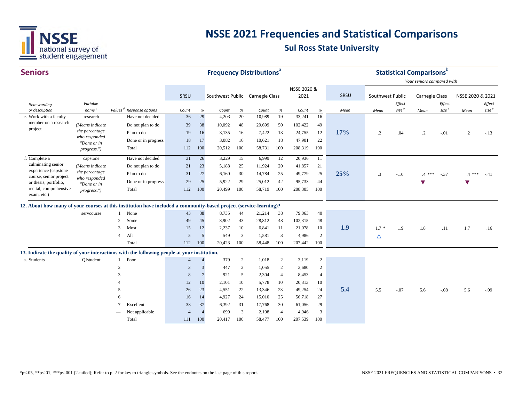

| <b>Seniors</b>                                                                                                     |                               |                |                                      | <b>Frequency Distributions<sup>ª</sup></b> |                 |                                 |                |        |                |                     |                |      | <b>Statistical Comparisons</b> <sup>b</sup> |                             |                            |                             |                  |                             |
|--------------------------------------------------------------------------------------------------------------------|-------------------------------|----------------|--------------------------------------|--------------------------------------------|-----------------|---------------------------------|----------------|--------|----------------|---------------------|----------------|------|---------------------------------------------|-----------------------------|----------------------------|-----------------------------|------------------|-----------------------------|
|                                                                                                                    |                               |                |                                      |                                            |                 |                                 |                |        |                |                     |                |      |                                             |                             | Your seniors compared with |                             |                  |                             |
|                                                                                                                    |                               |                |                                      | SRSU                                       |                 | Southwest Public Carnegie Class |                |        |                | NSSE 2020 &<br>2021 |                | SRSU | Southwest Public                            |                             | Carnegie Class             |                             | NSSE 2020 & 2021 |                             |
| Item wording<br>or description                                                                                     | Variable<br>name <sup>c</sup> |                | Values <sup>d</sup> Response options | Count                                      | $\%$            | Count                           | $\%$           | Count  | $\%$           | Count               | $\%$           | Mean | Mean                                        | Effect<br>size <sup>e</sup> | Mean                       | Effect<br>size <sup>e</sup> | Mean             | Effect<br>size <sup>e</sup> |
| e. Work with a faculty                                                                                             | research                      |                | Have not decided                     | 36                                         | 29              | 4,203                           | 20             | 10,989 | 19             | 33,241              | 16             |      |                                             |                             |                            |                             |                  |                             |
| member on a research                                                                                               | (Means indicate               |                | Do not plan to do                    | 39                                         | 38              | 10,092                          | 48             | 29,699 | 50             | 102,422             | 49             |      |                                             |                             |                            |                             |                  |                             |
| project                                                                                                            | the percentage                |                | Plan to do                           | 19                                         | 16              | 3,135                           | 16             | 7,422  | 13             | 24,755              | 12             | 17%  | $\cdot$ .2                                  | .04                         | $\cdot$                    | $-.01$                      | $\cdot$          | $-.13$                      |
|                                                                                                                    | who responded<br>"Done or in  |                | Done or in progress                  | 18                                         | 17              | 3,082                           | 16             | 10,621 | 18             | 47,901              | 22             |      |                                             |                             |                            |                             |                  |                             |
|                                                                                                                    | progress.")                   |                | Total                                | 112                                        | 100             | 20,512                          | 100            | 58,731 | 100            | 208,319             | 100            |      |                                             |                             |                            |                             |                  |                             |
| f. Complete a                                                                                                      | capstone                      |                | Have not decided                     | 31                                         | 26              | 3,229                           | 15             | 6,999  | 12             | 20,936              | 11             |      |                                             |                             |                            |                             |                  |                             |
| culminating senior                                                                                                 | (Means indicate               |                | Do not plan to do                    | 21                                         | 23              | 5,188                           | 25             | 11,924 | 20             | 41,857              | 21             |      |                                             |                             |                            |                             |                  |                             |
| experience (capstone<br>course, senior project                                                                     | the percentage                |                | Plan to do                           | 31                                         | 27              | 6,160                           | 30             | 14,784 | 25             | 49,779              | 25             | 25%  | $\cdot$ 3                                   | $-.10$                      | $.4***$                    | $-.37$                      | $4***$           | $-.41$                      |
| or thesis, portfolio,                                                                                              | who responded<br>"Done or in  |                | Done or in progress                  | 29                                         | 25              | 5,922                           | 29             | 25,012 | 42             | 95,733              | 44             |      |                                             |                             |                            |                             |                  |                             |
| recital, comprehensive<br>exam, etc.)                                                                              | progress.")                   |                | Total                                | 112                                        | 100             | 20,499                          | 100            | 58,719 | 100            | 208,305             | 100            |      |                                             |                             |                            |                             |                  |                             |
| 12. About how many of your courses at this institution have included a community-based project (service-learning)? |                               |                |                                      |                                            |                 |                                 |                |        |                |                     |                |      |                                             |                             |                            |                             |                  |                             |
|                                                                                                                    | servcourse                    |                | None                                 | 43                                         | 38              | 8,735                           | 44             | 21,214 | 38             | 79,063              | 40             |      |                                             |                             |                            |                             |                  |                             |
|                                                                                                                    |                               | 2              | Some                                 | 49                                         | 45              | 8,902                           | 43             | 28,812 | 48             | 102,315             | 48             |      |                                             |                             |                            |                             |                  |                             |
|                                                                                                                    |                               | 3              | Most                                 | 15                                         | 12              | 2,237                           | 10             | 6,841  | 11             | 21,078              | 10             | 1.9  | $1.7*$                                      | .19                         | 1.8                        | .11                         | 1.7              | .16                         |
|                                                                                                                    |                               | $\overline{4}$ | All                                  | 5                                          | 5               | 549                             | 3              | 1,581  | 3              | 4,986               | 2              |      | Δ                                           |                             |                            |                             |                  |                             |
|                                                                                                                    |                               |                | Total                                | 112                                        | 100             | 20,423                          | 100            | 58,448 | 100            | 207,442             | 100            |      |                                             |                             |                            |                             |                  |                             |
| 13. Indicate the quality of your interactions with the following people at your institution.                       |                               |                |                                      |                                            |                 |                                 |                |        |                |                     |                |      |                                             |                             |                            |                             |                  |                             |
| a. Students                                                                                                        | QIstudent                     | 1              | Poor                                 | $\overline{4}$                             | $\overline{4}$  | 379                             | $\overline{2}$ | 1,018  | $\overline{c}$ | 3,119               | $\overline{2}$ |      |                                             |                             |                            |                             |                  |                             |
|                                                                                                                    |                               | $\mathfrak{2}$ |                                      | 3                                          | 3               | 447                             | 2              | 1,055  | 2              | 3,680               | $\overline{2}$ |      |                                             |                             |                            |                             |                  |                             |
|                                                                                                                    |                               | 3              |                                      | 8                                          | $7\phantom{.0}$ | 921                             | 5              | 2,304  | $\overline{4}$ | 8,453               | $\overline{4}$ |      |                                             |                             |                            |                             |                  |                             |
|                                                                                                                    |                               |                |                                      | 12                                         | 10              | 2,101                           | 10             | 5,778  | 10             | 20,313              | 10             |      |                                             |                             |                            |                             |                  |                             |
|                                                                                                                    |                               | 5              |                                      | 26                                         | 23              | 4,551                           | 22             | 13,346 | 23             | 49,254              | 24             | 5.4  | 5.5                                         | $-.07$                      | 5.6                        | $-.08$                      | 5.6              | $-.09$                      |
|                                                                                                                    |                               | 6              |                                      | 16                                         | 14              | 4,927                           | 24             | 15,010 | 25             | 56,718              | 27             |      |                                             |                             |                            |                             |                  |                             |
|                                                                                                                    |                               | 7              | Excellent                            | 38                                         | 37              | 6,392                           | 31             | 17,768 | 30             | 61,056              | 29             |      |                                             |                             |                            |                             |                  |                             |
|                                                                                                                    |                               |                | Not applicable                       | $\overline{4}$                             |                 | 699                             | 3              | 2,198  | $\overline{4}$ | 4,946               | 3              |      |                                             |                             |                            |                             |                  |                             |
|                                                                                                                    |                               |                | Total                                | 111                                        | 100             | 20,417                          | 100            | 58,477 | 100            | 207,539             | 100            |      |                                             |                             |                            |                             |                  |                             |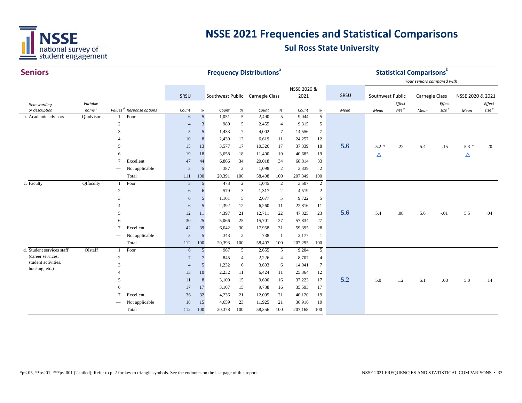

| <b>Seniors</b>                        |                   |                     |                                      |                |            |                                 |                      | <b>Frequency Distributions</b> <sup>a</sup> |                          |                  |                      |      |                  |          | <b>Statistical Comparisons</b> b |                   |                  |                   |
|---------------------------------------|-------------------|---------------------|--------------------------------------|----------------|------------|---------------------------------|----------------------|---------------------------------------------|--------------------------|------------------|----------------------|------|------------------|----------|----------------------------------|-------------------|------------------|-------------------|
|                                       |                   |                     |                                      |                |            |                                 |                      |                                             |                          |                  |                      |      |                  |          | Your seniors compared with       |                   |                  |                   |
|                                       |                   |                     |                                      |                |            |                                 |                      |                                             |                          | NSSE 2020 &      |                      |      |                  |          |                                  |                   |                  |                   |
|                                       |                   |                     |                                      | SRSU           |            | Southwest Public Carnegie Class |                      |                                             |                          | 2021             |                      | SRSU | Southwest Public |          | <b>Carnegie Class</b>            |                   | NSSE 2020 & 2021 |                   |
| Item wording                          | Variable          |                     |                                      |                |            |                                 |                      |                                             |                          |                  |                      |      |                  | Effect   |                                  | Effect            |                  | Effect            |
| or description                        | name <sup>c</sup> |                     | Values <sup>d</sup> Response options | Count          | $\%$       | Count                           | $\%$                 | Count                                       | $\%$                     | Count            | $\%$                 | Mean | Mean             | size $e$ | Mean                             | size <sup>e</sup> | Mean             | size <sup>e</sup> |
| b. Academic advisors                  | QIadvisor         | $\mathbf{1}$        | Poor                                 | 6              | $\sqrt{5}$ | 1,051                           | $\overline{5}$       | 2,490                                       | $5\overline{)}$          | 9,044            | $\overline{5}$       |      |                  |          |                                  |                   |                  |                   |
|                                       |                   | $\overline{2}$<br>3 |                                      | $\overline{4}$ | 3<br>5     | 980                             | 5<br>$7\phantom{.0}$ | 2,455<br>4,002                              | $\overline{4}$<br>$\tau$ | 9,315            | 5<br>$7\phantom{.0}$ |      |                  |          |                                  |                   |                  |                   |
|                                       |                   |                     |                                      | 5<br>$10\,$    | 8          | 1,433<br>2,439                  | 12                   | 6,619                                       |                          | 14,556<br>24,257 | 12                   |      |                  |          |                                  |                   |                  |                   |
|                                       |                   | 5                   |                                      |                |            | 3,577                           |                      | 10,326                                      | 11<br>17                 | 37,339           |                      | 5.6  | $5.2*$           | .22      | 5.4                              | .15               | $5.3*$           | .20               |
|                                       |                   |                     |                                      | 15<br>19       | 13<br>18   | 3,658                           | 17<br>18             | 11,400                                      | 19                       | 40,685           | 18<br>19             |      |                  |          |                                  |                   |                  |                   |
|                                       |                   | $\tau$              | Excellent                            | 47             | 44         | 6,866                           | 34                   | 20,018                                      | 34                       | 68,814           | 33                   |      | Δ                |          |                                  |                   | Δ                |                   |
|                                       |                   |                     | Not applicable                       | 5              | 5          | 387                             | $\overline{2}$       | 1,098                                       | $\overline{2}$           | 3,339            | $\overline{c}$       |      |                  |          |                                  |                   |                  |                   |
|                                       |                   | $\qquad \qquad$     | Total                                | 111            | 100        | 20,391                          | 100                  | 58,408                                      | 100                      | 207,349          | 100                  |      |                  |          |                                  |                   |                  |                   |
| c. Faculty                            | QIfaculty         | $\mathbf{1}$        | Poor                                 | 5              | 5          | 473                             | 2                    | 1,045                                       | $\overline{2}$           | 3,507            | $\overline{2}$       |      |                  |          |                                  |                   |                  |                   |
|                                       |                   | 2                   |                                      | 6              | 6          | 579                             | 3                    | 1,317                                       | 2                        | 4,519            | $\overline{c}$       |      |                  |          |                                  |                   |                  |                   |
|                                       |                   | $\mathcal{R}$       |                                      | 6              | 5          | 1,101                           | 5                    | 2,677                                       | 5                        | 9,722            | 5                    |      |                  |          |                                  |                   |                  |                   |
|                                       |                   |                     |                                      | 6              | 5          | 2,392                           | 12                   | 6,260                                       | 11                       | 22,816           | 11                   |      |                  |          |                                  |                   |                  |                   |
|                                       |                   | .5                  |                                      | 12             | 11         | 4,397                           | 21                   | 12,711                                      | 22                       | 47,325           | 23                   | 5.6  | 5.4              | $.08\,$  | 5.6                              | $-.01$            | 5.5              | .04               |
|                                       |                   | 6                   |                                      | 30             | 25         | 5,066                           | 25                   | 15,701                                      | 27                       | 57,834           | 27                   |      |                  |          |                                  |                   |                  |                   |
|                                       |                   | $\tau$              | Excellent                            | 42             | 39         | 6,042                           | 30                   | 17,958                                      | 31                       | 59,395           | 28                   |      |                  |          |                                  |                   |                  |                   |
|                                       |                   |                     | Not applicable                       | 5              | 5          | 343                             | 2                    | 738                                         | $\overline{1}$           | 2,177            | -1                   |      |                  |          |                                  |                   |                  |                   |
|                                       |                   |                     | Total                                | 112            | 100        | 20,393                          | 100                  | 58,407                                      | 100                      | 207,295          | $100\,$              |      |                  |          |                                  |                   |                  |                   |
| d. Student services staff             | QIstaff           | $\mathbf{1}$        | Poor                                 | 6              | 5          | 967                             | 5                    | 2,655                                       | 5                        | 9,204            | 5                    |      |                  |          |                                  |                   |                  |                   |
| (career services,                     |                   | $\overline{2}$      |                                      | $\overline{7}$ | 7          | 845                             | $\overline{4}$       | 2,226                                       | $\overline{4}$           | 8,707            | $\overline{4}$       |      |                  |          |                                  |                   |                  |                   |
| student activities,<br>housing, etc.) |                   | 3                   |                                      | $\overline{4}$ | 5          | 1,232                           | 6                    | 3,603                                       | 6                        | 14,041           | $\tau$               |      |                  |          |                                  |                   |                  |                   |
|                                       |                   |                     |                                      | 13             | 10         | 2,232                           | 11                   | 6,424                                       | 11                       | 25,364           | 12                   |      |                  |          |                                  |                   |                  |                   |
|                                       |                   | .5                  |                                      | 11             | $\,8\,$    | 3,100                           | 15                   | 9,690                                       | 16                       | 37,223           | 17                   | 5.2  | 5.0              | .12      | 5.1                              | .08               | 5.0              | .14               |
|                                       |                   | 6                   |                                      | 17             | 17         | 3,107                           | 15                   | 9,738                                       | 16                       | 35,593           | 17                   |      |                  |          |                                  |                   |                  |                   |
|                                       |                   | $\overline{7}$      | Excellent                            | 36             | 32         | 4,236                           | 21                   | 12,095                                      | 21                       | 40,120           | 19                   |      |                  |          |                                  |                   |                  |                   |
|                                       |                   |                     | Not applicable                       | 18             | 15         | 4,659                           | 23                   | 11,925                                      | 21                       | 36,916           | 19                   |      |                  |          |                                  |                   |                  |                   |
|                                       |                   |                     | Total                                | 112            | 100        | 20,378                          | 100                  | 58,356                                      | 100                      | 207,168          | 100                  |      |                  |          |                                  |                   |                  |                   |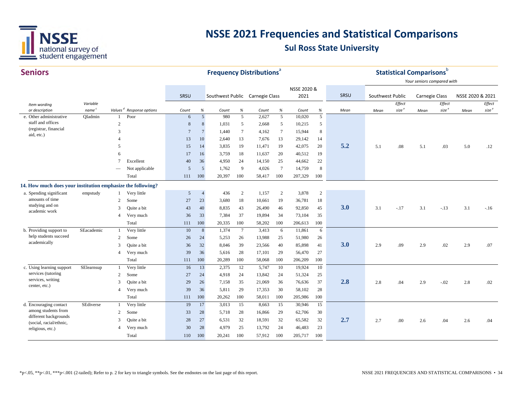

| Your seniors compared with<br>NSSE 2020 &<br>SRSU<br>SRSU<br>Southwest Public Carnegie Class<br>2021<br>Southwest Public<br>NSSE 2020 & 2021<br><b>Carnegie Class</b><br>Effect<br>Variable<br>Effect<br>Effect<br>Item wording<br>size $e$<br>size <sup>e</sup><br>$\mathit{size}^{\;e}$<br>name <sup>c</sup><br>Values <sup>d</sup> Response options<br>or description<br>$\%$<br>$\%$<br>$\%$<br>$\%$<br>Count<br>Mean<br>Count<br>Count<br>Count<br>Mean<br>Mean<br>Mean<br>5<br>5<br>$5\overline{)}$<br>10,020<br>QIadmin<br>Poor<br>980<br>5<br>2,627<br>e. Other administrative<br>6<br>-1<br>staff and offices<br>$\mathbf{2}$<br>$8\,$<br>8<br>1,031<br>2,668<br>5<br>10,215<br>$\mathfrak{S}$<br>5<br>(registrar, financial<br>3<br>$\overline{7}$<br>1,440<br>$\tau$<br>$7\phantom{.0}$<br>15,944<br>8<br>$\overline{7}$<br>4,162<br>aid, etc.)<br>13<br>10<br>2,640<br>13<br>7,676<br>13<br>29,142<br>14<br>5.2<br>15<br>3,835<br>19<br>11,471<br>19<br>42,075<br>20<br>5.1<br>.08<br>5.1<br>.03<br>5.0<br>.12<br>$\overline{\phantom{0}}$<br>14<br>18<br>11,637<br>20<br>40,512<br>19<br>17<br>3,759<br>6<br>16<br>22<br>$\overline{7}$<br>Excellent<br>40<br>36<br>4,950<br>24<br>14,150<br>25<br>44,662<br>5<br>1,762<br>9<br>4,026<br>$7\phantom{.0}$<br>14,759<br>8<br>Not applicable<br>5<br>100<br>100<br>Total<br>111<br>100<br>20,397<br>100<br>207,329<br>58,417<br>14. How much does your institution emphasize the following?<br>$\overline{c}$<br>436<br>$\sqrt{2}$<br>1,157<br>$\overline{c}$<br>3,878<br>a. Spending significant<br>empstudy<br>Very little<br>5<br>$\overline{4}$<br>amounts of time<br>Some<br>36,781<br>$\overline{c}$<br>27<br>23<br>3,680<br>18<br>10,661<br>19<br>18<br>studying and on<br>3.0<br>40<br>26,490<br>92,850<br>Quite a bit<br>43<br>8,835<br>43<br>46<br>45<br>3.1<br>3.1<br>3.1<br>3<br>$-.17$<br>$-.13$<br>$-.16$<br>academic work<br>33<br>7,384<br>37<br>19,894<br>34<br>73,104<br>35<br>Very much<br>36<br>$\overline{4}$<br>Total<br>100<br>100<br>100<br>100<br>111<br>20,335<br>58,202<br>206,613<br>1,374<br>$7\phantom{.0}$<br>3,413<br>b. Providing support to<br>SEacademic<br>Very little<br>10<br>$\,8\,$<br>6<br>11,861<br>6<br>-1<br>help students succeed<br>26<br>13,988<br>51,980<br>Some<br>5,253<br>25<br>$\overline{2}$<br>26<br>24<br>26<br>academically<br>3.0<br>32<br>39<br>40<br>85,898<br>Quite a bit<br>36<br>8,046<br>23,566<br>41<br>2.9<br>.09<br>.02<br>2.9<br>3<br>2.9<br>.07<br>39<br>36<br>28<br>29<br>56,470<br>27<br>Very much<br>5,616<br>17,101<br>$\overline{4}$<br>Total<br>100<br>100<br>20,289<br>100<br>58,068<br>100<br>206,209<br>111<br>c. Using learning support<br>SElearnsup<br>Very little<br>13<br>2,375<br>12<br>5,747<br>19,924<br>10<br>16<br>10<br>1<br>services (tutoring<br>Some<br>27<br>24<br>4,918<br>24<br>13,842<br>24<br>51,324<br>25<br>2<br>services, writing<br>2.8<br>21,069<br>36<br>29<br>7,158<br>35<br>76,636<br>37<br>.04<br>2.8<br>3<br>Quite a bit<br>26<br>2.8<br>2.9<br>$-.02$<br>.02<br>center, etc.)<br>30<br>58,102<br>39<br>5,811<br>29<br>17,353<br>28<br>Very much<br>36<br>$\overline{4}$<br>Total<br>100<br>100<br>111<br>100<br>20,262<br>58,011<br>100<br>205,986<br>SEdiverse<br>Very little<br>17<br>15<br>15<br>15<br>d. Encouraging contact<br>19<br>3,013<br>8,663<br>30,946<br>1<br>among students from<br>28<br>16,866<br>29<br>62,706<br>30<br>Some<br>33<br>28<br>5,718<br>2<br>different backgrounds<br>2.7<br>32<br>28<br>27<br>6,531<br>32<br>18,591<br>65,582<br>32<br>3<br>Quite a bit<br>2.7<br>.00<br>.04<br>.04<br>2.6<br>2.6<br>(social, racial/ethnic,<br>30<br>28<br>4,979<br>25<br>13,792<br>24<br>46,483<br>23<br>Very much<br>4<br>religious, etc.)<br>100<br>100<br>100<br>205,717<br>100<br>Total<br>110<br>20,241<br>57,912 | <b>Seniors</b> |  |  |  | <b>Frequency Distributions<sup>ª</sup></b> |  |  | <b>Statistical Comparisons</b> b |  |  |
|-------------------------------------------------------------------------------------------------------------------------------------------------------------------------------------------------------------------------------------------------------------------------------------------------------------------------------------------------------------------------------------------------------------------------------------------------------------------------------------------------------------------------------------------------------------------------------------------------------------------------------------------------------------------------------------------------------------------------------------------------------------------------------------------------------------------------------------------------------------------------------------------------------------------------------------------------------------------------------------------------------------------------------------------------------------------------------------------------------------------------------------------------------------------------------------------------------------------------------------------------------------------------------------------------------------------------------------------------------------------------------------------------------------------------------------------------------------------------------------------------------------------------------------------------------------------------------------------------------------------------------------------------------------------------------------------------------------------------------------------------------------------------------------------------------------------------------------------------------------------------------------------------------------------------------------------------------------------------------------------------------------------------------------------------------------------------------------------------------------------------------------------------------------------------------------------------------------------------------------------------------------------------------------------------------------------------------------------------------------------------------------------------------------------------------------------------------------------------------------------------------------------------------------------------------------------------------------------------------------------------------------------------------------------------------------------------------------------------------------------------------------------------------------------------------------------------------------------------------------------------------------------------------------------------------------------------------------------------------------------------------------------------------------------------------------------------------------------------------------------------------------------------------------------------------------------------------------------------------------------------------------------------------------------------------------------------------------------------------------------------------------------------------------------------------------------------------------------------------------------------------------------------------------------------------------------------------------------------------------------------------------------------------------------------------------------------------------------------------------------------------------------------------------------------------------|----------------|--|--|--|--------------------------------------------|--|--|----------------------------------|--|--|
|                                                                                                                                                                                                                                                                                                                                                                                                                                                                                                                                                                                                                                                                                                                                                                                                                                                                                                                                                                                                                                                                                                                                                                                                                                                                                                                                                                                                                                                                                                                                                                                                                                                                                                                                                                                                                                                                                                                                                                                                                                                                                                                                                                                                                                                                                                                                                                                                                                                                                                                                                                                                                                                                                                                                                                                                                                                                                                                                                                                                                                                                                                                                                                                                                                                                                                                                                                                                                                                                                                                                                                                                                                                                                                                                                                                                             |                |  |  |  |                                            |  |  |                                  |  |  |
|                                                                                                                                                                                                                                                                                                                                                                                                                                                                                                                                                                                                                                                                                                                                                                                                                                                                                                                                                                                                                                                                                                                                                                                                                                                                                                                                                                                                                                                                                                                                                                                                                                                                                                                                                                                                                                                                                                                                                                                                                                                                                                                                                                                                                                                                                                                                                                                                                                                                                                                                                                                                                                                                                                                                                                                                                                                                                                                                                                                                                                                                                                                                                                                                                                                                                                                                                                                                                                                                                                                                                                                                                                                                                                                                                                                                             |                |  |  |  |                                            |  |  |                                  |  |  |
|                                                                                                                                                                                                                                                                                                                                                                                                                                                                                                                                                                                                                                                                                                                                                                                                                                                                                                                                                                                                                                                                                                                                                                                                                                                                                                                                                                                                                                                                                                                                                                                                                                                                                                                                                                                                                                                                                                                                                                                                                                                                                                                                                                                                                                                                                                                                                                                                                                                                                                                                                                                                                                                                                                                                                                                                                                                                                                                                                                                                                                                                                                                                                                                                                                                                                                                                                                                                                                                                                                                                                                                                                                                                                                                                                                                                             |                |  |  |  |                                            |  |  |                                  |  |  |
|                                                                                                                                                                                                                                                                                                                                                                                                                                                                                                                                                                                                                                                                                                                                                                                                                                                                                                                                                                                                                                                                                                                                                                                                                                                                                                                                                                                                                                                                                                                                                                                                                                                                                                                                                                                                                                                                                                                                                                                                                                                                                                                                                                                                                                                                                                                                                                                                                                                                                                                                                                                                                                                                                                                                                                                                                                                                                                                                                                                                                                                                                                                                                                                                                                                                                                                                                                                                                                                                                                                                                                                                                                                                                                                                                                                                             |                |  |  |  |                                            |  |  |                                  |  |  |
|                                                                                                                                                                                                                                                                                                                                                                                                                                                                                                                                                                                                                                                                                                                                                                                                                                                                                                                                                                                                                                                                                                                                                                                                                                                                                                                                                                                                                                                                                                                                                                                                                                                                                                                                                                                                                                                                                                                                                                                                                                                                                                                                                                                                                                                                                                                                                                                                                                                                                                                                                                                                                                                                                                                                                                                                                                                                                                                                                                                                                                                                                                                                                                                                                                                                                                                                                                                                                                                                                                                                                                                                                                                                                                                                                                                                             |                |  |  |  |                                            |  |  |                                  |  |  |
|                                                                                                                                                                                                                                                                                                                                                                                                                                                                                                                                                                                                                                                                                                                                                                                                                                                                                                                                                                                                                                                                                                                                                                                                                                                                                                                                                                                                                                                                                                                                                                                                                                                                                                                                                                                                                                                                                                                                                                                                                                                                                                                                                                                                                                                                                                                                                                                                                                                                                                                                                                                                                                                                                                                                                                                                                                                                                                                                                                                                                                                                                                                                                                                                                                                                                                                                                                                                                                                                                                                                                                                                                                                                                                                                                                                                             |                |  |  |  |                                            |  |  |                                  |  |  |
|                                                                                                                                                                                                                                                                                                                                                                                                                                                                                                                                                                                                                                                                                                                                                                                                                                                                                                                                                                                                                                                                                                                                                                                                                                                                                                                                                                                                                                                                                                                                                                                                                                                                                                                                                                                                                                                                                                                                                                                                                                                                                                                                                                                                                                                                                                                                                                                                                                                                                                                                                                                                                                                                                                                                                                                                                                                                                                                                                                                                                                                                                                                                                                                                                                                                                                                                                                                                                                                                                                                                                                                                                                                                                                                                                                                                             |                |  |  |  |                                            |  |  |                                  |  |  |
|                                                                                                                                                                                                                                                                                                                                                                                                                                                                                                                                                                                                                                                                                                                                                                                                                                                                                                                                                                                                                                                                                                                                                                                                                                                                                                                                                                                                                                                                                                                                                                                                                                                                                                                                                                                                                                                                                                                                                                                                                                                                                                                                                                                                                                                                                                                                                                                                                                                                                                                                                                                                                                                                                                                                                                                                                                                                                                                                                                                                                                                                                                                                                                                                                                                                                                                                                                                                                                                                                                                                                                                                                                                                                                                                                                                                             |                |  |  |  |                                            |  |  |                                  |  |  |
|                                                                                                                                                                                                                                                                                                                                                                                                                                                                                                                                                                                                                                                                                                                                                                                                                                                                                                                                                                                                                                                                                                                                                                                                                                                                                                                                                                                                                                                                                                                                                                                                                                                                                                                                                                                                                                                                                                                                                                                                                                                                                                                                                                                                                                                                                                                                                                                                                                                                                                                                                                                                                                                                                                                                                                                                                                                                                                                                                                                                                                                                                                                                                                                                                                                                                                                                                                                                                                                                                                                                                                                                                                                                                                                                                                                                             |                |  |  |  |                                            |  |  |                                  |  |  |
|                                                                                                                                                                                                                                                                                                                                                                                                                                                                                                                                                                                                                                                                                                                                                                                                                                                                                                                                                                                                                                                                                                                                                                                                                                                                                                                                                                                                                                                                                                                                                                                                                                                                                                                                                                                                                                                                                                                                                                                                                                                                                                                                                                                                                                                                                                                                                                                                                                                                                                                                                                                                                                                                                                                                                                                                                                                                                                                                                                                                                                                                                                                                                                                                                                                                                                                                                                                                                                                                                                                                                                                                                                                                                                                                                                                                             |                |  |  |  |                                            |  |  |                                  |  |  |
|                                                                                                                                                                                                                                                                                                                                                                                                                                                                                                                                                                                                                                                                                                                                                                                                                                                                                                                                                                                                                                                                                                                                                                                                                                                                                                                                                                                                                                                                                                                                                                                                                                                                                                                                                                                                                                                                                                                                                                                                                                                                                                                                                                                                                                                                                                                                                                                                                                                                                                                                                                                                                                                                                                                                                                                                                                                                                                                                                                                                                                                                                                                                                                                                                                                                                                                                                                                                                                                                                                                                                                                                                                                                                                                                                                                                             |                |  |  |  |                                            |  |  |                                  |  |  |
|                                                                                                                                                                                                                                                                                                                                                                                                                                                                                                                                                                                                                                                                                                                                                                                                                                                                                                                                                                                                                                                                                                                                                                                                                                                                                                                                                                                                                                                                                                                                                                                                                                                                                                                                                                                                                                                                                                                                                                                                                                                                                                                                                                                                                                                                                                                                                                                                                                                                                                                                                                                                                                                                                                                                                                                                                                                                                                                                                                                                                                                                                                                                                                                                                                                                                                                                                                                                                                                                                                                                                                                                                                                                                                                                                                                                             |                |  |  |  |                                            |  |  |                                  |  |  |
|                                                                                                                                                                                                                                                                                                                                                                                                                                                                                                                                                                                                                                                                                                                                                                                                                                                                                                                                                                                                                                                                                                                                                                                                                                                                                                                                                                                                                                                                                                                                                                                                                                                                                                                                                                                                                                                                                                                                                                                                                                                                                                                                                                                                                                                                                                                                                                                                                                                                                                                                                                                                                                                                                                                                                                                                                                                                                                                                                                                                                                                                                                                                                                                                                                                                                                                                                                                                                                                                                                                                                                                                                                                                                                                                                                                                             |                |  |  |  |                                            |  |  |                                  |  |  |
|                                                                                                                                                                                                                                                                                                                                                                                                                                                                                                                                                                                                                                                                                                                                                                                                                                                                                                                                                                                                                                                                                                                                                                                                                                                                                                                                                                                                                                                                                                                                                                                                                                                                                                                                                                                                                                                                                                                                                                                                                                                                                                                                                                                                                                                                                                                                                                                                                                                                                                                                                                                                                                                                                                                                                                                                                                                                                                                                                                                                                                                                                                                                                                                                                                                                                                                                                                                                                                                                                                                                                                                                                                                                                                                                                                                                             |                |  |  |  |                                            |  |  |                                  |  |  |
|                                                                                                                                                                                                                                                                                                                                                                                                                                                                                                                                                                                                                                                                                                                                                                                                                                                                                                                                                                                                                                                                                                                                                                                                                                                                                                                                                                                                                                                                                                                                                                                                                                                                                                                                                                                                                                                                                                                                                                                                                                                                                                                                                                                                                                                                                                                                                                                                                                                                                                                                                                                                                                                                                                                                                                                                                                                                                                                                                                                                                                                                                                                                                                                                                                                                                                                                                                                                                                                                                                                                                                                                                                                                                                                                                                                                             |                |  |  |  |                                            |  |  |                                  |  |  |
|                                                                                                                                                                                                                                                                                                                                                                                                                                                                                                                                                                                                                                                                                                                                                                                                                                                                                                                                                                                                                                                                                                                                                                                                                                                                                                                                                                                                                                                                                                                                                                                                                                                                                                                                                                                                                                                                                                                                                                                                                                                                                                                                                                                                                                                                                                                                                                                                                                                                                                                                                                                                                                                                                                                                                                                                                                                                                                                                                                                                                                                                                                                                                                                                                                                                                                                                                                                                                                                                                                                                                                                                                                                                                                                                                                                                             |                |  |  |  |                                            |  |  |                                  |  |  |
|                                                                                                                                                                                                                                                                                                                                                                                                                                                                                                                                                                                                                                                                                                                                                                                                                                                                                                                                                                                                                                                                                                                                                                                                                                                                                                                                                                                                                                                                                                                                                                                                                                                                                                                                                                                                                                                                                                                                                                                                                                                                                                                                                                                                                                                                                                                                                                                                                                                                                                                                                                                                                                                                                                                                                                                                                                                                                                                                                                                                                                                                                                                                                                                                                                                                                                                                                                                                                                                                                                                                                                                                                                                                                                                                                                                                             |                |  |  |  |                                            |  |  |                                  |  |  |
|                                                                                                                                                                                                                                                                                                                                                                                                                                                                                                                                                                                                                                                                                                                                                                                                                                                                                                                                                                                                                                                                                                                                                                                                                                                                                                                                                                                                                                                                                                                                                                                                                                                                                                                                                                                                                                                                                                                                                                                                                                                                                                                                                                                                                                                                                                                                                                                                                                                                                                                                                                                                                                                                                                                                                                                                                                                                                                                                                                                                                                                                                                                                                                                                                                                                                                                                                                                                                                                                                                                                                                                                                                                                                                                                                                                                             |                |  |  |  |                                            |  |  |                                  |  |  |
|                                                                                                                                                                                                                                                                                                                                                                                                                                                                                                                                                                                                                                                                                                                                                                                                                                                                                                                                                                                                                                                                                                                                                                                                                                                                                                                                                                                                                                                                                                                                                                                                                                                                                                                                                                                                                                                                                                                                                                                                                                                                                                                                                                                                                                                                                                                                                                                                                                                                                                                                                                                                                                                                                                                                                                                                                                                                                                                                                                                                                                                                                                                                                                                                                                                                                                                                                                                                                                                                                                                                                                                                                                                                                                                                                                                                             |                |  |  |  |                                            |  |  |                                  |  |  |
|                                                                                                                                                                                                                                                                                                                                                                                                                                                                                                                                                                                                                                                                                                                                                                                                                                                                                                                                                                                                                                                                                                                                                                                                                                                                                                                                                                                                                                                                                                                                                                                                                                                                                                                                                                                                                                                                                                                                                                                                                                                                                                                                                                                                                                                                                                                                                                                                                                                                                                                                                                                                                                                                                                                                                                                                                                                                                                                                                                                                                                                                                                                                                                                                                                                                                                                                                                                                                                                                                                                                                                                                                                                                                                                                                                                                             |                |  |  |  |                                            |  |  |                                  |  |  |
|                                                                                                                                                                                                                                                                                                                                                                                                                                                                                                                                                                                                                                                                                                                                                                                                                                                                                                                                                                                                                                                                                                                                                                                                                                                                                                                                                                                                                                                                                                                                                                                                                                                                                                                                                                                                                                                                                                                                                                                                                                                                                                                                                                                                                                                                                                                                                                                                                                                                                                                                                                                                                                                                                                                                                                                                                                                                                                                                                                                                                                                                                                                                                                                                                                                                                                                                                                                                                                                                                                                                                                                                                                                                                                                                                                                                             |                |  |  |  |                                            |  |  |                                  |  |  |
|                                                                                                                                                                                                                                                                                                                                                                                                                                                                                                                                                                                                                                                                                                                                                                                                                                                                                                                                                                                                                                                                                                                                                                                                                                                                                                                                                                                                                                                                                                                                                                                                                                                                                                                                                                                                                                                                                                                                                                                                                                                                                                                                                                                                                                                                                                                                                                                                                                                                                                                                                                                                                                                                                                                                                                                                                                                                                                                                                                                                                                                                                                                                                                                                                                                                                                                                                                                                                                                                                                                                                                                                                                                                                                                                                                                                             |                |  |  |  |                                            |  |  |                                  |  |  |
|                                                                                                                                                                                                                                                                                                                                                                                                                                                                                                                                                                                                                                                                                                                                                                                                                                                                                                                                                                                                                                                                                                                                                                                                                                                                                                                                                                                                                                                                                                                                                                                                                                                                                                                                                                                                                                                                                                                                                                                                                                                                                                                                                                                                                                                                                                                                                                                                                                                                                                                                                                                                                                                                                                                                                                                                                                                                                                                                                                                                                                                                                                                                                                                                                                                                                                                                                                                                                                                                                                                                                                                                                                                                                                                                                                                                             |                |  |  |  |                                            |  |  |                                  |  |  |
|                                                                                                                                                                                                                                                                                                                                                                                                                                                                                                                                                                                                                                                                                                                                                                                                                                                                                                                                                                                                                                                                                                                                                                                                                                                                                                                                                                                                                                                                                                                                                                                                                                                                                                                                                                                                                                                                                                                                                                                                                                                                                                                                                                                                                                                                                                                                                                                                                                                                                                                                                                                                                                                                                                                                                                                                                                                                                                                                                                                                                                                                                                                                                                                                                                                                                                                                                                                                                                                                                                                                                                                                                                                                                                                                                                                                             |                |  |  |  |                                            |  |  |                                  |  |  |
|                                                                                                                                                                                                                                                                                                                                                                                                                                                                                                                                                                                                                                                                                                                                                                                                                                                                                                                                                                                                                                                                                                                                                                                                                                                                                                                                                                                                                                                                                                                                                                                                                                                                                                                                                                                                                                                                                                                                                                                                                                                                                                                                                                                                                                                                                                                                                                                                                                                                                                                                                                                                                                                                                                                                                                                                                                                                                                                                                                                                                                                                                                                                                                                                                                                                                                                                                                                                                                                                                                                                                                                                                                                                                                                                                                                                             |                |  |  |  |                                            |  |  |                                  |  |  |
|                                                                                                                                                                                                                                                                                                                                                                                                                                                                                                                                                                                                                                                                                                                                                                                                                                                                                                                                                                                                                                                                                                                                                                                                                                                                                                                                                                                                                                                                                                                                                                                                                                                                                                                                                                                                                                                                                                                                                                                                                                                                                                                                                                                                                                                                                                                                                                                                                                                                                                                                                                                                                                                                                                                                                                                                                                                                                                                                                                                                                                                                                                                                                                                                                                                                                                                                                                                                                                                                                                                                                                                                                                                                                                                                                                                                             |                |  |  |  |                                            |  |  |                                  |  |  |
|                                                                                                                                                                                                                                                                                                                                                                                                                                                                                                                                                                                                                                                                                                                                                                                                                                                                                                                                                                                                                                                                                                                                                                                                                                                                                                                                                                                                                                                                                                                                                                                                                                                                                                                                                                                                                                                                                                                                                                                                                                                                                                                                                                                                                                                                                                                                                                                                                                                                                                                                                                                                                                                                                                                                                                                                                                                                                                                                                                                                                                                                                                                                                                                                                                                                                                                                                                                                                                                                                                                                                                                                                                                                                                                                                                                                             |                |  |  |  |                                            |  |  |                                  |  |  |
|                                                                                                                                                                                                                                                                                                                                                                                                                                                                                                                                                                                                                                                                                                                                                                                                                                                                                                                                                                                                                                                                                                                                                                                                                                                                                                                                                                                                                                                                                                                                                                                                                                                                                                                                                                                                                                                                                                                                                                                                                                                                                                                                                                                                                                                                                                                                                                                                                                                                                                                                                                                                                                                                                                                                                                                                                                                                                                                                                                                                                                                                                                                                                                                                                                                                                                                                                                                                                                                                                                                                                                                                                                                                                                                                                                                                             |                |  |  |  |                                            |  |  |                                  |  |  |
|                                                                                                                                                                                                                                                                                                                                                                                                                                                                                                                                                                                                                                                                                                                                                                                                                                                                                                                                                                                                                                                                                                                                                                                                                                                                                                                                                                                                                                                                                                                                                                                                                                                                                                                                                                                                                                                                                                                                                                                                                                                                                                                                                                                                                                                                                                                                                                                                                                                                                                                                                                                                                                                                                                                                                                                                                                                                                                                                                                                                                                                                                                                                                                                                                                                                                                                                                                                                                                                                                                                                                                                                                                                                                                                                                                                                             |                |  |  |  |                                            |  |  |                                  |  |  |
|                                                                                                                                                                                                                                                                                                                                                                                                                                                                                                                                                                                                                                                                                                                                                                                                                                                                                                                                                                                                                                                                                                                                                                                                                                                                                                                                                                                                                                                                                                                                                                                                                                                                                                                                                                                                                                                                                                                                                                                                                                                                                                                                                                                                                                                                                                                                                                                                                                                                                                                                                                                                                                                                                                                                                                                                                                                                                                                                                                                                                                                                                                                                                                                                                                                                                                                                                                                                                                                                                                                                                                                                                                                                                                                                                                                                             |                |  |  |  |                                            |  |  |                                  |  |  |
|                                                                                                                                                                                                                                                                                                                                                                                                                                                                                                                                                                                                                                                                                                                                                                                                                                                                                                                                                                                                                                                                                                                                                                                                                                                                                                                                                                                                                                                                                                                                                                                                                                                                                                                                                                                                                                                                                                                                                                                                                                                                                                                                                                                                                                                                                                                                                                                                                                                                                                                                                                                                                                                                                                                                                                                                                                                                                                                                                                                                                                                                                                                                                                                                                                                                                                                                                                                                                                                                                                                                                                                                                                                                                                                                                                                                             |                |  |  |  |                                            |  |  |                                  |  |  |
|                                                                                                                                                                                                                                                                                                                                                                                                                                                                                                                                                                                                                                                                                                                                                                                                                                                                                                                                                                                                                                                                                                                                                                                                                                                                                                                                                                                                                                                                                                                                                                                                                                                                                                                                                                                                                                                                                                                                                                                                                                                                                                                                                                                                                                                                                                                                                                                                                                                                                                                                                                                                                                                                                                                                                                                                                                                                                                                                                                                                                                                                                                                                                                                                                                                                                                                                                                                                                                                                                                                                                                                                                                                                                                                                                                                                             |                |  |  |  |                                            |  |  |                                  |  |  |
|                                                                                                                                                                                                                                                                                                                                                                                                                                                                                                                                                                                                                                                                                                                                                                                                                                                                                                                                                                                                                                                                                                                                                                                                                                                                                                                                                                                                                                                                                                                                                                                                                                                                                                                                                                                                                                                                                                                                                                                                                                                                                                                                                                                                                                                                                                                                                                                                                                                                                                                                                                                                                                                                                                                                                                                                                                                                                                                                                                                                                                                                                                                                                                                                                                                                                                                                                                                                                                                                                                                                                                                                                                                                                                                                                                                                             |                |  |  |  |                                            |  |  |                                  |  |  |
|                                                                                                                                                                                                                                                                                                                                                                                                                                                                                                                                                                                                                                                                                                                                                                                                                                                                                                                                                                                                                                                                                                                                                                                                                                                                                                                                                                                                                                                                                                                                                                                                                                                                                                                                                                                                                                                                                                                                                                                                                                                                                                                                                                                                                                                                                                                                                                                                                                                                                                                                                                                                                                                                                                                                                                                                                                                                                                                                                                                                                                                                                                                                                                                                                                                                                                                                                                                                                                                                                                                                                                                                                                                                                                                                                                                                             |                |  |  |  |                                            |  |  |                                  |  |  |
|                                                                                                                                                                                                                                                                                                                                                                                                                                                                                                                                                                                                                                                                                                                                                                                                                                                                                                                                                                                                                                                                                                                                                                                                                                                                                                                                                                                                                                                                                                                                                                                                                                                                                                                                                                                                                                                                                                                                                                                                                                                                                                                                                                                                                                                                                                                                                                                                                                                                                                                                                                                                                                                                                                                                                                                                                                                                                                                                                                                                                                                                                                                                                                                                                                                                                                                                                                                                                                                                                                                                                                                                                                                                                                                                                                                                             |                |  |  |  |                                            |  |  |                                  |  |  |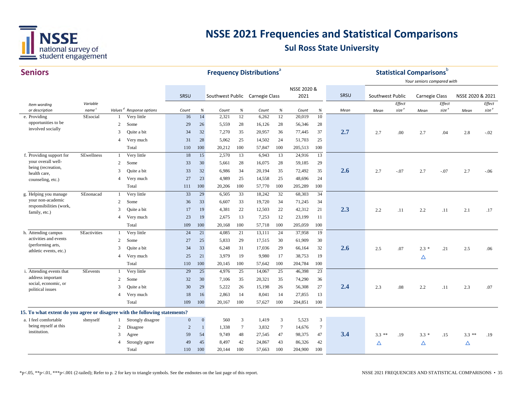

| <b>Seniors</b>                                                             |                               |                |                                                     |                |              | <b>Frequency Distributions®</b> |                 |                |            |                 |                         |      |                  |                   | <b>Statistical Comparisons</b> b |                   |                  |                   |
|----------------------------------------------------------------------------|-------------------------------|----------------|-----------------------------------------------------|----------------|--------------|---------------------------------|-----------------|----------------|------------|-----------------|-------------------------|------|------------------|-------------------|----------------------------------|-------------------|------------------|-------------------|
|                                                                            |                               |                |                                                     |                |              |                                 |                 |                |            |                 |                         |      |                  |                   | Your seniors compared with       |                   |                  |                   |
|                                                                            |                               |                |                                                     |                |              |                                 |                 |                |            | NSSE 2020 &     |                         |      |                  |                   |                                  |                   |                  |                   |
|                                                                            |                               |                |                                                     | SRSU           |              | Southwest Public Carnegie Class |                 |                |            | 2021            |                         | SRSU | Southwest Public |                   | <b>Carnegie Class</b>            |                   | NSSE 2020 & 2021 |                   |
| Item wording                                                               | Variable                      |                |                                                     |                |              |                                 |                 |                |            |                 |                         |      |                  | Effect            |                                  | Effect            |                  | Effect            |
| or description<br>e. Providing                                             | name <sup>c</sup><br>SEsocial |                | Values <sup>d</sup> Response options<br>Very little | Count<br>16    | $\%$<br>14   | Count<br>2,321                  | $\%$<br>12      | Count<br>6,262 | $\%$<br>12 | Count<br>20,019 | $\%$<br>$\overline{10}$ | Mean | Mean             | size <sup>e</sup> | Mean                             | size <sup>e</sup> | Mean             | size <sup>e</sup> |
| opportunities to be                                                        |                               | $\overline{c}$ | Some                                                | 29             | 26           | 5,559                           | 28              | 16,126         | 28         | 56,346          | 28                      |      |                  |                   |                                  |                   |                  |                   |
| involved socially                                                          |                               | 3              | Quite a bit                                         | 34             | 32           | 7,270                           | 35              | 20,957         | 36         | 77,445          | 37                      | 2.7  |                  |                   |                                  |                   |                  |                   |
|                                                                            |                               | $\overline{4}$ |                                                     | 31             | 28           | 5,062                           | 25              |                | 24         | 51,703          | 25                      |      | 2.7              | .00               | 2.7                              | .04               | 2.8              | $-.02$            |
|                                                                            |                               |                | Very much                                           |                |              |                                 |                 | 14,502         |            |                 |                         |      |                  |                   |                                  |                   |                  |                   |
|                                                                            |                               |                | Total                                               | 110            | 100          | 20,212                          | 100             | 57,847         | 100        | 205,513         | 100                     |      |                  |                   |                                  |                   |                  |                   |
| f. Providing support for<br>your overall well-                             | SEwellness                    | -1             | Very little                                         | 18             | 15           | 2,570                           | 13              | 6,943          | 13         | 24,916          | $\overline{13}$         |      |                  |                   |                                  |                   |                  |                   |
| being (recreation,                                                         |                               | $\overline{2}$ | Some                                                | 33             | 30           | 5,661                           | 28              | 16,075         | 28         | 59,185          | 29                      |      |                  |                   |                                  |                   |                  |                   |
| health care,                                                               |                               | 3              | Quite a bit                                         | 33             | 32           | 6,986                           | 34              | 20,194         | 35         | 72,492          | 35                      | 2.6  | 2.7              | $-.07$            | 2.7                              | $-.07$            | 2.7              | $-.06$            |
| counseling, etc.)                                                          |                               | $\overline{4}$ | Very much                                           | 27             | 23           | 4,989                           | 25              | 14,558         | 25         | 48,696          | 24                      |      |                  |                   |                                  |                   |                  |                   |
|                                                                            |                               |                | Total                                               | 111            | 100          | 20,206                          | 100             | 57,770         | 100        | 205,289         | 100                     |      |                  |                   |                                  |                   |                  |                   |
| g. Helping you manage<br>your non-academic                                 | SEnonacad                     | 1              | Very little                                         | 33             | 29           | 6,505                           | 33              | 18,242         | 32         | 68,303          | 34                      |      |                  |                   |                                  |                   |                  |                   |
| responsibilities (work,                                                    |                               | $\overline{c}$ | Some                                                | 36             | 33           | 6,607                           | 33              | 19,720         | 34         | 71,245          | 34                      |      |                  |                   |                                  |                   |                  |                   |
| family, etc.)                                                              |                               | 3              | Quite a bit                                         | 17             | 19           | 4,381                           | 22              | 12,503         | 22         | 42,312          | 21                      | 2.3  | 2.2              | .11               | 2.2                              | .11               | 2.1              | .17               |
|                                                                            |                               | $\overline{4}$ | Very much                                           | 23             | 19           | 2,675                           | 13              | 7,253          | 12         | 23,199          | 11                      |      |                  |                   |                                  |                   |                  |                   |
|                                                                            |                               |                | Total                                               | 109            | 100          | 20,168                          | 100             | 57,718         | 100        | 205,059         | 100                     |      |                  |                   |                                  |                   |                  |                   |
| h. Attending campus                                                        | <b>SEactivities</b>           | $\mathbf{1}$   | Very little                                         | 24             | 21           | 4,085                           | 21              | 13,111         | 24         | 37,958          | 19                      |      |                  |                   |                                  |                   |                  |                   |
| activities and events<br>(performing arts,                                 |                               | $\overline{2}$ | Some                                                | 27             | 25           | 5,833                           | 29              | 17,515         | 30         | 61,909          | 30                      |      |                  |                   |                                  |                   |                  |                   |
| athletic events, etc.)                                                     |                               | 3              | Quite a bit                                         | 34             | 33           | 6,248                           | 31              | 17,036         | 29         | 66,164          | 32                      | 2.6  | 2.5              | .07               | $2.3*$                           | .21               | 2.5              | .06               |
|                                                                            |                               | $\overline{4}$ | Very much                                           | 25             | 21           | 3,979                           | 19              | 9,980          | 17         | 38,753          | 19                      |      |                  |                   | Δ                                |                   |                  |                   |
|                                                                            |                               |                | Total                                               | 110            | 100          | 20,145                          | 100             | 57,642         | 100        | 204,784         | 100                     |      |                  |                   |                                  |                   |                  |                   |
| i. Attending events that                                                   | SEevents                      | $\mathbf{1}$   | Very little                                         | 29             | 25           | 4,976                           | 25              | 14,067         | 25         | 46,398          | 23                      |      |                  |                   |                                  |                   |                  |                   |
| address important<br>social, economic, or                                  |                               | $\overline{c}$ | Some                                                | 32             | 30           | 7,106                           | 35              | 20,321         | 35         | 74,290          | 36                      |      |                  |                   |                                  |                   |                  |                   |
| political issues                                                           |                               | 3              | Quite a bit                                         | 30             | 29           | 5,222                           | 26              | 15,198         | 26         | 56,308          | 27                      | 2.4  | 2.3              | .08               | 2.2                              | .11               | 2.3              | .07               |
|                                                                            |                               | $\overline{4}$ | Very much                                           | 18             | 16           | 2,863                           | 14              | 8,041          | 14         | 27,855          | 13                      |      |                  |                   |                                  |                   |                  |                   |
|                                                                            |                               |                | Total                                               | 109            | 100          | 20,167                          | 100             | 57,627         | 100        | 204,851         | 100                     |      |                  |                   |                                  |                   |                  |                   |
| 15. To what extent do you agree or disagree with the following statements? |                               |                |                                                     |                |              |                                 |                 |                |            |                 |                         |      |                  |                   |                                  |                   |                  |                   |
| a. I feel comfortable                                                      | sbmyself                      | -1             | Strongly disagree                                   | $\mathbf{0}$   | $\mathbf{0}$ | 560                             | 3               | 1,419          | 3          | 5,523           | $\mathbf{3}$            |      |                  |                   |                                  |                   |                  |                   |
| being myself at this                                                       |                               | $\mathfrak{2}$ | Disagree                                            | $\overline{c}$ | $\mathbf{1}$ | 1,338                           | $7\phantom{.0}$ | 3,832          | $\tau$     | 14,676          | $7\phantom{.0}$         |      |                  |                   |                                  |                   |                  |                   |
| institution.                                                               |                               | 3              | Agree                                               | 59             | 54           | 9,749                           | 48              | 27,545         | 47         | 98,375          | 47                      | 3.4  | $3.3***$         | .19               | $3.3*$                           | .15               | $3.3**$          | .19               |
|                                                                            |                               | 4              | Strongly agree                                      | 49             | 45           | 8,497                           | 42              | 24,867         | 43         | 86,326          | 42                      |      | Δ                |                   | Δ                                |                   | Δ                |                   |
|                                                                            |                               |                | Total                                               | 110            | 100          | 20,144                          | 100             | 57,663         | 100        | 204,900         | 100                     |      |                  |                   |                                  |                   |                  |                   |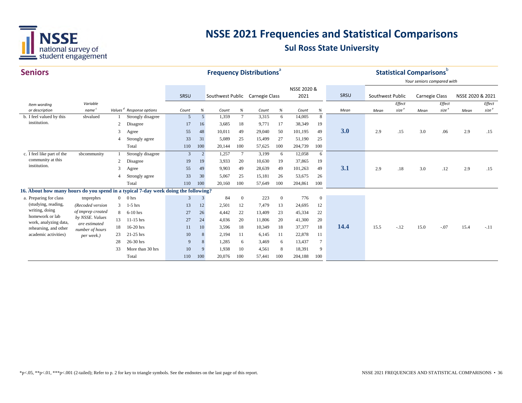

| <b>Seniors</b>                                                                     |                                  |                |                                      |                |     |                  |                 | <b>Frequency Distributions</b> <sup>®</sup> |                |             |              |      |                  |                   | <b>Statistical Comparisons</b> b |                   |                  |                   |
|------------------------------------------------------------------------------------|----------------------------------|----------------|--------------------------------------|----------------|-----|------------------|-----------------|---------------------------------------------|----------------|-------------|--------------|------|------------------|-------------------|----------------------------------|-------------------|------------------|-------------------|
|                                                                                    |                                  |                |                                      |                |     |                  |                 |                                             |                |             |              |      |                  |                   | Your seniors compared with       |                   |                  |                   |
|                                                                                    |                                  |                |                                      |                |     |                  |                 |                                             |                | NSSE 2020 & |              |      |                  |                   |                                  |                   |                  |                   |
|                                                                                    |                                  |                |                                      | SRSU           |     | Southwest Public |                 | Carnegie Class                              |                | 2021        |              | SRSU | Southwest Public |                   | <b>Carnegie Class</b>            |                   | NSSE 2020 & 2021 |                   |
| Item wording                                                                       | Variable                         |                |                                      |                |     |                  |                 |                                             |                |             |              |      |                  | Effect            |                                  | Effect            |                  | Effect            |
| or description                                                                     | name <sup>c</sup>                |                | Values <sup>d</sup> Response options | Count          | %   | Count            | $\%$            | Count                                       | %              | Count       | %            | Mean | Mean             | size <sup>e</sup> | Mean                             | size <sup>e</sup> | Mean             | size <sup>e</sup> |
| b. I feel valued by this                                                           | sbvalued                         |                | Strongly disagree                    | 5              | 5   | 1,359            | $7\phantom{.0}$ | 3,315                                       | 6              | 14,005      | 8            |      |                  |                   |                                  |                   |                  |                   |
| institution.                                                                       |                                  | 2              | Disagree                             | 17             | 16  | 3,685            | 18              | 9,771                                       | 17             | 38,349      | 19           |      |                  |                   |                                  |                   |                  |                   |
|                                                                                    |                                  | 3              | Agree                                | 55             | 48  | 10,011           | 49              | 29,040                                      | 50             | 101,195     | 49           | 3.0  | 2.9              | .15               | 3.0                              | .06               | 2.9              | .15               |
|                                                                                    |                                  | 4              | Strongly agree                       | 33             | 31  | 5,089            | 25              | 15,499                                      | 27             | 51,190      | 25           |      |                  |                   |                                  |                   |                  |                   |
|                                                                                    |                                  |                | Total                                | 110            | 100 | 20,144           | 100             | 57,625                                      | 100            | 204,739     | 100          |      |                  |                   |                                  |                   |                  |                   |
| c. I feel like part of the                                                         | sbcommunity                      |                | Strongly disagree                    | $\overline{3}$ | 2   | 1,257            | $7\phantom{.0}$ | 3,199                                       | 6              | 12,058      | 6            |      |                  |                   |                                  |                   |                  |                   |
| community at this                                                                  |                                  | 2              | Disagree                             | 19             | 19  | 3,933            | 20              | 10,630                                      | 19             | 37,865      | 19           |      |                  |                   |                                  |                   |                  |                   |
| institution.                                                                       |                                  | 3              | Agree                                | 55             | 49  | 9,903            | 49              | 28,639                                      | 49             | 101,263     | 49           | 3.1  | 2.9              | .18               | 3.0                              | .12               | 2.9              | .15               |
|                                                                                    |                                  |                | Strongly agree                       | 33             | 30  | 5,067            | 25              | 15,181                                      | 26             | 53,675      | 26           |      |                  |                   |                                  |                   |                  |                   |
|                                                                                    |                                  |                | Total                                | 110            | 100 | 20,160           | 100             | 57,649                                      | 100            | 204,861     | 100          |      |                  |                   |                                  |                   |                  |                   |
| 16. About how many hours do you spend in a typical 7-day week doing the following? |                                  |                |                                      |                |     |                  |                 |                                             |                |             |              |      |                  |                   |                                  |                   |                  |                   |
| a. Preparing for class                                                             | tmprephrs                        | $\overline{0}$ | 0 hrs                                | 3              | 3   | 84               | $\overline{0}$  | 223                                         | $\overline{0}$ | 776         | $\mathbf{0}$ |      |                  |                   |                                  |                   |                  |                   |
| (studying, reading,                                                                | (Recoded version                 | 3              | $1-5$ hrs                            | 13             | 12  | 2,501            | 12              | 7,479                                       | 13             | 24,695      | 12           |      |                  |                   |                                  |                   |                  |                   |
| writing, doing<br>homework or lab                                                  | of tmprep created                | 8              | $6-10$ hrs                           | 27             | 26  | 4,442            | 22              | 13,409                                      | 23             | 45,334      | 22           |      |                  |                   |                                  |                   |                  |                   |
| work, analyzing data,                                                              | by NSSE. Values<br>are estimated | 13             | $11-15$ hrs                          | 27             | 24  | 4,036            | 20              | 11,806                                      | 20             | 41,300      | 20           |      |                  |                   |                                  |                   |                  |                   |
| rehearsing, and other                                                              | number of hours                  |                | 16-20 hrs                            | 11             | 10  | 3,596            | 18              | 10,349                                      | 18             | 37,377      | 18           | 14.4 | 15.5             | $-.12$            | 15.0                             | $-.07$            | 15.4             | $-.11$            |
| academic activities)                                                               | per week.)                       | 23             | 21-25 hrs                            | 10             | 8   | 2,194            | 11              | 6,145                                       | 11             | 22,878      | 11           |      |                  |                   |                                  |                   |                  |                   |
|                                                                                    |                                  | 28             | 26-30 hrs                            | 9              | 8   | 1,285            | 6               | 3,469                                       | 6              | 13,437      | 7            |      |                  |                   |                                  |                   |                  |                   |
|                                                                                    |                                  | 33             | More than 30 hrs                     | 10             | 9   | 1,938            | 10              | 4,561                                       | 8              | 18,391      | 9            |      |                  |                   |                                  |                   |                  |                   |
|                                                                                    |                                  |                | Total                                | 110            | 100 | 20,076           | 100             | 57,441                                      | 100            | 204,188     | 100          |      |                  |                   |                                  |                   |                  |                   |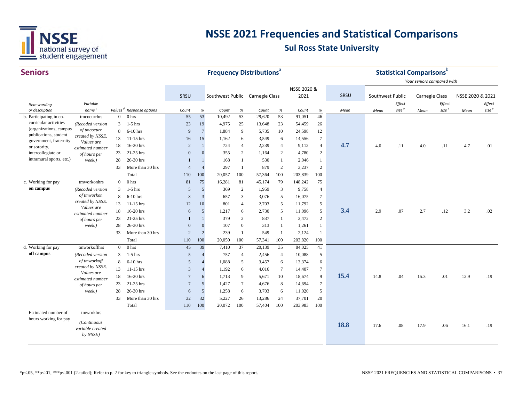

| <b>Seniors</b>                                  |                                 |                |                                      |                |                |                                 |                              | <b>Frequency Distributions<sup>®</sup></b> |                |             |                  |      |                  |                   | <b>Statistical Comparisons</b> b |                   |                  |                   |
|-------------------------------------------------|---------------------------------|----------------|--------------------------------------|----------------|----------------|---------------------------------|------------------------------|--------------------------------------------|----------------|-------------|------------------|------|------------------|-------------------|----------------------------------|-------------------|------------------|-------------------|
|                                                 |                                 |                |                                      |                |                |                                 |                              |                                            |                |             |                  |      |                  |                   | Your seniors compared with       |                   |                  |                   |
|                                                 |                                 |                |                                      |                |                |                                 |                              |                                            |                | NSSE 2020 & |                  |      |                  |                   |                                  |                   |                  |                   |
|                                                 |                                 |                |                                      | SRSU           |                | Southwest Public Carnegie Class |                              |                                            |                | 2021        |                  | SRSU | Southwest Public |                   | Carnegie Class                   |                   | NSSE 2020 & 2021 |                   |
| Item wording                                    | Variable                        |                |                                      |                |                |                                 |                              |                                            |                |             |                  |      |                  | Effect            |                                  | Effect            |                  | Effect            |
| or description                                  | name <sup>c</sup>               |                | Values <sup>d</sup> Response options | Count          | $\%$           | Count                           | $% \mathcal{A}_{\mathrm{d}}$ | Count                                      | $\%$           | Count       | $\%$             | Mean | Mean             | size <sup>e</sup> | Mean                             | size <sup>e</sup> | Mean             | size <sup>e</sup> |
| b. Participating in co-                         | tmcocurrhrs                     | $\overline{0}$ | 0 <sub>hrs</sub>                     | 55             | 53             | 10,492                          | 53                           | 29,620                                     | 53             | 91,051      | 46               |      |                  |                   |                                  |                   |                  |                   |
| curricular activities<br>(organizations, campus | (Recoded version                | 3              | $1-5$ hrs                            | 23             | 19             | 4,975                           | 25                           | 13,648                                     | 23             | 54,459      | 26               |      |                  |                   |                                  |                   |                  |                   |
| publications, student                           | of tmcocurr<br>created by NSSE. | 8              | $6-10$ hrs                           | 9              | $\overline{7}$ | 1,884                           | 9                            | 5,735                                      | 10             | 24,598      | 12               |      |                  |                   |                                  |                   |                  |                   |
| government, fraternity                          | Values are                      | 13             | $11-15$ hrs                          | 16             | 15             | 1,162                           | 6                            | 3,549                                      | 6              | 14,556      | $\tau$           |      |                  |                   |                                  |                   |                  |                   |
| or sorority,                                    | estimated number                | 18             | 16-20 hrs                            | $\overline{2}$ | $\mathbf{1}$   | 724                             | $\overline{4}$               | 2,239                                      | $\overline{4}$ | 9,112       | $\overline{4}$   | 4.7  | 4.0              | .11               | 4.0                              | .11               | 4.7              | .01               |
| intercollegiate or                              | of hours per                    | 23             | 21-25 hrs                            | $\Omega$       | $\Omega$       | 355                             | 2                            | 1,164                                      | 2              | 4,780       | $\mathbf{2}$     |      |                  |                   |                                  |                   |                  |                   |
| intramural sports, etc.)                        | week.)                          | 28             | 26-30 hrs                            | $\overline{1}$ |                | 168                             | 1                            | 530                                        | $\mathbf{1}$   | 2,046       | $\mathbf{1}$     |      |                  |                   |                                  |                   |                  |                   |
|                                                 |                                 | 33             | More than 30 hrs                     | $\overline{4}$ | $\overline{A}$ | 297                             | $\mathbf{1}$                 | 879                                        | 2              | 3,237       | $\sqrt{2}$       |      |                  |                   |                                  |                   |                  |                   |
|                                                 |                                 |                | Total                                | 110            | 100            | 20,057                          | 100                          | 57,364                                     | 100            | 203,839     | 100              |      |                  |                   |                                  |                   |                  |                   |
| c. Working for pay                              | tmworkonhrs                     | $\overline{0}$ | 0 hrs                                | 81             | 75             | 16,281                          | 81                           | 45,174                                     | 79             | 148,242     | 75               |      |                  |                   |                                  |                   |                  |                   |
| on campus                                       | (Recoded version                | 3              | $1-5$ hrs                            | 5              | 5              | 369                             | 2                            | 1,959                                      | 3              | 9,758       | $\overline{4}$   |      |                  |                   |                                  |                   |                  |                   |
|                                                 | of tmworkon                     | 8              | $6-10$ hrs                           | 3              | 3              | 657                             | $\overline{3}$               | 3,076                                      | 5              | 16,075      | $\tau$           |      |                  |                   |                                  |                   |                  |                   |
|                                                 | created by NSSE.<br>Values are  | 13             | $11-15$ hrs                          | 12             | 10             | 801                             | $\overline{4}$               | 2,703                                      | 5              | 11,792      | 5                |      |                  |                   |                                  |                   |                  |                   |
|                                                 | estimated number                | 18             | 16-20 hrs                            | 6              | 5              | 1,217                           | 6                            | 2,730                                      | 5              | 11,096      | 5                | 3.4  | 2.9              | .07               | 2.7                              | .12               | 3.2              | .02               |
|                                                 | of hours per                    | 23             | 21-25 hrs                            | $\mathbf{1}$   | $\mathbf{1}$   | 379                             | $\overline{2}$               | 837                                        | -1             | 3,472       | $\mathbf{2}$     |      |                  |                   |                                  |                   |                  |                   |
|                                                 | week.)                          | 28             | 26-30 hrs                            | $\mathbf{0}$   | $\mathbf{0}$   | 107                             | $\overline{0}$               | 313                                        | -1             | 1,261       | 1                |      |                  |                   |                                  |                   |                  |                   |
|                                                 |                                 | 33             | More than 30 hrs                     | $\overline{2}$ | $\overline{2}$ | 239                             | -1                           | 549                                        | -1             | 2,124       | 1                |      |                  |                   |                                  |                   |                  |                   |
|                                                 |                                 |                | Total                                | 110            | 100            | 20,050                          | 100                          | 57,341                                     | 100            | 203,820     | 100              |      |                  |                   |                                  |                   |                  |                   |
| d. Working for pay                              | tmworkoffhrs                    | $\overline{0}$ | 0 <sub>hrs</sub>                     | 45             | 39             | 7,410                           | 37                           | 20,139                                     | 35             | 84,025      | 41               |      |                  |                   |                                  |                   |                  |                   |
| off campus                                      | (Recoded version                | 3              | $1-5$ hrs                            | $\overline{5}$ | $\overline{A}$ | 757                             | $\overline{4}$               | 2,456                                      | $\overline{4}$ | 10,088      | 5                |      |                  |                   |                                  |                   |                  |                   |
|                                                 | of tmworkoff                    | 8              | $6-10$ hrs                           | $\overline{5}$ | $\overline{4}$ | 1,088                           | 5                            | 3,457                                      | 6              | 13,374      | 6                |      |                  |                   |                                  |                   |                  |                   |
|                                                 | created by NSSE.                | 13             | $11-15$ hrs                          | 3              | $\overline{4}$ | 1,192                           | 6                            | 4,016                                      | $\tau$         | 14,407      | $\boldsymbol{7}$ |      |                  |                   |                                  |                   |                  |                   |
|                                                 | Values are<br>estimated number  | 18             | 16-20 hrs                            | $\overline{7}$ | 6              | 1,713                           | 9                            | 5,671                                      | 10             | 18,674      | 9                | 15.4 | 14.8             | .04               | 15.3                             | .01               | 12.9             | .19               |
|                                                 | of hours per                    | 23             | 21-25 hrs                            | $\overline{7}$ | 5              | 1,427                           | $7\phantom{.0}$              | 4,676                                      | 8              | 14,694      | $\tau$           |      |                  |                   |                                  |                   |                  |                   |
|                                                 | week.)                          | 28             | 26-30 hrs                            | 6              | 5              | 1,258                           | 6                            | 3,703                                      | 6              | 11,020      | 5                |      |                  |                   |                                  |                   |                  |                   |
|                                                 |                                 | 33             | More than 30 hrs                     | 32             | 32             | 5,227                           | 26                           | 13,286                                     | 24             | 37,701      | 20               |      |                  |                   |                                  |                   |                  |                   |
|                                                 |                                 |                | Total                                | 110            | 100            | 20,072                          | 100                          | 57,404                                     | 100            | 203,983     | 100              |      |                  |                   |                                  |                   |                  |                   |
| Estimated number of                             | tmworkhrs                       |                |                                      |                |                |                                 |                              |                                            |                |             |                  |      |                  |                   |                                  |                   |                  |                   |
| hours working for pay                           |                                 |                |                                      |                |                |                                 |                              |                                            |                |             |                  |      |                  |                   |                                  |                   |                  |                   |
|                                                 | (Continuous<br>variable created |                |                                      |                |                |                                 |                              |                                            |                |             |                  | 18.8 | 17.6             | .08               | 17.9                             | .06               | 16.1             | .19               |
|                                                 | by NSSE)                        |                |                                      |                |                |                                 |                              |                                            |                |             |                  |      |                  |                   |                                  |                   |                  |                   |
|                                                 |                                 |                |                                      |                |                |                                 |                              |                                            |                |             |                  |      |                  |                   |                                  |                   |                  |                   |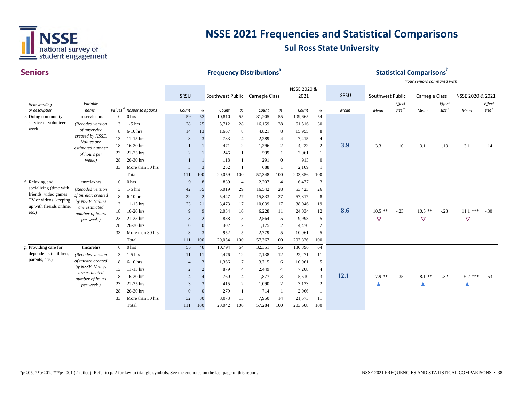

| <b>Seniors</b>                                   |                                  |                |                                      |                |                |                                 | <b>Frequency Distributions<sup>®</sup></b>                         |        |                |             |                |      |                  | <b>Statistical Comparisons</b> |                            |                   |                  |                   |
|--------------------------------------------------|----------------------------------|----------------|--------------------------------------|----------------|----------------|---------------------------------|--------------------------------------------------------------------|--------|----------------|-------------|----------------|------|------------------|--------------------------------|----------------------------|-------------------|------------------|-------------------|
|                                                  |                                  |                |                                      |                |                |                                 |                                                                    |        |                |             |                |      |                  |                                | Your seniors compared with |                   |                  |                   |
|                                                  |                                  |                |                                      |                |                |                                 |                                                                    |        |                | NSSE 2020 & |                |      |                  |                                |                            |                   |                  |                   |
|                                                  |                                  |                |                                      | SRSU           |                | Southwest Public Carnegie Class |                                                                    |        |                | 2021        |                | SRSU | Southwest Public |                                | Carnegie Class             |                   | NSSE 2020 & 2021 |                   |
| Item wording                                     | Variable                         |                |                                      |                |                |                                 |                                                                    |        |                |             |                |      |                  | Effect                         |                            | Effect            |                  | Effect            |
| or description                                   | name <sup>c</sup>                |                | Values <sup>d</sup> Response options | Count          | $\%$           | Count                           | $% \mathcal{B}_{\mathrm{d}}\left( \mathcal{B}_{\mathrm{d}}\right)$ | Count  | $\%$           | Count       | %              | Mean | Mean             | size <sup>e</sup>              | Mean                       | size <sup>e</sup> | Mean             | size <sup>e</sup> |
| e. Doing community                               | tmservicehrs                     | $\mathbf{0}$   | 0 <sub>hrs</sub>                     | 59             | 53             | 10,810                          | 55                                                                 | 31,205 | 55             | 109,665     | 54             |      |                  |                                |                            |                   |                  |                   |
| service or volunteer<br>work                     | (Recoded version                 | 3              | $1-5$ hrs                            | 28             | 25             | 5,712                           | 28                                                                 | 16,159 | 28             | 61,516      | 30             |      |                  |                                |                            |                   |                  |                   |
|                                                  | of tmservice<br>created by NSSE. | 8              | $6-10$ hrs                           | 14             | 13             | 1,667                           | 8                                                                  | 4,821  | 8              | 15,955      | 8              |      |                  |                                |                            |                   |                  |                   |
|                                                  | Values are                       | 13             | $11-15$ hrs                          | 3              | 3              | 783                             | $\overline{4}$                                                     | 2,289  | $\overline{4}$ | 7,415       | $\overline{4}$ |      |                  |                                |                            |                   |                  |                   |
|                                                  | estimated number                 | 18             | 16-20 hrs                            |                |                | 471                             | $\overline{c}$                                                     | 1,296  | 2              | 4,222       | $\overline{2}$ | 3.9  | 3.3              | .10                            | 3.1                        | .13               | 3.1              | .14               |
|                                                  | of hours per                     | 23             | 21-25 hrs                            | $\overline{2}$ |                | 246                             |                                                                    | 599    |                | 2,061       | 1              |      |                  |                                |                            |                   |                  |                   |
|                                                  | week.)                           | 28             | 26-30 hrs                            |                |                | 118                             |                                                                    | 291    | $\overline{0}$ | 913         | $\mathbf{0}$   |      |                  |                                |                            |                   |                  |                   |
|                                                  |                                  | 33             | More than 30 hrs                     | 3              | $\overline{3}$ | 252                             | $\overline{1}$                                                     | 688    |                | 2,109       | 1              |      |                  |                                |                            |                   |                  |                   |
|                                                  |                                  |                | Total                                | 111            | 100            | 20,059                          | 100                                                                | 57,348 | 100            | 203,856     | 100            |      |                  |                                |                            |                   |                  |                   |
| f. Relaxing and                                  | tmrelaxhrs                       | $\overline{0}$ | 0 <sub>hrs</sub>                     | 9              | 8              | 839                             | $\overline{4}$                                                     | 2,207  | $\overline{4}$ | 6,477       | 3              |      |                  |                                |                            |                   |                  |                   |
| socializing (time with                           | (Recoded version                 | 3              | $1-5$ hrs                            | 42             | 35             | 6,019                           | 29                                                                 | 16,542 | 28             | 53,423      | 26             |      |                  |                                |                            |                   |                  |                   |
| friends, video games,                            | of tmrelax created               | 8              | $6-10$ hrs                           | 22             | 22             | 5,447                           | 27                                                                 | 15,833 | 27             | 57,317      | 28             |      |                  |                                |                            |                   |                  |                   |
| TV or videos, keeping<br>up with friends online, | by NSSE. Values                  | 13             | $11-15$ hrs                          | 23             | 21             | 3,473                           | 17                                                                 | 10,039 | 17             | 38,046      | 19             |      |                  |                                |                            |                   |                  |                   |
| etc.)                                            | are estimated                    | 18             | 16-20 hrs                            | 9              | 9              | 2,034                           | 10                                                                 | 6,228  | 11             | 24,034      | 12             | 8.6  | $10.5$ **        | $-.23$                         | $10.5$ **                  | $-.23$            | $11.1$ ***       | $-.30$            |
|                                                  | number of hours<br>per week.)    | 23             | 21-25 hrs                            | 3              | $\overline{2}$ | 888                             | 5                                                                  | 2,564  | 5              | 9,998       | 5              |      | $\triangledown$  |                                | $\triangledown$            |                   | ▽                |                   |
|                                                  |                                  | 28             | 26-30 hrs                            | $\overline{0}$ | $\overline{0}$ | 402                             | $\overline{2}$                                                     | 1,175  | $\overline{c}$ | 4,470       | $\overline{c}$ |      |                  |                                |                            |                   |                  |                   |
|                                                  |                                  | 33             | More than 30 hrs                     | 3              | $\overline{3}$ | 952                             | 5                                                                  | 2,779  | 5              | 10,061      | 5              |      |                  |                                |                            |                   |                  |                   |
|                                                  |                                  |                | Total                                | 111            | 100            | 20,054                          | 100                                                                | 57,367 | 100            | 203,826     | 100            |      |                  |                                |                            |                   |                  |                   |
| g. Providing care for                            | tmcarehrs                        | $\overline{0}$ | 0 <sub>hrs</sub>                     | 55             | 48             | 10,794                          | 54                                                                 | 32,351 | 56             | 130,896     | 64             |      |                  |                                |                            |                   |                  |                   |
| dependents (children,                            | (Recoded version                 | 3              | $1-5$ hrs                            | 11             | 11             | 2,476                           | 12                                                                 | 7,138  | 12             | 22,271      | 11             |      |                  |                                |                            |                   |                  |                   |
| parents, etc.)                                   | of tmcare created                | 8              | $6-10$ hrs                           | $\overline{4}$ | 3              | 1,366                           | $7\phantom{.0}$                                                    | 3,715  | 6              | 10,961      | 5              |      |                  |                                |                            |                   |                  |                   |
|                                                  | by NSSE. Values                  | 13             | $11-15$ hrs                          | $\overline{2}$ | $\overline{2}$ | 879                             | $\overline{4}$                                                     | 2,449  | $\overline{4}$ | 7,208       | $\overline{4}$ |      |                  |                                |                            |                   |                  |                   |
|                                                  | are estimated                    | 18             | 16-20 hrs                            | $\overline{4}$ | $\overline{4}$ | 760                             | $\overline{4}$                                                     | 1,877  | 3              | 5,510       | 3              | 12.1 | $7.9$ **         | .35                            | $8.1$ **                   | .32               | $6.2$ ***        | .53               |
|                                                  | number of hours                  | 23             | 21-25 hrs                            | $\overline{3}$ | 3              | 415                             | $\overline{2}$                                                     | 1,090  | 2              | 3,123       | 2              |      |                  |                                |                            |                   |                  |                   |
|                                                  | per week.)                       |                |                                      |                |                |                                 |                                                                    |        |                |             |                |      |                  |                                |                            |                   |                  |                   |
|                                                  |                                  | 28             | 26-30 hrs                            | $\mathbf{0}$   | $\overline{0}$ | 279                             | -1                                                                 | 714    |                | 2,066       | 1              |      |                  |                                |                            |                   |                  |                   |
|                                                  |                                  | 33             | More than 30 hrs                     | 32             | 30             | 3,073                           | 15                                                                 | 7,950  | 14             | 21,573      | 11             |      |                  |                                |                            |                   |                  |                   |
|                                                  |                                  |                | Total                                | 111            | 100            | 20,042                          | 100                                                                | 57,284 | 100            | 203,608     | 100            |      |                  |                                |                            |                   |                  |                   |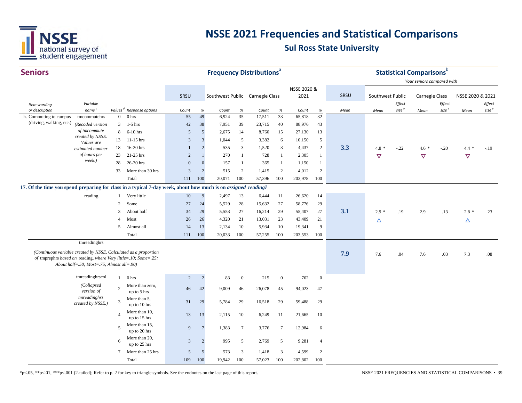

| <b>Seniors</b>                                                                                                |                                                                                                                                     |                          |                                      |                |                                                                    | <b>Frequency Distributions<sup>ª</sup></b> |                 |        |                  |             |                |      |                  |                   | <b>Statistical Comparisons</b> b |                   |                  |                   |
|---------------------------------------------------------------------------------------------------------------|-------------------------------------------------------------------------------------------------------------------------------------|--------------------------|--------------------------------------|----------------|--------------------------------------------------------------------|--------------------------------------------|-----------------|--------|------------------|-------------|----------------|------|------------------|-------------------|----------------------------------|-------------------|------------------|-------------------|
|                                                                                                               |                                                                                                                                     |                          |                                      |                |                                                                    |                                            |                 |        |                  | NSSE 2020 & |                |      |                  |                   | Your seniors compared with       |                   |                  |                   |
|                                                                                                               |                                                                                                                                     |                          |                                      | SRSU           |                                                                    | Southwest Public Carnegie Class            |                 |        |                  | 2021        |                | SRSU | Southwest Public |                   | Carnegie Class                   |                   | NSSE 2020 & 2021 |                   |
| Item wording                                                                                                  | Variable                                                                                                                            |                          |                                      |                |                                                                    |                                            |                 |        |                  |             |                |      |                  | Effect            |                                  | Effect            |                  | Effect            |
| or description                                                                                                | name <sup>c</sup>                                                                                                                   |                          | Values <sup>d</sup> Response options | Count          | $% \mathcal{B}_{\mathrm{d}}\left( \mathcal{B}_{\mathrm{d}}\right)$ | Count                                      | $\%$            | Count  | $\%$             | Count       | $\%$           | Mean | Mean             | size <sup>e</sup> | Mean                             | size <sup>e</sup> | Mean             | size <sup>e</sup> |
| h. Commuting to campus                                                                                        | tmcommutehrs                                                                                                                        | $\boldsymbol{0}$         | 0 <sub>hrs</sub>                     | 55             | 49                                                                 | 6,924                                      | 35              | 17,511 | 33               | 65,818      | 32             |      |                  |                   |                                  |                   |                  |                   |
| (driving, walking, etc.)                                                                                      | (Recoded version                                                                                                                    | 3                        | $1-5$ hrs                            | 42             | 38                                                                 | 7,951                                      | 39              | 23,715 | 40               | 88,976      | 43             |      |                  |                   |                                  |                   |                  |                   |
|                                                                                                               | of tmcommute<br>created by NSSE.                                                                                                    | 8                        | $6-10$ hrs                           | 5              | 5                                                                  | 2,675                                      | 14              | 8,760  | 15               | 27,130      | 13             |      |                  |                   |                                  |                   |                  |                   |
|                                                                                                               | Values are                                                                                                                          | 13                       | $11-15$ hrs                          | 3              | $\overline{3}$                                                     | 1,044                                      | 5               | 3,382  | 6                | 10,150      | 5              |      |                  |                   |                                  |                   |                  |                   |
|                                                                                                               | estimated number                                                                                                                    | 18                       | 16-20 hrs                            | $\mathbf{1}$   | $\overline{2}$                                                     | 535                                        | $\overline{3}$  | 1,520  | 3                | 4,437       | $\overline{2}$ | 3.3  | $4.8*$           | $-.22$            | $4.6*$                           | $-.20$            | $4.4 *$          | $-.19$            |
|                                                                                                               | of hours per                                                                                                                        | 23                       | 21-25 hrs                            | $\overline{2}$ | $\mathbf{1}$                                                       | 270                                        | 1               | 728    | 1                | 2,305       | $\mathbf{1}$   |      | $\triangledown$  |                   | $\triangledown$                  |                   | $\triangledown$  |                   |
|                                                                                                               | week.)                                                                                                                              | 28                       | 26-30 hrs                            | $\overline{0}$ | $\overline{0}$                                                     | 157                                        | $\mathbf{1}$    | 365    | 1                | 1,150       | $\mathbf{1}$   |      |                  |                   |                                  |                   |                  |                   |
|                                                                                                               |                                                                                                                                     | 33                       | More than 30 hrs                     | 3              | $\overline{c}$                                                     | 515                                        | $\overline{2}$  | 1,415  | $\overline{c}$   | 4,012       | $\sqrt{2}$     |      |                  |                   |                                  |                   |                  |                   |
|                                                                                                               |                                                                                                                                     |                          | Total                                | 111            | 100                                                                | 20,071                                     | 100             | 57,396 | 100              | 203,978     | 100            |      |                  |                   |                                  |                   |                  |                   |
| 17. Of the time you spend preparing for class in a typical 7-day week, about how much is on assigned reading? |                                                                                                                                     |                          |                                      |                |                                                                    |                                            |                 |        |                  |             |                |      |                  |                   |                                  |                   |                  |                   |
|                                                                                                               | reading                                                                                                                             | -1                       | Very little                          | 10             | 9                                                                  | 2,497                                      | 13              | 6,444  | 11               | 26,620      | 14             |      |                  |                   |                                  |                   |                  |                   |
|                                                                                                               |                                                                                                                                     | 2                        | Some                                 | 27             | 24                                                                 | 5,529                                      | 28              | 15,632 | 27               | 58,776      | 29             |      |                  |                   |                                  |                   |                  |                   |
|                                                                                                               |                                                                                                                                     | 3                        | About half                           | 34             | 29                                                                 | 5,553                                      | 27              | 16,214 | 29               | 55,407      | 27             | 3.1  | $2.9*$           | .19               | 2.9                              | .13               | $2.8*$           | .23               |
|                                                                                                               |                                                                                                                                     | $\overline{4}$           | Most                                 | 26             | 26                                                                 | 4,320                                      | 21              | 13,031 | 23               | 43,409      | 21             |      | Δ                |                   |                                  |                   | $\Delta$         |                   |
|                                                                                                               |                                                                                                                                     | 5                        | Almost all                           | 14             | 13                                                                 | 2,134                                      | 10              | 5,934  | 10               | 19,341      | 9              |      |                  |                   |                                  |                   |                  |                   |
|                                                                                                               |                                                                                                                                     |                          | Total                                | 111            | 100                                                                | 20,033                                     | 100             | 57,255 | 100              | 203,553     | 100            |      |                  |                   |                                  |                   |                  |                   |
|                                                                                                               | tmreadinghrs                                                                                                                        |                          |                                      |                |                                                                    |                                            |                 |        |                  |             |                |      |                  |                   |                                  |                   |                  |                   |
|                                                                                                               |                                                                                                                                     |                          |                                      |                |                                                                    |                                            |                 |        |                  |             |                |      |                  |                   |                                  |                   |                  |                   |
|                                                                                                               | (Continuous variable created by NSSE. Calculated as a proportion<br>of tmprephrs based on reading, where Very little=.10; Some=.25; |                          |                                      |                |                                                                    |                                            |                 |        |                  |             |                | 7.9  | 7.6              | .04               | 7.6                              | .03               | 7.3              | .08               |
|                                                                                                               | About half=.50; Most=.75; Almost all=.90)                                                                                           |                          |                                      |                |                                                                    |                                            |                 |        |                  |             |                |      |                  |                   |                                  |                   |                  |                   |
|                                                                                                               |                                                                                                                                     |                          |                                      |                |                                                                    |                                            |                 |        |                  |             |                |      |                  |                   |                                  |                   |                  |                   |
|                                                                                                               | tmreadinghrscol                                                                                                                     | 1                        | 0 <sub>hrs</sub>                     | $\overline{2}$ | $\sqrt{2}$                                                         | 83                                         | $\mathbf{0}$    | 215    | $\boldsymbol{0}$ | 762         | $\overline{0}$ |      |                  |                   |                                  |                   |                  |                   |
|                                                                                                               | (Collapsed<br>version of                                                                                                            | $\overline{\mathcal{L}}$ | More than zero,<br>up to 5 hrs       | 46             | 42                                                                 | 9,009                                      | 46              | 26,078 | 45               | 94,023      | 47             |      |                  |                   |                                  |                   |                  |                   |
|                                                                                                               | tmreadinghrs<br>created by NSSE.)                                                                                                   | $\overline{3}$           | More than 5,<br>up to 10 hrs         | 31             | 29                                                                 | 5,784                                      | 29              | 16,518 | 29               | 59,488      | 29             |      |                  |                   |                                  |                   |                  |                   |
|                                                                                                               |                                                                                                                                     | $\overline{4}$           | More than 10,<br>up to 15 hrs        | 13             | 13                                                                 | 2,115                                      | 10              | 6,249  | 11               | 21,665      | 10             |      |                  |                   |                                  |                   |                  |                   |
|                                                                                                               |                                                                                                                                     | 5                        | More than 15,<br>up to 20 hrs        | 9              | $\overline{7}$                                                     | 1,383                                      | $7\phantom{.0}$ | 3,776  | $\tau$           | 12,984      | 6              |      |                  |                   |                                  |                   |                  |                   |
|                                                                                                               |                                                                                                                                     | 6                        | More than 20,<br>up to 25 hrs        | 3              | $\overline{2}$                                                     | 995                                        | 5               | 2,769  | 5                | 9,281       | $\overline{4}$ |      |                  |                   |                                  |                   |                  |                   |
|                                                                                                               |                                                                                                                                     | $\overline{7}$           | More than 25 hrs                     | 5              | 5                                                                  | 573                                        | 3               | 1,418  | 3                | 4,599       | 2              |      |                  |                   |                                  |                   |                  |                   |
|                                                                                                               |                                                                                                                                     |                          | Total                                | 109            | 100                                                                | 19,942                                     | 100             | 57,023 | 100              | 202,802     | 100            |      |                  |                   |                                  |                   |                  |                   |

\*p<.05, \*\*p<.01, \*\*\*p<.001 (2-tailed); Refer to p. 2 for key to triangle symbols. See the endnotes on the last page of this report. NSSE 2021 FREQUENCIES AND STATISTICAL COMPARISONS • 39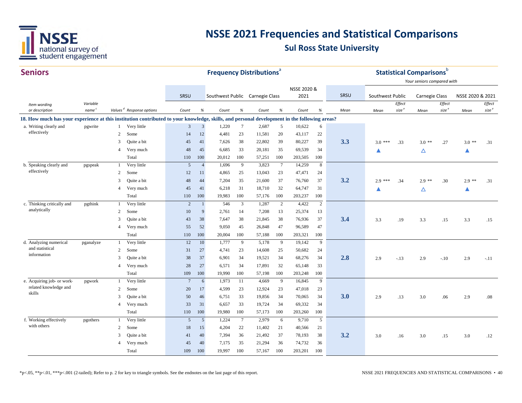

| <b>Seniors</b>                                                                                                                               |                   |                |                                      |                 |                         |                                 |                 | <b>Frequency Distributions</b> <sup>ª</sup> |                              |                     |                |      |                  |                   | <b>Statistical Comparisons</b> <sup>b</sup><br>Your seniors compared with |                   |                  |                   |
|----------------------------------------------------------------------------------------------------------------------------------------------|-------------------|----------------|--------------------------------------|-----------------|-------------------------|---------------------------------|-----------------|---------------------------------------------|------------------------------|---------------------|----------------|------|------------------|-------------------|---------------------------------------------------------------------------|-------------------|------------------|-------------------|
|                                                                                                                                              |                   |                |                                      | SRSU            |                         | Southwest Public Carnegie Class |                 |                                             |                              | NSSE 2020 &<br>2021 |                | SRSU | Southwest Public |                   | Carnegie Class                                                            |                   | NSSE 2020 & 2021 |                   |
| Item wording                                                                                                                                 | Variable          |                |                                      |                 |                         |                                 |                 |                                             |                              |                     |                |      |                  | Effect            |                                                                           | Effect            |                  | Effect            |
| or description                                                                                                                               | name <sup>c</sup> |                | Values <sup>d</sup> Response options | Count           | $\%$                    | Count                           | $\%$            | Count                                       | $% \mathcal{A}_{\mathrm{d}}$ | Count               | $\%$           | Mean | Mean             | size <sup>e</sup> | Mean                                                                      | size <sup>e</sup> | Mean             | size <sup>e</sup> |
| 18. How much has your experience at this institution contributed to your knowledge, skills, and personal development in the following areas? |                   |                |                                      |                 |                         |                                 |                 |                                             |                              |                     |                |      |                  |                   |                                                                           |                   |                  |                   |
| a. Writing clearly and                                                                                                                       | pgwrite           |                | Very little                          | 3               | $\overline{\mathbf{3}}$ | 1,220                           | $7\phantom{.0}$ | 2,687                                       | 5                            | 10,622              | 6              |      |                  |                   |                                                                           |                   |                  |                   |
| effectively                                                                                                                                  |                   | 2              | Some                                 | 14              | 12                      | 4,481                           | 23              | 11,581                                      | 20                           | 43,117              | $22\,$         |      |                  |                   |                                                                           |                   |                  |                   |
|                                                                                                                                              |                   | 3              | Quite a bit                          | 45              | 41                      | 7,626                           | 38              | 22,802                                      | 39                           | 80,227              | 39             | 3.3  | $3.0***$         | .33               | $3.0**$                                                                   | .27               | $3.0$ **         | .31               |
|                                                                                                                                              |                   | $\overline{4}$ | Very much                            | 48              | 45                      | 6,685                           | 33              | 20,181                                      | 35                           | 69,539              | 34             |      |                  |                   | Δ                                                                         |                   | ▲                |                   |
|                                                                                                                                              |                   |                | Total                                | 110             | 100                     | 20,012                          | 100             | 57,251                                      | 100                          | 203,505             | 100            |      |                  |                   |                                                                           |                   |                  |                   |
| b. Speaking clearly and                                                                                                                      | pgspeak           | $\mathbf{1}$   | Very little                          | 5               | $\overline{4}$          | 1,696                           | 9               | 3,823                                       | $7\phantom{.0}$              | 14,259              | $\,8\,$        |      |                  |                   |                                                                           |                   |                  |                   |
| effectively                                                                                                                                  |                   | $\overline{2}$ | Some                                 | 12              | 11                      | 4,865                           | 25              | 13,043                                      | 23                           | 47,471              | 24             |      |                  |                   |                                                                           |                   |                  |                   |
|                                                                                                                                              |                   | 3              | Quite a bit                          | 48              | 44                      | 7,204                           | 35              | 21,600                                      | 37                           | 76,760              | 37             | 3.2  | $2.9***$         | .34               | $2.9$ **                                                                  | .30               | $2.9$ **         | .31               |
|                                                                                                                                              |                   | $\overline{4}$ | Very much                            | 45              | 41                      | 6,218                           | 31              | 18,710                                      | 32                           | 64,747              | 31             |      |                  |                   | Δ                                                                         |                   | ▲                |                   |
|                                                                                                                                              |                   |                | Total                                | 110             | 100                     | 19,983                          | 100             | 57,176                                      | 100                          | 203,237             | 100            |      |                  |                   |                                                                           |                   |                  |                   |
| c. Thinking critically and                                                                                                                   | pgthink           | $\mathbf{1}$   | Very little                          | $\overline{2}$  | $\mathbf{1}$            | 546                             | $\overline{3}$  | 1,287                                       | $\overline{2}$               | 4,422               | $\overline{2}$ |      |                  |                   |                                                                           |                   |                  |                   |
| analytically                                                                                                                                 |                   | 2              | Some                                 | 10              | 9                       | 2,761                           | 14              | 7,208                                       | 13                           | 25,374              | 13             |      |                  |                   |                                                                           |                   |                  |                   |
|                                                                                                                                              |                   | 3              | Quite a bit                          | 43              | 38                      | 7,647                           | 38              | 21,845                                      | 38                           | 76,936              | 37             | 3.4  | 3.3              | .19               | 3.3                                                                       | .15               | 3.3              | .15               |
|                                                                                                                                              |                   | $\overline{4}$ | Very much                            | 55              | 52                      | 9.050                           | 45              | 26,848                                      | 47                           | 96,589              | 47             |      |                  |                   |                                                                           |                   |                  |                   |
|                                                                                                                                              |                   |                | Total                                | 110             | 100                     | 20,004                          | 100             | 57,188                                      | 100                          | 203,321             | 100            |      |                  |                   |                                                                           |                   |                  |                   |
| d. Analyzing numerical                                                                                                                       | pganalyze         | $\mathbf{1}$   | Very little                          | 12              | 10                      | 1,777                           | 9               | 5,178                                       | 9                            | 19,142              | 9              |      |                  |                   |                                                                           |                   |                  |                   |
| and statistical<br>information                                                                                                               |                   | 2              | Some                                 | 31              | 27                      | 4,741                           | 23              | 14,608                                      | 25                           | 50,682              | 24             |      |                  |                   |                                                                           |                   |                  |                   |
|                                                                                                                                              |                   | 3              | Quite a bit                          | 38              | 37                      | 6,901                           | 34              | 19,521                                      | 34                           | 68,276              | 34             | 2.8  | 2.9              | $-.13$            | 2.9                                                                       | $-.10$            | 2.9              | $-.11$            |
|                                                                                                                                              |                   | $\overline{4}$ | Very much                            | 28              | 27                      | 6,571                           | 34              | 17,891                                      | 32                           | 65,148              | 33             |      |                  |                   |                                                                           |                   |                  |                   |
|                                                                                                                                              |                   |                | Total                                | 109             | 100                     | 19,990                          | 100             | 57,198                                      | 100                          | 203,248             | 100            |      |                  |                   |                                                                           |                   |                  |                   |
| e. Acquiring job- or work-                                                                                                                   | pgwork            | $\mathbf{1}$   | Very little                          | $7\phantom{.0}$ | 6                       | 1,973                           | 11              | 4,669                                       | 9                            | 16,845              | 9              |      |                  |                   |                                                                           |                   |                  |                   |
| related knowledge and<br>skills                                                                                                              |                   | $\overline{c}$ | Some                                 | 20              | 17                      | 4,599                           | 23              | 12,924                                      | 23                           | 47,018              | 23             |      |                  |                   |                                                                           |                   |                  |                   |
|                                                                                                                                              |                   | 3              | Quite a bit                          | 50              | 46                      | 6,751                           | 33              | 19,856                                      | 34                           | 70,065              | 34             | 3.0  | 2.9              | .13               | 3.0                                                                       | .06               | 2.9              | .08               |
|                                                                                                                                              |                   | 4              | Very much                            | 33              | 31                      | 6,657                           | 33              | 19,724                                      | 34                           | 69,332              | 34             |      |                  |                   |                                                                           |                   |                  |                   |
|                                                                                                                                              |                   |                | Total                                | 110             | 100                     | 19,980                          | 100             | 57,173                                      | 100                          | 203,260             | 100            |      |                  |                   |                                                                           |                   |                  |                   |
| f. Working effectively                                                                                                                       | pgothers          | -1             | Very little                          | 5               | 5                       | 1,224                           | $7\phantom{.0}$ | 2,979                                       | 6                            | 9,710               | 5              |      |                  |                   |                                                                           |                   |                  |                   |
| with others                                                                                                                                  |                   | 2              | Some                                 | 18              | 15                      | 4,204                           | 22              | 11,402                                      | 21                           | 40,566              | 21             |      |                  |                   |                                                                           |                   |                  |                   |
|                                                                                                                                              |                   | 3              | Quite a bit                          | 41              | 40                      | 7,394                           | 36              | 21,492                                      | 37                           | 78,193              | 38             | 3.2  | 3.0              | .16               | 3.0                                                                       | .15               | 3.0              | .12               |
|                                                                                                                                              |                   | $\overline{4}$ | Very much                            | 45              | 40                      | 7,175                           | 35              | 21,294                                      | 36                           | 74,732              | 36             |      |                  |                   |                                                                           |                   |                  |                   |
|                                                                                                                                              |                   |                | Total                                | 109             | 100                     | 19,997                          | 100             | 57,167                                      | 100                          | 203,201             | 100            |      |                  |                   |                                                                           |                   |                  |                   |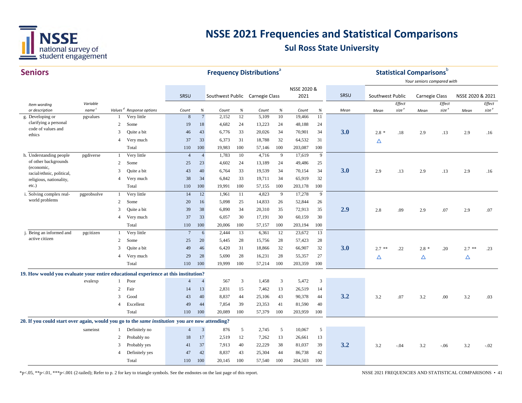

#### $C$ aniana

| <b>Seniors</b>                                                                                 |                               |                |                                                     |                 |                      | <b>Frequency Distributions</b> <sup>®</sup> |         |                |                                    |                 |         |      |                  |                   | <b>Statistical Comparisons</b> b |                   |                  |                   |
|------------------------------------------------------------------------------------------------|-------------------------------|----------------|-----------------------------------------------------|-----------------|----------------------|---------------------------------------------|---------|----------------|------------------------------------|-----------------|---------|------|------------------|-------------------|----------------------------------|-------------------|------------------|-------------------|
|                                                                                                |                               |                |                                                     |                 |                      |                                             |         |                |                                    |                 |         |      |                  |                   | Your seniors compared with       |                   |                  |                   |
|                                                                                                |                               |                |                                                     |                 |                      |                                             |         |                |                                    | NSSE 2020 &     |         |      |                  |                   |                                  |                   |                  |                   |
|                                                                                                |                               |                |                                                     | SRSU            |                      | Southwest Public Carnegie Class             |         |                |                                    | 2021            |         | SRSU | Southwest Public |                   | <b>Carnegie Class</b>            |                   | NSSE 2020 & 2021 |                   |
| Item wording                                                                                   | Variable                      |                |                                                     |                 |                      |                                             |         |                |                                    |                 |         |      |                  | Effect            |                                  | Effect            |                  | Effect            |
| or description<br>g. Developing or                                                             | name <sup>c</sup><br>pgvalues |                | Values <sup>d</sup> Response options<br>Very little | Count<br>8      | %<br>$7\phantom{.0}$ | Count<br>2,152                              | %<br>12 | Count<br>5,109 | $% \mathcal{A}_{\mathrm{d}}$<br>10 | Count<br>19,466 | %<br>11 | Mean | Mean             | size <sup>e</sup> | Mean                             | size <sup>e</sup> | Mean             | size <sup>e</sup> |
| clarifying a personal                                                                          |                               | 2              | Some                                                | 19              | 18                   | 4,682                                       | 24      | 13,223         | 24                                 | 48,188          | 24      |      |                  |                   |                                  |                   |                  |                   |
| code of values and                                                                             |                               | 3              | Quite a bit                                         | 46              | 43                   | 6,776                                       | 33      | 20,026         | 34                                 | 70,901          | 34      | 3.0  | $2.8*$           | .18               | 2.9                              | .13               | 2.9              | .16               |
| ethics                                                                                         |                               | $\overline{4}$ | Very much                                           | 37              | 33                   | 6,373                                       | 31      | 18,788         | 32                                 | 64,532          | 31      |      |                  |                   |                                  |                   |                  |                   |
|                                                                                                |                               |                | Total                                               | 110             | 100                  | 19,983                                      | 100     | 57,146         | 100                                | 203,087         | 100     |      | Δ                |                   |                                  |                   |                  |                   |
| h. Understanding people                                                                        | pgdiverse                     |                | Very little                                         | $\overline{4}$  | $\overline{4}$       | 1,783                                       | 10      | 4,716          | 9                                  | 17,619          | 9       |      |                  |                   |                                  |                   |                  |                   |
| of other backgrounds                                                                           |                               | 2              | Some                                                | 25              | 23                   | 4,602                                       | 24      | 13,189         | 24                                 | 49,486          | 25      |      |                  |                   |                                  |                   |                  |                   |
| (economic,                                                                                     |                               | 3              | Quite a bit                                         | 43              | 40                   | 6,764                                       | 33      | 19,539         | 34                                 | 70,154          | 34      | 3.0  | 2.9              | .13               | 2.9                              | .13               | 2.9              | .16               |
| racial/ethnic, political,                                                                      |                               | $\overline{4}$ | Very much                                           | 38              | 34                   | 6,842                                       | 33      | 19,711         | 34                                 | 65,919          | 32      |      |                  |                   |                                  |                   |                  |                   |
| religious, nationality,<br>$etc.$ )                                                            |                               |                | Total                                               | 110             | 100                  | 19,991                                      | 100     | 57,155         | 100                                | 203,178         | 100     |      |                  |                   |                                  |                   |                  |                   |
| i. Solving complex real-                                                                       | pgprobsolve                   | $\overline{1}$ | Very little                                         | 14              | 12                   | 1,961                                       | -11     | 4,823          | 9                                  | 17,278          | 9       |      |                  |                   |                                  |                   |                  |                   |
| world problems                                                                                 |                               | 2              | Some                                                | 20              | 16                   | 5,098                                       | 25      | 14,833         | 26                                 | 52,844          | 26      |      |                  |                   |                                  |                   |                  |                   |
|                                                                                                |                               | 3              | Quite a bit                                         | 39              | 38                   | 6,890                                       | 34      | 20,310         | 35                                 | 72,913          | 35      | 2.9  | 2.8              | .09               | 2.9                              | .07               | 2.9              | .07               |
|                                                                                                |                               | $\overline{4}$ | Very much                                           | 37              | 33                   | 6,057                                       | 30      | 17,191         | 30                                 | 60,159          | 30      |      |                  |                   |                                  |                   |                  |                   |
|                                                                                                |                               |                | Total                                               | 110             | 100                  | 20,006                                      | 100     | 57,157         | 100                                | 203,194         | 100     |      |                  |                   |                                  |                   |                  |                   |
| j. Being an informed and                                                                       | pgcitizen                     | -1             | Very little                                         | $7\phantom{.0}$ | 6                    | 2,444                                       | 13      | 6,361          | 12                                 | 23,672          | 13      |      |                  |                   |                                  |                   |                  |                   |
| active citizen                                                                                 |                               | 2              | Some                                                | 25              | 20                   | 5,445                                       | 28      | 15,756         | 28                                 | 57,423          | 28      |      |                  |                   |                                  |                   |                  |                   |
|                                                                                                |                               | 3              | Quite a bit                                         | 49              | 46                   | 6,420                                       | 31      | 18,866         | 32                                 | 66,907          | 32      | 3.0  | $2.7$ **         | .22               | $2.8*$                           | .20               | $2.7$ **         | .23               |
|                                                                                                |                               | $\overline{4}$ | Very much                                           | 29              | 28                   | 5,690                                       | 28      | 16,231         | 28                                 | 55,357          | 27      |      | Δ                |                   | Δ                                |                   | Δ                |                   |
|                                                                                                |                               |                | Total                                               | 110             | 100                  | 19,999                                      | 100     | 57,214         | 100                                | 203,359         | 100     |      |                  |                   |                                  |                   |                  |                   |
| 19. How would you evaluate your entire educational experience at this institution?             |                               |                |                                                     |                 |                      |                                             |         |                |                                    |                 |         |      |                  |                   |                                  |                   |                  |                   |
|                                                                                                | evalexp                       | -1             | Poor                                                | $\overline{4}$  | $\overline{4}$       | 567                                         | 3       | 1,458          | 3                                  | 5,472           | 3       |      |                  |                   |                                  |                   |                  |                   |
|                                                                                                |                               | 2              | Fair                                                | 14              | 13                   | 2,831                                       | 15      | 7,462          | 13                                 | 26,519          | 14      |      |                  |                   |                                  |                   |                  |                   |
|                                                                                                |                               | 3              | Good                                                | 43              | 40                   | 8,837                                       | 44      | 25,106         | 43                                 | 90,378          | 44      | 3.2  | 3.2              | .07               | 3.2                              | .00               | 3.2              | .03               |
|                                                                                                |                               | $\overline{4}$ | Excellent                                           | 49              | 44                   | 7,854                                       | 39      | 23,353         | 41                                 | 81,590          | 40      |      |                  |                   |                                  |                   |                  |                   |
|                                                                                                |                               |                | Total                                               | 110             | 100                  | 20,089                                      | 100     | 57,379         | 100                                | 203,959         | 100     |      |                  |                   |                                  |                   |                  |                   |
| 20. If you could start over again, would you go to the same institution you are now attending? |                               |                |                                                     |                 |                      |                                             |         |                |                                    |                 |         |      |                  |                   |                                  |                   |                  |                   |
|                                                                                                | sameinst                      |                | Definitely no                                       | $\overline{4}$  | $\overline{3}$       | 876                                         | 5       | 2,745          | 5                                  | 10,067          | 5       |      |                  |                   |                                  |                   |                  |                   |
|                                                                                                |                               | 2              | Probably no                                         | 18              | 17                   | 2,519                                       | 12      | 7,262          | 13                                 | 26,661          | 13      |      |                  |                   |                                  |                   |                  |                   |
|                                                                                                |                               | 3              | Probably yes                                        | 41              | 37                   | 7,913                                       | 40      | 22,229         | 38                                 | 81,037          | 39      | 3.2  | 3.2              | $-.04$            | 3.2                              | $-.06$            | 3.2              | $-.02$            |
|                                                                                                |                               | $\overline{4}$ | Definitely yes                                      | 47              | 42                   | 8,837                                       | 43      | 25,304         | 44                                 | 86,738          | 42      |      |                  |                   |                                  |                   |                  |                   |
|                                                                                                |                               |                | Total                                               | 110             | 100                  | 20,145                                      | 100     | 57,540         | 100                                | 204,503         | 100     |      |                  |                   |                                  |                   |                  |                   |
|                                                                                                |                               |                |                                                     |                 |                      |                                             |         |                |                                    |                 |         |      |                  |                   |                                  |                   |                  |                   |

\*p<.05, \*\*p<.01, \*\*\*p<.001 (2-tailed); Refer to p. 2 for key to triangle symbols. See the endnotes on the last page of this report.

NSSE 2021 FREQUENCIES AND STATISTICAL COMPARISONS • 41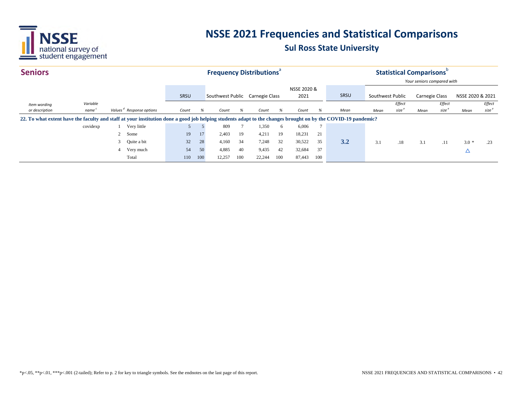

| <b>Seniors</b>                                                                                                                                               |                   |   |                                      |       |     |                                 |     | <b>Frequency Distributions</b> <sup>ª</sup> |     |             |               |      |                  |                   | <b>Statistical Comparisons</b> |                   |                  |                   |
|--------------------------------------------------------------------------------------------------------------------------------------------------------------|-------------------|---|--------------------------------------|-------|-----|---------------------------------|-----|---------------------------------------------|-----|-------------|---------------|------|------------------|-------------------|--------------------------------|-------------------|------------------|-------------------|
|                                                                                                                                                              |                   |   |                                      |       |     |                                 |     |                                             |     |             |               |      |                  |                   | Your seniors compared with     |                   |                  |                   |
|                                                                                                                                                              |                   |   |                                      |       |     |                                 |     |                                             |     | NSSE 2020 & |               |      |                  |                   |                                |                   |                  |                   |
|                                                                                                                                                              |                   |   |                                      | SRSU  |     | Southwest Public Carnegie Class |     |                                             |     | 2021        |               | SRSU | Southwest Public |                   | Carnegie Class                 |                   | NSSE 2020 & 2021 |                   |
| Item wording                                                                                                                                                 | Variable          |   |                                      |       |     |                                 |     |                                             |     |             |               |      |                  | Effect            |                                | Effect            |                  | Effect            |
| or description                                                                                                                                               | name <sup>c</sup> |   | Values <sup>d</sup> Response options | Count | %   | Count                           | %   | Count                                       | %   | Count       | %             | Mean | Mean             | size <sup>e</sup> | Mean                           | size <sup>e</sup> | Mean             | size <sup>e</sup> |
| 22. To what extent have the faculty and staff at your institution done a good job helping students adapt to the changes brought on by the COVID-19 pandemic? |                   |   |                                      |       |     |                                 |     |                                             |     |             |               |      |                  |                   |                                |                   |                  |                   |
|                                                                                                                                                              | covidexp          |   | Very little                          |       |     | 809                             |     | 1,350                                       | 6   | 6,006       | $\mathcal{I}$ |      |                  |                   |                                |                   |                  |                   |
|                                                                                                                                                              |                   |   | 2 Some                               | 19    | 17  | 2,403                           | 19  | 4,211                                       | 19  | 18,231      | 21            |      |                  |                   |                                |                   |                  |                   |
|                                                                                                                                                              |                   |   | 3 Quite a bit                        | 32    | 28  | 4,160                           | 34  | 7,248                                       | 32  | 30,522      | 35            | 3.2  | 3.1              | .18               | 3.1                            | .11               | $3.0*$           | .23               |
|                                                                                                                                                              |                   | 4 | Very much                            | 54    | 50  | 4,885                           | 40  | 9,435                                       | 42  | 32,684      | 37            |      |                  |                   |                                |                   | Δ                |                   |
|                                                                                                                                                              |                   |   | Total                                | 110   | 100 | 12,257                          | 100 | 22,244                                      | 100 | 87,443      | 100           |      |                  |                   |                                |                   |                  |                   |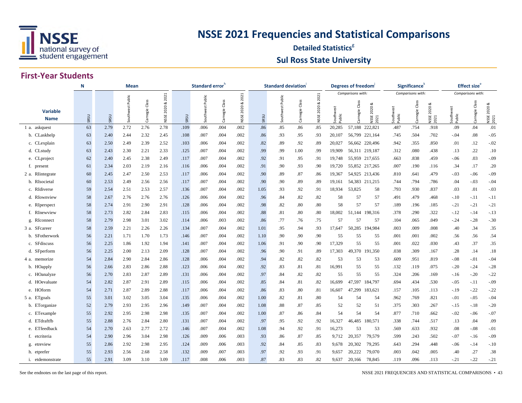

#### **Detailed Statistics**<sup>8</sup> **Sul Ross State University**

|                                | Mean<br>N |      |           |                |                 |      | Standard error <sup>n</sup> |                |             |      | <b>Standard deviation</b> |          |              |                     | Degrees of freedom |                      |                             | Significance <sup>®</sup> |                      |                   | Effect size <sup>e</sup> |                     |
|--------------------------------|-----------|------|-----------|----------------|-----------------|------|-----------------------------|----------------|-------------|------|---------------------------|----------|--------------|---------------------|--------------------|----------------------|-----------------------------|---------------------------|----------------------|-------------------|--------------------------|---------------------|
|                                |           |      | Public    |                | 2021            |      | Public                      |                | 2021        |      | Public                    | Class    | 2021<br>ಷ    |                     | Comparisons with:  | ಡ                    |                             | Comparisons with:         | ∞                    |                   | Comparisons with:        |                     |
| <b>Variable</b><br><b>Name</b> | SRSU      | SRSU | Southwest | Carnegie Class | 2020&2<br>NSSE: | SRSU | Southwest                   | Carnegie Class | NSSE 2020 & | SRSU | Southwest                 | Carnegie | 2020<br>NSSE | Southwest<br>Public | Class<br>Carnegie  | 2020<br>NSSE<br>2021 | uthwest<br>Southw<br>Public | Class<br>Carnegie         | 2020<br>NSSE<br>2021 | Southwe<br>Public | Carnegie Class           | NSSE 2020 &<br>2021 |
| 1 a. askquest                  | 63        | 2.79 | 2.72      | 2.76           | 2.78            | .109 | .006                        | .004           | .002        | .86  | .85                       | .86      | .85          | 20,285              | 57,188 222,821     |                      | .487                        | .754                      | .918                 | .09               | .04                      | .01                 |
| b. CLaskhelp                   | 63        | 2.40 | 2.44      | 2.32           | 2.45            | .108 | .007                        | .004           | .002        | .86  | .93                       | .95      | .93          | 20,107              | 56,799 221,164     |                      | .745                        | .504                      | .702                 | $-.04$            | .08                      | $-0.05$             |
| c. CLexplain                   | 63        | 2.50 | 2.49      | 2.39           | 2.52            | .103 | .006                        | .004           | .002        | .82  | .89                       | .92      | .89          | 20,027              | 56,662 220,496     |                      | .942                        | .355                      | .850                 | .01               | .12                      | $-0.02$             |
| d. CLstudy                     | 63        | 2.43 | 2.30      | 2.21           | 2.33            | .125 | .007                        | .004           | .002        | .99  | .99                       | 1.00     | .99          | 19,909              | 56,311 219,187     |                      | .312                        | .080                      | .438                 | .13               | .22                      | .10                 |
| e. CLproject                   | 62        | 2.40 | 2.45      | 2.38           | 2.49            | .117 | .007                        | .004           | .002        | .92  | .91                       | .95      | .91          | 19,748              | 55,959 217,655     |                      | .663                        | .838                      | .459                 | $-.06$            | .03                      | $-0.09$             |
| f. present                     | 61        | 2.34 | 2.03      | 2.19           | 2.16            | .116 | .006                        | .004           | .002        | .91  | .90                       | .93      | .90          | 19.720              | 55,852 217,265     |                      | .007                        | .190                      | .116                 | .34               | .17                      | .20                 |
| 2 a. RIntegrate                | 60        | 2.45 | 2.47      | 2.50           | 2.53            | .117 | .006                        | .004           | .002        | .90  | .89                       | .87      | .86          | 19,367              | 54,925 213,436     |                      | .810                        | .641                      | .479                 | $-.03$            | $-0.06$                  | $-0.09$             |
| b. RIsocietal                  | 60        | 2.53 | 2.49      | 2.56           | 2.56            | .117 | .007                        | .004           | .002        | .90  | .90                       | .89      | .89          | 19,161              | 54,383 211,215     |                      | .744                        | .794                      | .786                 | .04               | $-.03$                   | $-.04$              |
| c. RIdiverse                   | 59        | 2.54 | 2.51      | 2.53           | 2.57            | .136 | .007                        | .004           | .002        | 1.05 | .93                       | .92      | .91          | 18,934              | 53,825             | 58                   | .793                        | .930                      | .837                 | .03               | .01                      | $-.03$              |
| d. RIownview                   | 58        | 2.67 | 2.76      | 2.76           | 2.76            | .126 | .006                        | .004           | .002        | .96  | .84                       | .82      | .82          | 58                  | 57                 | 57                   | .491                        | .479                      | .468                 | $-.10$            | $-.11$                   | $-.11$              |
| e. RIperspect                  | 58        | 2.74 | 2.91      | 2.90           | 2.91            | .128 | .006                        | .004           | .002        | .98  | .82                       | .80      | .80          | 58                  | 57                 | 57                   | .189                        | .196                      | .185                 | $-.21$            | $-.21$                   | $-.21$              |
| f. RInewview                   | 58        | 2.73 | 2.82      | 2.84           | 2.83            | .115 | .006                        | .004           | .002        | .88  | .81                       | .80      | .80          | 18,002              | 51,144             | 198,316              | .378                        | .290                      | .322                 | $-.12$            | $-.14$                   | $-.13$              |
| g. RIconnect                   | 58        | 2.79 | 2.98      | 3.01           | 3.02            | .114 | .006                        | .003           | .002        | .86  | .77                       | .76      | .75          | 57                  | 57                 | 57                   | .104                        | .065                      | .049                 | $-.24$            | $-.28$                   | $-.30$              |
| 3 a. SFcareer                  | 58        | 2.59 | 2.21      | 2.26           | 2.26            | .134 | .007                        | .004           | .002        | 1.01 | .95                       | .94      | .93          | 17,647              | 50,285             | 194,984              | .003                        | .009                      | .008                 | .40               | .34                      | .35                 |
| b. SFotherwork                 | 56        | 2.21 | 1.71      | 1.70           | 1.73            | .146 | .007                        | .004           | .002        | 1.10 | .90                       | .90      | .90          | 55                  | 55                 | 55                   | .001                        | .001                      | .002                 | .56               | .56                      | .54                 |
| c. SFdiscuss                   | 56        | 2.25 | 1.86      | 1.92           | 1.94            | .141 | .007                        | .004           | .002        | 1.06 | .91                       | .90      | .90          | 17,329              | 55                 | 55                   | .001                        | .022                      | .030                 | .43               | .37                      | .35                 |
| d. SFperform                   | 56        | 2.25 | 2.00      | 2.13           | 2.09            | .128 | .007                        | .004           | .002        | .96  | .90                       | .91      | .89          | 17,303              | 49,370 191,350     |                      | .038                        | .309                      | .167                 | .28               | .14                      | .18                 |
| 4 a. memorize                  | 54        | 2.84 | 2.90      | 2.84           | 2.86            | .128 | .006                        | .004           | .002        | .94  | .82                       | .82      | .82          | 53                  | 53                 | 53                   | .609                        | .951                      | .819                 | $-.08$            | $-.01$                   | $-0.04$             |
| b. HOapply                     | 56        | 2.66 | 2.83      | 2.86           | 2.88            | .123 | .006                        | .004           | .002        | .92  | .83                       | .81      | .81          | 16,991              | 55                 | 55                   | .132                        | .119                      | .075                 | $-.20$            | $-.24$                   | $-.28$              |
| c. HOanalyze                   | 56        | 2.70 | 2.83      | 2.87           | 2.89            | .131 | .006                        | .004           | .002        | .97  | .84                       | .82      | .82          | 55                  | 55                 | 55                   | .324                        | .206                      | .169                 | $-16$             | $-.20$                   | $-.22$              |
| d. HOevaluate                  | 54        | 2.82 | 2.87      | 2.91           | 2.89            | .115 | .006                        | .004           | .002        | .85  | .84                       | .81      | .82          | 16,699              | 47,597 184,797     |                      | .694                        | .434                      | .530                 | $-.05$            | $-.11$                   | $-.09$              |
| e. HOform                      | 54        | 2.71 | 2.87      | 2.89           | 2.88            | .117 | .006                        | .004           | .002        | .86  | .83                       | .80      | .81          | 16,607              | 47,299             | 183,621              | .157                        | .105                      | .113                 | $-.19$            | $-.22$                   | $-22$               |
| 5 a. ETgoals                   | 55        | 3.01 | 3.02      | 3.05           | 3.04            | .135 | .006                        | .004           | .002        | 1.00 | .82                       | .81      | .80          | 54                  | 54                 | 54                   | .962                        | .769                      | .821                 | $-.01$            | $-.05$                   | $-0.04$             |
| b. ETorganize                  | 52        | 2.79 | 2.93      | 2.95           | 2.96            | .149 | .007                        | .004           | .002        | 1.08 | .88                       | .87      | .85          | 52                  | 52                 | 51                   | .375                        | .303                      | .267                 | $-.15$            | $-.18$                   | $-20$               |
| c. ETexample                   | 55        | 2.92 | 2.95      | 2.98           | 2.98            | .135 | .007                        | .004           | .002        | 1.00 | .87                       | .86      | .84          | 54                  | 54                 | 54                   | .877                        | .710                      | .662                 | $-.02$            | $-0.06$                  | $-0.07$             |
| d. ETdraftfb                   | 55        | 2.88 | 2.76      | 2.84           | 2.80            | .131 | .007                        | .004           | .002        | .97  | .95                       | .92      | .92          | 16,327              | 46,485             | 180,571              | .338                        | .744                      | .517                 | .13               | .04                      | .09                 |
| e. ETfeedback                  | 54        | 2.70 | 2.63      | 2.77           | 2.72            | .146 | .007                        | .004           | .002        | 1.08 | .94                       | .92      | .91          | 16,273              | 53                 | 53                   | .569                        | .633                      | .932                 | .08               | $-.08$                   | $-.01$              |
| f. etcriteria                  | 54        | 2.90 | 2.96      | 3.04           | 2.98            | .126 | .009                        | .006           | .003        | .93  | .86                       | .87      | .85          | 9,712               | 20,357             | 79,579               | .599                        | .243                      | .502                 | $-.07$            | $-.16$                   | $-0.09$             |
| g. etreview                    | 55        | 2.86 | 2.92      | 2.98           | 2.95            | .124 | .009                        | .006           | .003        | .92  | .84                       | .85      | .83          | 9,678               | 20,302             | 79,295               | .643                        | .294                      | .448                 | $-.06$            | $-.14$                   | $-.10$              |
| h. etprefer                    | 55        | 2.93 | 2.56      | 2.68           | 2.58            | .132 | .009                        | .007           | .003        | .97  | .92                       | .93      | .91          | 9,657               | 20,222             | 79,070               | .003                        | .042                      | .005                 | .40               | .27                      | .38                 |
| i. etdemonstrate               | 55        | 2.91 | 3.09      | 3.10           | 3.09            | .117 | .008                        | .006           | .003        | .87  | .83                       | .83      | .82          | 9,637               | 20,166             | 78,845               | .119                        | .096                      | .113                 | $-.21$            | $-0.22$                  | $-.21$              |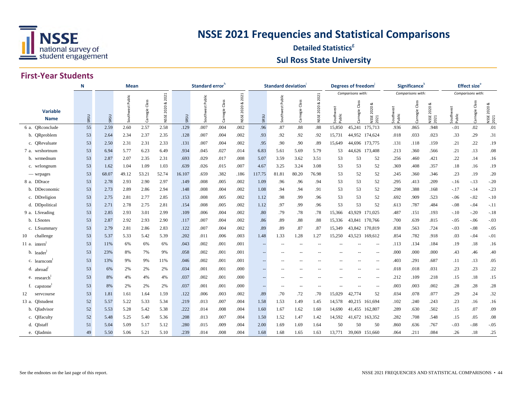

#### **Detailed Statistics**<sup>8</sup> **Sul Ross State University**

#### **First-Year Students**

|                                | N    |       | <b>Mean</b>         |                   |                   |        | Standard error <sup>n</sup> |                |                    |        | <b>Standard deviation</b> |                |                   |                  | Degrees of freedom |                           |                     | Significance <sup>®</sup> |                                  |                   | <b>Effect size</b> <sup>e</sup> |                      |
|--------------------------------|------|-------|---------------------|-------------------|-------------------|--------|-----------------------------|----------------|--------------------|--------|---------------------------|----------------|-------------------|------------------|--------------------|---------------------------|---------------------|---------------------------|----------------------------------|-------------------|---------------------------------|----------------------|
|                                |      |       |                     |                   | 2021              |        |                             |                | 2021               |        |                           |                | 2021              |                  | Comparisons with:  |                           |                     | Comparisons with:         |                                  |                   | Comparisons with:               |                      |
| <b>Variable</b><br><b>Name</b> | SRSU | SRSU  | Public<br>Southwest | Class<br>Carnegie | ઌ<br>2020<br>NSSE | SRSU   | Southwest Public            | Carnegie Class | ಷ<br>2020<br>NSSE: | SRSU   | Southwest Public          | Carnegie Class | ळ<br>2020<br>NSSE | Southw<br>Public | Class<br>negie     | ಹ<br>2020<br>NSSE<br>2021 | Southwest<br>Public | Carnegie Class            | య<br>2020<br><b>NSSE</b><br>2021 | Southwe<br>Public | Carnegie Class                  | 2020<br>NSSE<br>2021 |
| 6 a. ORconclude                | 55   | 2.59  | 2.60                | 2.57              | 2.58              | .129   | .007                        | .004           | .002               | .96    | .87                       | .88            | .88               | 15,850           |                    | 45,241 175,713            | .936                | .865                      | .948                             | $-.01$            | .02                             | .01                  |
| b. ORproblem                   | 53   | 2.64  | 2.34                | 2.37              | 2.35              | .128   | .007                        | .004           | .002               | .93    | .92                       | .92            | .92               | 15,731           | 44,952 174,624     |                           | .018                | .033                      | .023                             | .33               | .29                             | .31                  |
| c. ORevaluate                  | 53   | 2.50  | 2.31                | 2.31              | 2.33              | .131   | .007                        | .004           | .002               | .95    | .90                       | .90            | .89               | 15,649           |                    | 44,696 173,775            | .131                | .118                      | .159                             | .21               | .22                             | .19                  |
| 7 a. wrshortnum                | 53   | 6.94  | 5.77                | 6.23              | 6.49              | .934   | .045                        | .027           | .014               | 6.83   | 5.61                      | 5.69           | 5.79              | 53               |                    | 44,626 173,408            | .213                | .360                      | .566                             | .21               | .13                             | .08                  |
| b. wrmednum                    | 53   | 2.87  | 2.07                | 2.35              | 2.31              | .693   | .029                        | .017           | .008               | 5.07   | 3.59                      | 3.62           | 3.51              | 53               | 53                 | 52                        | .256                | .460                      | .421                             | .22               | .14                             | .16                  |
| c. wrlongnum                   | 53   | 1.62  | 1.04                | 1.09              | 1.03              | .639   | .026                        | .015           | .007               | 4.67   | 3.25                      | 3.24           | 3.08              | 53               | 53                 | 52                        | .369                | .408                      | .357                             | .18               | .16                             | .19                  |
| — wrpages                      | 53   | 68.07 | 49.12               | 53.21             | 52.74             | 16.107 | .659                        | .382           | .186               | 117.75 | 81.81                     | 80.20          | 76.98             | 53               | 52                 | 52                        | .245                | .360                      | .346                             | .23               | .19                             | .20                  |
| 8 a. DDrace                    | 53   | 2.78  | 2.93                | 2.90              | 2.97              | .149   | .008                        | .005           | .002               | 1.09   | .96                       | .96            | .94               | 53               | 53                 | 52                        | .295                | .413                      | .209                             | $-.16$            | $-.13$                          | $-.20$               |
| b. DDeconomic                  | 53   | 2.73  | 2.89                | 2.86              | 2.94              | .148   | .008                        | .004           | .002               | 1.08   | .94                       | .94            | .91               | 53               | 53                 | 52                        | .298                | .388                      | .168                             | $-.17$            | $-.14$                          | $-.23$               |
| c. DDreligion                  | 53   | 2.75  | 2.81                | 2.77              | 2.85              | .153   | .008                        | .005           | .002               | 1.12   | .98                       | .99            | .96               | 53               | 53                 | 52                        | .692                | .909                      | .523                             | $-.06$            | $-.02$                          | $-.10$               |
| d. DDpolitical                 | 53   | 2.71  | 2.78                | 2.75              | 2.81              | .154   | .008                        | .005           | .002               | 1.12   | .97                       | .99            | .96               | 53               | 53                 | 52                        | .613                | .787                      | .484                             | $-.08$            | $-.04$                          | -.11                 |
| 9 a. LSreading                 | 53   | 2.85  | 2.93                | 3.01              | 2.99              | .109   | .006                        | .004           | .002               | .80    | .79                       | .78            | .78               | 15,366           | 43.929             | 171.025                   | .487                | .151                      | .193                             | $-.10$            | $-.20$                          | $-.18$               |
| b. LSnotes                     | 53   | 2.87  | 2.92                | 2.93              | 2.90              | .117   | .007                        | .004           | .002               | .86    | .89                       | .88            | .88               | 15,336           |                    | 43,841 170,766            | .700                | .639                      | .815                             | $-.05$            | $-.06$                          | $-.03$               |
| c. LSsummary                   | 53   | 2.79  | 2.81                | 2.86              | 2.83              | .122   | .007                        | .004           | .002               | .89    | .89                       | .87            | .87               | 15,349           | 43.842             | 170,819                   | .838                | .563                      | .724                             | $-.03$            | $-.08$                          | $-.05$               |
| challenge<br>10                | 53   | 5.37  | 5.33                | 5.42              | 5.39              | .202   | .011                        | .006           | .003               | 1.48   | 1.33                      | 1.28           | 1.27              | 15,250           |                    | 43,523 169,612            | .854                | .782                      | .918                             | .03               | $-.04$                          | $-.01$               |
| 11 a. intern                   | 53   | 11%   | 6%                  | 6%                | 6%                | .043   | .002                        | .001           | .001               | $-$    |                           | $\overline{a}$ |                   |                  |                    | $\overline{\phantom{a}}$  | .113                | .134                      | .184                             | .19               | .18                             | .16                  |
| b. leader                      | 53   | 23%   | 8%                  | 7%                | 9%                | .058   | .002                        | .001           | .001               | --     |                           | --             |                   |                  |                    | $\overline{\phantom{a}}$  | .000                | .000                      | .000                             | .43               | .46                             | .40                  |
| c. learncom                    | 53   | 13%   | 9%                  | 9%                | 11%               | .046   | .002                        | .001           | .001               | --     |                           |                |                   |                  |                    | $\overline{\phantom{a}}$  | .403                | .291                      | .687                             | .11               | .13                             | .05                  |
| d. abroad                      | 53   | 6%    | 2%                  | 2%                | 2%                | .034   | .001                        | .001           | .000               |        |                           |                |                   |                  |                    |                           | .018                | .018                      | .031                             | .23               | .23                             | .22                  |
| e. research                    | 53   | 8%    | 4%                  | 4%                | 4%                | .037   | .002                        | .001           | .000               |        |                           |                |                   |                  |                    | $\overline{\phantom{a}}$  | .212                | .109                      | .218                             | .15               | .18                             | .15                  |
| f. capstone <sup>1</sup>       | 53   | 8%    | 2%                  | 2%                | 2%                | .037   | .001                        | .001           | .000               | $\sim$ | $\sim$                    | $\overline{a}$ | $\sim$            |                  | $\sim$             | $\overline{a}$            | .003                | .003                      | .002                             | .28               | .28                             | .28                  |
| 12<br>servcourse               | 53   | 1.81  | 1.61                | 1.64              | 1.59              | .122   | .006                        | .003           | .002               | .89    | .70                       | .72            | .70               | 15,029           | 42,774             | 52                        | .034                | .078                      | .077                             | .29               | .24                             | .32                  |
| 13 a. QIstudent                | 52   | 5.57  | 5.22                | 5.33              | 5.34              | .219   | .013                        | .007           | .004               | 1.58   | 1.53                      | 1.49           | 1.45              | 14,578           | 40,215 161,694     |                           | .102                | .240                      | .243                             | .23               | .16                             | .16                  |
| b. QIadvisor                   | 52   | 5.53  | 5.28                | 5.42              | 5.38              | .222   | .014                        | $.008$         | .004               | 1.60   | 1.67                      | 1.62           | 1.60              | 14,690           | 41,455             | 162,807                   | .289                | .630                      | .502                             | .15               | .07                             | .09                  |
| c. QIfaculty                   | 52   | 5.48  | 5.25                | 5.40              | 5.36              | .208   | .013                        | .007           | .004               | 1.50   | 1.52                      | 1.47           | 1.42              | 14,592           | 41,672             | 163,352                   | .282                | .708                      | .548                             | .15               | .05                             | .08                  |
| d. QIstaff                     | 51   | 5.04  | 5.09                | 5.17              | 5.12              | .280   | .015                        | .009           | .004               | 2.00   | 1.69                      | 1.69           | 1.64              | 50               | 50                 | 50                        | .860                | .636                      | .767                             | $-.03$            | $-.08$                          | $-.05$               |
| e. OIadmin                     | 49   | 5.50  | 5.06                | 5.21              | 5.10              | .239   | .014                        | .008           | .004               | 1.68   | 1.68                      | 1.65           | 1.63              | 13,771           | 39,069 151,660     |                           | .064                | .211                      | .084                             | .26               | .18                             | .25                  |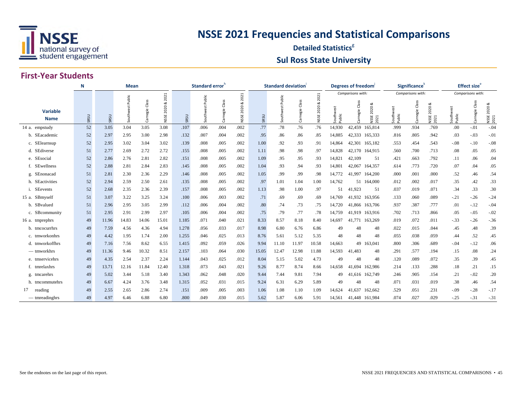

#### **Detailed Statistics**<sup>8</sup> **Sul Ross State University**

#### **First-Year Students**

|                                | N    |       | <b>Mean</b>         |                      |               |       | Standard error <sup>n</sup> |                     |                 |       | <b>Standard deviation</b> |                |               |                  | Degrees of freedom |                            |                     | Significance <sup>®</sup> |                                  |                     | <b>Effect size</b> <sup>e</sup> |                            |
|--------------------------------|------|-------|---------------------|----------------------|---------------|-------|-----------------------------|---------------------|-----------------|-------|---------------------------|----------------|---------------|------------------|--------------------|----------------------------|---------------------|---------------------------|----------------------------------|---------------------|---------------------------------|----------------------------|
|                                |      |       |                     |                      | 2021          |       |                             |                     | 2021            |       |                           |                | 2021          |                  | Comparisons with:  |                            |                     | Comparisons with:         |                                  |                     | Comparisons with:               |                            |
| <b>Variable</b><br><b>Name</b> | SRSU | SRSU  | Public<br>Southwest | Class<br>megie<br>යි | 2020&<br>NSSE | SRSU  | Public<br>Southwest         | Class<br>Carnegie ( | 2020 &<br>NSSE. | SRSU  | Public<br>Southwest       | Carnegie Class | 2020&<br>NSSE | Southw<br>Public | Class<br>rnegie    | య<br>2020<br>NSSE:<br>2021 | Southwest<br>Public | Class<br>Carnegie         | య<br>2020<br><b>NSSE</b><br>2021 | Southwest<br>Public | Class<br>Carnegie               | ಹ<br>2020<br>NSSE:<br>2021 |
| 14 a. empstudy                 | 52   | 3.05  | 3.04                | 3.05                 | 3.08          | .107  | .006                        | .004                | .002            | .77   | .78                       | .76            | .76           | 14,930           |                    | 42,459 165,814             | .999                | .934                      | .769                             | .00                 | $-.01$                          | $-.04$                     |
| b. SEacademic                  | 52   | 2.97  | 2.95                | 3.00                 | 2.98          | .132  | .007                        | .004                | .002            | .95   | .86                       | .86            | .85           | 14,885           | 42,333 165,333     |                            | .816                | .805                      | .942                             | .03                 | $-.03$                          | $-.01$                     |
| c. SElearnsup                  | 52   | 2.95  | 3.02                | 3.04                 | 3.02          | .139  | .008                        | .005                | .002            | 1.00  | .92                       | .93            | .91           | 14,864           | 42,301 165,182     |                            | .553                | .454                      | .543                             | $-.08$              | $-.10$                          | $-.08$                     |
| d. SEdiverse                   | 51   | 2.77  | 2.69                | 2.72                 | 2.72          | .155  | .008                        | .005                | .002            | 1.11  | .98                       | .98            | .97           | 14,828           | 42,170             | 164,915                    | .560                | .700                      | .713                             | .08                 | .05                             | .05                        |
| e. SEsocial                    | 52   | 2.86  | 2.76                | 2.81                 | 2.82          | .151  | .008                        | .005                | .002            | 1.09  | .95                       | .95            | .93           | 14,821           | 42,109             | 51                         | .421                | .663                      | .792                             | .11                 | .06                             | .04                        |
| f. SEwellness                  | 52   | 2.88  | 2.81                | 2.84                 | 2.83          | .145  | .008                        | .005                | .002            | 1.04  | .93                       | .94            | .93           | 14,801           | 42,067             | 164,357                    | .614                | .773                      | .720                             | .07                 | .04                             | .05                        |
| g. SEnonacad                   | 51   | 2.81  | 2.30                | 2.36                 | 2.29          | .146  | .008                        | .005                | .002            | 1.05  | .99                       | .99            | .98           | 14,772           | 41.997             | 164,200                    | .000                | .001                      | .000                             | .52                 | .46                             | .54                        |
| h. SEactivities                | 52   | 2.94  | 2.59                | 2.50                 | 2.61          | .135  | .008                        | .005                | .002            | .97   | 1.01                      | 1.04           | 1.00          | 14,762           |                    | 51 164,000                 | .012                | .002                      | .017                             | .35                 | .42                             | .33                        |
| i. SEevents                    | 52   | 2.68  | 2.35                | 2.36                 | 2.39          | .157  | .008                        | .005                | .002            | 1.13  | .98                       | 1.00           | .97           | 51               | 41.923             | 51                         | .037                | .019                      | .071                             | .34                 | .33                             | .30                        |
| 15 a. SBmyself                 | 51   | 3.07  | 3.22                | 3.25                 | 3.24          | .100  | .006                        | .003                | .002            | .71   | .69                       | .69            | .69           | 14,769           | 41,932 163,956     |                            | .133                | .060                      | .089                             | $-.21$              | $-.26$                          | $-.24$                     |
| b. SBvalued                    | 51   | 2.96  | 2.95                | 3.05                 | 2.99          | .112  | .006                        | .004                | .002            | .80   | .74                       | .73            | .75           | 14,720           | 41,866             | 163,706                    | .937                | .387                      | .777                             | .01                 | $-.12$                          | $-.04$                     |
| c. SBcommunity                 | 51   | 2.95  | 2.91                | 2.99                 | 2.97          | .105  | .006                        | .004                | .002            | .75   | .79                       | .77            | .78           | 14,759           | 41.919 163.916     |                            | .702                | .713                      | .866                             | .05                 | $-.05$                          | $-.02$                     |
| 16 a. tmprephrs                | 49   | 11.96 | 14.83               | 14.06                | 15.01         | 1.185 | .071                        | .040                | .021            | 8.33  | 8.57                      | 8.18           | 8.40          | 14.697           | 41,771             | 163,269                    | .019                | .072                      | .011                             | $-.33$              | $-.26$                          | $-.36$                     |
| b. tmcocurrhrs                 | 49   | 7.59  | 4.56                | 4.36                 | 4.94          | 1.278 | .056                        | .033                | .017            | 8.98  | 6.80                      | 6.76           | 6.86          | 49               | 48                 | 48                         | .022                | .015                      | .044                             | .45                 | .48                             | .39                        |
| c. tmworkonhrs                 | 49   | 4.42  | 1.95                | 1.74                 | 2.00          | 1.255 | .046                        | .025                | .013            | 8.76  | 5.61                      | 5.12           | 5.35          | 48               | 48                 | 48                         | .055                | .038                      | .059                             | .44                 | .52                             | .45                        |
| d. tmworkoffhrs                | 49   | 7.16  | 7.56                | 8.62                 | 6.55          | 1.415 | .092                        | .059                | .026            | 9.94  | 11.10                     | 11.97          | 10.58         | 14,663           |                    | 49 163,041                 | .800                | .306                      | .689                             | $-.04$              | $-.12$                          | .06                        |
| $-$ tmworkhrs                  | 49   | 11.36 | 9.46                | 10.32                | 8.51          | 2.157 | .103                        | .064                | .030            | 15.05 | 12.47                     | 12.98          | 11.88         | 14,593           | 41,483             | 48                         | .291                | .577                      | .194                             | .15                 | .08                             | .24                        |
| e. tmservicehrs                | 49   | 4.35  | 2.54                | 2.37                 | 2.24          | 1.144 | .043                        | .025                | .012            | 8.04  | 5.15                      | 5.02           | 4.73          | 49               | 48                 | 48                         | .120                | .089                      | .072                             | .35                 | .39                             | .45                        |
| f. tmrelaxhrs                  | 49   | 13.71 | 12.16               | 11.84                | 12.40         | 1.318 | .073                        | .043                | .021            | 9.26  | 8.77                      | 8.74           | 8.66          | 14,658           | 41.694             | 162,986                    | .214                | .133                      | .288                             | .18                 | .21                             | .15                        |
| g. tmcarehrs                   | 49   | 5.02  | 3.44                | 5.18                 | 3.40          | 1.343 | .062                        | .048                | .020            | 9.44  | 7.44                      | 9.81           | 7.94          | 49               | 41.616             | 162,749                    | .246                | .905                      | .154                             | .21                 | $-.02$                          | .20                        |
| h. tmcommutehrs                | 49   | 6.67  | 4.24                | 3.76                 | 3.48          | 1.315 | .052                        | .031                | .015            | 9.24  | 6.31                      | 6.29           | 5.89          | 49               | 48                 | 48                         | .071                | .031                      | .019                             | .38                 | .46                             | .54                        |
| 17<br>reading                  | 49   | 2.55  | 2.65                | 2.86                 | 2.74          | .151  | .009                        | .005                | .003            | 1.06  | 1.08                      | 1.10           | 1.09          | 14,624           | 41,637             | 162,662                    | .529                | .051                      | .231                             | $-.09$              | $-.28$                          | $-.17$                     |
| — tmreadinghrs                 | 49   | 4.97  | 6.46                | 6.88                 | 6.80          | .800  | .049                        | .030                | .015            | 5.62  | 5.87                      | 6.06           | 5.91          | 14.561           | 41.448 161.984     |                            | .074                | .027                      | .029                             | $-.25$              | $-.31$                          | $-.31$                     |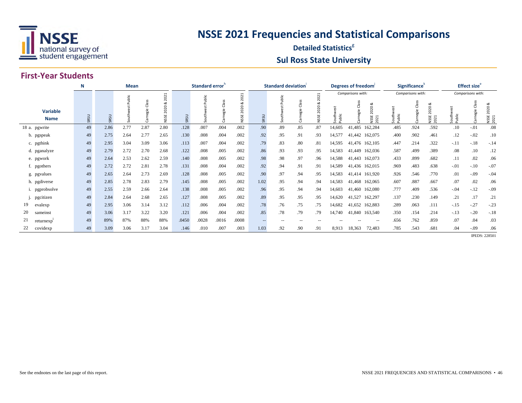

#### **Detailed Statistics**<sup>8</sup> **Sul Ross State University**

#### **First-Year Students**

|                                | N    | Mean |       |                     |                              |       | Standard error |                    |                              |                   | Standard deviation |                     |                              |                 | Degrees of freedom <sup>1</sup> |                                                 |                        | Significance <sup>k</sup> |                           |                  | <b>Effect size</b> <sup>e</sup> |                          |
|--------------------------------|------|------|-------|---------------------|------------------------------|-------|----------------|--------------------|------------------------------|-------------------|--------------------|---------------------|------------------------------|-----------------|---------------------------------|-------------------------------------------------|------------------------|---------------------------|---------------------------|------------------|---------------------------------|--------------------------|
|                                |      |      |       |                     | 2021                         |       |                |                    | $\mathbf{\mathbf{r}}$<br>202 |                   | blic               |                     | 202                          |                 | Comparisons with:               |                                                 |                        | Comparisons with:         |                           |                  | Comparisons with:               |                          |
| <b>Variable</b><br><b>Name</b> | SRSU | SRSU | ublic | æ<br>ರ<br>agie<br>ී | ಂಶ<br>$\circ$<br>202<br>NSSE | SRSU  | ublic          | Clas:<br>egie<br>ത | ಂಶ<br>$\circ$<br>202<br>NSSE | SRSU              |                    | æ<br>ರ<br>egie<br>ී | ಂಶ<br>$\circ$<br>202<br>NSSE | South<br>Public | ರ<br>agie                       | ಂಶ<br>020<br>$\bar{\sim}$<br>5H<br>NSSE<br>2021 | ä<br>Southwe<br>Public | ä                         | ಹ<br>2020<br>NSSE<br>2021 | Southw<br>Public |                                 | 20<br>20<br>NSSE<br>2021 |
| 18 a. pgwrite                  | 49   | 2.86 | 2.77  | 2.87                | 2.80                         | .128  | .007           | .004               | .002                         | .90               | .89                | .85                 | .87                          | 14,605          | 41,485                          | 162,284                                         | .485                   | .924                      | .592                      | .10              | $-.01$                          | .08                      |
| b. pgspeak                     | 49   | 2.75 | 2.64  | 2.77                | 2.65                         | .130  | .008           | .004               | .002                         | .92               | .95                | .91                 | .93                          | 14,577          | 41,442                          | 162,075                                         | .400                   | .902                      | .461                      | .12              | $-.02$                          | .10                      |
| c. pgthink                     | 49   | 2.95 | 3.04  | 3.09                | 3.06                         | .113  | .007           | .004               | .002                         | .79               | .83                | .80                 | .81                          | 14,595          | 41,476 162,105                  |                                                 | .447                   | .214                      | .322                      | $-.11$           | $-.18$                          | $-.14$                   |
| d. pganalyze                   | 49   | 2.79 | 2.72  | 2.70                | 2.68                         | .122  | .008           | .005               | .002                         | .86               | .93                | .93                 | .95                          | 14,583          | 41,449 162,036                  |                                                 | .587                   | .499                      | .389                      | .08              | .10                             | .12                      |
| e. pgwork                      | 49   | 2.64 | 2.53  | 2.62                | 2.59                         | .140  | .008           | .005               | .002                         | .98               | .98                | .97                 | .96                          | 14,588          | 41,443 162,073                  |                                                 | .433                   | .899                      | .682                      | .11              | .02                             | .06                      |
| f. pgothers                    | 49   | 2.72 | 2.72  | 2.81                | 2.78                         | .131  | .008           | .004               | .002                         | .92               | .94                | .91                 | .91                          | 14,589          | 41,436 162,015                  |                                                 | .969                   | .483                      | .638                      | $-.01$           | $-.10$                          | $-.07$                   |
| g. pgvalues                    | 49   | 2.65 | 2.64  | 2.73                | 2.69                         | .128  | .008           | .005               | .002                         | .90               | .97                | .94                 | .95                          | 14,583          | 41,414 161,920                  |                                                 | .926                   | .546                      | .770                      | .01              | $-.09$                          | $-.04$                   |
| h. pgdiverse                   | 49   | 2.85 | 2.78  | 2.83                | 2.79                         | .145  | .008           | .005               | .002                         | 1.02              | .95                | .94                 | .94                          | 14,583          | 41,468 162,065                  |                                                 | .607                   | .887                      | .667                      | .07              | .02                             | .06                      |
| i. pgprobsolve                 | 49   | 2.55 | 2.59  | 2.66                | 2.64                         | .138  | .008           | .005               | .002                         | .96               | .95                | .94                 | .94                          | 14,603          | 41,460                          | 162,080                                         | .777                   | .409                      | .536                      | $-.04$           | $-12$                           | $-.09$                   |
| pgcitizen                      | 49   | 2.84 | 2.64  | 2.68                | 2.65                         | .127  | .008           | .005               | .002                         | .89               | .95                | .95                 | .95                          | 14,620          | 41,527                          | 162,297                                         | .137                   | .230                      | .149                      | .21              | .17                             | .21                      |
| 19<br>evalexp                  | 49   | 2.95 | 3.06  | 3.14                | 3.12                         | .112  | .006           | .004               | .002                         | .78               | .76                | .75                 | .75                          | 14,682          | 41,652                          | 162,883                                         | .289                   | .063                      | .111                      | $-.15$           | $-.27$                          | $-.23$                   |
| 20<br>sameinst                 | 49   | 3.06 | 3.17  | 3.22                | 3.20                         | .121  | .006           | .004               | .002                         | .85               | .78                | .79                 | .79                          | 14,740          | 41,840                          | 163,540                                         | .350                   | .154                      | .214                      | $-.13$           | $-.20$                          | $-.18$                   |
| returnexp                      | 49   | 89%  | 87%   | 88%                 | 88%                          | .0450 | .0028          | .0016              | .0008                        | $\qquad \qquad -$ |                    | $- -$               |                              |                 |                                 | $-$                                             | .656                   | .762                      | .859                      | .07              | .04                             | .03                      |
| covidexp                       | 49   | 3.09 | 3.06  | 3.17                | 3.04                         | .146  | .010           | .007               | .003                         | 1.03              | .92                | .90                 | .91                          | 8,913           | 18,363                          | 72,483                                          | .785                   | .543                      | .681                      | .04              | $-0.09$                         | .06                      |

**IPEDS: 228501**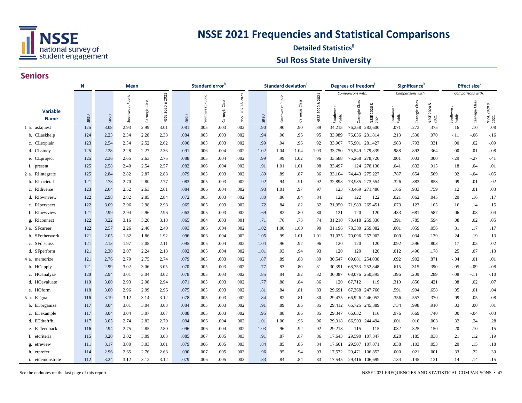

#### **Detailed Statistics**<sup>8</sup> **Sul Ross State University**

#### **Seniors**

|                                | Mean<br>N |      |           |                   |             |      | Standard error |                   |                       |      | <b>Standard deviation</b> |                   |                    |                        | Degrees of freedom                                 |                        | Significance <sup>'</sup> |                                  |                   | <b>Effect size</b> <sup>e</sup> |                          |
|--------------------------------|-----------|------|-----------|-------------------|-------------|------|----------------|-------------------|-----------------------|------|---------------------------|-------------------|--------------------|------------------------|----------------------------------------------------|------------------------|---------------------------|----------------------------------|-------------------|---------------------------------|--------------------------|
|                                |           |      | Public    |                   | 2021        |      | Public         |                   | 2021                  |      | Public                    |                   | 2021               |                        | Comparisons with:                                  |                        | Comparisons with:         |                                  |                   | Comparisons with:               |                          |
| <b>Variable</b><br><b>Name</b> | SRSU      | SRSU | Southwest | Class<br>Carnegie | NSSE 2020 & | SRSU | Southwest      | Class<br>Carnegie | ∝<br><b>NSSE 2020</b> | SRSU | Southwest                 | Class<br>Carnegie | ಂಶ<br>2020<br>NSSE | ă<br>Southwe<br>Public | Class<br>ಷ<br><b>NSSE 2020</b><br>Carnegie<br>2021 | š<br>Southwe<br>Public | Class<br>Carnegie         | ø<br>2020<br><b>NSSE</b><br>2021 | Southwe<br>Public | Class<br>Carnegie               | ಹ<br>NSSE 2020 8<br>2021 |
| 1 a. askquest                  | 125       | 3.08 | 2.93      | 2.99              | 3.01        | .081 | .005           | .003              | .002                  | .90  | .90                       | .90               | .89                | 34,215                 | 76,358 283,600                                     | .071                   | .273                      | .375                             | .16               | .10                             | .08                      |
| b. CLaskhelp                   | 124       | 2.23 | 2.34      | 2.28              | 2.38        | .084 | .005           | .003              | .002                  | .94  | .96                       | .96               | .95                | 33,989                 | 76,036 281,814                                     | .213                   | .530                      | .070                             | $-.11$            | $-0.06$                         | $-.16$                   |
| c. CLexplain                   | 123       | 2.54 | 2.54      | 2.52              | 2.62        | .090 | .005           | .003              | .002                  | .99  | .94                       | .96               | .92                | 33,967                 | 75,901 281,427                                     | .983                   | .793                      | .331                             | .00               | .02                             | $-.09$                   |
| d. CLstudy                     | 125       | 2.28 | 2.28      | 2.27              | 2.36        | .091 | .006           | .004              | .002                  | 1.02 | 1.04                      | 1.04              | 1.03               | 33,750                 | 75,549 279,839                                     | .988                   | .892                      | .364                             | .00               | .01                             | $-.08$                   |
| e. CLproject                   | 125       | 2.36 | 2.65      | 2.63              | 2.75        | .088 | .005           | .004              | .002                  | .99  | .99                       | 1.02              | .96                | 33,588                 | 75,268 278,720                                     | .001                   | .003                      | .000                             | $-.29$            | $-27$                           | $-.41$                   |
| f. present                     | 125       | 2.58 | 2.40      | 2.54              | 2.57        | .082 | .006           | .004              | .002                  | .91  | 1.01                      | 1.01              | .98                | 33,497                 | 124 278,130                                        | .041                   | .632                      | .915                             | .18               | .04                             | .01                      |
| 2 a. RIintegrate               | 125       | 2.84 | 2.82      | 2.87              | 2.88        | .079 | .005           | .003              | .002                  | .89  | .89                       | .87               | .86                | 33,104                 | 74,443 275,227                                     | .787                   | .654                      | .569                             | .02               | $-.04$                          | $-.05$                   |
| b. RIsocietal                  | 121       | 2.78 | 2.70      | 2.80              | 2.77        | .083 | .005           | .003              | .002                  | .92  | .94                       | .91               | .92                | 32,898                 | 273,554<br>73,985                                  | .326                   | .883                      | .853                             | .09               | $-.01$                          | .02                      |
| c. RIdiverse                   | 123       | 2.64 | 2.52      | 2.63              | 2.61        | .084 | .006           | .004              | .002                  | .93  | 1.01                      | .97               | .97                | 123                    | 73,469 271,486                                     | .166                   | .933                      | .759                             | .12               | .01                             | .03                      |
| d. RIownview                   | 122       | 2.98 | 2.82      | 2.85              | 2.84        | .072 | .005           | .003              | .002                  | .80  | .86                       | .84               | .84                | 122                    | 122<br>122                                         | .021                   | .062                      | .045                             | .20               | .16                             | .17                      |
| e. RIperspect                  | 122       | 3.09 | 2.96      | 2.98              | 2.98        | .065 | .005           | .003              | .002                  | .72  | .84                       | .82               | .82                | 31,950                 | 71,983<br>265,451                                  | .073                   | .123                      | .105                             | .16               | .14                             | .15                      |
| f. RInewview                   | 121       | 2.99 | 2.94      | 2.96              | 2.96        | .063 | .005           | .003              | .002                  | .69  | .82                       | .80               | .80                | 121                    | 120<br>120                                         | .433                   | .681                      | .587                             | .06               | .03                             | .04                      |
| g. RIconnect                   | 122       | 3.22 | 3.16      | 3.20              | 3.18        | .065 | .004           | .003              | .001                  | .71  | .76                       | .73               | .74                | 31,210                 | 70,418 259,336                                     | .391                   | .785                      | .594                             | .08               | .02                             | .05                      |
| 3 a. SFcareer                  | 122       | 2.57 | 2.26      | 2.40              | 2.40        | .093 | .006           | .004              | .002                  | 1.02 | 1.00                      | 1.00              | .99                | 31,196                 | 70,380 259,082                                     | .001                   | .059                      | .056                             | .31               | .17                             | .17                      |
| b. SFotherwork                 | 121       | 2.05 | 1.82      | 1.86              | 1.92        | .096 | .006           | .004              | .002                  | 1.05 | .99                       | 1.01              | 1.01               | 31,035                 | 70,096 257,902                                     | .009                   | .034                      | .139                             | .24               | .19                             | .13                      |
| c. SFdiscuss                   | 121       | 2.13 | 1.97      | 2.08              | 2.11        | .095 | .005           | .004              | .002                  | 1.04 | .96                       | .97               | .96                | 120                    | 120<br>120                                         | .092                   | .596                      | .803                             | .17               | .05                             | .02                      |
| d. SFperform                   | 121       | 2.30 | 2.07      | 2.24              | 2.18        | .092 | .005           | .004              | .002                  | 1.01 | .93                       | .94               | .93                | 120                    | 120<br>120                                         | .012                   | .490                      | .178                             | .25               | .07                             | .13                      |
| 4 a. memorize                  | 121       | 2.76 | 2.79      | 2.75              | 2.74        | .079 | .005           | .003              | .002                  | .87  | .89                       | .88               | .89                | 30,547                 | 69,081 254,038                                     | .692                   | .902                      | .871                             | $-.04$            | .01                             | .01                      |
| b. HOapply                     | 121       | 2.99 | 3.02      | 3.06              | 3.05        | .070 | .005           | .003              | .002                  | .77  | .83                       | .80               | .81                | 30,391                 | 68,753 252,848                                     | .615                   | .315                      | .390                             | $-.05$            | $-.09$                          | $-.08$                   |
| c. HOanalyze                   | 120       | 2.94 | 3.01      | 3.04              | 3.02        | .078 | .005           | .003              | .002                  | .85  | .84                       | .82               | .82                | 30,087                 | 68,076 250,395                                     | .396                   | .209                      | .289                             | $-.08$            | -.11                            | $-.10$                   |
| d. HOevaluate                  | 119       | 3.00 | 2.93      | 2.98              | 2.94        | .071 | .005           | .003              | .002                  | .77  | .88                       | .84               | .86                | 120                    | 67,712<br>119                                      | .310                   | .856                      | .421                             | .08               | .02                             | .07                      |
| e. HOform                      | 118       | 3.00 | 2.96      | 2.99              | 2.96        | .075 | .005           | .003              | .002                  | .81  | .84                       | .81               | .83                | 29,691                 | 67,368 247,766                                     | .591                   | .904                      | .658                             | .05               | .01                             | .04                      |
| 5 a. ETgoals                   | 116       | 3.19 | 3.12      | 3.14              | 3.12        | .078 | .005           | .003              | .002                  | .84  | .82                       | .81               | .80                | 29,475                 | 66,926 246,052                                     | .356                   | .557                      | .370                             | .09               | .05                             | .08                      |
| b. ETorganize                  | 117       | 3.04 | 3.01      | 3.04              | 3.03        | .084 | .005           | .003              | .002                  | .91  | .89                       | .86               | .85                | 29,412                 | 66,725 245,389                                     | .734                   | .998                      | .910                             | .03               | .00                             | .01                      |
| c. ETexample                   | 117       | 3.04 | 3.04      | 3.07              | 3.07        | .088 | .005           | .003              | .002                  | .95  | .88                       | .86               | .85                | 29,347                 | 66,632<br>116                                      | .976                   | .669                      | .740                             | .00               | -.04                            | $-.03$                   |
| d. ETdraftfb                   | 117       | 3.05 | 2.74      | 2.82              | 2.79        | .094 | .006           | .004              | .002                  | 1.01 | 1.00                      | .96               | .96                | 29,318                 | 66,503 244,494                                     | .001                   | .010                      | .003                             | .32               | .24                             | .28                      |
| e. ETfeedback                  | 116       | 2.94 | 2.75      | 2.85              | 2.80        | .096 | .006           | .004              | .002                  | 1.03 | .96                       | .92               | .92                | 29,218                 | 115<br>115                                         | .032                   | .325                      | .150                             | .20               | .10                             | .15                      |
| f. etcriteria                  | 115       | 3.20 | 3.02      | 3.09              | 3.03        | .085 | .007           | .005              | .003                  | .91  | .87                       | .87               | .86                | 17,643                 | 29,590 107,347                                     | .028                   | .185                      | .038                             | .21               | .12                             | .19                      |
| g. etreview                    | 111       | 3.17 | 3.00      | 3.03              | 3.01        | .079 | .006           | .005              | .003                  | .84  | .85                       | .86               | .84                | 17,601                 | 29,507<br>107,071                                  | .038                   | .103                      | .053                             | .20               | .15                             | .18                      |
| h. etprefer                    | 114       | 2.96 | 2.65      | 2.76              | 2.68        | .090 | .007           | .005              | .003                  | .96  | .95                       | .94               | .93                | 17,572                 | 29,471<br>106,852                                  | .000                   | .021                      | .001                             | .33               | .22                             | .30                      |
| i. etdemonstrate               | 112       | 3.24 | 3.12      | 3.12              | 3.12        | .079 | .006           | .005              | .003                  | .83  | .84                       | .84               | .83                | 17,545                 | 29,416 106,699                                     | .134                   | .145                      | .121                             | .14               | .14                             | .15                      |

See the endnotes on the last page of this report.

NSSE 2021 FREQUENCIES AND STATISTICAL COMPARISONS • 47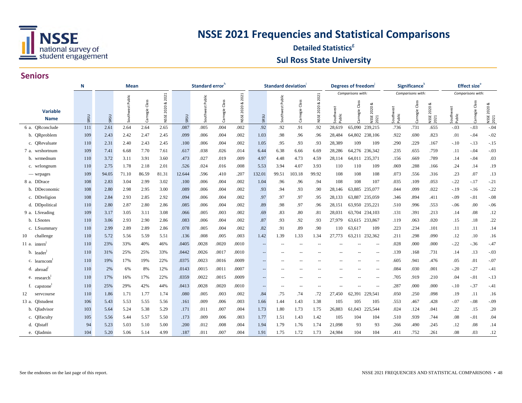

#### **Detailed Statistics**<sup>8</sup> **Sul Ross State University**

|                                | N    |       |           | Standard error <sup>h</sup> |                     |        |           |                                      | <b>Standard deviation</b> |                     |           | Degrees of freedom   |                   |                  | Significance <sup>®</sup> |                           |                        | <b>Effect size</b> <sup>e</sup> |                           |                  |                       |                           |
|--------------------------------|------|-------|-----------|-----------------------------|---------------------|--------|-----------|--------------------------------------|---------------------------|---------------------|-----------|----------------------|-------------------|------------------|---------------------------|---------------------------|------------------------|---------------------------------|---------------------------|------------------|-----------------------|---------------------------|
|                                |      |       | Public    |                             |                     |        | Public    |                                      |                           |                     | Public    |                      | 2021              |                  | Comparisons with:         |                           |                        | Comparisons with:               |                           |                  | Comparisons with:     |                           |
| <b>Variable</b><br><b>Name</b> | SRSU | SRSU  | Southwest | Class<br>megie<br>ී         | 2020 & 2021<br>NSSE | SRSU   | Southwest | Class<br>$\mathbbmss{}$<br>megi<br>ී | 2020 & 2021<br>NSSE       | SRSU                | Southwest | Class<br>megie<br>යි | ಷ<br>2020<br>NSSE | Southw<br>Public | Class<br>Carnegie         | య<br>2020<br>NSSE<br>2021 | ä<br>Southwe<br>Public | Class<br>Carnegie               | ∝<br>2020<br>NSSE<br>2021 | Southw<br>Public | Class<br>rnegie<br>වි | ಂಶ<br>NSSE 2020 8<br>2021 |
| 6 a. QRconclude                | 111  | 2.61  | 2.64      | 2.64                        | 2.65                | .087   | .005      | .004                                 | .002                      | .92                 | .92       | .91                  | .92               | 28,619           |                           | 65,090 239,215            | .736                   | .731                            | .655                      | $-.03$           | $-.03$                | $-.04$                    |
| b. QRproblem                   | 109  | 2.43  | 2.42      | 2.47                        | 2.45                | .099   | .006      | .004                                 | .002                      | 1.03                | .98       | .96                  | .96               | 28,484           |                           | 64,802 238,106            | .922                   | .690                            | .823                      | .01              | $-.04$                | $-.02$                    |
| c. ORevaluate                  | 110  | 2.31  | 2.40      | 2.43                        | 2.45                | .100   | .006      | .004                                 | .002                      | 1.05                | .95       | .93                  | .93               | 28,389           | 109                       | 109                       | .290                   | .229                            | .167                      | $-.10$           | $-.13$                | $-.15$                    |
| 7 a. wrshortnum                | 109  | 7.41  | 6.68      | 7.70                        | 7.61                | .617   | .038      | .026                                 | .014                      | 6.44                | 6.38      | 6.66                 | 6.69              | 28,286           | 64,276                    | 236,342                   | .235                   | .655                            | .759                      | .11              | $-.04$                | $-.03$                    |
| b. wrmednum                    | 110  | 3.72  | 3.11      | 3.91                        | 3.60                | .473   | .027      | .019                                 | .009                      | 4.97                | 4.48      | 4.73                 | 4.59              | 28,114           |                           | 64,011 235,371            | .156                   | .669                            | .789                      | .14              | $-.04$                | .03                       |
| c. wrlongnum                   | 110  | 2.75  | 1.78      | 2.18                        | 2.01                | .526   | .024      | .016                                 | .008                      | 5.53                | 3.94      | 4.07                 | 3.93              | 110              | 110                       | 109                       | .069                   | .288                            | .166                      | .24              | .14                   | .19                       |
| — wrpages                      | 109  | 94.05 | 71.10     | 86.59                       | 81.31               | 12.644 | .596      | .410                                 | .207                      | 132.01              | 99.51     | 103.18               | 99.92             | 108              | 108                       | 108                       | .073                   | .556                            | .316                      | .23              | .07                   | .13                       |
| 8 a. DDrace                    | 108  | 2.83  | 3.04      | 2.99                        | 3.02                | .100   | .006      | .004                                 | .002                      | 1.04                | .96       | .96                  | .94               | 108              | 108                       | 107                       | .035                   | .109                            | .053                      | $-.22$           | $-17$                 | $-.21$                    |
| b. DDeconomic                  | 108  | 2.80  | 2.98      | 2.95                        | 3.00                | .089   | .006      | .004                                 | .002                      | .93                 | .94       | .93                  | .90               | 28,146           | 63,885                    | 235,077                   | .044                   | .099                            | .022                      | $-.19$           | $-.16$                | $-.22$                    |
| c. DDreligion                  | 108  | 2.84  | 2.93      | 2.85                        | 2.92                | .094   | .006      | .004                                 | .002                      | .97                 | .97       | .97                  | .95               | 28,133           | 63,887                    | 235,059                   | .346                   | .894                            | .411                      | $-.09$           | $-.01$                | $-.08$                    |
| d. DDpolitical                 | 110  | 2.80  | 2.87      | 2.80                        | 2.86                | .085   | .006      | .004                                 | .002                      | .89                 | .98       | .97                  | .96               | 28,151           |                           | 63,950 235,221            | .510                   | .996                            | .553                      | $-.06$           | .00.                  | $-06$                     |
| 9 a. LSreading                 | 109  | 3.17  | 3.05      | 3.11                        | 3.08                | .066   | .005      | .003                                 | .002                      | .69                 | .83       | .80                  | .81               | 28,031           | 63,704                    | 234,103                   | .131                   | .391                            | .213                      | .14              | .08                   | .12                       |
| b. LSnotes                     | 110  | 3.06  | 2.93      | 2.90                        | 2.86                | .083   | .006      | .004                                 | .002                      | .87                 | .93       | .92                  | .93               | 27,979           |                           | 63,615 233,867            | .119                   | .063                            | .020                      | .15              | .18                   | .22                       |
| c. LSsummary                   | 110  | 2.99  | 2.89      | 2.89                        | 2.86                | .078   | .005      | .004                                 | .002                      | .82                 | .91       | .89                  | .90               | 110              | 63,617                    | 109                       | .223                   | .234                            | .101                      | .11              | .11                   | .14                       |
| challenge<br>10                | 110  | 5.72  | 5.56      | 5.59                        | 5.51                | .136   | .008      | .005                                 | .003                      | 1.42                | 1.39      | 1.33                 | 1.34              | 27,773           |                           | 63,211 232,362            | .211                   | .298                            | .090                      | .12              | .10                   | .16                       |
| 11 a. intern                   | 110  | 23%   | 33%       | 40%                         | 46%                 | .0405  | .0028     | .0020                                | .0010                     | $-$                 |           |                      |                   |                  |                           | $\overline{\phantom{a}}$  | .028                   | .000                            | .000                      | $-.22$           | $-.36$                | $-.47$                    |
| b. leader                      | 110  | 31%   | 25%       | 25%                         | 33%                 | .0442  | .0026     | .0017                                | .0010                     |                     |           |                      |                   |                  |                           | $\overline{a}$            | .139                   | .168                            | .731                      | .14              | .13                   | $-.03$                    |
| c. learncom                    | 110  | 19%   | 17%       | 19%                         | 22%                 | .0375  | .0023     | .0016                                | .0009                     | $\overline{a}$      |           |                      |                   |                  |                           | $\qquad \qquad -$         | .605                   | .941                            | .476                      | .05              | .01                   | $-.07$                    |
| d. abroad                      | 110  | 2%    | 6%        | 8%                          | 12%                 | .0143  | .0015     | .0011                                | .0007                     | $\qquad \qquad -$   |           |                      |                   |                  |                           | $-$                       | .084                   | .030                            | .001                      | $-.20$           | $-.27$                | $-.41$                    |
| e. research                    | 110  | 17%   | 16%       | 17%                         | 22%                 | .0359  | .0022     | .0015                                | .0009                     |                     |           |                      |                   |                  |                           | $-$                       | .705                   | .919                            | .210                      | .04              | $-.01$                | $-.13$                    |
| f. capstone                    | 110  | 25%   | 29%       | 42%                         | 44%                 | .0413  | .0028     | .0020                                | .0010                     | $\hspace{0.05cm} -$ |           |                      |                   |                  |                           |                           | .287                   | .000                            | .000                      | $-.10$           | $-.37$                | $-.41$                    |
| 12<br>servcourse               | 110  | 1.86  | 1.71      | 1.77                        | 1.74                | .080   | .005      | .003                                 | .002                      | .84                 | .75       | .74                  | .72               | 27,450           | 62,391                    | 229,541                   | .050                   | .250                            | .098                      | .19              | .11                   | .16                       |
| 13 a. QIstudent                | 106  | 5.43  | 5.53      | 5.55                        | 5.56                | .161   | .009      | .006                                 | .003                      | 1.66                | 1.44      | 1.43                 | 1.38              | 105              | 105                       | 105                       | .553                   | .467                            | .428                      | $-.07$           | $-0.08$               | $-.09$                    |
| b. OIadvisor                   | 103  | 5.64  | 5.24      | 5.38                        | 5.29                | .171   | .011      | .007                                 | .004                      | 1.73                | 1.80      | 1.73                 | 1.75              | 26,883           | 61,043                    | 225,544                   | .024                   | .124                            | .041                      | .22              | .15                   | .20                       |
| c. QIfaculty                   | 105  | 5.56  | 5.44      | 5.57                        | 5.50                | .173   | .009      | .006                                 | .003                      | 1.77                | 1.51      | 1.43                 | 1.42              | 105              | 104                       | 104                       | .510                   | .939                            | .744                      | .08              | $-.01$                | .04                       |
| d. QIstaff                     | 94   | 5.23  | 5.03      | 5.10                        | 5.00                | .200   | .012      | .008                                 | .004                      | 1.94                | 1.79      | 1.76                 | 1.74              | 21,098           | 93                        | 93                        | .266                   | .490                            | .245                      | .12              | $.08\,$               | .14                       |
| e. OIadmin                     | 104  | 5.20  | 5.06      | 5.14                        | 4.99                | .187   | .011      | .007                                 | .004                      | 1.91                | 1.75      | 1.72                 | 1.73              | 24,984           | 104                       | 104                       | .411                   | .752                            | .261                      | .08              | .03                   | .12                       |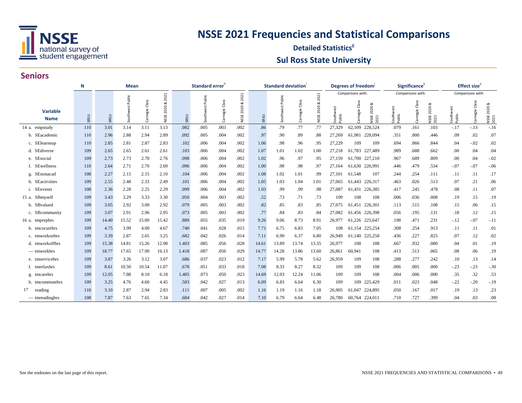

#### **Detailed Statistics**<sup>8</sup> **Sul Ross State University**

|                                | N    |       | <b>Mean</b>         |                |                |       | Standard error <sup>n</sup> |                |                |       | <b>Standard deviation</b> |                |                |                   | Degrees of freedom      |                           |                     | Significance <sup>'</sup> |                                  |                     | Effect size <sup>e</sup> |                            |
|--------------------------------|------|-------|---------------------|----------------|----------------|-------|-----------------------------|----------------|----------------|-------|---------------------------|----------------|----------------|-------------------|-------------------------|---------------------------|---------------------|---------------------------|----------------------------------|---------------------|--------------------------|----------------------------|
|                                |      |       |                     |                | 2021           |       |                             |                | 2021           |       |                           |                | 2021           |                   | Comparisons with:       |                           |                     | Comparisons with:         |                                  |                     | Comparisons with:        |                            |
| <b>Variable</b><br><b>Name</b> | SRSU | SRSU  | Public<br>Southwest | Carnegie Class | 2020 &<br>NSSE | SRSU  | Southwest Public            | Carnegie Class | 2020 &<br>NSSE | SRSU  | Public<br>Southwest       | Carnegie Class | 2020 &<br>NSSE | Southwe<br>Public | Class<br><b>irnegie</b> | య<br>2020<br>NSSE<br>2021 | Southwest<br>Public | Class<br>Carnegie         | య<br>2020<br><b>NSSE</b><br>2021 | Southwest<br>Public | Class<br>Carnegie        | ಹ<br>2020<br>NSSE:<br>2021 |
| 14 a. empstudy                 | 110  | 3.01  | 3.14                | 3.11           | 3.13           | .082  | .005                        | .003           | .002           | .86   | .79                       | .77            | .77            | 27,329            | 62,109 228,524          |                           | .079                | .161                      | .103                             | $-.17$              | $-.13$                   | $-.16$                     |
| b. SEacademic                  | 110  | 2.96  | 2.88                | 2.94           | 2.89           | .092  | .005                        | .004           | .002           | .97   | .90                       | .89            | .88            | 27,269            | 61,981                  | 228,094                   | .351                | .800                      | .446                             | .09                 | .02                      | .07                        |
| c. SElearnsup                  | 110  | 2.85  | 2.81                | 2.87           | 2.83           | .102  | .006                        | .004           | .002           | 1.06  | .98                       | .96            | .95            | 27,229            | 109                     | 109                       | .694                | .866                      | .844                             | .04                 | $-.02$                   | .02                        |
| d. SEdiverse                   | 109  | 2.65  | 2.65                | 2.61           | 2.61           | .103  | .006                        | .004           | .002           | 1.07  | 1.01                      | 1.02           | 1.00           | 27,218            | 61,783                  | 227,489                   | .989                | .688                      | .662                             | .00                 | .04                      | .04                        |
| e. SEsocial                    | 109  | 2.73  | 2.73                | 2.70           | 2.76           | .098  | .006                        | .004           | .002           | 1.02  | .96                       | .97            | .95            | 27,159            | 61,700                  | 227,210                   | .967                | .689                      | .809                             | .00                 | .04                      | $-.02$                     |
| f. SEwellness                  | 110  | 2.64  | 2.71                | 2.70           | 2.69           | .096  | .006                        | .004           | .002           | 1.00  | .98                       | .98            | .97            | 27,164            | 61,630                  | 226,991                   | .446                | .479                      | .534                             | $-.07$              | $-.07$                   | $-.06$                     |
| g. SEnonacad                   | 108  | 2.27  | 2.15                | 2.15           | 2.10           | .104  | .006                        | .004           | .002           | 1.08  | 1.02                      | 1.01           | .99            | 27,101            | 61,548                  | 107                       | .244                | .254                      | .111                             | .11                 | .11                      | .17                        |
| h. SEactivities                | 109  | 2.55  | 2.48                | 2.33           | 2.49           | .101  | .006                        | .004           | .002           | 1.05  | 1.03                      | 1.04           | 1.01           | 27,065            | 61,443 226,317          |                           | .463                | .026                      | .513                             | .07                 | .21                      | .06                        |
| i. SEevents                    | 108  | 2.36  | 2.28                | 2.25           | 2.29           | .099  | .006                        | .004           | .002           | 1.03  | .99                       | .99            | .98            | 27,087            | 61,431                  | 226,385                   | .417                | .245                      | .478                             | .08                 | .11                      | .07                        |
| 15 a. SBmyself                 | 109  | 3.43  | 3.29                | 3.33           | 3.30           | .050  | .004                        | .003           | .002           | .52   | .73                       | .71            | .73            | 109               | 108                     | 108                       | .006                | .036                      | .008                             | .19                 | .15                      | .19                        |
| b. SBvalued                    | 109  | 3.05  | 2.92                | 3.00           | 2.92           | .079  | .005                        | .003           | .002           | .82   | .85                       | .83            | .85            | 27,075            | 61,451                  | 226,301                   | .113                | .515                      | .108                             | .15                 | .06                      | .15                        |
| c. SBcommunity                 | 109  | 3.07  | 2.91                | 2.96           | 2.95           | .073  | .005                        | .003           | .002           | .77   | .84                       | .83            | .84            | 27,082            | 61,456 226,398          |                           | .056                | .195                      | .131                             | .18                 | .12                      | .15                        |
| 16 a. tmprephrs                | 109  | 14.40 | 15.52               | 15.00          | 15.42          | .889  | .055                        | .035           | .019           | 9.26  | 9.06                      | 8.73           | 8.91           | 26,977            | 61,226 225,647          |                           | .198                | .471                      | .231                             | $-.12$              | $-.07$                   | $-.11$                     |
| b. tmcocurrhrs                 | 109  | 4.75  | 3.99                | 4.00           | 4.67           | .740  | .041                        | .028           | .015           | 7.71  | 6.75                      | 6.83           | 7.05           | 108               | 61,154                  | 225,254                   | .308                | .254                      | .913                             | .11                 | .11                      | .01                        |
| c. tmworkonhrs                 | 109  | 3.39  | 2.87                | 2.65           | 3.25           | .682  | .042                        | .026           | .014           | 7.11  | 6.90                      | 6.37           | 6.80           | 26,949            | 61,140 225,258          |                           | .436                | .227                      | .825                             | .07                 | .12                      | .02                        |
| d. tmworkoffhrs                | 109  | 15.38 | 14.81               | 15.26          | 12.90          | 1.403 | .085                        | .056           | .028           | 14.61 | 13.89                     | 13.74          | 13.35          | 26,977            | 108                     | 108                       | .667                | .932                      | .080                             | .04                 | .01                      | .19                        |
| $-$ tmworkhrs                  | 109  | 18.77 | 17.65               | 17.90          | 16.13          | 1.418 | .087                        | .056           | .029           | 14.77 | 14.28                     | 13.86          | 13.60          | 26,861            | 60.941                  | 108                       | .413                | .513                      | .065                             | .08                 | .06                      | .19                        |
| e. tmservicehrs                | 109  | 3.87  | 3.26                | 3.12           | 3.07           | .686  | .037                        | .023           | .012           | 7.17  | 5.99                      | 5.78           | 5.62           | 26,959            | 109                     | 108                       | .288                | .277                      | .242                             | .10                 | .13                      | .14                        |
| f. tmrelaxhrs                  | 109  | 8.61  | 10.50               | 10.54          | 11.07          | .678  | .051                        | .033           | .018           | 7.08  | 8.33                      | 8.27           | 8.32           | 109               | 109                     | 108                       | .006                | .005                      | .000                             | $-.23$              | $-.23$                   | $-.30$                     |
| g. tmcarehrs                   | 109  | 12.05 | 7.88                | 8.10           | 6.18           | 1.405 | .073                        | .050           | .023           | 14.69 | 12.03                     | 12.24          | 11.06          | 109               | 109                     | 108                       | .004                | .006                      | .000                             | .35                 | .32                      | .53                        |
| h. tmcommutehrs                | 109  | 3.25  | 4.76                | 4.60           | 4.45           | .583  | .042                        | .027           | .013           | 6.09  | 6.83                      | 6.64           | 6.30           | 109               | 109                     | 225,429                   | .011                | .023                      | .048                             | $-.22$              | $-.20$                   | $-.19$                     |
| 17<br>reading                  | 110  | 3.10  | 2.87                | 2.94           | 2.83           | .111  | .007                        | .005           | .002           | 1.16  | 1.19                      | 1.16           | 1.18           | 26,905            | 61,047                  | 224,895                   | .050                | .167                      | .017                             | .19                 | .13                      | .23                        |
| — tmreadinghrs                 | 108  | 7.87  | 7.63                | 7.65           | 7.34           | .684  | .042                        | .027           | .014           | 7.10  | 6.79                      | 6.64           | 6.48           | 26,780            | 60,764 224,011          |                           | .710                | .727                      | .399                             | .04                 | .03                      | .08                        |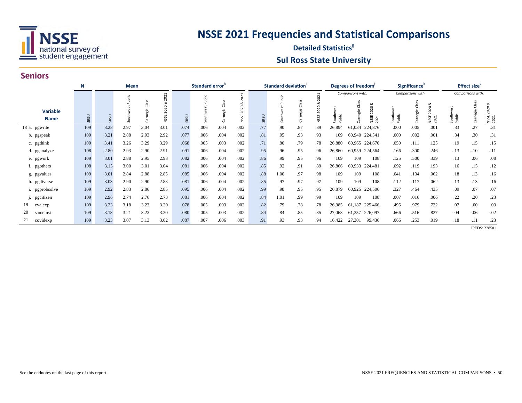

#### **Detailed Statistics**<sup>8</sup> **Sul Ross State University**

#### **Seniors**

|                                | N    | Mean |        |                         |                              |      | Standard error |                          |                              |      | Standard deviation |                |                               |                 | Degrees of freedom <sup>1</sup>                                            |                 | Significance <sup>®</sup> |                                   |                 | Effect size <sup>e</sup> |                           |
|--------------------------------|------|------|--------|-------------------------|------------------------------|------|----------------|--------------------------|------------------------------|------|--------------------|----------------|-------------------------------|-----------------|----------------------------------------------------------------------------|-----------------|---------------------------|-----------------------------------|-----------------|--------------------------|---------------------------|
|                                |      |      |        |                         | 2021                         |      |                |                          | 2021                         |      |                    |                |                               |                 | Comparisons with:                                                          |                 | Comparisons with:         |                                   |                 | Comparisons with:        |                           |
| <b>Variable</b><br><b>Name</b> | SRSU | SRSU | Public | æ<br>$\omega$<br>。<br>亞 | ಂಶ<br>$\circ$<br>202<br>NSSE | SRSU | Public         | æ<br>ರ<br>$\omega$<br>ē. | ಂಶ<br>$\circ$<br>202<br>NSSE | SRSU | ablic              | æ<br>ರ<br>egie | 202<br>$\circ$<br>202<br>NSSE | South<br>Public | ∝<br>ರ<br>020<br>agie<br>$\bar{N}$<br>띥<br>$\mathbf{\ddot{}}$<br>202<br>¥. | South<br>Public | gie<br>B                  | ಂಶ<br>2020<br><b>NSSE</b><br>2021 | South<br>Public | egie                     | 20<br><b>NSSE</b><br>2021 |
| 18 a. pgwrite                  | 109  | 3.28 | 2.97   | 3.04                    | 3.01                         | .074 | .006           | .004                     | .002                         | .77  | .90                | .87            | .89                           | 26,894          | 61,034 224,876                                                             | .000            | .005                      | .001                              | .33             | .27                      | .31                       |
| b. pgspeak                     | 109  | 3.21 | 2.88   | 2.93                    | 2.92                         | .077 | .006           | .004                     | .002                         | .81  | .95                | .93            | .93                           | 109             | 60,940 224,541                                                             | .000            | .002                      | .001                              | .34             | .30                      | .31                       |
| c. pgthink                     | 109  | 3.41 | 3.26   | 3.29                    | 3.29                         | .068 | .005           | .003                     | .002                         | .71  | .80                | .79            | .78                           | 26,880          | 60,965 224,670                                                             | .050            | .111                      | .125                              | .19             | .15                      | .15                       |
| d. pganalyze                   | 108  | 2.80 | 2.93   | 2.90                    | 2.91                         | .091 | .006           | .004                     | .002                         | .95  | .96                | .95            | .96                           | 26,860          | 60,959<br>224,564                                                          | .166            | .300                      | .246                              | $-.13$          | $-.10$                   | $-.11$                    |
| e. pgwork                      | 109  | 3.01 | 2.88   | 2.95                    | 2.93                         | .082 | .006           | .004                     | .002                         | .86  | .99                | .95            | .96                           | 109             | 108<br>109                                                                 | .125            | .500                      | .339                              | .13             | .06                      | .08                       |
| f. pgothers                    | 108  | 3.15 | 3.00   | 3.01                    | 3.04                         | .081 | .006           | .004                     | .002                         | .85  | .92                | .91            | .89                           | 26,866          | 60,933<br>224,481                                                          | .092            | .119                      | .193                              | .16             | .15                      | .12                       |
| g. pgvalues                    | 109  | 3.01 | 2.84   | 2.88                    | 2.85                         | .085 | .006           | .004                     | .002                         | .88  | 1.00               | .97            | .98                           | 109             | 108<br>109                                                                 | .041            | .134                      | .062                              | .18             | .13                      | .16                       |
| h. pgdiverse                   | 109  | 3.03 | 2.90   | 2.90                    | 2.88                         | .081 | .006           | .004                     | .002                         | .85  | .97                | .97            | .97                           | 109             | 109<br>108                                                                 | .112            | .117                      | .062                              | .13             | .13                      | .16                       |
| i. pgprobsolve                 | 109  | 2.92 | 2.83   | 2.86                    | 2.85                         | .095 | .006           | .004                     | .002                         | .99  | .98                | .95            | .95                           | 26,879          | 60,925<br>224,506                                                          | .327            | .464                      | .435                              | .09             | .07                      | .07                       |
| pgcitizen                      | 109  | 2.96 | 2.74   | 2.76                    | 2.73                         | .081 | .006           | .004                     | .002                         | .84  | 1.01               | .99            | .99                           | 109             | 108<br>109                                                                 | .007            | .016                      | .006                              | .22             | .20                      | .23                       |
| 19.<br>evalexp                 | 109  | 3.23 | 3.18   | 3.23                    | 3.20                         | .078 | .005           | .003                     | .002                         | .82  | .79                | .78            | .78                           | 26,985          | 61,187<br>225,466                                                          | .495            | .979                      | .722                              | .07             | .00                      | .03                       |
| 20<br>sameinst                 | 109  | 3.18 | 3.21   | 3.23                    | 3.20                         | .080 | .005           | .003                     | .002                         | .84  | .84                | .85            | .85                           | 27,063          | 61,357<br>226,097                                                          | .666            | .516                      | .827                              | $-.04$          | $-06$                    | $-.02$                    |
| covidexp                       | 109  | 3.23 | 3.07   | 3.13                    | 3.02                         | .087 | .007           | .006                     | .003                         | .91  | .93                | .93            | .94                           | 16,422          | 27,301<br>99,436                                                           | .066            | .253                      | .019                              | .18             | .11                      | .23                       |

**IPEDS: 228501**